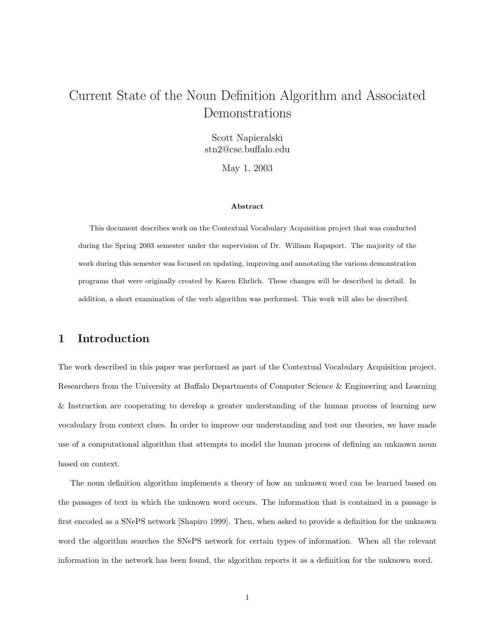# Current State of the Noun Definition Algorithm and Associated Demonstrations

Scott Napieralski stn2@cse.buffalo.edu

May 1, 2003

#### Abstract

This document describes work on the Contextual Vocabulary Acquisition project that was conducted during the Spring 2003 semester under the supervision of Dr. William Rapaport. The majority of the work during this semester was focused on updating, improving and annotating the various demonstration programs that were originally created by Karen Ehrlich. These changes will be described in detail. In addition, a short examination of the verb algorithm was performed. This work will also be described.

## 1 Introduction

The work described in this paper was performed as part of the Contextual Vocabulary Acquisition project. Researchers from the University at Buffalo Departments of Computer Science & Engineering and Learning & Instruction are cooperating to develop a greater understanding of the human process of learning new vocabulary from context clues. In order to improve our understanding and test our theories, we have made use of a computational algorithm that attempts to model the human process of defining an unknown noun based on context.

The noun definition algorithm implements a theory of how an unknown word can be learned based on the passages of text in which the unknown word occurs. The information that is contained in a passage is first encoded as a SNePS network [Shapiro 1999]. Then, when asked to provide a definition for the unknown word the algorithm searches the SNePS network for certain types of information. When all the relevant information in the network has been found, the algorithm reports it as a definition for the unknown word.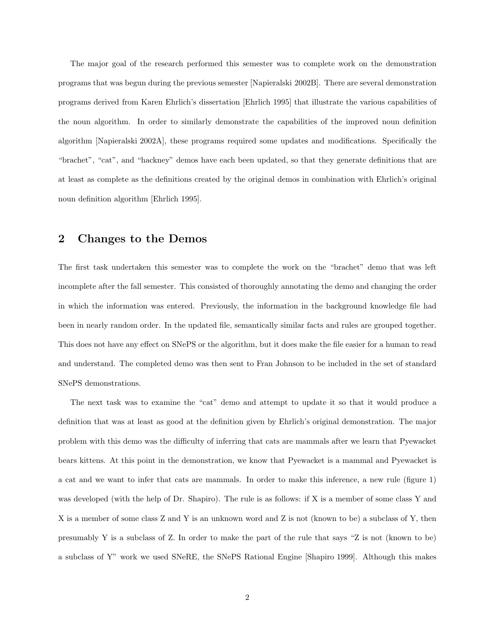The major goal of the research performed this semester was to complete work on the demonstration programs that was begun during the previous semester [Napieralski 2002B]. There are several demonstration programs derived from Karen Ehrlich's dissertation [Ehrlich 1995] that illustrate the various capabilities of the noun algorithm. In order to similarly demonstrate the capabilities of the improved noun definition algorithm [Napieralski 2002A], these programs required some updates and modifications. Specifically the "brachet", "cat", and "hackney" demos have each been updated, so that they generate definitions that are at least as complete as the definitions created by the original demos in combination with Ehrlich's original noun definition algorithm [Ehrlich 1995].

### 2 Changes to the Demos

The first task undertaken this semester was to complete the work on the "brachet" demo that was left incomplete after the fall semester. This consisted of thoroughly annotating the demo and changing the order in which the information was entered. Previously, the information in the background knowledge file had been in nearly random order. In the updated file, semantically similar facts and rules are grouped together. This does not have any effect on SNePS or the algorithm, but it does make the file easier for a human to read and understand. The completed demo was then sent to Fran Johnson to be included in the set of standard SNePS demonstrations.

The next task was to examine the "cat" demo and attempt to update it so that it would produce a definition that was at least as good at the definition given by Ehrlich's original demonstration. The major problem with this demo was the difficulty of inferring that cats are mammals after we learn that Pyewacket bears kittens. At this point in the demonstration, we know that Pyewacket is a mammal and Pyewacket is a cat and we want to infer that cats are mammals. In order to make this inference, a new rule (figure 1) was developed (with the help of Dr. Shapiro). The rule is as follows: if X is a member of some class Y and X is a member of some class Z and Y is an unknown word and Z is not (known to be) a subclass of Y, then presumably Y is a subclass of Z. In order to make the part of the rule that says "Z is not (known to be) a subclass of Y" work we used SNeRE, the SNePS Rational Engine [Shapiro 1999]. Although this makes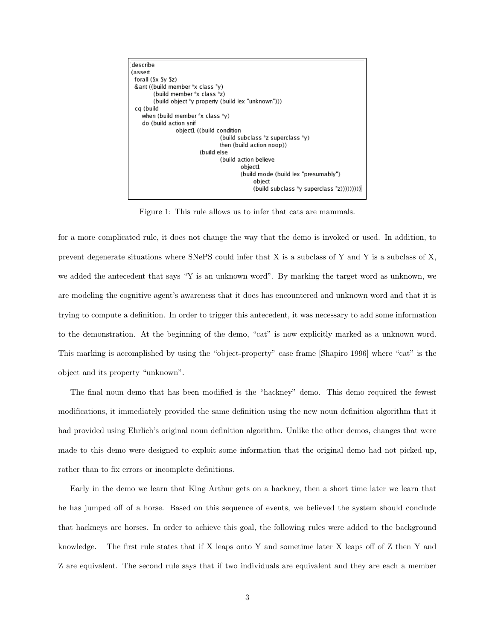

Figure 1: This rule allows us to infer that cats are mammals.

for a more complicated rule, it does not change the way that the demo is invoked or used. In addition, to prevent degenerate situations where SNePS could infer that X is a subclass of Y and Y is a subclass of X, we added the antecedent that says "Y is an unknown word". By marking the target word as unknown, we are modeling the cognitive agent's awareness that it does has encountered and unknown word and that it is trying to compute a definition. In order to trigger this antecedent, it was necessary to add some information to the demonstration. At the beginning of the demo, "cat" is now explicitly marked as a unknown word. This marking is accomplished by using the "object-property" case frame [Shapiro 1996] where "cat" is the object and its property "unknown".

The final noun demo that has been modified is the "hackney" demo. This demo required the fewest modifications, it immediately provided the same definition using the new noun definition algorithm that it had provided using Ehrlich's original noun definition algorithm. Unlike the other demos, changes that were made to this demo were designed to exploit some information that the original demo had not picked up, rather than to fix errors or incomplete definitions.

Early in the demo we learn that King Arthur gets on a hackney, then a short time later we learn that he has jumped off of a horse. Based on this sequence of events, we believed the system should conclude that hackneys are horses. In order to achieve this goal, the following rules were added to the background knowledge. The first rule states that if X leaps onto Y and sometime later X leaps off of Z then Y and Z are equivalent. The second rule says that if two individuals are equivalent and they are each a member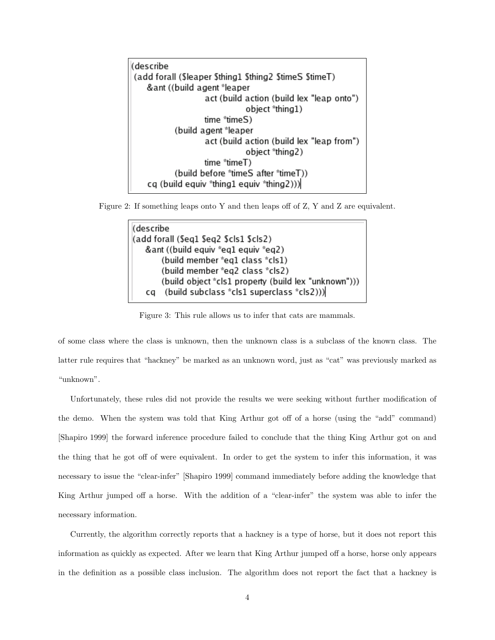(describe (add forall (Sleaper Sthing1 Sthing2 StimeS StimeT) &ant ((build agent \*leaper act (build action (build lex "leap onto") object "thing1) time "timeS) (build agent \*leaper act (build action (build lex "leap from") object \*thing2) time "timeT) (build before "timeS after "timeT)) cq (build equiv "thing1 equiv "thing2)))

Figure 2: If something leaps onto Y and then leaps off of Z, Y and Z are equivalent.

```
(describe
(add forall ($eq1 $eq2 $cls1 $cls2)
   &ant ((build equiv *eq1 equiv *eq2)
       (build member *eq1 class *cls1)
       (build member *eq2 class *cls2)
       (build object *cls1 property (build lex "unknown")))
        (build subclass *cls1 superclass *cls2)))
   cq
```
Figure 3: This rule allows us to infer that cats are mammals.

of some class where the class is unknown, then the unknown class is a subclass of the known class. The latter rule requires that "hackney" be marked as an unknown word, just as "cat" was previously marked as "unknown".

Unfortunately, these rules did not provide the results we were seeking without further modification of the demo. When the system was told that King Arthur got off of a horse (using the "add" command) [Shapiro 1999] the forward inference procedure failed to conclude that the thing King Arthur got on and the thing that he got off of were equivalent. In order to get the system to infer this information, it was necessary to issue the "clear-infer" [Shapiro 1999] command immediately before adding the knowledge that King Arthur jumped off a horse. With the addition of a "clear-infer" the system was able to infer the necessary information.

Currently, the algorithm correctly reports that a hackney is a type of horse, but it does not report this information as quickly as expected. After we learn that King Arthur jumped off a horse, horse only appears in the definition as a possible class inclusion. The algorithm does not report the fact that a hackney is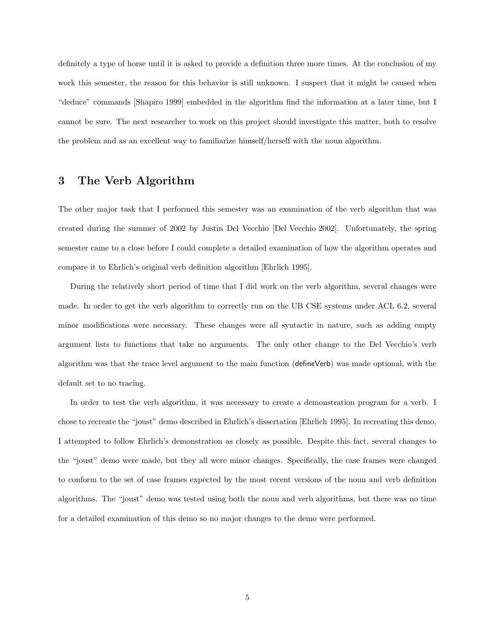definitely a type of horse until it is asked to provide a definition three more times. At the conclusion of my work this semester, the reason for this behavior is still unknown. I suspect that it might be caused when "deduce" commands [Shapiro 1999] embedded in the algorithm find the information at a later time, but I cannot be sure. The next researcher to work on this project should investigate this matter, both to resolve the problem and as an excellent way to familiarize himself/herself with the noun algorithm.

### 3 The Verb Algorithm

The other major task that I performed this semester was an examination of the verb algorithm that was created during the summer of 2002 by Justin Del Vecchio [Del Vecchio 2002]. Unfortunately, the spring semester came to a close before I could complete a detailed examination of how the algorithm operates and compare it to Ehrlich's original verb definition algorithm [Ehrlich 1995].

During the relatively short period of time that I did work on the verb algorithm, several changes were made. In order to get the verb algorithm to correctly run on the UB CSE systems under ACL 6.2, several minor modifications were necessary. These changes were all syntactic in nature, such as adding empty argument lists to functions that take no arguments. The only other change to the Del Vecchio's verb algorithm was that the trace level argument to the main function (defineVerb) was made optional, with the default set to no tracing.

In order to test the verb algorithm, it was necessary to create a demonstration program for a verb. I chose to recreate the "joust" demo described in Ehrlich's dissertation [Ehrlich 1995]. In recreating this demo, I attempted to follow Ehrlich's demonstration as closely as possible. Despite this fact, several changes to the "joust" demo were made, but they all were minor changes. Specifically, the case frames were changed to conform to the set of case frames expected by the most recent versions of the noun and verb definition algorithms. The "joust" demo was tested using both the noun and verb algorithms, but there was no time for a detailed examination of this demo so no major changes to the demo were performed.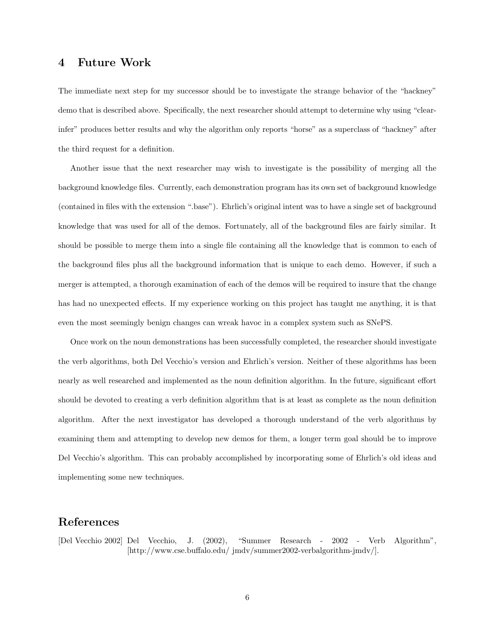#### 4 Future Work

The immediate next step for my successor should be to investigate the strange behavior of the "hackney" demo that is described above. Specifically, the next researcher should attempt to determine why using "clearinfer" produces better results and why the algorithm only reports "horse" as a superclass of "hackney" after the third request for a definition.

Another issue that the next researcher may wish to investigate is the possibility of merging all the background knowledge files. Currently, each demonstration program has its own set of background knowledge (contained in files with the extension ".base"). Ehrlich's original intent was to have a single set of background knowledge that was used for all of the demos. Fortunately, all of the background files are fairly similar. It should be possible to merge them into a single file containing all the knowledge that is common to each of the background files plus all the background information that is unique to each demo. However, if such a merger is attempted, a thorough examination of each of the demos will be required to insure that the change has had no unexpected effects. If my experience working on this project has taught me anything, it is that even the most seemingly benign changes can wreak havoc in a complex system such as SNePS.

Once work on the noun demonstrations has been successfully completed, the researcher should investigate the verb algorithms, both Del Vecchio's version and Ehrlich's version. Neither of these algorithms has been nearly as well researched and implemented as the noun definition algorithm. In the future, significant effort should be devoted to creating a verb definition algorithm that is at least as complete as the noun definition algorithm. After the next investigator has developed a thorough understand of the verb algorithms by examining them and attempting to develop new demos for them, a longer term goal should be to improve Del Vecchio's algorithm. This can probably accomplished by incorporating some of Ehrlich's old ideas and implementing some new techniques.

### References

[Del Vecchio 2002] Del Vecchio, J. (2002), "Summer Research - 2002 - Verb Algorithm", [http://www.cse.buffalo.edu/ jmdv/summer2002-verbalgorithm-jmdv/].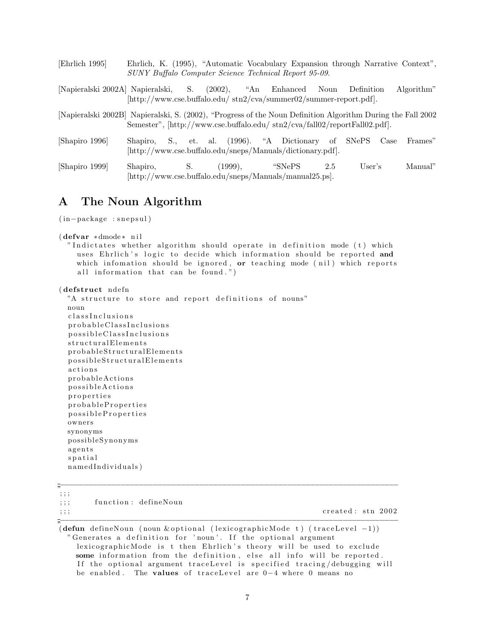| Ehrlich 1995                                                                                                | Ehrlich, K. (1995), "Automatic Vocabulary Expansion through Narrative Context",<br>SUNY Buffalo Computer Science Technical Report 95-09. |  |                   |     |            |            |
|-------------------------------------------------------------------------------------------------------------|------------------------------------------------------------------------------------------------------------------------------------------|--|-------------------|-----|------------|------------|
| [Napieralski 2002A] Napieralski, S. (2002), "An Enhanced Noun                                               | $[\text{http://www.cse.buffalo.edu/ str2/cva/summer02/summer-report.pdf}].$                                                              |  |                   |     | Definition | Algorithm" |
| [Napieralski 2002B] Napieralski, S. (2002), "Progress of the Noun Definition Algorithm During the Fall 2002 | Semester", [http://www.cse.buffalo.edu/stn2/cva/fall02/reportFall02.pdf].                                                                |  |                   |     |            |            |
| [Shapiro 1996]                                                                                              | Shapiro, S., et. al. (1996). "A Dictionary of SNePS Case<br>[http://www.cse.buffalo.edu/sneps/Manuals/dictionary.pdf].                   |  |                   |     |            | Frames"    |
| [Shapiro 1999]                                                                                              | Shapiro, S.<br>http://www.cse.buffalo.edu/sneps/Manuals/manual25.ps.                                                                     |  | $(1999)$ , "SNePS | 2.5 | User's     | Manual"    |

# A The Noun Algorithm

( in−package : s n e p s ul )

```
( defvar ∗ dmode ∗ n i l
```
"Indictates whether algorithm should operate in definition mode  $(t)$  which uses Ehrlich's logic to decide which information should be reported and which infomation should be ignored, or teaching mode ( $\text{nil}$ ) which reports all information that can be found.")

```
( de fstruct nde fn
```
"A structure to store and report definitions of nouns" noun classInclusions probable ClassInclusions p o s s i b l e C l a s s I n c l u s i o n s s tructural Elements probableStructuralElements p os si ble Structural Elements actions p r o b a bl eA c ti o n s possible Actions p r o p e r t i e s probableProperties p o s s i b l e P r o p e r t i e s owners synonyms p o s sibleSyn onym s agents s p a t i a l n amed Individuals)

| , , , ,           |                      |                                                                                 |  |
|-------------------|----------------------|---------------------------------------------------------------------------------|--|
| $\cdots$<br>, , , | function: defineNoun |                                                                                 |  |
| $\cdots$<br>, , , |                      | created: stn 2002                                                               |  |
|                   |                      |                                                                                 |  |
|                   |                      | (defun define Noun (noun & optional (lexicographic Mode t) (trace Level $-1$ )) |  |

Generates a definition for 'noun'. If the optional argument lexicographicMode is t then Ehrlich's theory will be used to exclude some information from the definition, else all info will be reported. If the optional argument traceLevel is specified tracing/debugging will be enabled. The values of traceLevel are 0-4 where 0 means no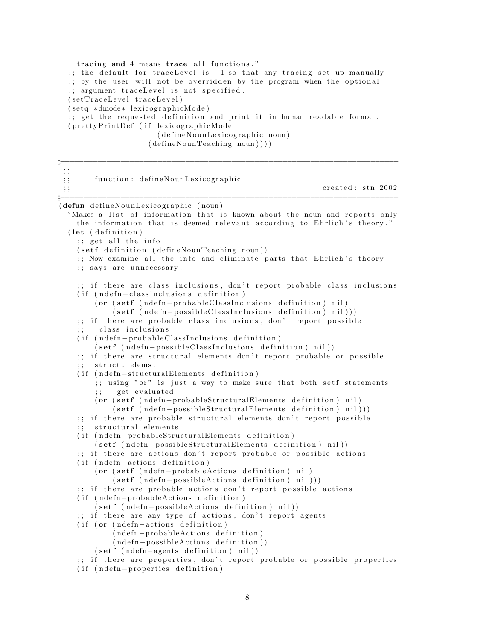tracing and 4 means trace all functions."  $\therefore$ ; the default for traceLevel is  $-1$  so that any tracing set up manually ;; by the user will not be overridden by the program when the optional ;; argument traceLevel is not specified.  $(setTraceLevel\ traceLevel)$  $(seta * dmode * lexicographic Mode)$  $\gamma$ ; get the requested definition and print it in human readable format. ( prettyPrintDef (if lexicographicMode ( define Noun Lexicographic noun) ( de fineNounTeaching noun ) ) ) )

;;<br>;;;<br>;;;; ; ; ; ;;; function: defineNounLexicographic  $\mathbf{c}_i$ ;;; created: stn 2002 ;;<br>;;;<br>;;;; (defun defineNounLexicographic (noun) "Makes a list of information that is known about the noun and reports only the information that is deemed relevant according to Ehrlich's theory."  $(\text{let } (definition))$  $;$ ; get all the info (setf definition (defineNounTeaching noun)) ;; Now examine all the info and eliminate parts that Ehrlich's theory ;; says are unnecessary. ;; if there are class inclusions, don't report probable class inclusions ( if ( ndefn-classInclusions definition) ( or ( setf ( ndefn-probable ClassInclusions definition) nil)  $(s$ etf  $(ndefn-possibleClassInclusions definition)$  nil))) ;; if there are probable class inclusions, don't report possible class inclusions ( if ( ndefn-probable ClassInclusions definition)  $(s$ etf ( $ndefn-pos sible ClassInclusions definition)$ nil)) ;; if there are structural elements don't report probable or possible  $;\;$  struct. elems. ( if ( ndefn-structuralElements definition) ;; using " $or$ " is just a way to make sure that both setf statements ;; get evaluated  $($  or  $($  setf  $($  ndefn-probableStructuralElements definition  $)$  nil  $)$  $(s$ etf (ndefn-possibleStructuralElements definition) nil))) ;; if there are probable structural elements don't report possible ;; structural elements ( if ( ndefn-probableStructuralElements definition) ( setf ( ndefn-possibleStructuralElements definition ) nil )) ;; if there are actions don't report probable or possible actions  $(if (ndefn-actions definition))$ ( or ( setf ( ndefn-probableActions definition ) nil )  $(s$ etf  $(ndefn-possible Actions definition) nil))$ ;; if there are probable actions don't report possible actions ( if ( ndefn-probableActions definition) ( setf ( ndefn-possibleActions definition ) nil )) ;; if there are any type of actions, don't report agents  $(i)$  f ( or  $($  nde fn – actions definition ) (ndefn-probableActions definition)  $(ndefn-possible Actions definition))$  $(s$ etf (ndefn-agents definition) nil)) ;; if there are properties, don't report probable or possible properties  $(if (ndef n-properties definition)$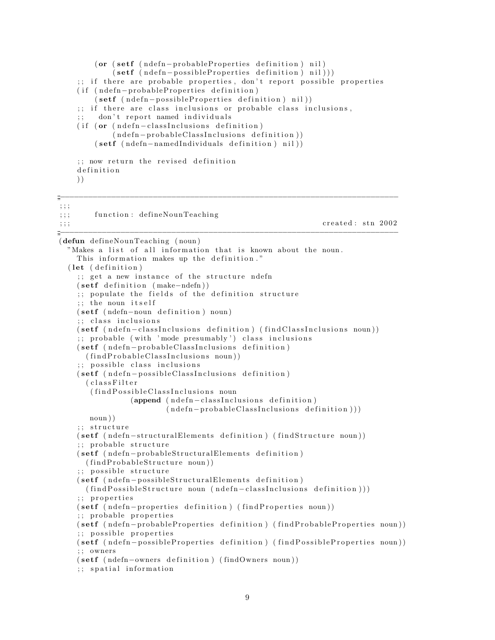```
(or (set f (ndefn-probable Properties definition) nil)(setf (ndefn-possibleProperties definition) nil)))
    ;; if there are probable properties, don't report possible properties
    ( if ( ndefn-probableProperties definition)
        (setf (ndefn-pos sible Properties definition) nil))
    ;; if there are class inclusions or probable class inclusions,
        don't report named individuals
    ( if (or (ndefn-classInclusions definition)
            (ndefn-probable ClassInclusions definition)(setf (ndefn-namedIndividuals definition) nil);; now return the revised definition
    definition
    ) )
;;<br>;;;<br>;;;;
; ; ;
;;; function: defineNounTeaching
\mathbf{c}_i; ; ; created : stn 2002
;;;−−−−−−−−−−−−−−−−−−−−−−−−−−−−−−−−−−−−−−−−−−−−−−−−−−−−−−−−−−−−−−−−−−−−−−−−−
(defun de fineNounTeaching ( noun )
  "Makes a list of all information that is known about the noun.
    This information makes up the definition."
  (\text{let } (definition))\gamma; get a new instance of the structure ndefn
    (s etf definition (make-ndefn));; populate the fields of the definition structure
    ;; the noun itself
    ( setf ( ndefn-noun definition ) noun )
    ;; class inclusions
    ( setf ( ndefn-classInclusions definition) (findClassInclusions noun))
    ; probable (with 'mode presumably') class inclusions
    ( setf ( ndefn-probable ClassInclusions definition)
      (findProbable ClassInclusions noun))
    ;; possible class inclusions
    ( setf ( ndefn-possible ClassInclusions definition)
      ( c l a s s F i l t e r
       (find Possible Class Inclusions noun
                (append (ndefn-classInclusions definition)(\n  <i>ndefn-probableClassInclusions definition</i> ))noun ) )
    ;; structure
    ( setf ( ndefn-structuralElements definition ) (findStructure noun ))
    ;; probable structure
    ( setf ( ndefn-probable Structural Elements definition)
      (findProbableStructure\ noun));; possible structure
    (setf (ndefn-possibleStructuralElements definition)( find Possible Structure noun ( ndefn - class Inclusions definition ) ) )
    ;; properties
    ( setf ( ndefn-properties definition ) (find Properties noun))
    ;; probable properties
    ( setf ( ndefn-probableProperties definition) (findProbableProperties noun))
    ;; possible properties
    ( setf ( ndefn-possibleProperties definition) (findPossibleProperties noun))
    ; ; owners
    ( setf (ndefn-owners definition) (findOwners noun))
    ;; spatial information
```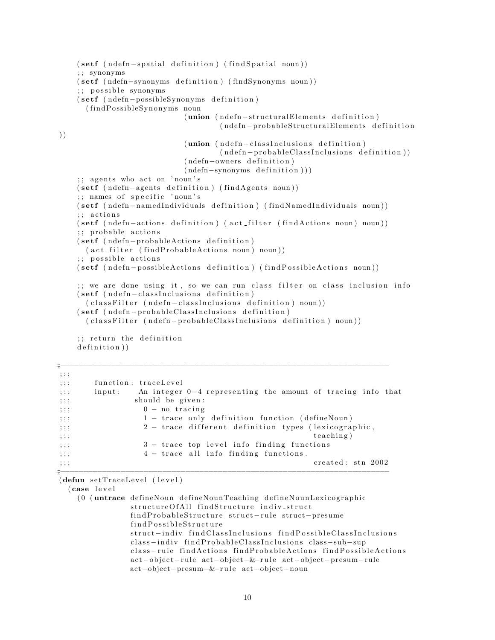```
(setf (ndefn-spatial definition) (find Spatial noun))
    ; ; synonyms
    ( setf (ndefn-synonyms definition ) (findSynonyms noun ))
    ;; possible synonyms
    ( setf (ndefn-possibleSynonyms definition)
       (findPossibleSynonyms noun
                               (union (n de fn -structural Elements de finition)
                                        (ndefn-probableStructuralElements definition
) )
                                (union ( ndefn-classInclusions definition)
                                        (n \cdot \text{def} n - \text{probable} \text{Class} \text{Inclusions definition})(ndefn-owners definition)
                                (\text{ndefn-synonyms definition}))
    \gamma; agents who act on 'noun's
    (setf (ndefn-agents definition) (findAgents noun))
    ;; names of specific 'noun's
    ( setf ( ndefn-named Individuals definition ) (findNamed Individuals noun) )
    ;; actions
    ( setf ( ndefn-actions definition ) ( act_filter (find Actions noun ) noun ) )
    ;; probable actions
    ( setf ( ndefn-probableActions definition)
      (\text{act-filter} (\text{findProbable} \text{Actions noun}) \text{noun}));; possible actions
    ( setf ( ndefn-possible Actions definition ) (find Possible Actions noun))
    ;; we are done using it, so we can run class filter on class inclusion info
    (setf (ndefn-classInclusions definition)( class Filter ( ndefn-class Inclusions definition ) noun ) )
    ( setf ( ndefn-probableClassInclusions definition)
       ( classFilter ( ndefn-probableClassInclusions definition) noun))
     ;; return the definition
    definition))
```

| $\cdots$<br>, , ,                |                                                                          |
|----------------------------------|--------------------------------------------------------------------------|
| , ; ;                            | function: traceLevel                                                     |
| , ; ;                            | An integer $0-4$ representing the amount of tracing info that<br>input : |
| $\cdots$<br>, , ,                | should be given:                                                         |
| , ; ;                            | $0 - no$ tracing                                                         |
| , ; ;                            | 1 - trace only definition function (defineNoun)                          |
| , ; ;                            | 2 - trace different definition types (lexicographic,                     |
| $\cdots$<br>, , ,                | teaching)                                                                |
| , ; ;                            | 3 - trace top level info finding functions                               |
| $\cdots$<br>, , ,                | $4$ - trace all info finding functions.                                  |
| $\cdot$ $\cdot$ $\cdot$<br>, , , | created: stn 2002                                                        |
| m                                |                                                                          |

;;<br>;;;<br>;;;;

(defun set TraceLevel (level)

( case l e v e l

```
(0 (untrace defineNoun defineNounTeaching defineNounLexicographic
            structureOfAll findStructure indiv_struct
            findProbableStructure struct-rule struct-presume
            find Possible Structure
            struct-indiv findClassInclusions findPossibleClassInclusions
            class-indiv find Probable ClassInclusions class-sub-sup
            class-rule findActions findProbableActions findPossibleActions
            act-object-rule act-object-&-rule act-object-presum-rule
            act−object−presum−&−r u l e act−ob ject−noun
```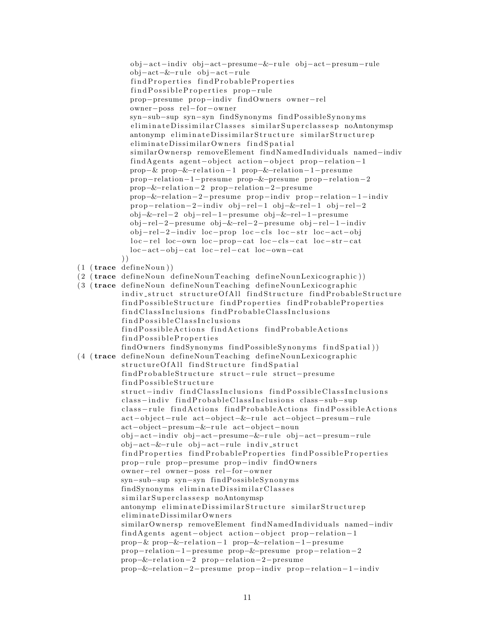```
ob j−ac t−indiv obj−act−presume−&−r u l e ob j−act−presum−rule
            obj−act−&−r u l e ob j−ac t−rule
            find Properties find Probable Properties
            findPossibleProperties prop-rule
            prop−presume prop−indiv findOwners owner−rel
            owner−poss rel−for−owner
            syn-sub-sup syn-syn findSynonyms findPossibleSynonyms
            e liminate Dissimilar Classes similar Superclasses p no Antonymsp
            antonymp eliminateDissimilarStructure similarStructurep
            eliminateDissimilarOwners findSpatial
            similar Ownersp removeElement findNamedIndividuals named-indiv
            findAgents agent-object action-object prop-relation-1
            prop−& prop−&−relation−1 prop−&-relation−1−presume
            prop-relation−1−presume prop−&−presume prop-relation−2
            prop-&-relation-2 prop-relation-2-presume
            prop-&-relation−2−presume prop-indiv prop-relation-1-indiv
            prop-relation-2-indiv obj-rel-1 obj-&-rel-1 obj-rel-2
            obj−&−rel−2 obj−rel−1−presume obj−&−rel−1−presume
            obj−rel−2−presume obj−&−rel−2−presume ob j−rel−1−indiv
            obj-rel−2-indiv loc-prop loc-cls loc-str loc-act-obj
            loc-rel loc-own loc-prop-cat loc-cls-cat loc-str-cat
            loc-act-obj-cat loc-rel-cat loc-own-cat
          ) )
(1 (trace define Noun))(2 ( trace defineNoun defineNounTeaching defineNounLexicographic))
(3 (trace defineNoun defineNounTeaching defineNounLexicographic
          indiv struct structureOfAll findStructure findProbableStructure
          find Possible Structure find Properties find Probable Properties
          find Class Inclusions find Probable Class Inclusions
          find Possible ClassInclusionsfind Possible Actions find Actions find Probable Actions
          find Possible PropertiesfindOwners findSynonyms findPossibleSynonyms findSpatial))
(4 (trace defineNoun defineNounTeaching defineNounLexicographic
          structureOfAll findStructure findSpatial
          findProbableStructure struct-rule struct-presume
          find Possible Structure
          struct-indiv findClassInclusions findPossibleClassInclusions
          class-indiv findProbableClassInclusions class-sub-sup
          class-rule findActions findProbableActions findPossibleActions
          act-object-rule act-object-&-rule act-object-presum-rule
          act−object−presum−&−r u l e act−ob ject−noun
          ob j−ac t−indiv obj−act−presume−&−r u l e ob j−act−presum−rule
          obj-act-&-rule obj-act-rule indiv_struct
          find Properties find Probable Properties find Possible Properties
          prop−rule prop−presume prop−indiv findOwners
          owner−rel owner−poss rel−for−owner
          syn-sub-sup syn-syn findPossibleSynonyms
          findSynonyms eliminateDissimilarClasses
          similar Superclassesp noAntonymsp
          antonymp eliminateDissimilarStructure similarStructurep
          eliminateDissimilarOwners
          similarOwnersp removeElement findNamedIndividuals named-indiv
          findAgents agent-object action-object prop-relation-1
          prop−& prop−&-relation−1 prop−&-relation−1−presume
          prop-relation−1−presume prop−&−presume prop-relation−2
          prop-&-relation-2 prop-relation-2-presume
          prop-&-relation−2−presume prop-indiv prop-relation-1-indiv
```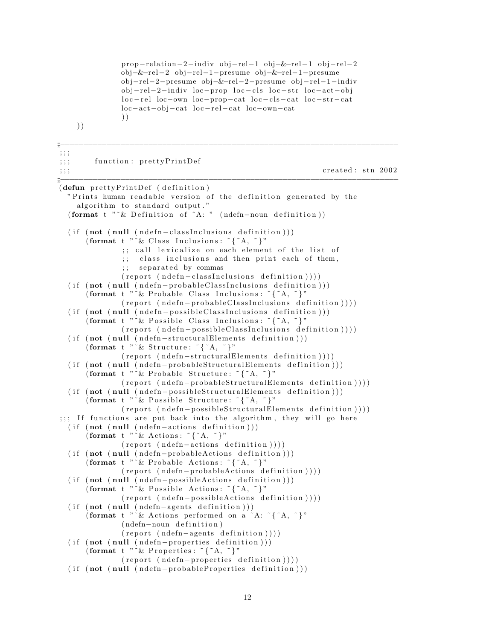prop-relation−2-indiv obj-rel−1 obj-&-rel−1 obj-rel−2 obj−&−rel−2 obj−rel−1−presume obj−&−rel−1−presume obj−rel−2−presume obj−&−rel−2−presume ob j−rel−1−indiv obj-rel-2-indiv loc-prop loc-cls loc-str loc-act-obj loc-rel loc-own loc-prop-cat loc-cls-cat loc-str-cat loc−act−obj−cat loc−rel−cat loc−own−cat ) ) ) ) ;;<br>;;;<br>;;; ; ; ; ;;; function: prettyPrintDef  $\mathcal{L}$ ;;; created: stn 2002 ;;<br>;;;<br>;;;;  $(\text{defun} \text{ prettyPrintDef} \text{ (definition)}$ " Prints human readable version of the definition generated by the algorithm to standard output." ( format t "~& Definition of ~A: " (ndefn-noun definition))  $(i f (not (null (ndefn-classInclusions definition)))$ (format t "~& Class Inclusions:  $\{^*A,^*\}$ " ;; call lexicalize on each element of the list of ;; class inclusions and then print each of them, ;; separated by commas  $(report (ndefn-classInclusions definition)))$  $(i f (not (null (ndefn-probable ClassInclusions definition)))$ (format t  $\sum_{k=1}^{N} x^k$  Probable Class Inclusions:  $\{a^k\}$  $(report (ndefn-probableClassInclusions definition)))$  $(i$  f (not (null (ndefn-possibleClassInclusions definition))) ( format t "  $\&$  P ossible Class Inclusions:  $\{^{\circ}A,^{\circ}\}$ "  $(report (ndefn-possibleClassInclusions definition))))$  $(i f (not (null (ndefn - structuralElements definition)))$ (format t "~& Structure:  $\tilde{ }$  {  $\tilde{ }$  A,  $\tilde{ }$  }"  $(report (ndefn-structuralElements definition)))$  $(i$  f (not (null (ndefn-probableStructuralElements definition))) ( format t " ~ & Probable Structure:  $\{^{\sim}$   $\{^{\sim}$  A,  $^{\sim}\}$ "  $(report (ndefn-probableStructuralElements definition)))$  $(i$  f (not (null (ndefn-possibleStructuralElements definition))) ( format t " $\tilde{ }$  P ossible Structure:  $\tilde{ }$  { $\tilde{ }$ A,  $\tilde{ }$  }"  $(report (ndefn-possibleStructuralElements definition))))$  $;$ ;; If functions are put back into the algorithm, they will go here  $(i f (not (null (ndefn-actions definition)))$ ( format t " ~ & Actions :  $\tilde{ }$  { ~ A, ~ }"  $(report (ndefn-actions definition)))$  $(i f (not (null (ndefn-probable Actions definition)))$ ( format t " ~ & Probable Actions:  $\tilde{f}$   $\tilde{A}$ ,  $\tilde{f}$  )"  $(report (ndefn-probable Actions definition)))$  $(i f (not (null (ndefn-possibleAction s definition)))$ ( format t " ~ & Possible Actions:  $\tilde{ }$  {  $\tilde{ }$  A,  $\tilde{ }$  }"  $(report (ndefn-possible Actions definition)))$  $(i f (not (null (ndefn–agents definition)))$ (format t  $\sqrt[n]{x}$  Actions performed on a  $\sim A$ :  $\{\sim A, \sim\}$ ")  $(ndefn-noun definition)$  $(report (ndefn-agents definition)))$  $(i f (not (null (ndefn–properties definition)))$ (format t "~& Properties:  $\tilde{ }$  {  $\tilde{ }$  A,  $\tilde{ }$  }"  $(report (ndefn-propeties definition))))$  $(i f (not (null (ndefn-probable Properties definition)))$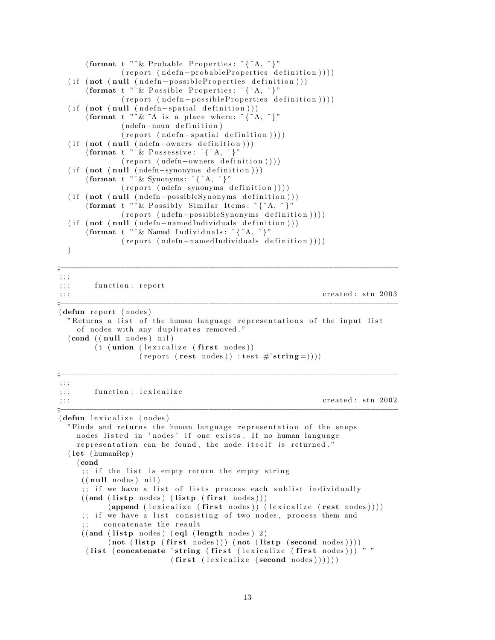```
( format t " ~ & Probable Properties : \{^{\circ}A,^{\circ}\}"
             (report (ndefn-probableProperties definition)))(i f (not (null (ndefn-possibleProperties definition)))( format t " k P ossible P roperties : \{A, \tilde{B}\}"
             (report (ndefn-possibleProperties definition))))(i f (not (null (ndefn-spatial definition)))( format t " \& \wedge A is a place where: \wedge \wedge \wedge \wedge ")"
             ( ndefn-noun definition)
             (report (ndefn-spatial definition)))(i f (not (null (ndefn-owners definition)))(format t "^{\sim}\& Possessive: "{"A, "}"
             (report (ndefn-owners definition)))(i f (not (null (ndefn-synonyms definition)))( format t " ~ & Synonyms: ~{ ~ A, ~} "
             (report (ndefn-synonyms definition)))(i f (not (null (ndefn-possibleSymonyms definition)))( format t " ~ & Possibly Similar Items: ~ { ~ A, ~ } "
             (report (ndefn-possibleSymonyms definition)))(i f (not (null (ndefn-namedIndividuals definition)))( format t " \& Named Individuals : \& {\& A, \& }"
             (report (ndefn-namedIndividuals definition)))))
;;<br>;;;<br>;;;
; ; ;
;;; function: report
\mathcal{L};;; created: stn 2003
;;<br>;;;<br>;;;
(defun report (nodes)
  "Returns a list of the human language representations of the input list
    of nodes with any duplicates removed."
```

```
( cond ( ( null nodes ) nil )(t \text{ (union (lexicalize (first nodes))})
```

```
(report (rest nodes)) : test #'string = ))))
```
;;<br>;;;<br>;;;;

; ; ;  $;$ ;; function: lexicalize  $\mathbf{r}$ ;;; created: stn 2002 ;;<br>;;;<br>;;;; (defun lexicalize (nodes) " Finds and returns the human language representation of the sneps nodes listed in 'nodes' if one exists. If no human language representation can be found, the node itself is returned."  $(\text{let } (\text{humanRep})$ (cond  $;$ ; if the list is empty return the empty string  $((null nodes) nil)$ ;; if we have a list of lists process each sublist individually  $((and (listp nodes) (listp (first nodes)))$  $(\text{append (lexicalize (first nodes)) (lexicalize (rest nodes))))$ ;; if we have a list consisting of two nodes, process them and concatenate the result  $((and (listp nodes) (eql (length nodes) 2))$  $(\text{not } ( \text{listp } ( \text{first nodes} ) ) ) (\text{not } ( \text{listp } ( \text{second nodes} ) ) ))$ ( list ( concatenate 'string ( first ( lexicalize ( first nodes ) )  $)$  "  $(first (lexicalize (second nodes))))$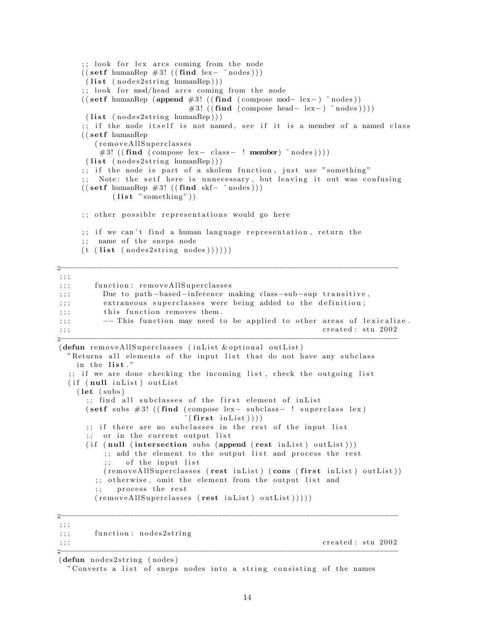```
;; look for lex arcs coming from the node
     ((\text{setf humanRep #3! } ((\text{find lex}-\text{~^*nodes})))(list (nodes2string humanRep)));; look for mod/head arcs coming from the node
     (( setf humanRep (append #3! (( find ( compose mod- lex−) \tilde{ } nodes))
                            #3! ((find (composite head-lex-) ~ nodes ))))(list (nodes2string humanRep)));; if the node itself is not named, see if it is a member of a named class
     (( setf humanRep
       (removeAllSuperclasses)
        #3! ((find (composite lex-class-! member) ^*nodes)))(list (nodes2string humanRep)));; if the node is part of a skolem function, just use "something"
     \mathbf{z}; Note: the setf here is unnecessary, but leaving it out was confusing
    (( set f humanRep #3! ((find skf- ^' nodes)))(list "something")
     ;; other possible representations would go here
     ;; if we can't find a human language representation, return the
     ;; name of the sneps node
    (t \text{ (list (nodes2string nodes)})));;<br>;;;<br>;;;
; ; ;
;;; function: removeAllSuperclasses
;;; Due to path-based-inference making class-sub-sup transitive,
;;; extraneous superclasses were being added to the definition;
;;;; this function removes them.
;;; --This function may need to be applied to other areas of lexicalize.
\mathbf{c}_i;;; created: stn 2002
;;<br>;;;<br>;;;
(defun removeAllSuperclasses (inList & optional outList)
 "Returns all elements of the input list that do not have any subclass
   in the list."
  ;; if we are done checking the incoming list, check the outgoing list
  (if (null inList) outList)(\text{let } (subs));; find all subclasses of the first element of inList
      (s etf subs #3! ((find (compose lex− subclass− ! superclass lex)
                            \{ \textbf{first} \text{ inList } ));; if there are no subclasses in the rest of the input list
      ;; or in the current output list
      (i f (null (intersection subs (append (rest in List) outList)));; add the element to the output list and process the rest
         ; of the input list
         (r = m ove All Superclasses (rest in List) (cons (first in List) out List))
        ;; otherwise, omit the element from the output list and
```

```
process the rest
```
 $(\text{removeAllSuperclasses } ( \text{rest } inList ) \text{ outList} ) ) ))$ 

;;<br>;;;<br>;;;; ; ; ;

;;; function: nodes2string

 $\mathbf{r}$ ;;;  $\mathbf{c}$  reated : stn 2002

 $(defun nodes2string (nodes)$ 

" Converts a list of sneps nodes into a string consisting of the names

;;;−−−−−−−−−−−−−−−−−−−−−−−−−−−−−−−−−−−−−−−−−−−−−−−−−−−−−−−−−−−−−−−−−−−−−−−−−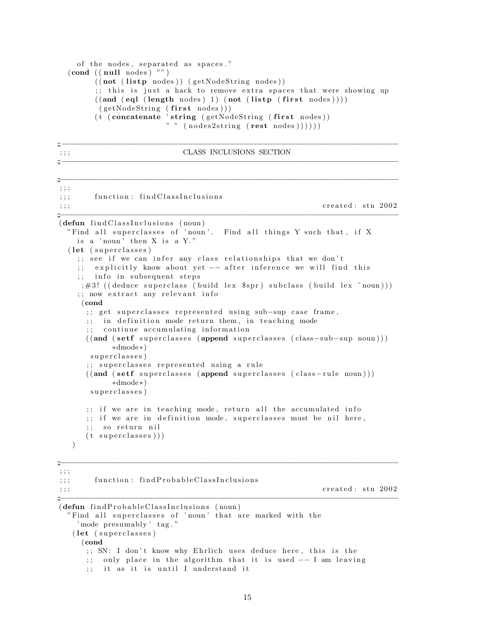```
of the nodes, separated as spaces."
(\text{cond } ((\text{null nodes}) "")
      ((\textbf{not} (\textbf{listp nodes})) (\textbf{getNodeString nodes}));; this is just a hack to remove extra spaces that were showing up
       ((and (eql (length nodes) 1) (not (listp (first nodes))))(getNodeString (first nodes)))(t (concatenate 'string (getNodeString (first nodes))
                        "\text{''} (nodes2string (rest nodes))))))
```
;;;−−−−−−−−−−−−−−−−−−−−−−−−−−−−−−−−−−−−−−−−−−−−−−−−−−−−−−−−−−−−−−−−−−−−−−−−

;;<br>;;;<br>;;;;

;;<br>;;;<br>;;;;

#### $\mathcal{L}$  ; ; ; class inclusions section

```
; ; ;
;;; function: find Class Inclusions
\mathbf{c}_i; ; ; created : stn 2002
;;<br>;;;<br>;;;;
(defun find ClassInclusions (noun)"Find all superclasses of 'noun'. Find all things Y such that, if X
   is a 'noun' then X is a Y."
  (let (superclasses)
    ;; see if we can infer any class relationships that we don't
    ;; explicitly know about yet -- after inference we will find this
    ;; info in subsequent steps
    ; #3! ((deduce superclass (build lex $spr) subclass (build lex ~noun)))
    ;; now extract any relevant info
    (cond
     ;; get superclasses represented using sub-sup case frame,
     ;; in definition mode return them, in teaching mode
     ;; continue accumulating information
     ((and (set f superclasses (append superclasses (class-sub-sup noun))))∗dmode∗)
      superclasses)
     ;; superclasses represented using a rule
     ((and (set f superclasses (append superclasses (class-rule noun))))∗dmode∗)
      superclasses)
     ;; if we are in teaching mode, return all the accumulated info
     ;; if we are in definition mode, superclasses must be nil here,
     ;; so return nil
     (t \text{ superclasses})
  )
```

```
; ; ;
```
;;; function: findProbableClassInclusions

 $\mathbf{c}_i$ ;;; created: stn 2002

;;<br>;;;<br>;;; (defun find Probable Class Inclusions (noun) "Find all superclasses of 'noun' that are marked with the ' mode presumably ' tag." (let (superclasses) (cond ;; SN: I don't know why Ehrlich uses deduce here, this is the ;; only place in the algorithm that it is used  $-$  I am leaving ;; it as it is until I understand it

;;<br>;;;<br>;;;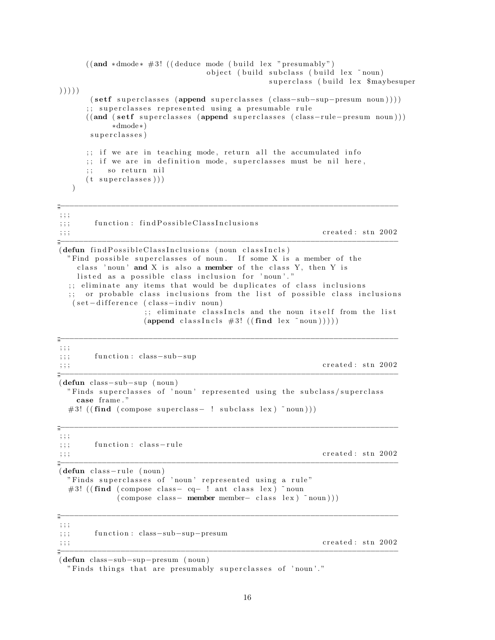```
((and *dmode * #3! ((deduce mode (build lex "presumably")object ( build subclass ( build lex ~ noun)
                                        superclass (build lex $maybesuper
) ) ) ) )
      (s \text{eff} \text{superc} \text{classes} \text{(superclasses} \text{class}= \text{sub-sup-presum} \text{noun})));; superclasses represented using a presumable rule
     ((and (set f supported as 1999) superclasses (append superclasses (class-rule-presum noun))
          ∗dmode∗)
      superclasses)
     ;; if we are in teaching mode, return all the accumulated info
     \therefore if we are in definition mode, superclasses must be nil here,
        so return nil
     (t \text{ superclasses})))
;;<br>;;;<br>;;;;
; ; ;
;;; function: findPossibleClassInclusions
\frac{1}{2}; \frac{1}{2}; created : stn 2002
;;<br>;;;<br>;;;;
(\text{defun}~find Possible ClassInclusions~(noun~classIncls)"Find possible superclasses of noun. If some X is a member of the
   class 'noun' and X is also a member of the class Y, then Y is
   listed as a possible class inclusion for 'noun'."
  ;; eliminate any items that would be duplicates of class inclusions
 ;; or probable class inclusions from the list of possible class inclusions
  ( set -difference ( class - indiv noun)
                ;; eliminate classIncls and the noun itself from the list
                (\text{append classIncls } #3! ((\text{find lex } "noun))));;<br>;;;<br>;;;
; ; ;
;;; function: class-sub-sup
\mathbf{c}_i; ; ; created : stn 2002
;;<br>;;;<br>;;;;
(defun class−sub−sup ( noun )
 " Finds superclasses of 'noun' represented using the subclass/superclass
   case frame . "
 #3! ( (\text{find } ( \text{ compose } \text{ superclass} - ! \text{ subclass } \text{lex } ) \text{ "noun } )))
;;<br>;;;<br>;;;
; ; ;
;;; function: class-rule
\gamma;;; created: stn 2002
;;<br>;;;<br>;;;
(defun class - rule (noun))" Finds superclasses of 'noun' represented using a rule"
 #3! ((find (compose class- cq- ! ant class lex) ~ noun
           (\text{compose class} - \text{member member} - \text{ class } \text{ lex } \text{ 'round)} );;<br>;;;<br>;;;;
; ; ;
;;; function: class-sub-sup-presum
\mathbf{r};;; \mathbf{c} reated : stn 2002
;;;−−−−−−−−−−−−−−−−−−−−−−−−−−−−−−−−−−−−−−−−−−−−−−−−−−−−−−−−−−−−−−−−−−−−−−−−−
(defun class−sub−sup−presum ( noun )
```
" Finds things that are presumably superclasses of 'noun'."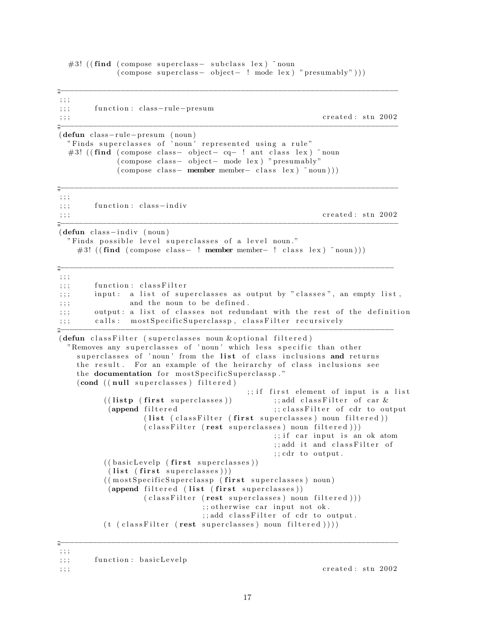$#3!$  ((find (compose superclass  $-$  subclass lex)  $\tilde{ }$  noun  $(\text{composite superseness} - \text{object} - ! \text{mode lex})$  " $\text{presumably" } ))$ )

;;<br>;;;<br>;;;; ; ; ; ;;; function : class-rule-presum  $\mathbf{c}_i$ ;;; created: stn 2002 ;;<br>;;;<br>;;;; (defun class-rule−presum (noun) " Finds superclasses of 'noun' represented using a rule" #3! (( $\text{find}$  (compose class - object- cq- ! ant class lex)  $\text{``noun}$  $\text{(composite class} - \text{object} - \text{mode lex})$  " presumably"  $(\text{compose class} - \text{member member} - \text{ class } \text{lex} ) \text{ 'noun)} )$ ;;<br>;;;<br>;;; ; ; ; ;;; function: class-indiv  $\mathbf{c}_i$ ;;; created: stn 2002 ;;<br>;;;<br>;;;  $(defun class–indiv (noun))$ " Finds possible level superclasses of a level noun." #3! ( $(find (composite class - ! member member - ! class lex) ^ "noun)))$ ;;<br>;;;<br>;;;; ; ; ; ;;; function: classFilter ;;; input: a list of superclasses as output by "classes", an empty list,  $;$ ;;; and the noun to be defined. ;;; output: a list of classes not redundant with the rest of the definition ;;; calls: mostSpecificSuperclassp, classFilter recursively ;;<br>;;;<br>;;;; (defun classFilter (superclasses noun & optional filtered) "Removes any superclasses of 'noun' which less specific than other superclasses of 'noun' from the list of class inclusions and returns the result. For an example of the heirarchy of class inclusions see the documentation for mostSpecificSuperclassp." (cond ((null superclasses) filtered) ;; if first element of input is a list  $((\textbf{listp } (\textbf{first } superclasses))$  ;; add class Filter of car & (append filtered ;; class Filter of cdr to output ( list ( class Filter ( first superclasses) noun filtered ))  $(class Filter (rest superclasses) noun filtered ))$ ;; if car input is an ok atom ;; add it and classFilter of  $;$  ;  $;$  cdr to output.  $((\text{basicLevelp }(\text{first superclasses}))$  $(list (first superclasses)))$ ((mostSpecificSuperclassp (first superclasses) noun) (append filtered (list (first superclasses))  $(class Filter (rest superclasses) noun filtered ))$ ;; otherwise car input not ok. ;; add classFilter of cdr to output.  $(t (classFilter (rest superclasses) noun filtered)))$ 

;;<br>;;;<br>;;; ; ; ;

 $\mathbf{c}_i$ ;;; created: stn 2002

<sup>;;;</sup> function: basicLevelp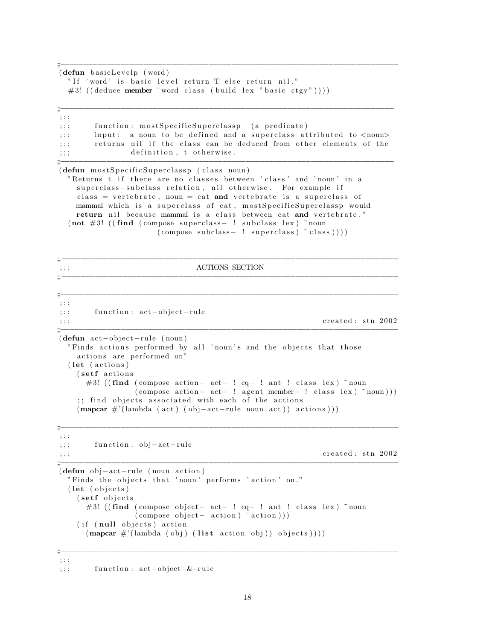(defun basicLevelp (word) "If 'word' is basic level return T else return nil." #3! ((deduce member ~ word class (build lex "basic ctgy"))))  $\ddot{=}$  $; ; ;$ function: mostSpecificSuperclassp (a predicate)  $; ; ;$ input: a noun to be defined and a superclass attributed to <noun>  $, ; ;$ returns nil if the class can be deduced from other elements of the  $; ; ;$ definition, t otherwise.  $\ddots$  $\frac{m}{2}$ (defun mostSpecificSuperclassp (class noun) "Returns t if there are no classes between 'class' and 'noun' in a superclass-subclass relation, nil otherwise. For example if class = vertebrate, noun = cat and vertebrate is a superclass of mammal which is a superclass of cat, most Specific Superclassp would return nil because mammal is a class between cat and vertebrate."  $(not \#3!$  ((find (compose superclass- ! subclass lex) "noun  $\text{(composite subclass} - \text{! superclass}) \text{ "class]}$  $\ddot{m}$  -**ACTIONS SECTION**  $; ; ;$  $, ; ;$ function: act-object-rule  $; ; ;$ created: stn 2002  $; ; ;$  $(\text{defun act}-object-rule (noun))$ "Finds actions performed by all 'noun's and the objects that those actions are performed on" (let (actions) (setf actions #3! ((find (compose action- act- ! cq- ! ant ! class lex) "noun  $\text{(composite action--act--! agent member--! class lex)} \text{ 'noun)}$ ;; find objects associated with each of the actions  $(\text{mapcar } \#'(\text{lambda (act) (obj-act-rule noun act)) actions})).$  $\ddot{=}$  $, ; ;$ function: obj-act-rule  $, ; ;$ created: stn 2002  $, ; ;$  $(\text{defun } obj-act-rule (noun action))$ "Finds the objects that 'noun' performs 'action' on." (let (objects) (setf objects #3! ((find (compose object- act- ! cq- ! ant ! class lex) "noun  $\text{(composite object - action)}$   $\text{action}$ )) (if (null objects) action  $(\text{mapcar } \#'(\text{lambda (obj) (list action obj)) objects))))$  $\ddot{m}$  $, ; ;$ 

 $; ; ;$ function: act-object-&-rule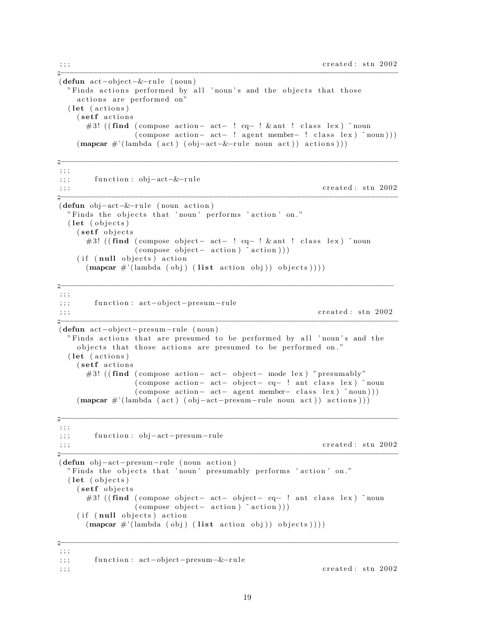$(\text{defun act}-object-\&\text{- rule (noun})$ "Finds actions performed by all 'noun's and the objects that those actions are performed on" (let (actions) (setf actions) #3! ((find (compose action- act- !  $cq-$  ! & ant ! class lex) "noun  $(\text{compose action} - \text{act} - \text{! agent member} - \text{! class lex})$  "noun)))  $(\text{mapcar } \#'(\text{lambda } (\text{act } (\text{obj}-\text{act}-\&{-\text{rule} \text{ noun } \text{act})))$  actions)))

```
\frac{m}{m}, ; ;function: obj - act - \& - rule, ; ;created: stn 2002
, ; ;\ddot{=}(\text{defun } obj-act-\&\text{- rule } (noun action))"Finds the objects that 'noun' performs 'action' on."
  (\text{let} (\text{objects})(setf objects)
       #3! ((find (compose object - act - ! cq - ! & ant ! class lex) "noun
                    \text{(composite object--action)} \text{action}))
     (if (null objects) action
       (\text{mapcar } \#'(\text{lambda (obj) (list action obj)) objects))))\frac{m}{2}; ; ;function: act-object-presum-rule
, ; ;created: stn 2002
; ; ;(defun act-object-presum-rule (noun)
  "Finds actions that are presumed to be performed by all 'noun's and the
     objects that those actions are presumed to be performed on."
  (let (actions)
     (setf actions)
       #3! ((find (compose action- act- object- mode lex) "presumably"
                    (compose action- act- object- cq- ! ant class lex) "noun
                    \text{(composite action--act-- agent member-- class lex)} noun))
     (\text{mapcar } \#'(lambda \text{ (act) (obj-act-presum-rule noun act)) actions})).\ddot{=}; ; ;function: obj-act-presum-rule
, ; ;created: stn 2002
; ; ;\dddot{=}(defun obj-act-presum-rule (noun action)
  "Finds the objects that 'noun' presumably performs 'action' on."
  (\text{let} (\text{objects})(setf objects)
       #3! ((find (compose object- act- object- cq- ! ant class lex) "noun
                    \text{(composite object--action)} \text{action}))(if (null objects) action
       (\text{mapcar } \#'(\text{lambda (obj) (list action obj)) objects))))\frac{m}{m}, ; ;
```

```
function: act-object-presum-&-rule
; ; ;, ; ;
```
created: stn 2002

19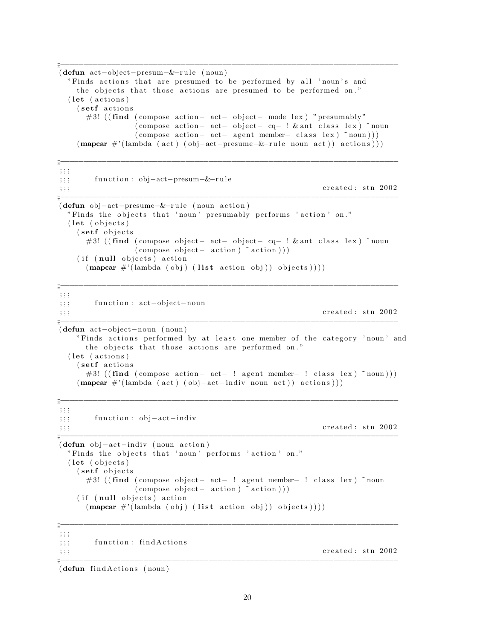```
;;<br>;;;<br>;;;
(defun act−object−presum−&−r u l e ( noun )
 " Finds actions that are presumed to be performed by all 'noun's and
   the objects that those actions are presumed to be performed on."
 (\text{let } (actions))(setf actions)
     \#3! ((find (compose action– act– object– mode lex) "presumably"
               ( compose action – act – object – cq – ! & ant class lex ) ~ noun
               (\text{compose action} - \text{ act}- \text{ agent member}- \text{ class lex}) \text{ 'noun)}(\text{mapcar } \#'(\text{lambda}(act) (obj-act-presume-E-rule noun act))) actions)))
;;<br>;;;<br>;;;;
; ; ;
;;; function: obj-act-presum-&-rule
\mathbf{c}_i; ; ; created : stn 2002
;;<br>;;;<br>;;;;
(defun obj-act-presume-&-rule (noun action))" Finds the objects that 'noun' presumably performs 'action' on."
 (\text{let } (objects))(setf objects)
     #3! ((find (compose object– act– object– cq– ! & ant class lex) \tilde{\ } noun
               (\text{compose object} - \text{ action})^* \text{action} ))(if (null objects) action
```

```
(\text{mapcar } \#'(\text{lambda } (obj) (list action obj)) \text{ objects })))
```
;;<br>;;;<br>;;;; ; ; ; ;;; function: act-object-noun  $\mathbf{c}_i$ ; ; ; created : stn 2002 ;;<br>;;;<br>;;;; (defun act−ob ject−noun ( noun ) " Finds actions performed by at least one member of the category 'noun' and the objects that those actions are performed on."  $(\text{let } (actions))$ (setf actions) #3! ((find (compose action– act− ! agent member– ! class lex) ~noun)))  $(\text{mapcar } \#'(\text{lambda } ( \text{act } ) \text{ (obj-act-indiv noun act } ) )$  actions )))

```
; ; ;
;;; function: obj-act-indiv
\mathbf{c}_i; ; ; created : stn 2002
;;<br>;;;<br>;;;;
(defun obj-act-indiv (noun action)
```

```
" Finds the objects that 'noun' performs 'action' on."
(\text{let } (objects))(setf objects)
     #3! ((find (compose object- act- ! agent member- ! class lex) ~noun
                  \text{(composite object--action)} \text{action})
  (if (null objects) action
     (\text{mapcar } \#'(\text{lambda } (obj) (list action obj)) \text{ objects })))
```
;;<br>;;;<br>;;;;

;;<br>;;;<br>;;;; ; ; ; ;;; function: findActions  $\mathbf{c}_i$ ; ; ; created : stn 2002 ;;<br>;;;<br>;;;;

 $(\text{defun}$  find Actions  $(\text{noun})$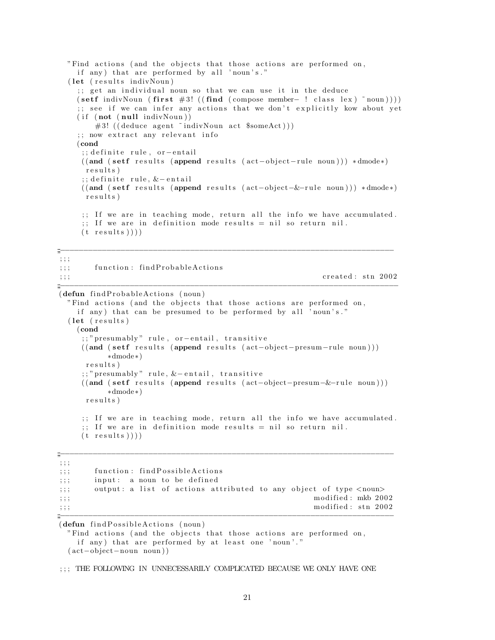```
"Find actions (and the objects that those actions are performed on,
    if any) that are performed by all 'noun's."
  ( let ( results indivNoun)
    ;; get an individual noun so that we can use it in the deduce
    (s \text{eff } in \text{div} \text{Noun } ( \text{first } #3! (( \text{find } ( \text{compose } member- ! \text{ class } lex ) \text{ "noun} )));; see if we can infer any actions that we don't explicitly kow about yet
    (i f (not (null indivNoun))#3! ((deduce agent ~ indivNoun act $someAct)))
    \gamma; now extract any relevant info
    (cond
     ;; definite rule, or-entail
    ((and (set f results (append results (act–object–rule noun))) * dmode*)r e sults)
     ;; definite rule, &-entail
    ((and (set f results (append results (act–object–&-rule noun))) * dmode*)r e sults)
     ;; If we are in teaching mode, return all the info we have accumulated.
     ;; If we are in definition mode results = nil so return nil.
    (t results ));;<br>;;;<br>;;;;
; ; ;
;;; function: findProbableActions
\mathbf{c}_i; ; ; created : stn 2002
;;<br>;;;<br>;;;;
(defun findProbableActions (noun)
  "Find actions (and the objects that those actions are performed on,
    if any) that can be presumed to be performed by all 'noun's."
  (\text{let } (results))(cond
```

```
;; " presumably " rule, or-entail, transitive
((and (set f results (append results (act–object–presum–rule noun))))∗dmode∗)
r e s u l t s )
;; " presumably " rule, & - entail, transitive
((and (set f result s (append results (act-object-presum-&-rule noun)))∗dmode∗)
 r e s u l t s )
;; If we are in teaching mode, return all the info we have accumulated.
```

```
;; If we are in definition mode results = nil so return nil.
(t results ))
```
;;<br>;;;<br>;;;; ; ; ; ;;; function: findPossibleActions  $;$ ;; input: a noun to be defined ;;; output: a list of actions attributed to any object of type <noun>  $\langle$ ;;; modified: mkb 2002  $\mathbf{r}_{\text{ij}}$ ; ; ; modified : stn 2002 ;;<br>;;;<br>;;;;

 $(defun find Possible Actions (noun)$ 

```
"Find actions (and the objects that those actions are performed on,
  if any) that are performed by at least one 'noun'."
( act−ob ject−noun noun ) )
```
; ; ; THE FOLLOWING IN UNNECESSARILY COMPLICATED BECAUSE WE ONLY HAVE ONE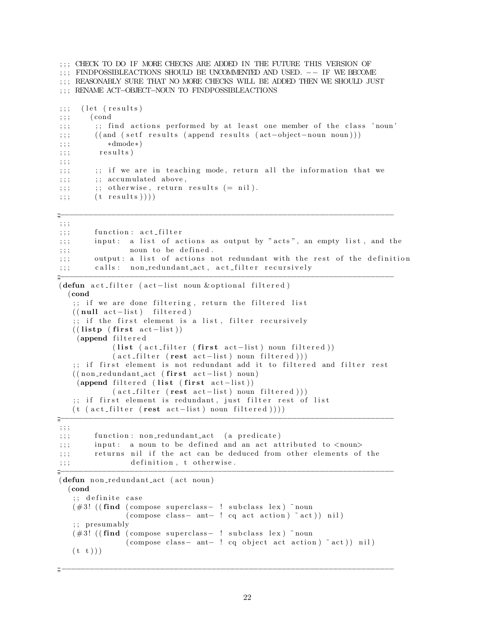```
; ; ; CHECK TO DO IF MORE CHECKS ARE ADDED IN THE FUTURE THIS VERSION OF
; ; ; FINDPOSSIBLEACTIONS SHOULD BE UNCOMMENTED AND USED. −− IF WE BECOME
; ; ; REASONABLY SURE THAT NO MORE CHECKS WILL BE ADDED THEN WE SHOULD JUST
; ; ; RENAME ACT−OBJECT−NOUN TO FINDPOSSIBLEACTIONS
;\,;\,;\, (let (results)
;\,;\,;\,\, (cond
;;; ; ; ind actions performed by at least one member of the class 'noun'
;;; ( ( and ( setf results ( append results ( act-object-noun noun)))
;\,;\,;\qquad \qquad *dmode*);\,;\,;\qquad\qquad results)
; ; ;
;;; if we are in teaching mode, return all the information that we
\langle;; \rangle ;; accumulated above,
\langle \cdot ; \cdot \rangle ; ; otherwise, return results (= ni).;\,;\;\; (t results ))));;<br>;;;<br>;;;;
; ; ;
;;; function: \text{act-filter};;; input: a list of actions as output by "acts", an empty list, and the
;;;; noun to be defined.
;;; output: a list of actions not redundant with the rest of the definition
;;; calls: non_redundant_act, act_filter recursively
;;<br>;;;<br>;;;;
(defun act filter (act-list noun & optional filtered)
  (cond
   ;; if we are done filtering, return the filtered list
   ((null \; act-list) \; filtered);; if the first element is a list, filter recursively
   (( listp (first act−list))
    (append filtered
            ( list (act_{filter} (first act{-list}) noun filtered))
            (\text{act-filter} (\text{rest-} \text{dist}) \text{ noun filtered} ));; if first element is not redundant add it to filtered and filter rest
   ((\text{non-redundant}_act (\text{first } act - list) \text{ noun})(\text{append filtered} (\text{list} (\text{first } \text{act}-\text{list}))(\text{act-filter} (\text{rest } \text{act-list}) \text{ noun filtered})));; if first element is redundant, just filter rest of list
   (t \text{ (act filter (rest act–list) noun filtered }))));;;−−−−−−−−−−−−−−−−−−−−−−−−−−−−−−−−−−−−−−−−−−−−−−−−−−−−−−−−−−−−−−−−−−−−−−−−
; ; ;
;;; function: non_redundant_act (a predicate)
;;; input: a noun to be defined and an act attributed to \langle noun\rangle;;; returns nil if the act can be deduced from other elements of the
;;;; definition, t otherwise.
;;<br>;;;<br>;;;
(defun non redundant act (act noun)
  (cond
   ;; definite case
   (#3! ((find (compose superclass− ! subclass lex) ~noun
                (\text{compose class} - \text{ant} - ! \text{ cq act action}) \tilde{c} act) nil)
   ; ; presumably
   (#3! ((find (compose superclass− ! subclass lex) ~noun
               (\text{compose class} - \text{ant} - ! \text{ eq object act action})^* \text{act}) \text{ nil})(t t))
```
22

;;<br>;;;<br>;;;;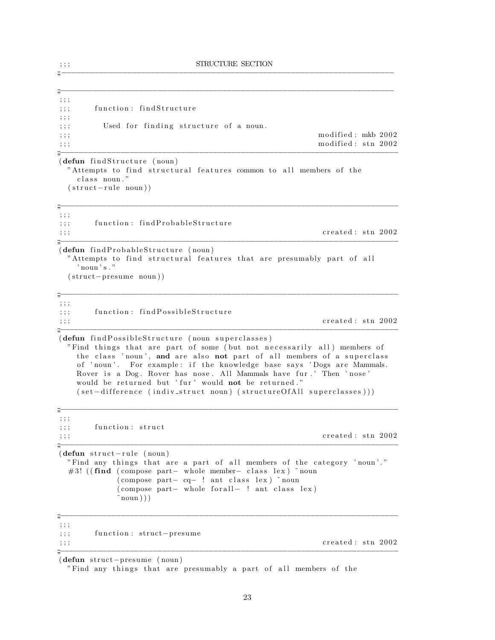;;<br>;;;<br>;;;

```
;;<br>;;;<br>;;;;
; ; ;
;;; function: findStructure
; ; ;
;;; Used for finding structure of a noun.
; ; ; modified : mkb 2002
\ldots ;;; modified: stn 2002
;;;−−−−−−−−−−−−−−−−−−−−−−−−−−−−−−−−−−−−−−−−−−−−−−−−−−−−−−−−−−−−−−−−−−−−−−−−−
(\text{defun}~findStructure~(noun))"Attempts to find structural features common to all members of the
   class noun."
 (\text{struct}-\text{rule} noun))
;;<br>;;;<br>;;;;
; ; ;
;;; function: findProbableStructure
\frac{1}{2}; \frac{1}{2}; created : stn 2002
;;<br>;;;<br>;;;;
(defun findProbableStructure (noun)
 "Attempts to find structural features that are presumably part of all
   , noun, s."
 ( struct−presume noun ) )
;;<br>;;;<br>;;;;
; ; ;
;;; function: findPossibleStructure
\mathbf{c}_i; ; ; created : stn 2002
;;<br>;;;<br>;;;;
(defun find Possible Structure (noun superclasses)
 "Find things that are part of some (but not necessarily all) members of
  the class 'noun', and are also not part of all members of a superclass
   of 'noun'. For example: if the knowledge base says 'Dogs are Mammals.
  Rover is a Dog. Rover has nose. All Mammals have fur.' Then 'nose'
  would be returned but 'fur' would not be returned."
   ( set -difference (indiv_struct noun) ( structureOfAll superclasses )))
;;<br>;;;<br>;;;;
; ; ;
;;; function: struct
\mathbf{c}_i; ; ; created : stn 2002
;;<br>;;;<br>;;;;
(\text{defun struct–rule (noun})"Find any things that are a part of all members of the category 'noun'."
 #3! ((find (compose part– whole member– class lex) ~ noun
         ( compose part – cq− ! ant class lex ) ~ noun
         ( compose part – whole for all – ! ant class lex )
         \text{``noun)})
;;<br>;;;<br>;;;;
; ; ;
;;; ; function: struct−presume
\mathbf{r};;; \mathbf{c} reated : stn 2002
;;;−−−−−−−−−−−−−−−−−−−−−−−−−−−−−−−−−−−−−−−−−−−−−−−−−−−−−−−−−−−−−−−−−−−−−−−−−
```
(defun struct−presume ( noun )

"Find any things that are presumably a part of all members of the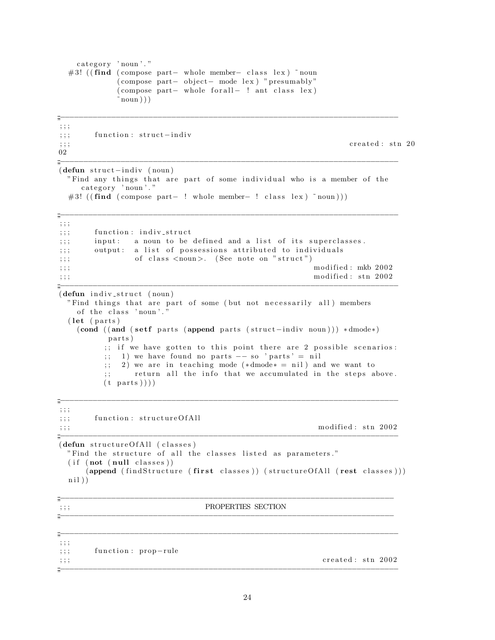```
category ' noun'."#3! ((\text{find} (compose part– whole member– class lex) \tilde{\ } noun
         ( compose part - object - mode lex ) " presumably "
         ( compose part – whole for all – ! ant class lex )
         \text{round}))
;;<br>;;;<br>;;;;
; ; ;
;;; function: struct−indiv
\mathbf{c}_i;;; created: stn 20
02
;;<br>;;;<br>;;;;
(defun struct–indiv (noun))"Find any things that are part of some individual who is a member of the
   category 'noun'."
 #3! ( (\text{find } ( \text{ compose part} - ! \text{ whole member} - ! \text{ class lex } ) ~ noun ) ) )
;;<br>;;;<br>;;;;
; ; ;
;;; function: indiv_struct
;;; input: a noun to be defined and a list of its superclasses.
;;; output: a list of possessions attributed to individuals
;;; of class \langle \text{noun}\rangle. (See note on "struct")
\ldots ; ; ; modified : mkb 2002
\ldots ; ; ; modified : stn 2002
;;<br>;;;<br>;;;;
(defun indiv_struct (noun)
 "Find things that are part of some (but not necessarily all) members
   of the class 'noun'.'
 (\text{let } (parts))(cond ( ( and ( setf parts ( append parts ( struct -indiv noun))) *dmode*)
       parts)
       ;; if we have gotten to this point there are 2 possible scenarios:
       ; 1) we have found no parts - so 'parts' = nil
       ;; 2) we are in teaching mode (*dmode* = nil) and we want to
       ;; return all the info that we accumulated in the steps above.
       (t parts ));;<br>;;;<br>;;;;
; ; ;
;;; function: structureOfAll
\mathbf{r}_{\text{ij}}; ; ; modified : stn 2002
;;<br>;;;<br>;;;;
(defun structureOfAll (classes)
 "Find the structure of all the classes listed as parameters."
 (i f (not (null classes))(append (findStructure) (first classes)) (structureOfAll (rest classes)))
 ni))
;;<br>;;;<br>;;;;
\overline{\mathbf{F}}; ; ; PROPERTIES SECTION
;;<br>;;;<br>;;;;
;;<br>;;;<br>;;;;
; ; ;
;;; function: prop-rule
\mathbf{c}_i; ; ; created : stn 2002
;;<br>;;;<br>;;;;
```

```
24
```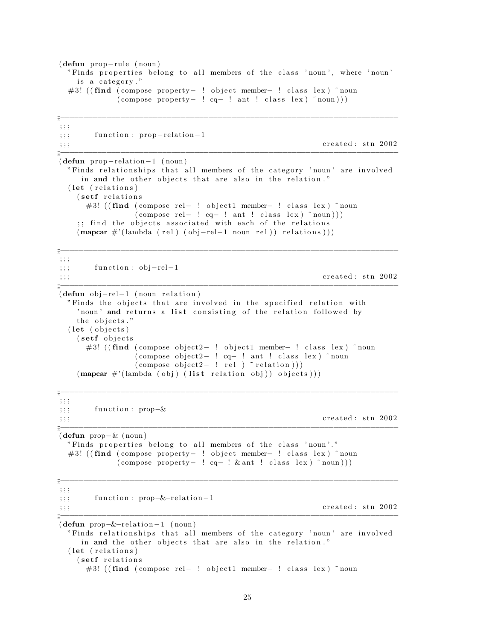```
(defun prop−rule ( noun )
 " Finds properties belong to all members of the class 'noun', where 'noun'
   is a category."
 # 3! ( (find ( compose property - ! object member- ! class lex ) ~ noun
           ( compose property - ! cq- ! ant ! class lex ) ~ noun ) ) )
;;<br>;;;<br>;;;;
; ; ;
;;; function: prop-relation-1
\mathbf{c}_i; ; ; created : stn 2002
;;;−−−−−−−−−−−−−−−−−−−−−−−−−−−−−−−−−−−−−−−−−−−−−−−−−−−−−−−−−−−−−−−−−−−−−−−−−
(defun prop-relation-1 (noun))" Finds relationships that all members of the category 'noun' are involved
    in and the other objects that are also in the relation."
 (\text{let } (relations))(setf relations)
     #3! ((find (compose rel- ! object1 member- ! class lex) ~noun
              (\text{compose rel} - ! \text{ eq} - ! \text{ ant} ! \text{ class lex } ) \text{ 'noun} ));; find the objects associated with each of the relations
   (\text{mapcar } \#'(\text{lambda} (rel) (obj-rel-1 noun rel))) relations)))
;;<br>;;;<br>;;;;
; ; ;
;; ; function : obj-rel-1
\mathbf{c}_i; ; ; created : stn 2002
;;<br>;;;<br>;;;;
(\text{defun } obj-rel-1 \text{ (noun relation)})" Finds the objects that are involved in the specified relation with
   ' noun' and returns a list consisting of the relation followed by
   the objects."
 (let (objects)
   (setf objects)
     #3! ((find (compose object2− ! object1 member− ! class lex) ~noun
               (\text{composite object2}-! \text{eq}-! \text{ant}! \text{class lex}) ~ noun
               (\text{composite object2}-! \text{ rel}) \text{relation}))
   (\text{mapcar } \#'(\text{lambda } (obj) (list relation obj)) \text{ objects})));;<br>;;;<br>;;;;
; ; ;
; ; ; function : prop-&\mathbf{c}_i; ; ; created : stn 2002
;;<br>;;;<br>;;;
(defun prop−& ( noun )
 " Finds properties belong to all members of the class 'noun'."
 # 3! ( find ( compose property – ! object member – ! class lex ) ~ noun
           (\text{composite property} - ! \text{cq} - ! \& \text{ant} ! \text{class lex} ) \text{ 'noun} ));;<br>;;;<br>;;;;
; ; ;
;; ; function : prop-&-relation-1
\mathbf{c}_i; ; ; created : stn 2002
;;<br>;;;<br>;;;;
(defun prop-&-relation-1 (noun)
 " Finds relationships that all members of the category 'noun' are involved
    in and the other objects that are also in the relation."
 (let (relations)
   (setf relations)
     #3! ((find (compose rel- ! object1 member- ! class lex) ~noun
```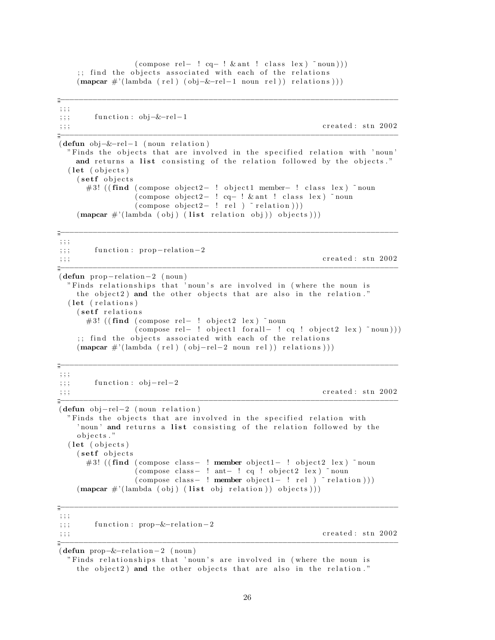```
(\text{compose rel}-! \text{ cq}-! \& \text{ant} ! \text{ class lex}) \text{ "noun)};; find the objects associated with each of the relations
     (\text{mapcar } \#'(\text{lambda (rel) (obj–&-rel-1 noun rel)) relations})).\ddot{=}\ddots; ; ;function: obj–&-rel-1created: stn 2002
, ; ;(\text{defun } obj - \& - rel - 1 \text{ (noun relation)})"Finds the objects that are involved in the specified relation with 'noun'
    and returns a list consisting of the relation followed by the objects."
  (\text{let} (\text{objects})(setf objects)
       #3! ((find (compose object2- ! object1 member- ! class lex) "noun
                    (compose object2- ! cq- ! & ant ! class lex) "noun
                    \text{(composite object2- ! rel ) "relation )})(\text{mapcar } \#'(\text{lambda (obj) (list relation obj)) objects})).\ddot{=}, \; , \; , \;function: prop-relation-2
, ; ;created: stn 2002
; ; ;(\text{defun prop-relation}-2 \text{ (noun})"Finds relationships that 'noun's are involved in (where the noun is
     the object2) and the other objects that are also in the relation."
  (let (relations)
     (setf relations)
       #3! ((find (compose rel- ! object2 lex) "noun
                    (compose rel- ! object1 forall- ! cq ! object2 lex) "noun)))
     ;; find the objects associated with each of the relations
     (\text{mapcar } \#'(\text{lambda (rel) (obj-rel-2 noun rel)) relations )))\ddot{=}; ; ;function: obj-rel-2; ; ;created: stn 2002
; ; ;(\text{defun } obj-rel-2 \text{ (noun relation)})"Finds the objects that are involved in the specified relation with
     'noun' and returns a list consisting of the relation followed by the
     objects."
  (let (objects)
     (setf objects)
       #3! ((find (compose class- ! member object1- ! object2 lex) "noun
                    (compose class- ! ant- ! cq ! object2 lex) "noun
                    \text{(composite class-} ! member object1- ! rel \text{relation}))(\text{mapcar } \#'(\text{lambda } (obj) (\text{list } obj \text{ relation})) \text{ objects})))\frac{m}{m}; ; ;function: prop-&-relation-2; ; ;created: stn 2002
, ; ;
```
(defun prop-&-relation-2 (noun)

"Finds relationships that 'noun's are involved in (where the noun is the object2) and the other objects that are also in the relation."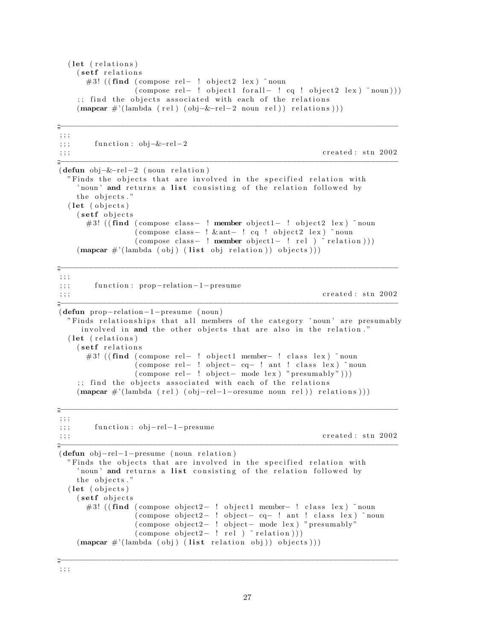```
(let (relations)
  (setf relations)
    #3! ((find (compose rel- ! object2 lex) "noun
                  (\text{composite rel}-! \text{object1 forall}-! \text{cq}! \text{object2 lex}) \text{ 'noun)};; find the objects associated with each of the relations
  (\text{mapcar } \#'(\text{lambda (rel) (obj–&-rel-2 noun rel))) relationship})
```

```
, ; ;function: obj - \& -rel - 2, ; ;created: stn 2002
; ; ;\frac{m}{2}(\text{defun obj-&-rel-2 (noun relation})"Finds the objects that are involved in the specified relation with
     'noun' and returns a list consisting of the relation followed by
     the objects."
  (\text{let} (\text{objects})(setf objects)
       #3! ((find (compose class- ! member object1- ! object2 lex) "noun
                     \frac{1}{2} (compose class - \frac{1}{2} & ant - \frac{1}{2} cq \frac{1}{2} object 2 lex) \frac{1}{2} noun
                     \text{(composite class-}\ \text{!}\ \text{member object1-}\ \text{!}\ \text{rel})\ \text{"relation)}(\text{mapcar } \#'(\text{lambda } (obj) (\text{list } obj \text{ relation})) \text{ objects})))\frac{m}{m}; ; ;function: prop-relation-1-presume
; ; ;created: stn 2002
\cdot, \cdot(\text{defun prop–relation}-1-\text{pressure (noun})"Finds relationships that all members of the category 'noun' are presumably
      involved in and the other objects that are also in the relation."
  (let (relations)
     (setf relations
       #3! ((find (compose rel- ! object1 member- ! class lex) "noun
                     (compose rel- ! object- cq- ! ant ! class lex) "noun
                    (compose rel- ! object- mode lex) "presumably")))
     ;; find the objects associated with each of the relations
     (mapcar #'(lambda (rel) (obj-rel-1-oresume noun rel)) relations)))
```

```
, ; ;function: obj-rel-1-presume
; ; ;, ; ;
```

```
created: stn 2002
```

```
(\text{defun } obj-rel-1-presume (noun relation))"Finds the objects that are involved in the specified relation with
    'noun' and returns a list consisting of the relation followed by
    the objects."
  (let (objects)
    (setf objects
      #3! ((find (compose object2- ! object1 member- ! class lex) "noun
                   (compose object2- ! object- cq- ! ant ! class lex) "noun
                   (compose object2- ! object- mode lex) "presumably"<br>(compose object2- ! rel ) "relation)))
    (mapcar #'(lambda (obj) (list relation obj)) objects)))
```
 $\dddot{=}$ 

 $\frac{m}{2}$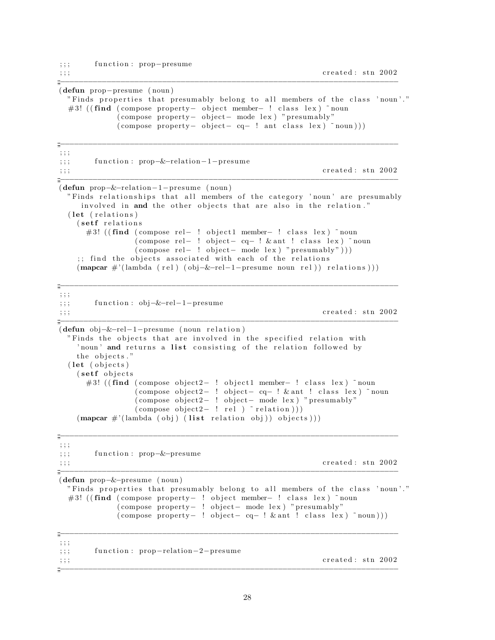;;; function: prop-presume

```
\mathbf{c}_i; ; ; created : stn 2002
```
(defun prop−presume ( noun )

```
" Finds properties that presumably belong to all members of the class 'noun'."
  #3! ((find (compose property- object member- ! class lex) ~noun
            ( compose property − object – mode lex ) " presumably"
            (\text{composite property} - \text{object} - \text{cq} - \text{l} \text{ant class } \text{lex} ) \text{ 'noun} ));;<br>;;;<br>;;;
; ; ;
;;; function : prop-&-relation-1-presume
\mathcal{L};;; created: stn 2002
;;<br>;;;<br>;;;;
(defun prop−&−relation−1−presume ( noun )
  " Finds relationships that all members of the category 'noun' are presumably
    involved in and the other objects that are also in the relation."
  (\text{let } (relations))(setf relations)
     #3! ((find (compose rel- ! object1 member- ! class lex) ~noun
               ( compose rel – ! object – cq – ! & ant ! class lex ) ~ noun
               (\text{composite rel} - ! \text{object} - \text{mode lex}) "\text{presumably" } ));; find the objects associated with each of the relations
   (\text{mapcar } \#' (\text{lambda } (\text{rel}) (\text{obj} - \& -\text{rel} - 1 - \text{pressure noun rel}))) relations)))
;;<br>;;;<br>;;;;
; ; ;
;;; function : obj-&-rel-1-presume
\mathbf{c}_i; ; ; created : stn 2002
;;<br>;;;<br>;;;;
(defun obj-&-rel-1-presume (noun relation)
 " Finds the objects that are involved in the specified relation with
    ' noun' and returns a list consisting of the relation followed by
   the objects."
  (\text{let} (objects))(setf objects)
     #3! ((find (compose object2− ! object1 member- ! class lex) ~noun
               ( compose object 2− ! object - cq - ! & ant ! class lex ) ~ noun
                (\text{composite object2}-! \text{object}- \text{mode lex}) "presumably"
                (\text{compose object2}- ! \text{ rel}) \text{relation}))
   (\text{mapcar } \#'(\text{lambda } (obj) (list relation obj))) objects)))
;;<br>;;;<br>;;;;
; ; ;
;;; function: prop-&-presume
\gamma;;; created: stn 2002
;;;−−−−−−−−−−−−−−−−−−−−−−−−−−−−−−−−−−−−−−−−−−−−−−−−−−−−−−−−−−−−−−−−−−−−−−−−−
(defun prop−&−presume ( noun )
 " Finds properties that presumably belong to all members of the class 'noun'."
  # 3! ( (find ( compose property - ! object member- ! class lex ) ~ noun
            ( compose property – ! object – mode lex ) " presumably"
            (\text{composite property} - ! \text{object} - \text{cq} - ! \& \text{ant} ! \text{class} \text{lex} ) \text{ "noun)};;<br>;;;<br>;;;;
; ; ;
;;; function: prop-relation-2-presume
\mathbf{c}_i;;; created: stn 2002
```
;;<br>;;;<br>;;;;

;;<br>;;;<br>;;;;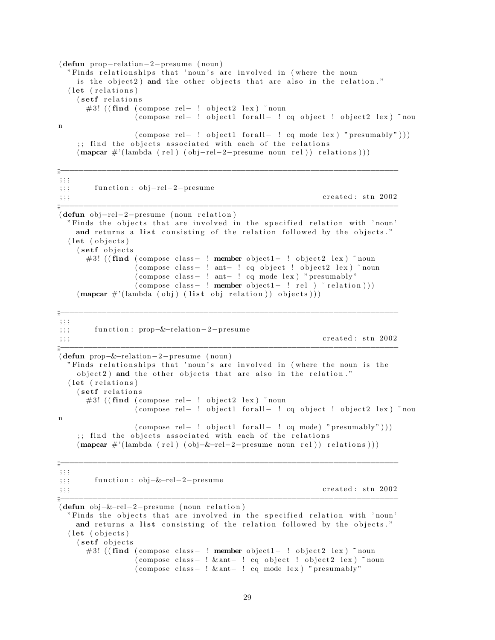```
(\text{defun prop-relation}-2-\text{pressure (noun})"Finds relationships that 'noun's are involved in (where the noun
     is the object2) and the other objects that are also in the relation."
  (let (relations)
    (setf relations)
       #3! ((find (compose rel- ! object2 lex) \tilde{\ } noun
                   (compose rel-! object1 forall-! cq object! object2 lex) "nou
\mathbf n(\text{compose rel}-! \text{ object1 for all}-! \text{ cq mode lex}) "presumably")))
     ;; find the objects associated with each of the relations
    (\text{mapcar } \#'(\text{lambda (rel) (obj-rel-2-presume noun rel))) relations)))
```
 $\frac{m}{m}$ 

```
, ; ;function: obj-rel-2-presume
, ; ;created: stn 2002
, ; ;(\text{defun } obj-\text{rel}-2-\text{pressure } (noun \text{ relation})"Finds the objects that are involved in the specified relation with 'noun'
    and returns a list consisting of the relation followed by the objects."
  (\text{let} (\text{objects})(setf objects)
       #3! ((find (compose class - ! member object1 - ! object2 lex) "noun
                   (compose class- ! ant- ! cq object ! object2 lex) "noun
                   (compose class- ! ant- ! cq mode lex) "presumably"
                   (compose class- ! member object1- ! rel ) "relation)))
    (\text{mapcar } \#'(\text{lambda (obj) (list obj) relation})) objects)))
\frac{m}{m}; ; ;function: prop-&-relation-2-presume
, ; ;created: stn 2002
\ddots(defun prop-&-relation-2-presume (noun)
  "Finds relationships that 'noun's are involved in (where the noun is the
    object2) and the other objects that are also in the relation."
  (let (relations)
    (setf relations
       #3! ((find (compose rel- ! object2 lex) "noun
                   (compose rel- ! object1 forall- ! cq object ! object2 lex) "nou
\mathbf n(compose rel- ! object1 forall- ! cq mode) "presumably")))
     ;; find the objects associated with each of the relations
    (\text{mapcar } \#'(\text{lambda (rel) (obj–&-rel-2–pressure noun rel)) relations)))÷
\frac{1}{2};
         function: obj-&-rel-2-presume
, ; ;created: stn 2002
, ; ;(\text{defun } obj - \& - rel - 2 - presume (noun relation))"Finds the objects that are involved in the specified relation with 'noun'
    and returns a list consisting of the relation followed by the objects."
  (\text{let} (\text{objects})(setf objects)
```

```
#3! ((find (compose class- ! member object1- ! object2 lex) "noun
           (compose class- ! & ant- ! cq object ! object2 lex) "noun
           (compose class- ! & ant- ! cq mode lex) "presumably"
```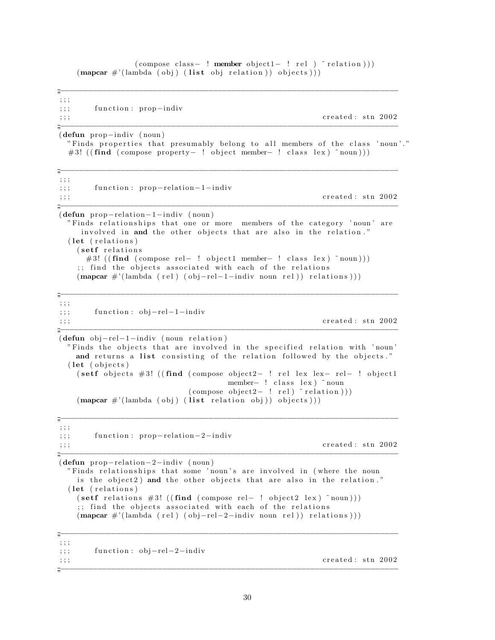$(\text{compose class} - ! \text{ member object1} - ! \text{ rel})$   $\sim$  relation  $))$  $(\text{mapcar } \#'(\text{lambda (obj) (list obj) relation}))$  objects)))

 $\frac{m}{2}$  $; ; ;$ function: prop-indiv  $\ddots$  $;;;$ created: stn 2002

 $(\text{defun prop-indiv (noun})$ 

 $\ddot{=}$ 

"Finds properties that presumably belong to all members of the class 'noun'." #3! ((find (compose property-! object member-! class lex)  $\text{r}$  noun)))

```
\,;\;;\;function: prop-relation-1-indiv, ; ;created: stn 2002
; ; ;(\text{defun prop-relation}-1-indiv (noun))"Finds relationships that one or more members of the category 'noun' are
     involved in and the other objects that are also in the relation."
  (let (relations)
    (setf relations)
       #3! ((find (compose rel- ! object1 member- ! class lex) \text{r} noun)))
     ;; find the objects associated with each of the relations
     (\text{mapcar } \#'(\text{lambda (rel) (obj-rel-1-indiv noun rel))) relations)))
\frac{m}{m} –––
, ; ;function: obj-rel-1-indiv; ; ;created: stn 2002
\frac{1}{2};
(\text{defun } obj-rel-1-indiv (noun relation))"Finds the objects that are involved in the specified relation with 'noun'
    and returns a list consisting of the relation followed by the objects."
  (\text{let} (\text{objects})(setf objects #3! ((find (compose object2- ! rel lex lex- rel- ! object1)
                                           member- ! class lex) "noun
                                 \text{(composite object2- ! rel)} \text{ relation } ))(\text{mapcar } \#'(\text{lambda (obj) (list relation obj)) objects})).; ; ;function: prop-relation-2-indiv
, ; ;created: stn 2002
; ; ;(\text{defun prop-relation}-2-indiv (noun))"Finds relationships that some 'noun's are involved in (where the noun
    is the object2) and the other objects that are also in the relation."
  (let (relations)
    (set relations #3! ((find (compose rel- ! object2 lex) "noun)))
     ;; find the objects associated with each of the relations
    (\text{mapcar } \#'(\text{lambda (rel) (obj-rel-2-indiv noun rel))) relations)))
\frac{1}{2} -
; ; ;function: obj-rel-2-indiv; ; ;created: stn 2002
, ; ;\frac{m}{2}
```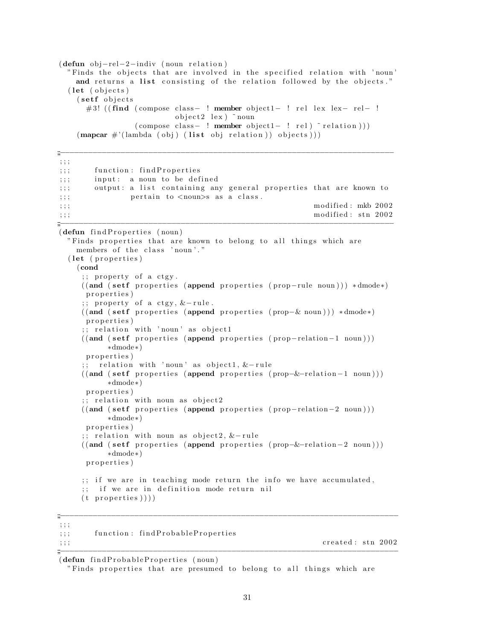```
(\text{defun } obj-rel-2-indiv \text{ (noun relation)})"Finds the objects that are involved in the specified relation with 'noun'
    and returns a list consisting of the relation followed by the objects."
  (\text{let} (\text{objects})(setf objects)
      #3! ((find (compose class- ! member object1- ! rel lex lex- rel- !)
                            object2 \text{ lex}) noun
                  (compose class- ! member object1- ! rel) "relation)))
    (\text{mapcar } \#'(\text{lambda (obj) (list obj) relation})) objects)))
\ddot{=}; ; ;function: findProperties
, ; ;
        input: a noun to be defined
7.77output: a list containing any general properties that are known to
, ; ;pertain to <noun>s as a class.
, ; ;
                                                              modified: mkb 2002
; ; ;modified: stn 2002
; ; ;(defun findProperties (noun)
  "Finds properties that are known to belong to all things which are
    members of the class 'noun'."
  (let (properties)
    ( cond
     ;; property of a ctgy.
     ((and (setf properties (append properties (prop-rule noun))) *dmode*)properties)
     ;; property of a ctgy, &-rule.
     ((and (setf properties (append properties (prop-& noun))) *dmode*))properties)
     ;; relation with 'noun' as object1
     ((and (setf properties (append properties (prop-relation-1 noun)))*dmode*)properties)
        relation with 'noun' as object1, &-rule
     \mathcal{L}(\mathcal{L})((and (setf properties (append properties (prop-&-relation-1 noun))))*dmode*)properties)
      ;; relation with noun as object2
     ((and (setf properties (append properties (prop-relation-2 noun)))*dmode*)properties)
      ;; relation with noun as object2, &-rule
     ((and (setf properties (append properties (prop-&-relation-2 noun)))*dmode*)properties)
     ;; if we are in teaching mode return the info we have accumulated,
        if we are in definition mode return nil
     (t properties )))\frac{m}{2}; ; ;
```
(defun findProbableProperties (noun)

 $; ; ;$ 

 $; ; ;$ 

function: findProbableProperties

"Finds properties that are presumed to belong to all things which are

created: stn 2002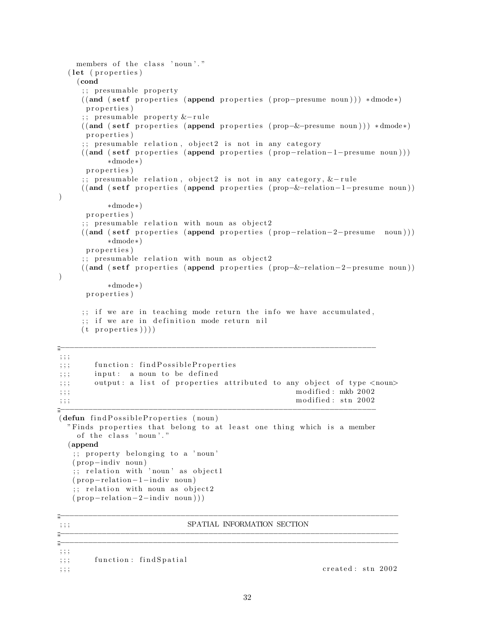```
members of the class 'noun'."
 (\text{let } (properties))(cond
    ;; presumable property
    ((and (setf) properties (append properties (prop–pressure noun))) * dmode*)p r o p e r t i e s )
    \cdot; presumable property &-rule
    ((and (set f) proper ties (append properties (prop−&-presume noun))) * dmode*)properties)
    ;; presumable relation, object2 is not in any category
    ((and (set f) properties (append properties (prop-relation-I–presume noun)))∗dmode∗)
     p r o p e r t i e s )
    ;; presumable relation, object2 is not in any category, &-rule
    ((and (setf) properties (append properties (prop-&-relation-1-presume noun))))
         ∗dmode∗)
    properties)
    ;; presumable relation with noun as object2
    ((and (set f) properties (append properties (prop-relation-2-presume noun)))∗dmode∗)
     p r o p e r t i e s )
    \gamma; presumable relation with noun as object2
    ((and (set f) properties (append properties (prop-&-relation-2-presume noun))))
         ∗dmode∗)
     p r o p e r t i e s )
    \gamma;; if we are in teaching mode return the info we have accumulated,
    ;; if we are in definition mode return nil
    (t properties )));;<br>;;;<br>;;;
; ; ;
;;; function: findPossibleProperties
;;; input: a noun to be defined
;;; output: a list of properties attributed to any object of type <noun>
\hspace{1.5cm} ; ; ; modified : mkb 2002
\mathbf{r}_{\text{ij}}; ; ; modified : stn 2002
;;<br>;;;<br>;;;;
(\text{defun find} \text{PosibleProperties (noun})"Finds properties that belong to at least one thing which is a member
   of the class 'noun'."
 (append
  ;; property belonging to a 'noun'
  ( prop−indiv noun )
  \gamma; relation with 'noun' as object1
  (prop–relation–1–indiv noun);; relation with noun as object2
  (\text{prop-relation}-2-\text{indiv noun})));;<br>;;;<br>;;;;
\gamma ; ; ; see SPATIAL INFORMATION SECTION
;;<br>;;;<br>;;;;
;;<br>;;;<br>;;;
; ; ;
;;; function: findSpatial
\mathbf{c}_i; ; ; created : stn 2002
```

```
32
```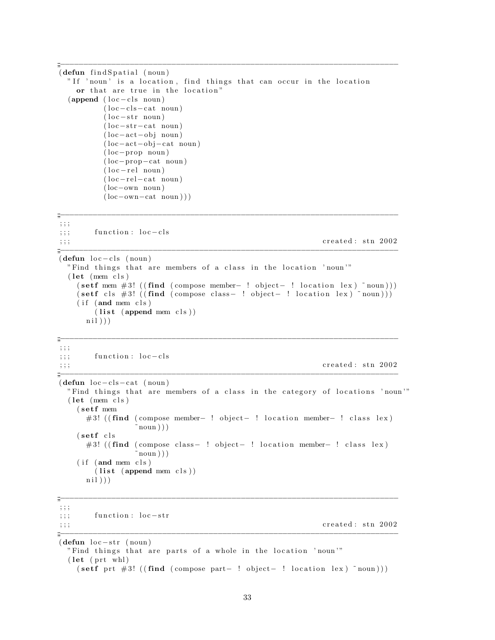```
;;<br>;;;<br>;;;
(\text{defun} \text{ find} Spatial (\text{noun})"If 'noun' is a location, find things that can occur in the location
   or that are true in the location"
 (\text{append} (\text{loc}-\text{cls} \text{ noun}))(loc-cls-cat noun)
        (\text{loc}-str \text{ noun})(loc−str−cat noun)
        (loc-act-obj noun)
        ( loc−act−ob j−cat noun )
        ( loc−prop noun )
        ( loc−prop−cat noun )
        (loc−rel noun)(loc-rel-cat noun)
        ( loc−own noun )
        (loc−own−cat noun)));;<br>;;;<br>;;;;
; ; ;
;;; function : loc−cls
\mathbf{c}_i;;; created: stn 2002
;;<br>;;;<br>;;;;
(\text{defun loc-cls (noun})"Find things that are members of a class in the location 'noun""
 (\text{let } (mem \text{cls})(\text{set f mem #3! } ((\text{find } (composite - ! location lex) ^ 'noun)))(\text{set f } \text{cls } #3! ((\text{find } (composite - ! location lex) \text{ i} noun)))(i f ( and mem cls )(list (append mem cls))ni))
;;<br>;;;<br>;;;
; ; ;
;;; function : loc−cls
\mathbf{c}_i; ; ; created : stn 2002
;;<br>;;;<br>;;;;
(\text{defun loc}-\text{cls}-\text{cat (noun})"Find things that are members of a class in the category of locations 'noun""
 (\text{let } (mem \text{cls})( setf mem
     # 3! ((find (compose member- ! object- ! location member- ! class lex)
               noun))
   (s et f c l s
     #3! ((find (compose class− ! object− ! location member− ! class lex)
               \text{noun }))
   (i f (and mem cls)(list (append mem cls))ni))
;;<br>;;;<br>;;;
; ; ;
;;; function : loc-str
\mathbf{c}_i;;; created: stn 2002
;;<br>;;;<br>;;;;
(\text{defun loc} - str \text{ (noun})"Find things that are parts of a whole in the location 'noun'"
 (\text{let } (\text{prt} \text{ wh}) )
```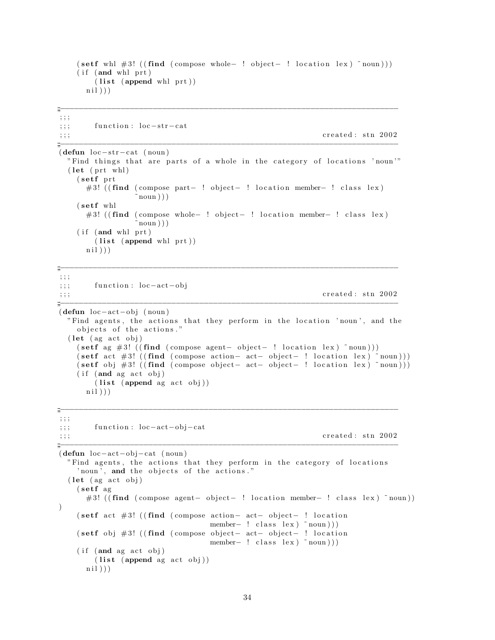```
(\text{set f whl #3!} ((\text{find } (composite- ! location lex) \text{ 'noun})))(i f ( and whl prt )(list (append whl prt))ni))
;;<br>;;;<br>;;;
; ; ;
;;; function: loc-str-cat
\gamma;;; created: stn 2002
;;<br>;;;<br>;;;
(\text{defun loc-str-cat } (noun))"Find things that are parts of a whole in the category of locations 'noun'"
 (\text{let } (\text{prt} \text{ whl})s et f prt
     #3! ( (find (compose part− ! object− ! location member− ! class lex)
                noun))
   (setf whl
     # 3! ( (find ( compose whole- ! object- ! location member- ! class lex)
                noun) )
   (i f ( and whl prt )(list (append whl pr t))ni))
;;<br>;;;<br>;;;
; ; ;
;;; function : loc-act-obj
\mathbf{c}_i;;; created: stn 2002
;;<br>;;;<br>;;;
(defun loc−act−obj (noun)
 "Find agents, the actions that they perform in the location 'noun', and the
   objects of the actions."
 (\text{let } (ag \text{ act } obj))(\text{set f } \text{ag } \#3! ((\text{find } ( \text{composite } - \text{object} - \text{! location } \text{lex} ) \text{ 'noun})))(\text{set fact } #3! ((\text{find } (composite - \text{action} - \text{act} - \text{object} - \text{! location } \text{ lex}) \text{ 'noun})))(\text{set f } \phi) #3! ((\text{find } ( \text{composite} - \text{act} - \text{object} - \text{! location } \text{ lex } ) \text{ 'noun})))(i f (and ag act obj))(list (append ag act obj))ni))
;;<br>;;;<br>;;;;
; ; ;
;;; function : loc-act-obj-cat
\gamma;;; created: stn 2002
;;<br>;;;<br>;;;;
(defun loc−act−ob j−cat ( noun )
 "Find agents, the actions that they perform in the category of locations
   ' noun', and the objects of the actions."
 (\text{let } (ag \text{ act } obj))(setf ag
     #3! ((find (compose agent− object− ! location member− ! class lex) ~noun))
)
   ( setf act #3! ((find (compose action– act– object– ! location
                               member- ! class lex) ~ noun ) ) )
   ( setf obj #3! ((find ( compose object- act- object- ! location
                               member- ! class lex) ~ noun ) ) )
   (if (and ag act obj))(list (append ag act obj))ni)))
```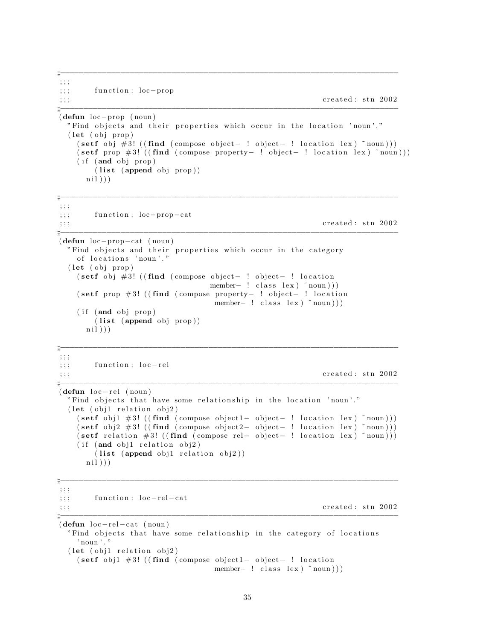$, ; ;$ function: loc-prop  $\frac{1}{2}$ ;  $; ; ;$ 

 $\ddot{=}$ 

created: stn 2002

```
÷
(\text{defun loc-prop (noun})"Find objects and their properties which occur in the location 'noun'."
   (\text{let } (\text{obj } \text{prop}))(\text{set f } \text{obj } #3! ((\text{find } (\text{compose object} - ! \text{ object} - ! \text{ location } lex) \text{ "noun})))(\text{set f } \text{prop } #3! ((\text{find } (\text{composite } \text{property} - ! \text{ object} - ! \text{ location } \text{ lex } ) \text{ 'noun})))(if (and obj prop))(list (append obj prop))nil))
```
 $\ddot{=}$  $; ; ;$ function: loc-prop-cat  $, ; ;$ created: stn 2002  $\ddots$  $(\text{defun loc-prop-cat } (noun))$ "Find objects and their properties which occur in the category of locations 'noun'." (let (obj prop) (setf obj  $#3!$  ((find (compose object- ! object- ! location member-  $: class \leq (lass \leq noun)))$ (setf prop  $#3!$  ((find (compose property- ! object- ! location member-  $: class lex) \sim noun))$  $(if (and obj prop)$  $(list (append obj prop))$  $ni1))$  $\ddot{=}$  $; ; ;$ function: loc-rel  $; ; ;$ created: stn 2002  $; ; ;$  $(\text{defun loc-rel (noun})$ "Find objects that have some relationship in the location 'noun'." (let (obj1 relation obj2)  $(\text{set f } \text{obj1 } #3! ((\text{find } (composite bject) - object - ! location lex) ^ \text{noun})))$  $(\text{set f } obj2 \# 3! ((\text{find } (composite2 - object- ! location lex) ^ non)))$  $(\text{set f relation} \#3! ((\text{find } (composite rel- object- ! location lex) ^ non)))$ (if (and obj1 relation obj2)  $(list (append obj1 relation obj2))$  $ni1))$  $\dddot{\overline{m}}$  $; ; ;$ function:  $loc-rel-cat$  $; ; ;$ created: stn 2002  $, ; ;$  $(\text{defun loc-rel-cat } (noun))$ "Find objects that have some relationship in the category of locations  $,$  noun $,$ . (let (obj1 relation obj2) (setf obj1  $#3!$  ((find (compose object1- object- ! location member-  $: class lex (row))$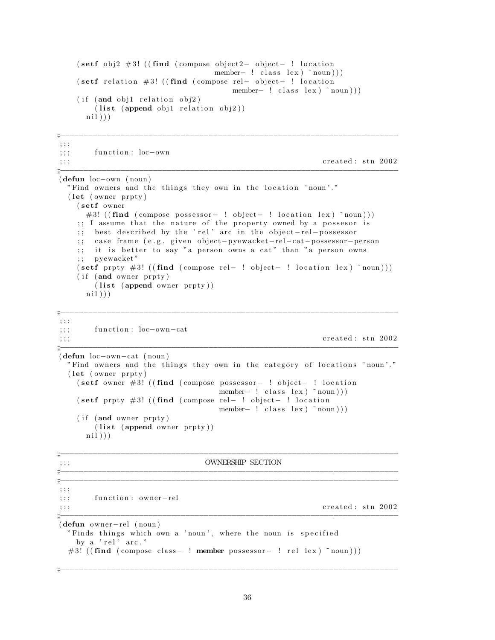```
( setf obj2 #3! ((find (compose object 2− object − ! location
                            member- ! class lex) ~ noun ) ) )
   ( setf relation #3! ((find ( compose rel- object- ! location
                                member- ! class lex) ~ noun)))
   (i f (and obj1 relation obj2)(list (append obj1 relation obj2))ni))
;;<br>;;;<br>;;;;
; ; ;
;;; function : loc−own
\mathbf{c}_i; ; ; created : stn 2002
;;<br>;;;<br>;;;;
(defun loc−own ( noun )
 "Find owners and the things they own in the location 'noun'."
 (\text{let } (owner \: prty))(setf owner
     #3! ( (find ( compose possessor – ! object – ! location lex ) ~ noun ) ) )
   \gamma;; I assume that the nature of the property owned by a possesor is
   ;; best described by the 'rel' arc in the object-rel-possessor
   ;; case frame (e.g. given object-pyewacket-rel-cat-possessor-person
   ;; it is better to say "a person owns a cat" than "a person owns
   ; ; pyewacket "
   (\text{set f} \text{prpy #3! } ((\text{find } ( \text{compose rel} - ! \text{ object} - ! \text{ location lex } ) \text{ 'noun})))(if (and owner prpty)
      (list (append owner prpty))ni))
;;<br>;;;<br>;;;;
; ; ;
;;; function: loc-own-cat
\mathbf{c}_i; ; ; created : stn 2002
;;<br>;;;<br>;;;
(defun loc−own−cat ( noun )
 "Find owners and the things they own in the category of locations 'noun'."
 (let (owner prpty)
   ( setf owner #3! ((find ( compose possessor – ! object – ! location
                             member- ! class lex) ~ noun )))( setf prpty #3! ((find ( compose rel - ! object - ! location
                             member – ! class lex \mid ~ noun \rangle)
   (i f ( and owner prpty )(list (append owner prypty))ni)))
;;<br>;;;<br>;;;;
; ; ; OWNERSHIP SECTION
;;;−−−−−−−−−−−−−−−−−−−−−−−−−−−−−−−−−−−−−−−−−−−−−−−−−−−−−−−−−−−−−−−−−−−−−−−−−
;;<br>;;;<br>;;;;
; ; ;
;;; function: owner-rel
\mathbf{c}_i; ; ; created : stn 2002
;;<br>;;;<br>;;;;
(defun owner−rel ( noun )
 "Finds things which own a 'noun', where the noun is specified
   by a 'rel' arc."
 #3! ( (find ( compose class - ! member possessor - ! rel lex ) ~ noun ) ) )
```
36

;;<br>;;;<br>;;;;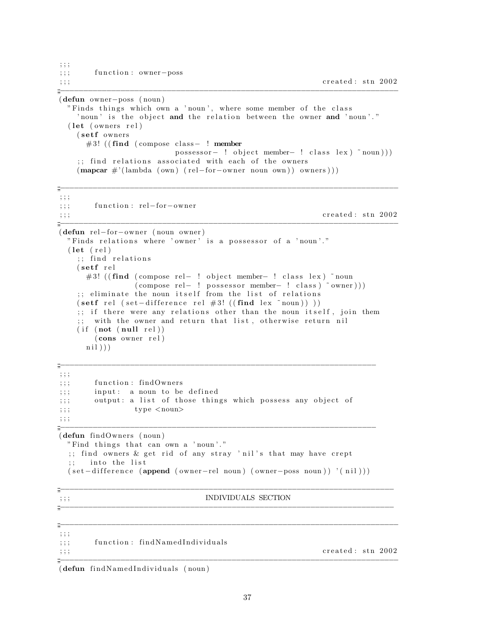```
; ; ;
;;; function : owner-poss
\mathbf{c}_i;;; created: stn 2002
;;<br>;;;<br>;;;;
(defun owner−poss ( noun )
 "Finds things which own a 'noun', where some member of the class
   ' noun' is the object and the relation between the owner and 'noun'."
 (\text{let} (overs \text{rel})(setf owners
    #3! ((find (compose class – ! member
                    possessor – ! object member- ! class lex ) ~ noun ) ) )
   ;; find relations associated with each of the owners
   (\text{mapcar } \#'(\text{lambda }(\text{own}) (\text{rel-for}}-\text{corner noun own})) owners)))
;;<br>;;;<br>;;;
; ; ;
;;; function: rel-for-owner
\mathbf{c}_i;;; created: stn 2002
;;<br>;;;<br>;;;
(defun rel−for−owner ( noun owner )
 " Finds relations where 'owner' is a possessor of a 'noun'."
 (\text{let } (\text{rel});; find relations
   (s et f r e l
    #3! ((find (compose rel- ! object member- ! class lex) ~noun
             (\text{compose rel} - ! \text{possessor member} - ! \text{ class}) ~ owner )))
   ;; eliminate the noun itself from the list of relations
   (\text{set f} \text{ rel} (\text{set}-difference \text{ rel} \#3! ((\text{find} \text{ lex} \text{ "noun})));; if there were any relations other than the noun itself, join them
   ;; with the owner and return that list, otherwise return nil
   (i f (not (null rel))(cons owner rel)
    ni))
;;<br>;;;<br>;;;;
; ; ;
;;; function: findOwners
;;; input: a noun to be defined
;;; output: a list of those things which possess any object of
; ; ; \textrm{type} < \textrm{noun} >; ; ;
;;<br>;;;<br>;;;
(defun findOwners ( noun )
 "Find things that can own a 'noun'."
 ;; find owners & get rid of any stray 'nil's that may have crept
 ;; into the list
 (set-difference (append (owner-rel noun) (owner–poss noun) ' (nil)));;<br>;;;<br>;;;;
; ; ; INDIVIDUALS SECTION
;;<br>;;;<br>;;;
;;<br>;;;<br>;;;;
; ; ;
;;; function: findNamedIndividuals
\mathbf{c}_i; ; ; created : stn 2002
;;<br>;;;<br>;;;;
(defun findNamedIndividuals (noun)
```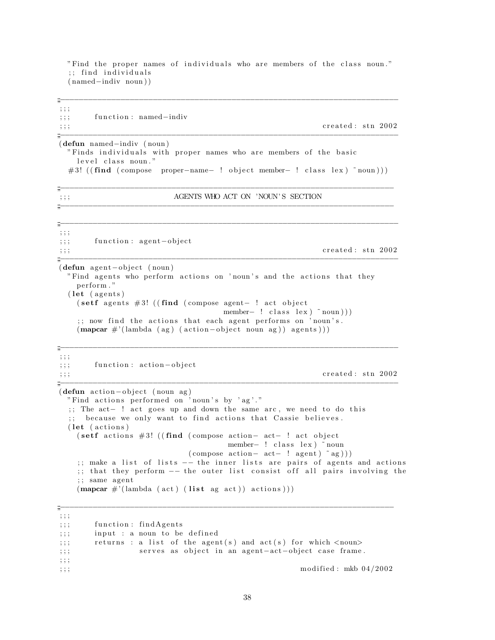"Find the proper names of individuals who are members of the class noun." ;; find individuals ( named−indiv noun ) )

;;<br>;;;<br>;;;;

| , 9, 9, 9 | .        |  |                       |
|-----------|----------|--|-----------------------|
| , 1, 1    |          |  | function: named-indiv |
| ,,,       | $\cdots$ |  |                       |

 $\emph{created}:$  stn 2002 ;;<br>;;;<br>;;;;

(defun named−indiv ( noun ) " Finds individuals with proper names who are members of the basic level class noun." #3! ( (find ( compose proper - name - ! object member- ! class lex ) ~ noun ) ) )

;;<br>;;;<br>;;;

;;<br>;;;<br>;;;;

## ; ; ; AGENTS WHO ACT ON 'NOUN' S SECTION

;;<br>;;;<br>;;; ; ; ; ;;; function: agent-object  $\gamma$ ;;; created: stn 2002 ;;<br>;;;<br>;;;; (defun agent-object (noun) "Find agents who perform actions on 'noun's and the actions that they per form . "  $(\text{let } (agents))$ ( setf agents # 3! ((find ( compose agent - ! act object member $-$  ! class lex  $)$   $\tilde{\text{noun}}$ )) ;; now find the actions that each agent performs on 'noun's.  $(\text{mapcar } \#'(\text{lambda } (ag) (action-object noun ag)) agents)))$ ;;<br>;;;<br>;;; ; ; ; ;;; function: action-object  $\mathbf{c}_i$ ; ; ; created : stn 2002 ;;<br>;;;<br>;;; (defun action-object (noun ag) "Find actions performed on 'noun's by 'ag'." ;; The act - ! act goes up and down the same arc, we need to do this because we only want to find actions that Cassie believes.  $(\text{let } (actions))$ ( setf actions #3! ((find ( compose action- act- ! act object member− ! class lex) ~noun  $(\text{compose action}-\text{ act}-\text{ ! agent})$  ~ ag))) ;; make a list of lists -- the inner lists are pairs of agents and actions ;; that they perform -- the outer list consist off all pairs involving the ;; same agent  $(\text{mapcar } \#'(\text{lambda } ( \text{act } ) \text{ (list ag act } ) ) \text{ actions } ) ))$ 

;;<br>;;;<br>;;; ; ; ;  $;$ ;; function: findAgents  $;$ ;; input : a noun to be defined ;;; returns : a list of the agent(s) and  $act(s)$  for which <noun> ;;; serves as object in an agent-act-object case frame. ; ; ; ; ; ; modified : mkb  $04/2002$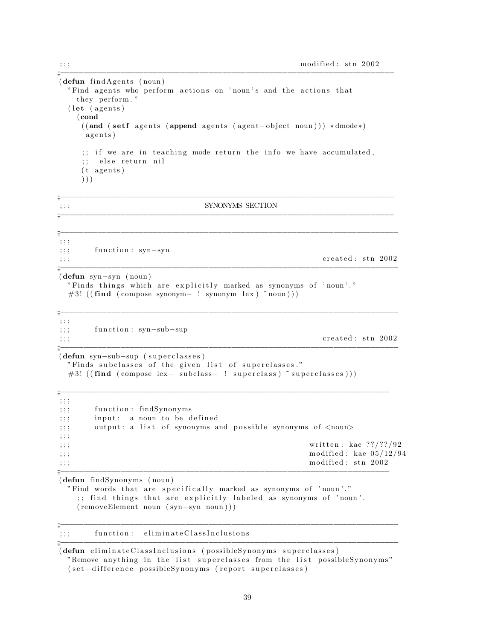```
;;;−−−−−−−−−−−−−−−−−−−−−−−−−−−−−−−−−−−−−−−−−−−−−−−−−−−−−−−−−−−−−−−−−−−−−−−−
(\text{defun}~find Agents~( noun))"Find agents who perform actions on 'noun's and the actions that
  they perform."
 (\text{let } (agents))(cond
   ((and (setf) agents (append agents (agent-object noun))) * dmode*)agents)
   \gamma;; if we are in teaching mode return the info we have accumulated,
   ;; else return nil
   (t \text{ agents})) ) )
;;<br>;;;<br>;;;;
\gamma ; ; ; synonyms section
;;<br>;;;<br>;;;;
;;<br>;;;<br>;;;;
; ; ;
;;; function: syn-syn
\mathbf{c}_i; ; ; created : stn 2002
;;<br>;;;<br>;;;
(defun syn−syn ( noun )
 " Finds things which are explicitly marked as synonyms of 'noun'."
 #3! ((find (compare synonym- ! synonym lex) ^ inoun)));;<br>;;;<br>;;;;
; ; ;
;;; function: syn-sub-sup
\mathbf{c}_i; ; ; created : stn 2002
;;<br>;;;<br>;;;
(defun syn-sub-sup (superclasses)
 " Finds subclasses of the given list of superclasses."
 #3! ( (find ( compose lex- subclass- ! superclass ) ~ superclasses ) ) )
;;<br>;;;<br>;;;;
; ; ;
;; ; function : findSynonyms
;;; input: a noun to be defined
;;; output: a list of synonyms and possible synonyms of <noun>
; ; ;
;;;;
\ldots;;; modified: kae 05/12/94\mathbf{r};;; modified: stn 2002
;;;−−−−−−−−−−−−−−−−−−−−−−−−−−−−−−−−−−−−−−−−−−−−−−−−−−−−−−−−−−−−−−−−−−−−−−−
(defun findSynonyms ( noun )
 "Find words that are specifically marked as synonyms of 'noun'."
   ;; find things that are explicitly labeled as synonyms of 'noun'.
  ( removeElement noun ( syn−syn noun ) ) )
;;<br>;;;<br>;;;;
;;; function: eliminateClassInclusions
```
(defun eliminateClassInclusions (possibleSynonyms superclasses) "Remove anything in the list superclasses from the list possibleSynonyms" ( set -difference possibleSynonyms ( report superclasses)

;;<br>;;;<br>;;;

39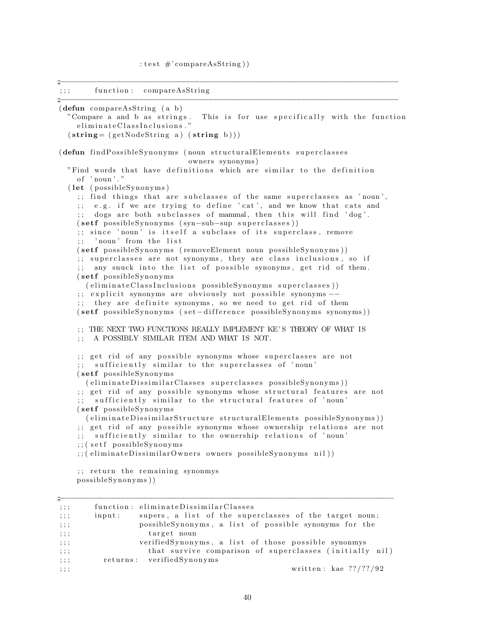;;<br>;;;<br>;;;;

```
;; ; function : compareAsString
;;<br>;;;<br>;;;;
(defun compareAsString ( a b )
  "Compare a and b as strings. This is for use specifically with the function
    e liminate Class Inclusions."
  (\text{string} = (\text{getNodeString a}) (\text{string b})))(defun findPossibleSynonyms (noun structuralElements superclasses
                             owners synonyms )
  "Find words that have definitions which are similar to the definition
    of ' noun'."
  (\text{let } (possibleSpnonyms));; find things that are subclasses of the same superclasses as 'noun',
    ;; e.g. if we are trying to define 'cat', and we know that cats and
    ;; dogs are both subclasses of mammal, then this will find 'dog'.
    ( setf possibleSynonyms (syn-sub-sup superclasses ))
    \gamma; since 'noun' is itself a subclass of its superclass, remove
    ;; 'noun' from the list
    ( setf possibleSynonyms (removeElement noun possibleSynonyms))
    ;; superclasses are not synonyms, they are class inclusions, so if
    ;; any snuck into the list of possible synonyms, get rid of them.
    (setf possibleSynonyms)
     (eliminateClassInclusions possible Synonyms superclasses));; explicit synonyms are obviously not possible synonyms −−
    ;; they are definite synonyms, so we need to get rid of them
    ( setf possibleSynonyms ( set-difference possibleSynonyms synonyms))
    ; ; THE NEXT TWO FUNCTIONS REALLY IMPLEMENT KE' S THEORY OF WHAT IS
    ; ; A POSSIBLY SIMILAR ITEM AND WHAT IS NOT.
    ;; get rid of any possible synonyms whose superclasses are not
    ;; sufficiently similar to the superclasses of 'noun'
    (setf possibleSynonyms
      (eliminateDissimilarClasses superclasses possibleSynonyms));; get rid of any possible synonyms whose structural features are not
    ;; sufficiently similar to the structural features of 'noun'
    (setf possibleSynonyms)
     (eliminateDissimilarStructure structuralElements possibleSynonyms))
    ;; get rid of any possible synonyms whose ownership relations are not
    ;; sufficiently similar to the ownership relations of 'noun'
    ;; ( setf possibleSynonyms
    ;; ( eliminateDissimilarOwners owners possibleSynonyms nil))
    ;; return the remaining synonmys
    possibleSynonyms))
```

| m                                |                                                                  |
|----------------------------------|------------------------------------------------------------------|
| , ; ;                            | function: eliminateDissimilarClasses                             |
| ; ; ;                            | supers, a list of the superclasses of the target noun;<br>input: |
| $\cdots$<br>, , ,                | possible Synonyms, a list of possible synonyms for the           |
| $\cdots$<br>, , ,                | target noun                                                      |
| , 1, 1                           | verified Synonyms, a list of those possible synonmys             |
| $\cdot$ $\cdot$ $\cdot$<br>, , , | that survive comparison of superclasses (initially nil)          |
| $\cdot$ $\cdot$ $\cdot$<br>, , , | returns: verifiedSynonyms                                        |
| $\cdot$ $\cdot$ $\cdot$<br>, , , | written: kae $??\frac{??\frac{?}{92}$                            |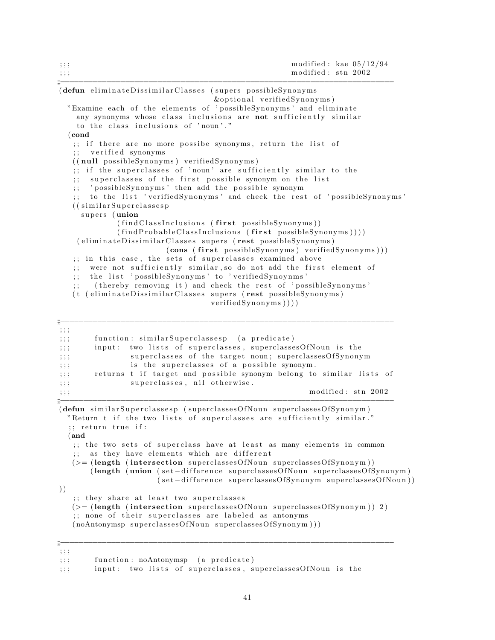| , ;<br>, ; ;                                                                                                                                                                                                                                                                                                                                                                                                                                                                                                                                                                 | modified: kae $05/12/94$<br>modified: stn 2002                                                                                                                                                              |
|------------------------------------------------------------------------------------------------------------------------------------------------------------------------------------------------------------------------------------------------------------------------------------------------------------------------------------------------------------------------------------------------------------------------------------------------------------------------------------------------------------------------------------------------------------------------------|-------------------------------------------------------------------------------------------------------------------------------------------------------------------------------------------------------------|
| (defun eliminateDissimilarClasses (supers possibleSynonyms                                                                                                                                                                                                                                                                                                                                                                                                                                                                                                                   | &optional verifiedSynonyms)                                                                                                                                                                                 |
| "Examine each of the elements of 'possibleSynonyms' and eliminate<br>any synonyms whose class inclusions are not sufficiently similar<br>to the class inclusions of 'noun'."                                                                                                                                                                                                                                                                                                                                                                                                 |                                                                                                                                                                                                             |
| $\epsilon$ cond<br>;; if there are no more possibe synonyms, return the list of<br>verified synonyms<br>((null possibleSynonyms) verifiedSynonyms)<br>if the superclasses of 'noun' are sufficiently similar to the<br>; ;<br>superclasses of the first possible synonym on the list<br>; ;<br>'possibleSynonyms' then add the possible synonym<br>; ;<br>((similarSuperclasses<br>supers (union<br>(findClassInclusions (first possibleSynonyms))<br>(findProbableClassInclusions (first possibleSynonyms))))<br>(eliminateDissimilarClasses supers (rest possibleSynonyms) | to the list 'verifiedSynonyms' and check the rest of 'possibleSynonyms'<br>(cons (first possibleSynonyms) verifiedSynonyms)))                                                                               |
| in this case, the sets of superclasses examined above<br>$\frac{1}{2}$ ;<br>were not sufficiently similar, so do not add the first element of<br>; ;<br>the list 'possibleSynonyms' to 'verifiedSynoynms'<br>; ;<br>(thereby removing it) and check the rest of 'possibleSynonyms'<br>; ;<br>(eliminateDissimilarClasses supers (rest possibleSynonyms)<br>(t)                                                                                                                                                                                                               | verified Synonyms)))                                                                                                                                                                                        |
| ; ; ;<br>function: similarSuperclassesp (a predicate)<br>$\,;\,;\,;\,$<br>$\,;\,;\,;\,$<br>input:<br>$\,;\,;\,;\,$<br>is the superclasses of a possible synonym.<br>$\,;\,;\,;\,$<br>$\,;\,;\,;\,$<br>superclasses, nil otherwise.<br>; ; ;<br>$\,;\,;\,;\,$                                                                                                                                                                                                                                                                                                                 | two lists of superclasses, superclassesOfNoun is the<br>superclasses of the target noun; superclassesOfSynonym<br>returns t if target and possible synonym belong to similar lists of<br>modified: stn 2002 |
| (defun similarSuperclassesp (superclassesOfNoun superclassesOfSynonym)<br>"Return t if the two lists of superclasses are sufficiently similar."<br>;; return true if:<br>(and<br>;; the two sets of superclass have at least as many elements in common<br>as they have elements which are different<br>(>= (length (intersection superclassesOfNoun superclassesOfSynonym))<br>))<br>;; they share at least two superclasses                                                                                                                                                | (length (union (set-difference superclassesOfNoun superclassesOfSynonym)<br>(set-difference superclassesOfSynonym superclassesOfNoun))                                                                      |
| $(>=$ (length (intersection superclasses OfNoun superclasses OfSynonym)) 2)                                                                                                                                                                                                                                                                                                                                                                                                                                                                                                  |                                                                                                                                                                                                             |

 $(>=$  (length (intersection superclasses Of Noun superclasses Of Synonym ) 2 ) ;; none of their superclasses are labeled as antonyms  $(noAntonymsp\ superclassesOfNoun\ superclassesOfSymonym)))$ 

;;<br>;;;<br>;;;

<sup>; ; ;</sup>

 $;$ ;; function: noAntonymsp (a predicate)

<sup>;;;</sup> input: two lists of superclasses, superclassesOfNoun is the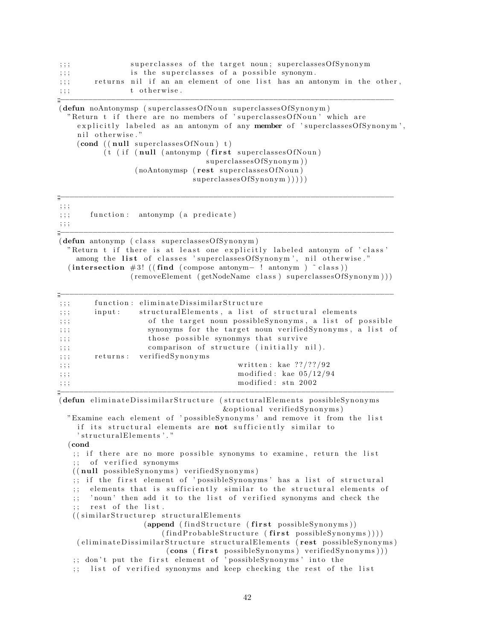| $\cdots$<br>, , , |                                            |  |  |  | superclasses of the target noun; superclassesOfSynonym                |  |  |
|-------------------|--------------------------------------------|--|--|--|-----------------------------------------------------------------------|--|--|
| $\cdots$<br>, , , | is the superclasses of a possible synonym. |  |  |  |                                                                       |  |  |
| $\cdots$<br>,,,,  |                                            |  |  |  | returns nil if an an element of one list has an antonym in the other, |  |  |
| $\cdots$<br>,,,,  | t otherwise.                               |  |  |  |                                                                       |  |  |
| "                 |                                            |  |  |  |                                                                       |  |  |

```
(defun noAntonymsp (superclassesOfNoun superclassesOfSynonym))" Return t if there are no members of 'superclasses Of Noun' which are
    explicitly labeled as an antonym of any member of 'superclasses Of Synonym',
    nil otherwise."
    (cond ((null superclassesOfNoun) t)(t \text{ (if (null (antonym) (first superclassesOfNoun))})superclassesOfSymonym)
                  (noAntonymsp (rest superclasses Of Noun)
                               superclassesOfSymonym )))
```
; ; ;

 $;$ ;; function: antonymp (a predicate) ; ; ; ;;;−−−−−−−−−−−−−−−−−−−−−−−−−−−−−−−−−−−−−−−−−−−−−−−−−−−−−−−−−−−−−−−−−−−−−−−−

(defun antonymp (class superclassesOfSynonym) " Return t if there is at least one explicitly labeled antonym of 'class' among the list of classes 'superclasses Of Synonym', nil otherwise."  $(intersection #3! ((find (compose antonym- ! antonym ) ^ class))$ ( removeElement ( getNodeName class ) superclassesOfSynonym  $))$ )

;;<br>;;;<br>;;;;

| m<br>, ; ;                       |           | function: eliminateDissimilarStructure                   |
|----------------------------------|-----------|----------------------------------------------------------|
| , ; ;                            | input:    | structuralElements, a list of structural elements        |
| , ; ;                            |           | of the target noun possibleSynonyms, a list of possible  |
| $\cdot$ $\cdot$ $\cdot$<br>, , , |           | synonyms for the target noun verifiedSynonyms, a list of |
| $\cdot$<br>, , ,                 |           | those possible synonmys that survive                     |
| , ; ;                            |           | comparison of structure (initially nil).                 |
| , ; ;                            | returns : | verifiedSynonyms                                         |
| $\cdot$ $\cdot$ $\cdot$<br>, , , |           | written: kae $??\frac{??\frac{92}{92}}$                  |
| $\cdot$ $\cdot$ $\cdot$<br>, , , |           | modified: kae $05/12/94$                                 |
| , ; ;                            |           | modified: stn 2002                                       |

(defun eliminateDissimilarStructure (structuralElements possibleSynonyms  $&$ optional verifiedSynonyms)

"Examine each element of 'possibleSynonyms' and remove it from the list if its structural elements are not sufficiently similar to ' structuralElements'."

(cond

;; if there are no more possible synonyms to examine, return the list ;; of verified synonyms

 $((null possibleSymonyms) verified Synonyms)$ 

;; if the first element of 'possibleSynonyms' has a list of structural ;; elements that is sufficiently similar to the structural elements of ;; 'noun' then add it to the list of verified synonyms and check the

rest of the list.

((similarStructurep structuralElements)

 $(append (findStructure (first possible Synonyms))$ 

```
(\text{findProbableStructure} (\text{first possibleSymonyms})))( eliminateDissimilarStructure structuralElements (rest possibleSynonyms)
                          \{\textbf{cons} \ (\textbf{first possible} \text{Synonyms} \) \ \text{verified} \text{Synonyms} \});; don't put the first element of 'possibleSynonyms' into the
```
;; list of verified synonyms and keep checking the rest of the list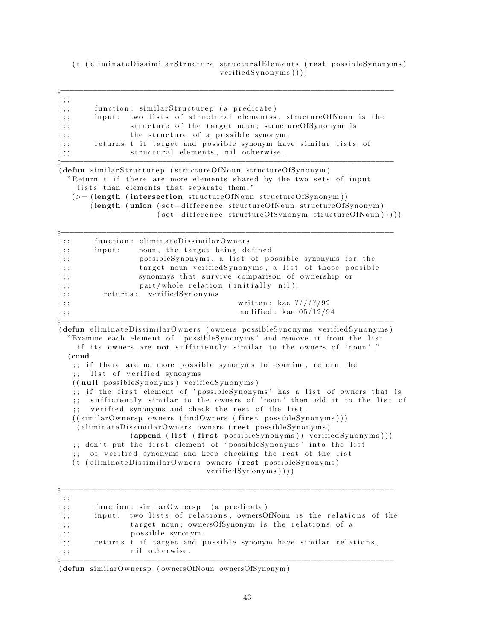(t ( eliminateDissimilarStructure structuralElements ( rest possibleSynonyms)  $verified Synonyms ))$ )

;;<br>;;;<br>;;;;

; ; ;  $;$ ;; function: similarStructurep (a predicate) ;;; input: two lists of structural elementss, structureOfNoun is the ;;; structure of the target noun; structureOfSynonym is ;;; the structure of a possible synonym. ;;; returns t if target and possible synonym have similar lists of ;;; structural elements, nil otherwise. ;;<br>;;;<br>;;;; (defun similarStructurep (structureOfNoun structureOfSynonym) "Return t if there are more elements shared by the two sets of input lists than elements that separate them."  $(>=$  (length (intersection structureOfNoun structureOfSynonym)) (length (union (set-difference structureOfNoun structureOfSynonym) ( set -difference structureOfSynonym structureOfNoun ) ) ) ) ) ;;<br>;;;<br>;;;; ;;; function: eliminateDissimilarOwners ;;; input: noun, the target being defined

| $\cdots$<br>, , ,                | input: | noun, the target being defined                         |
|----------------------------------|--------|--------------------------------------------------------|
| , ; ;                            |        | possible Synonyms, a list of possible synonyms for the |
| $\cdots$<br>, , ,                |        | target noun verifiedSynonyms, a list of those possible |
| ; ; ;                            |        | synonmys that survive comparison of ownership or       |
| $\cdot$ $\cdot$ $\cdot$<br>, , , |        | part/whole relation (initially nil).                   |
| $\cdots$<br>, , ,                |        | returns: verifiedSynonyms                              |
| ; ; ;                            |        | written: kae $??///92$                                 |
| $\cdot$ $\cdot$ $\cdot$<br>, , , |        | modified: kae $05/12/94$                               |
| "                                |        |                                                        |

(defun eliminateDissimilarOwners (owners possibleSynonyms verifiedSynonyms) "Examine each element of 'possibleSynonyms' and remove it from the list if its owners are not sufficiently similar to the owners of 'noun'." (cond

;; if there are no more possible synonyms to examine, return the ;; list of verified synonyms

 $((null possibleSymonyms) verified Synonyms)$ 

;; if the first element of 'possibleSynonyms' has a list of owners that is

;; sufficiently similar to the owners of 'noun' then add it to the list of ;; verified synonyms and check the rest of the list.

```
((\text{similarOwnersp} ~\text{own}~ (\text{findOwners}~ (\text{first}~ \text{possibleSpnonyms})))
```
( eliminateDissimilarOwners owners ( rest possibleSynonyms)

 $(\text{append (list (first possibleSynonyms}))$  verified Synonyms  $)))$ ;; don't put the first element of 'possibleSynonyms' into the list

;; of verified synonyms and keep checking the rest of the list (t ( eliminateDissimilarOwners owners ( rest possibleSynonyms)

 $verified Synonyms ))$ )

| m                                |                                                                     |
|----------------------------------|---------------------------------------------------------------------|
| $\cdot$ $\cdot$ $\cdot$<br>, , , |                                                                     |
| $\cdots$<br>, , ,                | function: similarOwnersp (a predicate)                              |
| $\cdots$<br>, , ,                | input: two lists of relations, ownersOfNoun is the relations of the |
| $\cdots$<br>, , ,                | target noun; ownersOfSynonym is the relations of a                  |
| $\cdots$<br>, , ,                | possible synonym.                                                   |
| $\sim$ $\sim$ $\sim$<br>, , ,    | returns t if target and possible synonym have similar relations,    |
| $\cdots$<br>, , ,                | nil otherwise.                                                      |
|                                  |                                                                     |

(defun similarOwnersp (ownersOfNoun ownersOfSynonym)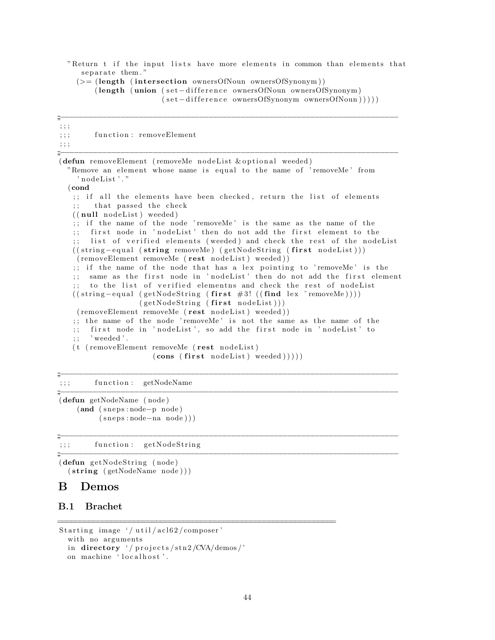```
"Return t if the input lists have more elements in common than elements that
   separate them."
 (>= (length (intersection ownersOfNoun ownersOfSynonym))
      (length (union (set-difference ownersOfNoun ownersOfSynonym)
                     (set-difference ownersOfSynonym ownersOfNoun))))
```
;;<br>;;;<br>;;;;

```
; ; ;
;;; function: removeElement
; ; ;
;;;−−−−−−−−−−−−−−−−−−−−−−−−−−−−−−−−−−−−−−−−−−−−−−−−−−−−−−−−−−−−−−−−−−−−−−−−−
(defun removeElement (removeMe nodeList & optional weeded)
  "Remove an element whose name is equal to the name of 'removeMe' from
    ' nodeList'."
  (cond
   ;; if all the elements have been checked, return the list of elements
   ;; that passed the check
   ((null nodeList) weeded)
   ;; if the name of the node 'removeMe' is the same as the name of the
   ;; first node in 'nodeList' then do not add the first element to the
   ;; list of verified elements (weeded) and check the rest of the nodeList
   ((string-equal (string removeMe) (getNodeString (first nodeList)))( removeElement removeMe ( rest nodeList ) weeded ))
   ;; if the name of the node that has a lex pointing to 'removeMe' is the
   ;; same as the first node in 'nodeList' then do not add the first element
       to the list of verified elementns and check the rest of nodeList
   (( \text{string}-\text{equal} \ (\text{getNodeString} \ (\text{first #3!} \ ((\text{find} \ \text{lex} \ \text{~removeMe}))))(getNodeString (first nodeList)))( removeElement removeMe ( rest nodeList ) weeded ))
   ;; the name of the node 'removeMe' is not the same as the name of the
   ;; first node in 'nodeList', so add the first node in 'nodeList' to
   ; ; " weeded '.
   (t (removeElement removeMe (rest nodeList)
                      (cons (first nodeList) week)))))
```
;;<br>;;;<br>;;;;

;;<br>;;;<br>;;;;

==============================================================

;;; function: getNodeName

```
;;<br>;;;<br>;;;
(defun getNodeName ( node )
```

```
(and (sneps : node-p node)
```
( snep s : node−na node ) ) )

;;; function: getNodeString ;;<br>;;;<br>;;;;

```
(defun getNodeString (node)
  (\text{string } (getNodeName node)))
```
## B Demos

## B.1 Brachet

```
Starting image \frac{'}{util/acl62/composer'
  with no arguments
  in directory '/projects/stn2/CVA/demos/'
  on machine 'localhost'.
```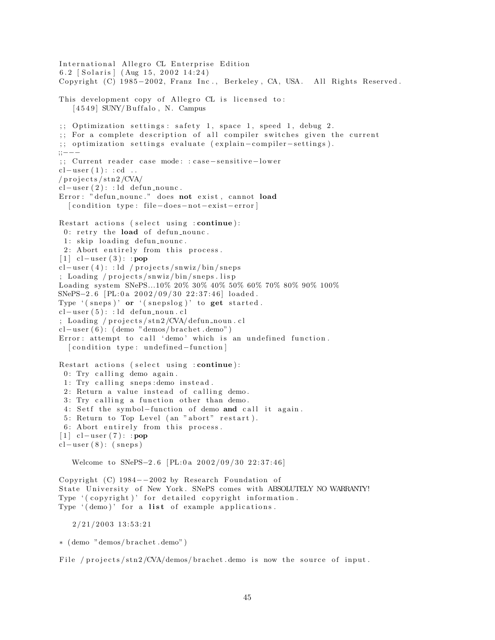International Allegro CL Enterprise Edition 6.2 [Solaris] (Aug 15, 2002 14:24) Copyright (C) 1985-2002, Franz Inc., Berkeley, CA, USA. All Rights Reserved. This development copy of Allegro CL is licensed to:  $[4549]$  SUNY/Buffalo, N. Campus ;; Optimization settings: safety 1, space 1, speed 1, debug 2. ;; For a complete description of all compiler switches given the current ;; optimization settings evaluate (explain-compiler-settings). ;;−−− ;; Current reader case mode: : case-sensitive-lower  $cl-user(1): cd...$  $/$  projects  $/\sin 2$  /CVA/  $cl-user(2):$ : ld defun\_nounc. Error: "defun\_nounc." does not exist, cannot load [ condition type: file-does-not-exist-error] Restart actions (select using : continue):  $0:$  retry the load of defun nounc. 1: skip loading defun nounc. 2: Abort entirely from this process.  $[1]$  cl−user  $(3)$ : : pop  $cl-user(4): id / projects/snwiz/bin/sneps$  $;$  Loading /projects/snwiz/bin/sneps.lisp Loading system SNePS...10% 20% 30% 40% 50% 60% 70% 80% 90% 100% SNePS−2.6 [PL:0a 2002/09/30 22:37:46] loaded. Type  $'(s_{n+1})'$  or  $'(s_{n+1})'$  to get started.  $cl-user(5):$ : ld defun\_noun.cl ; Loading / projects/stn2/CVA/defun\_noun.cl  $cl-user(6)$ : (demo "demos/brachet.demo") Error: attempt to call 'demo' which is an undefined function. [ condition type: undefined-function] Restart actions (select using : continue): 0: Try calling demo again.  $1: Try$  calling sneps: demo instead. 2: Return a value instead of calling demo. 3: Try calling a function other than demo. 4: Setf the symbol-function of demo and call it again. 5: Return to Top Level (an "abort" restart). 6: Abort entirely from this process. [ $1$ ] cl−user (7): : pop  $cl-user(8): (sneps)$ Welcome to SNePS-2.6 [PL:0a  $2002/09/30 22:37:46$ ] Copyright (C)  $1984-2002$  by Research Foundation of State University of New York. SNePS comes with ABSOLUTELY NO WARRANTY! Type '(copyright)' for detailed copyright information. Type  $'($  demo)' for a list of example applications.  $2/21/2003$  13:53:21

∗ ( demo "demos/ b r a c h e t . demo" )

File / projects/stn2/CVA/demos/brachet.demo is now the source of input.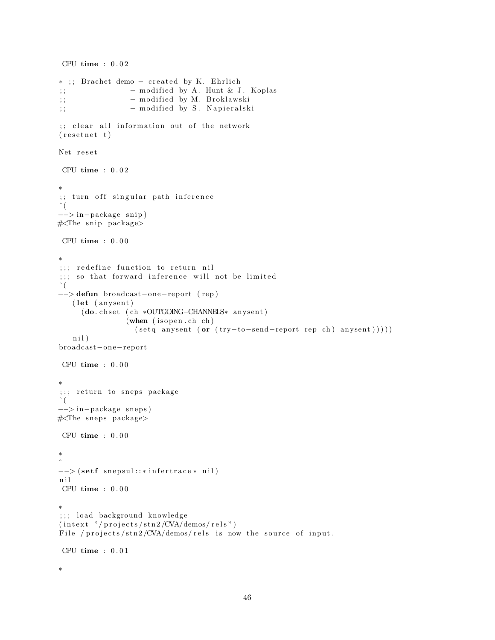```
CPU time : 0 . 0 2
* ;; Brachet demo - created by K. Ehrlich
; ; - modified by A. Hunt & J. Koplas
; ; − m o di fi e d by M. B r o kl aw s ki
;; - modified by S. Napieralski
;; clear all information out of the network
(r \, \text{esetnet } t)Net reset
CPU time : 0 . 0 2
∗
;; turn off singular path inference
\hat{\zeta}−−> in−package s ni p )
\#\langle\text{The snip package}\rangleCPU time : 0 . 0 0
∗
;;; redefine function to return nil
; ; ; so that forward inference will not be limited
\hat{\ } (
−−> defun broadcas t−one−repor t ( rep )
   (let (anysent)
     (do. chset (ch *OUTGOING–CHANNELS* anysent)
                 (\textbf{when} (is open.ch ch)(\text{setq anysent (or (try-to-send-report rep ch) any sent })))nil)
broadcas t−one−repor t
CPU time : 0.00∗
;;; return to sneps package
 ˆ (
−−> in−package snep s )
#<The sneps package>
CPU time : 0.00∗
\hat{a}-- (setf snepsul::*infertrace* nil)
n i l
CPU time : 0 . 0 0
∗
;;; load background knowledge
(intext "/projects/stn2/CVA/demos/rels")
File / projects/stn2/CVA/demos/rels is now the source of input.
CPU time : 0.01∗
```

```
46
```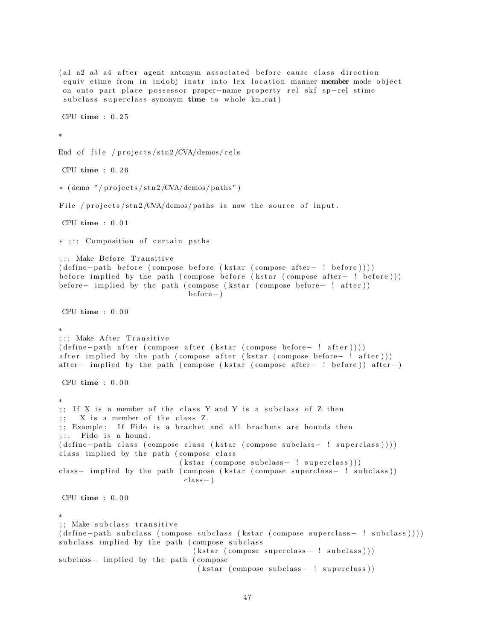(al a2 a3 a4 after agent antonym associated before cause class direction equiv etime from in indobj instr into lex location manner member mode object on onto part place possessor proper-name property rel skf sp-rel stime subclass superclass synonym time to whole kn cat) CPU time : 0 . 2 5 ∗ End of file /  $projects/stn2/CVA/demos/rels$ CPU time : 0 . 2 6  $*(\text{ demo } "/ \text{ projects } / \text{stn2 } / \text{CVA}/ \text{demos} / \text{paths }")$ File / projects/stn2/CVA/demos/paths is now the source of input. CPU time :  $0.01$ \* ;;; Composition of certain paths ;;; Make Before Transitive ( define−path before ( compose before ( k star ( compose after – ! before ) ) ) ) before implied by the path ( compose before (kstar ( compose after - ! before ) ) ) before− implied by the path ( compose ( k star ( compose before− ! after )) be fore− ) CPU time  $: 0.00$ ∗ ;;; Make After Transitive ( define - path after ( compose after ( kstar ( compose before - ! after ) ) ) ) after implied by the path ( compose after (kstar ( compose before− ! after ) ) ) after – implied by the path ( compose ( k star ( compose after – ! before ) ) after – ) CPU time : 0 . 0 0 ∗ ;; If X is a member of the class Y and Y is a subclass of Z then  $;$   $X$  is a member of the class  $Z$ . ;; Example: If Fido is a brachet and all brachets are hounds then  $;$ ;; Fido is a hound. ( define-path class ( compose class ( kstar ( compose subclass - ! superclass ) ) ) ) class implied by the path (compose class  $(kstar (composite subclass - ! superclass)))$ class- implied by the path ( compose (kstar ( compose superclass- ! subclass ) )  $class - )$ CPU time  $: 0.00$ ∗ ;; Make subclass transitive ( define-path subclass ( compose subclass ( kstar ( compose superclass - ! subclass ) ) ) ) subclass implied by the path (compose subclass  $(kstar (composite superclass - ! subclass)))$ subclass- implied by the path (compose  $(kstar (composite subclass - ! superclass))$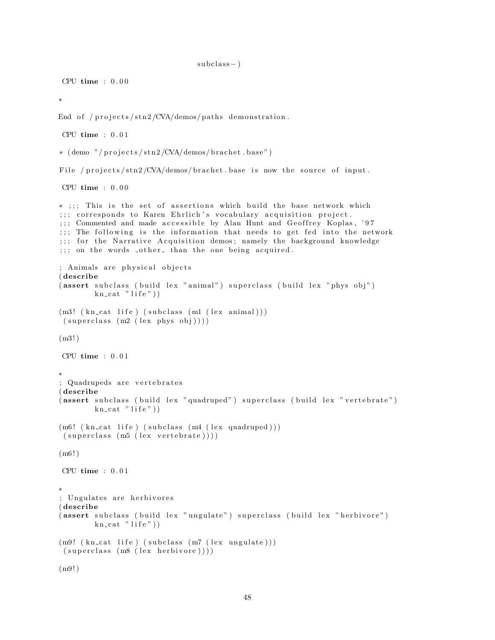```
subclass - )
```
CPU time  $: 0.00$ 

∗

End of /projects/stn2/CVA/demos/paths demonstration.

CPU time : 0 . 0 1

 $*(\text{ demo } " / \text{ projects} / \text{str2} / \text{CVA}/\text{demos} / \text{bracket} \cdot \text{base}")$ 

File / projects/stn2/CVA/demos/brachet base is now the source of input.

CPU time : 0 . 0 0

```
* ;;; This is the set of assertions which build the base network which
;;; corresponds to Karen Ehrlich's vocabulary acquisition project.
;;; Commented and made accessible by Alan Hunt and Geoffrey Koplas, '97
\gamma;; The following is the information that needs to get fed into the network
;;; for the Narrative Acquisition demos; namely the background knowledge
;;; on the words other than the one being acquired.
; Animals are physical objects
( describe
(assert subclass (build lex "animal") superclass (build lex "phys obj")
        kn\_cat "life"))
(m3! (kncat life) (subclass (m1 (lex animal)))(superclass (m2 (lex phys obj)))(m3! )
CPU time : 0.01∗
; Quadrupeds are vertebrates
( describe
(assert subclass (build lex "quadruped") superclass (build lex "vertebrate")
        kn\_cat "life"))
(m6! (kn_cat life) (subclass (m4 (lex quadruped)))
(superclass (m5 (lex vertebrate))))(m6! )
CPU time : 0.01∗
; Ungulates are herbivores
( describe
(assert subclass (build lex "ungulate") superclass (build lex "herbivore")
        kn\_cat "life"))
(m9! (kn_cat life) (subclass (m7 (lex ungulate)))
(superclass (m8 (lex herbivore))))(m9! )
```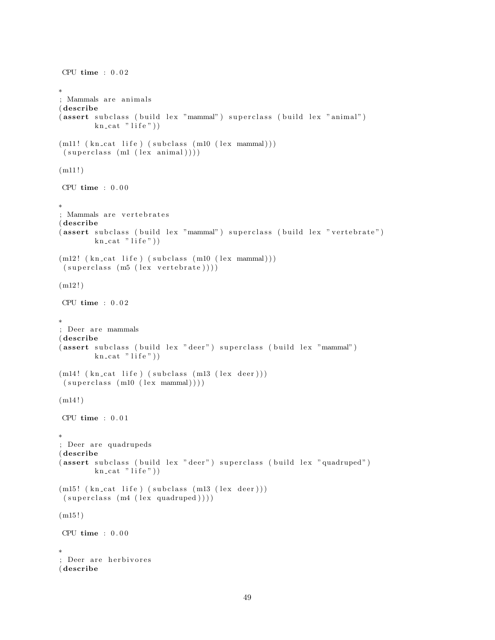```
CPU time : 0.02∗
; Mammals are animals
( describe
( assert subclass ( build lex "mammal") superclass ( build lex "animal")
        kn\_cat "life")
(m11! (kn\_cat\_life) (subclass (m10 (lex mammal)))(superclass (ml (lex animal))))(m11!)CPU time : 0 . 0 0
∗
; Mammals are vertebrates
( describe
( assert subclass ( build lex "mammal" ) superclass ( build lex " vertebrate" )
        kn\_cat "life")
(m12! (kn\_cat\_life) (subclass~(m10 (lex~mannal)))(superclass (m5 (lex vertebrate))))(m12!)CPU time : 0 . 0 2
∗
; Deer are mammals
( describe
( assert subclass ( build lex "deer") superclass ( build lex "mammal")
        kn\_cat "life"))
(m14! (kn_cat life) (subclass (m13 (lex deer)))
(superclass (m10 (lex mammal))))(m14!)CPU time : 0 . 0 1
∗
; Deer are quadrupeds
( describe
(assert subclass (build lex "deer") superclass (build lex "quadruped")
        kn\_cat "life"))
(m15! (kn\_cat life) (subclass (m13 (lex degree)))(superclass (m4 (lex quadruped))))(m15!)CPU time : 0 . 0 0
∗
; Deer are herbivores
( describe
```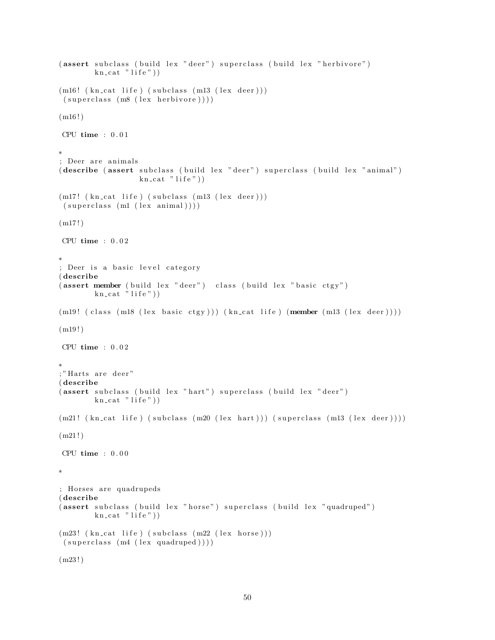```
(assert subclass (build lex "deer") superclass (build lex "herbivore")
        kn\_cat "life")
(m16! (kn_cat life) (subclass (m13 (lex deer)))
(superclass (m8 (lex herbivore))))(m16!)CPU time : 0 . 0 1
∗
; Deer are animals
( describe ( assert subclass ( build lex " deer" ) superclass ( build lex " animal" )
                  kn\_cat "life")
(m17! (kn\_cat life) (subclass (m13 (lex degree)))(superclass (ml (lex animal))))(m17!)CPU time : 0 . 0 2
∗
; Deer is a basic level category
( describe
(assert member (build lex "deer") class (build lex "basic ctgy")
        kn_cat "life"))
(m19! (class (m18 (lex basic ctgy))) (kn_cat life) (member (m13 (lex deer))))
(m19!)CPU time : 0.02∗
;" Harts are deer"
( describe
(assert subclass (build lex "hart") superclass (build lex "deer")
        kn\_cat "life"))
(m21! (kn_cat life) (subclass (m20 (lex hart))) (superclass (m13 (lex deer))))
(m21!)CPU time : 0.00∗
; Horses are quadrupeds
( describe
(assert subclass (build lex "horse") superclass (build lex "quadruped")
        kn\_cat "life"))
(m23! (kn_cat life) (subclass (m22 (lex horse)))
(superclass (m4 (lex quadruped))))(m23!)
```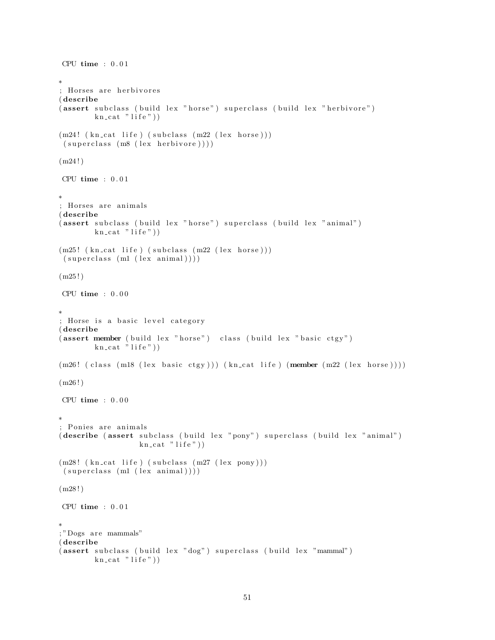```
CPU time : 0 . 0 1
∗
; Horses are herbivores
( describe
(assert subclass (build lex "horse") superclass (build lex "herbivore")
        kn\_cat "life")
(m24! (kn_cat life) (subclass (m22 (lex horse)))
 (superclass (m8 (lex herbivore))))(m24!)CPU time : 0 . 0 1
∗
; Horses are animals
( describe
(assert subclass (build lex "horse") superclass (build lex "animal")
        kn\_cat "life"))
(m25! (kn_cat life) (subclass (m22 (lex horse)))
 (superclass (ml (lex animal))))(m25!)CPU time : 0.00∗
; Horse is a basic level category
( describe
(assert member ( build lex " horse" ) class ( build lex " basic ctgy" )
        kn\_cat "life"))
(m26! (class (m18 (lex basic ctgy))) (kn_cat life) (member (m22 (lex horse))))
(m26!)CPU time : 0.00∗
; Ponies are animals
( describe ( assert subclass ( build lex "pony") superclass ( build lex " animal")
                  kn\_cat "life"))
(m28! (kn_cat life) (subclass (m27 (lex pony)))
 (superclass (ml (lex animal))))(m28 ! )
CPU time : 0.01∗
; "Dogs are mammals"
( describe
(assert subclass (build lex "dog") superclass (build lex "mammal")
        kn\_cat "life"))
```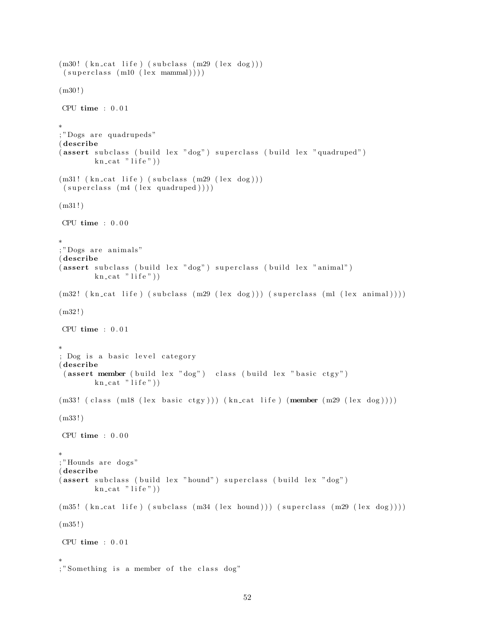```
(m30! (kn_{cat} life) (subclass (m29 (lex dog)))(superclass (m10 (lex mammal))))(m30!)CPU time : 0 . 0 1
∗
; "Dogs are quadrupeds"
( describe
(assert subclass (build lex "dog") superclass (build lex "quadruped")
        kn cat " life"))
(m31! (kn_{cat} life) (subclass (m29 (lex dog)))(superclass (m4 (lex quadruped))))(m31!)CPU time : 0.00∗
; "Dogs are animals"
( describe
(assert subclass (build lex "dog") superclass (build lex "animal")
        kn\_cat "life"))
(m32! \ (kn\_cat \ life) \ (subclass \ (m29 \ (lex \ dog))) \ (superclass \ (ml \ (lex \ animal))))(m32!)CPU time : 0 . 0 1
∗
; Dog is a basic level category
( describe
 (assert member ( build lex "dog") class ( build lex " basic ctgy")
        kn\_cat "life"))
(m33! ( class (m18 (lex basic ctgy))) (kn_cat life) (member (m29 (lex dog))))
(m33 ! )
CPU time : 0.00∗
;"Hounds are dogs"
( describe
(assert\,subclass\, (build\, lex\, "hound")\,superclass\, (build\, lex\, "dog")kn\_cat "life"))
(m35! (kn_cat life) (subclass (m34 (lex hound))) (superclass (m29 (lex dog))))
(m35 ! )
CPU time : 0 . 0 1
∗
```
<sup>; &</sup>quot;Something is a member of the class dog"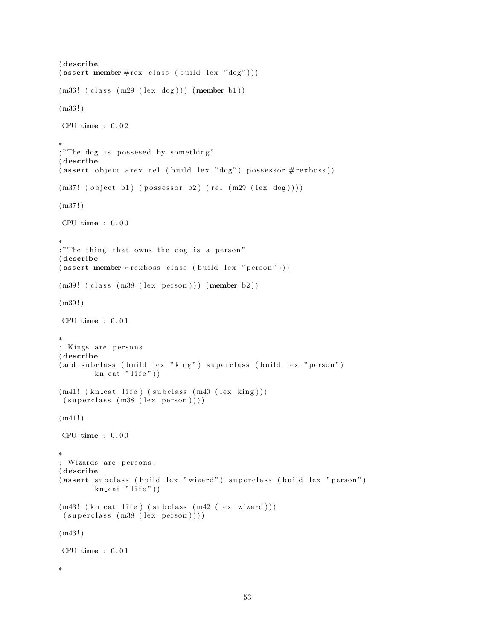```
( describe
(\text{assert member} \# \text{rex class} (\text{build lex "dog"))})(m36! (class (m29 (lex dog))) (member b1))
(m36 ! )
CPU time : 0.02∗
; "The dog is possesed by something"
( describe
(assert\;object\;*rex\;rel\;(build\;lex\;"dog")\;possessor\;#rexboss))(m37! (object b1) (possessor b2) (rel (m29 (lex dog))))
(m37 ! )
CPU time : 0.00∗
;" The thing that owns the dog is a person"
( describe
(assert member *rexboss class (build lex "person")))
(m39! (class (m38 (lex person))) (member b2))
(m39 ! )
CPU time : 0.01∗
; Kings are persons
( describe
( add subclass ( build lex " king" ) superclass ( build lex " person" )
        kn\_cat "life"))
(m41! (kn_cat life) (subclass (m40 (lex king)))
 (superclass (m38 (lex person))))(m41!)CPU time : 0.00∗
; Wizards are persons.
( describe
(assert subclass (build lex "wizard") superclass (build lex "person")
        kn\_cat "life"))
(m43! (kn_cat life) (subclass (m42 (lex wizard)))
 (superclass (m38 (lex person)))(m43!)CPU time : 0.01∗
```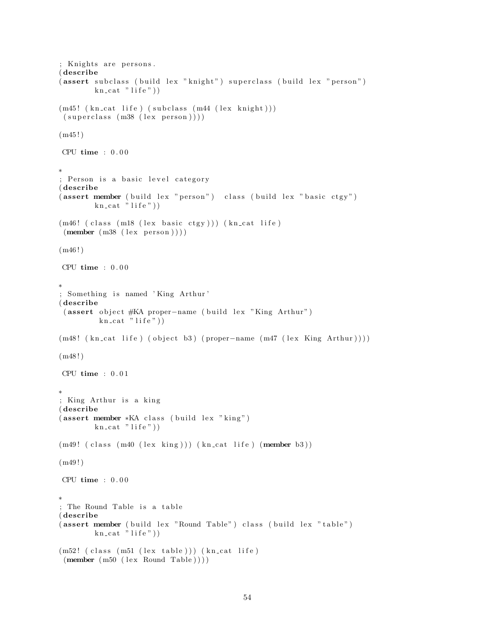```
; Knights are persons.
( describe
(assert subclass (build lex "knight") superclass (build lex "person")
        kn cat "life"))
(m45! (kn_cat life) (subclass (m44 (lex knight)))
(superclass (m38 (lex person)))(m45!)CPU time : 0.00∗
; Person is a basic level category
( describe
(assert member ( build lex " person") class ( build lex " basic ctgy")
        kn\_cat "life"))
(m46! (class (m18 (lex basic ctgy))) (kn_cat life)
(\text{member } (m38 (lex person))))(m46!)CPU time : 0.00∗
; Something is named 'King Arthur'
( describe
 ( assert object #KA proper-name ( build lex "King Arthur")
         kn\_cat "life"))
(m48! (kn_cat life) (object b3) (proper-name (m47 (lex King Arthur))))
(m48!)CPU time : 0.01∗
; King Arthur is a king
( describe
(assert member *KA class (build lex "king")
        kn\_cat "life"))
(m49! (class (m40 (lex king))) (kncat life) (member b3))(m49!)CPU time : 0 . 0 0
∗
; The Round Table is a table
( describe
(assert member ( build lex "Round Table") class ( build lex "table")
        kn\_cat "life"))
(m52! (class (m51 (lex table))) (kn_cat life)
 (member (m50 (lex Round Table)))
```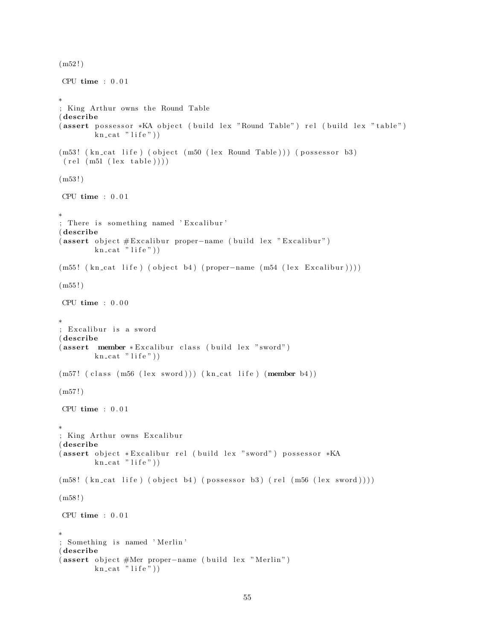```
(m52!)CPU time : 0.01∗
; King Arthur owns the Round Table
( describe
( assert possessor *KA object ( build lex "Round Table") rel ( build lex " table")
        kn\_cat "life")
(m53! (kn_cat life) (object (m50 (lex Round Table))) (possessor b3)
 (\text{rel} (\text{m51} (\text{lex table}))))(m53!)CPU time : 0.01∗
; There is something named 'Excalibur'
( describe
(assert object #Excalibur proper-name (build lex "Excalibur")
        kn\_cat "life"))
(m55! (kn\_cat life) (object b4) (proper−name (m54 (lex Excalibur))))
(m55!)CPU time : 0 . 0 0
∗
; Excalibur is a sword
( describe
( assert member * Excalibur class ( build lex " sword")
        kn cat "life"))
(m57! (class (m56 (lex sword))) (kn_cat life) (member b4))
(m57!)CPU time : 0.01∗
; King Arthur owns Excalibur
( describe
(assert object *Excalibur rel (build lex "sword") possessor *KA
        kn\_cat "life"))
(m58! (kn_cat life) (object b4) (possessor b3) (rel (m56 (lex sword))))
(m58!)CPU time : 0.01∗
; Something is named 'Merlin'
( describe
( assert object #Mer proper-name ( build lex "Merlin")
        kn\_cat "life"))
```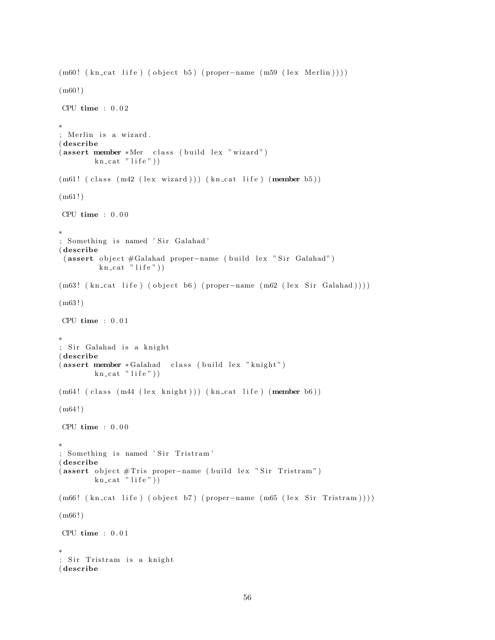```
(m60! (kn_cat life) (object b5) (proper-name (m59 (lex Merlin))))
(m60!)CPU time : 0 . 0 2
∗
; Merlin is a wizard.
( describe
(assert member *Mer class (build lex "wizard")
        kn\_cat "life"))
(m61! (class (m42 (lex wizard))) (kncat life) (member b5))(m61!)CPU time : 0.00∗
; Something is named 'Sir Galahad'
( describe
 ( assert object #Galahad proper-name ( build lex " Sir Galahad")
         kn\_cat "life"))
(m63! (kn_{cat} life) (object b6) (proper-name (m62 (lex Sir Galahad))))
(m63 ! )
CPU time : 0.01∗
; Sir Galahad is a knight
( describe
( assert member * Galahad class ( build lex "knight")
        kn\_cat "life"))
(m64! (class (m44 (lex knight))) (kn_cat life) (member b6))
(m64!)CPU time : 0.00∗
; Something is named 'Sir Tristram'
( describe
( assert object # Tris proper-name ( build lex " Sir Tristram")
        kn\_cat "life"))
(m66! (kn_cat life) (object b7) (proper-name (m65 (lex Sir Tristram))))
(m66!)CPU time : 0 . 0 1
∗
; Sir Tristram is a knight
( describe
```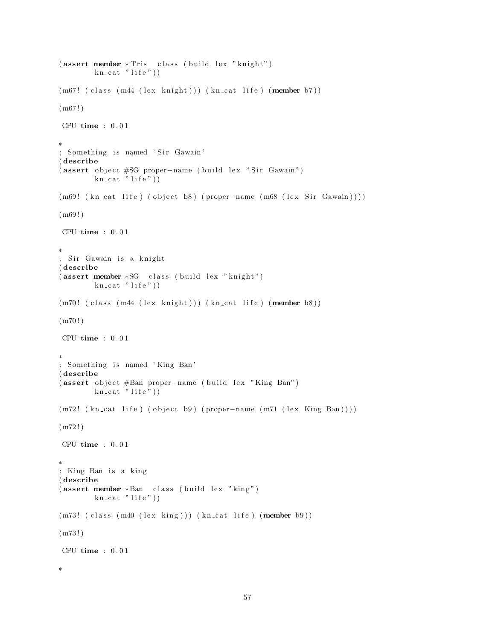```
(assert member *Tris class (build lex "knight")
        kn\_cat "life"))
(m67! (class (m44 (lex knight))) (kn_cat life) (member b7))
(m67!)CPU time : 0 . 0 1
∗
; Something is named 'Sir Gawain'
( describe
( assert object #SG proper-name ( build lex " Sir Gawain")
        \text{kn\_cat} " life")
(m69! (kn_cat life) (object b8) (proper-name (m68 (lex Sir Gawain))))
(m69!)CPU time : 0 . 0 1
∗
; Sir Gawain is a knight
( describe
(assert member *SG class (build lex "knight")
        kn cat "life"))
(m70! (class (m44 (lex knight))) (kn_cat life) (member b8))
(m70!)CPU time : 0.01∗
; Something is named 'King Ban'
( describe
(assert object #Ban proper-name (build lex "King Ban")
        \text{kn\_cat} " life"))
(m72! \ (kn\_cat \, life) \, (object \, b9) \, (proper-name \, (m71 \, (lex \, King \, Ban))))(m72!)CPU time : 0.01∗
; King Ban is a king
( describe
(assert member *Ban class (build lex "king")
        kn\_cat "life"))
(m73! ( class (m40 (lex king ))) (kn_cat life) (member b9))
(m73!)CPU time : 0.01∗
```

```
57
```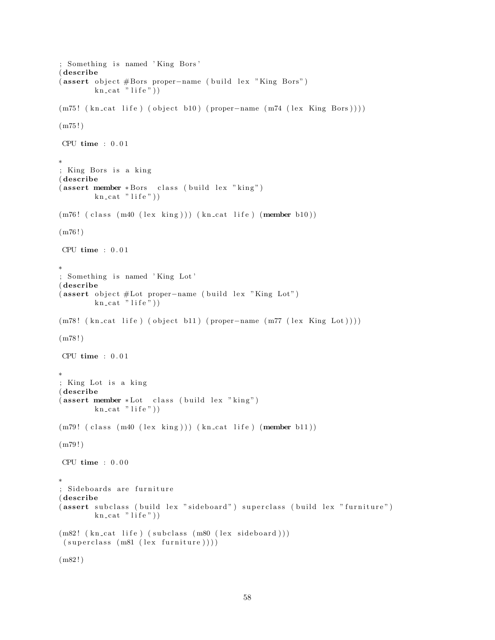```
; Something is named 'King Bors'
( describe
( assert object #Bors proper-name ( build lex "King Bors")
        kn cat " life"))
(m75! (kn\text{-cat life}) (object b10) (proper-name (m74 (lex King Bors)))(m75!)CPU time : 0 . 0 1
∗
; King Bors is a king
( describe
(assert member *Bors class (build lex "king")
        kn\_cat "life"))
(m76! (class (m40 (lex king))) (kn_cat life) (member b10))
(m76!)CPU time : 0 . 0 1
∗
; Something is named 'King Lot'
( describe
( assert object #Lot proper-name ( build lex "King Lot")
        kn\_cat "life"))
(m78! \ (kn\_cat \, life) \, (object \, b11) \, (proper-name \, (m77 \, (lex \, King \, Lot))))(m78 ! )
CPU time : 0.01∗
; King Lot is a king
( describe
(assert member * Lot class (build lex "king")
        kn\_cat "life"))
(m79! (class (m40 (lex king))) (kncat life) (member b11))(m79!)CPU time : 0.00∗
; Sideboards are furniture
( describe
(assert subclass (build lex "sideboard") superclass (build lex "furniture")
        kn\_cat "life"))
(m82! (kn_cat life) (subclass (m80 (lex sideboard)))
 (superclass (m81 (lex familiar)))(m82!)
```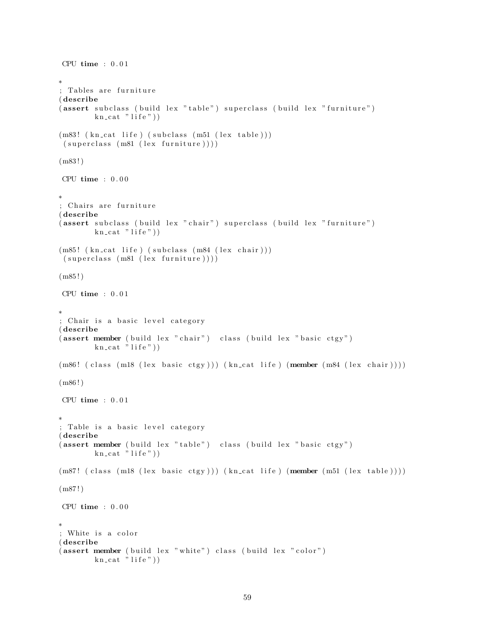```
CPU time : 0.01∗
; Tables are furniture
( describe
(assert subclass (build lex "table") superclass (build lex "furniture")
        kn\_cat "life")
(m83! (kn_cat life) (subclass (m51 (lex table)))
 (superclass (m81 (lex further))))(m83 ! )
CPU time : 0 . 0 0
∗
; Chairs are furniture
( describe
( assert subclass ( build lex " chair") superclass ( build lex " furniture")
        kn\_cat "life"))
(m85! (kn_cat life) (subclass (m84 (lex chair)))
 (superclass (m81 (lex familiar e))))(m85 ! )
CPU time : 0.01∗
; Chair is a basic level category
( describe
(assert member (build lex "chair") class (build lex "basic ctgy")kn\_cat "life"))
(m86! ( class (m18 ( lex basic ctgy ) ) ) ( kn_cat life ) (member (m84 ( lex chair ) ) ) )
(m86!)CPU time : 0.01∗
; Table is a basic level category
( describe
(assert member ( build lex "table") class ( build lex "basic ctgy")
        kn\_cat "life")
(m87! ( class (m18 (lex basic ctgy))) (kn_cat life) (member (m51 (lex table))))
(m87!)CPU time : 0.00∗
; White is a color
( describe
(assert member (build lex "white") class (build lex "color")
        kn\_cat "life"))
```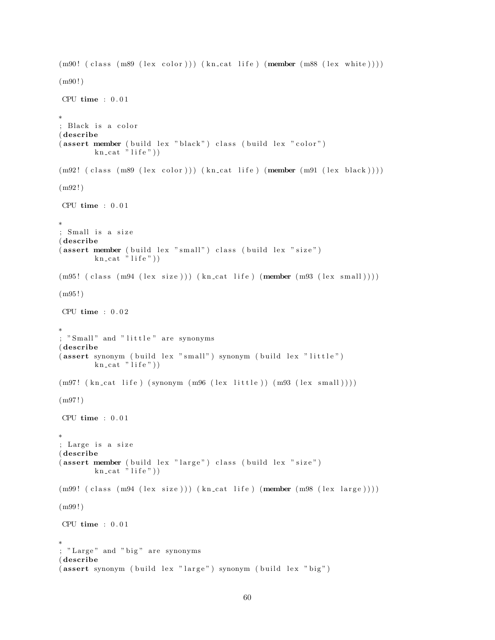```
(m90! (class (m89 (lex color))) (kn_cat life) (member (m88 (lex white))))
(m90!)CPU time : 0 . 0 1
∗
 Black is a color
( describe
(assert member ( build lex " black") class ( build lex " color")
         kn cat \overrightarrow{r} life")
(m92! \text{ (class } (m89 \text{ (lex color)})) (kn\_cat \text{ life}) (member (m91 \text{ (lex black)})))(m92!)CPU time : 0.01∗
; Small is a size
( describe
(assert member (build lex "small") class (build lex "size")kn cat "life"))
(m95! (class (m94 (lex size))) (kn_cat life) (member (m93 (lex small))))
(m95 ! )
CPU time : 0 . 0 2
∗
; "Small" and "little" are synonyms
( describe
(assert synonym ( build lex " small" ) synonym ( build lex " little" )
        kn\_cat "life"))
(m97! \ (kn\_cat \, life \,) \ (symonym \, (m96 \, (lex \, little \,)) \, (m93 \, (lex \, small \,)))(m97!)CPU time : 0.01∗
; Large is a size
( describe
(assert member ( build lex "large") class ( build lex " size")
        kn\_cat "life")
(m99! (class (m94 (lex size))) (kncat life) (member (m98 (lex large))))(m99 ! )
CPU time : 0.01∗
; "Large" and "big" are synonyms
( describe
(assert synonym ( build lex "large") synonym ( build lex " big")
```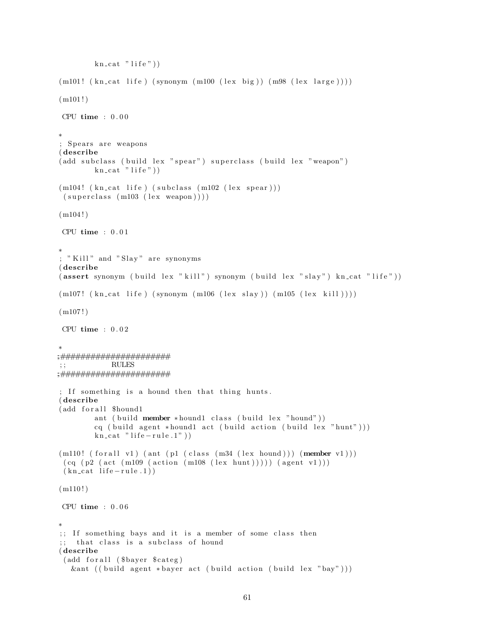```
kn\_cat "life")
(m101! (kn\_cat life ) (synonym (m100 (lex big )) (m98 (lex large ))))(m101!)CPU time : 0 . 0 0
∗
; Spears are weapons
( describe
(add subclass (build lex "spear") superclass (build lex "weapon")
         kn\_cat "life"))
(m104! (kn_cat life) (subclass (m102 (lex spear)))
 (superclass (m103 (lex weapon))))(m104!)CPU time : 0 . 0 1
∗
; "Kill" and "Slay" are synonyms
( describe
( assert synonym ( build lex "\text{kill}" ) synonym ( build lex "\text{slay}" ) kn_cat "life" ) )
(m107! (kn_{cat} life ) (synonym (m106 (lex slay )) (m105 (lex kil ))))(m107!)CPU time : 0 . 0 2
∗
\begin{array}{l} \begin{array}{c} \ast\#HHHHHHHHHHHHHHHHHHHHHH\\ \ast\end{array} ; \begin{array}{c} \begin{array}{c} \begin{array}{c} \text{RULES} \end{array} \end{array} \end{array}\rm RULES;;######################
; If something is a hound then that thing hunts.
( describe
(add for all $hound1
         ant ( build member * hound1 class ( build lex "hound"))
          cq ( build agent *hound1 act ( build action ( build lex " hunt" ) ) )
         kn cat " life - rule . 1"))
(m110! (for all v1) (ant ( p1 (class (m34 (lex hound))) (member v1)))(cq (p2 (act (m109 (action (m108 (lex hunt)))) (agent v1)))(kn \text{ cat } life-rule.1))(m110!)CPU time : 0 . 0 6
∗
;; If something bays and it is a member of some class then
;; that class is a subclass of hound
( describe
 (add for all ($bayer $ categ)
   &ant ((build agent *bayer act (build action (build lex "bay")))
```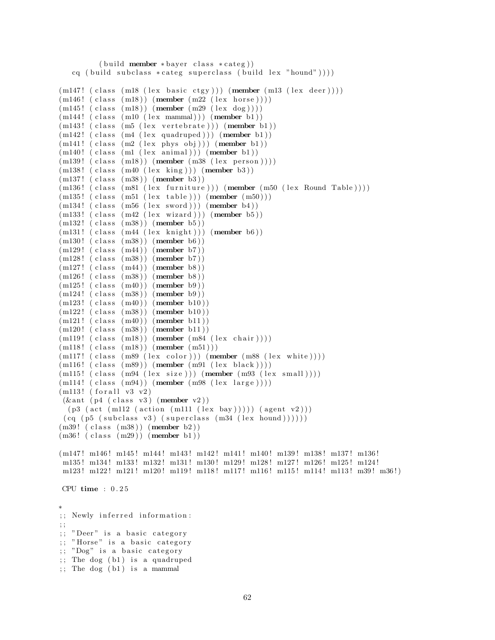```
(b uild member * bayer class * categ))
   cq ( build subclass * \text{category (build lex "hound")))
(m147! (class (m18 (lex basic ctgy))) (member (m13 (lex deer))))
(m146!~(class~(m18))~(member~(m22~(lex ~horse))))(m145! (class (m18)) (member (m29 (lex dog))))
(m144! (class (m10 (lex mammal))) (member b1))
(m143! (class (m5 (lex vertebrate))) (member b1))
(m142! (class (m4 (lex quadruped))) (member b1))
(m141! (class (m2 (lex phys obj))) (member b1))(m140! (class (ml (lex animal))) (member b1))(m139! \text{ (class (m18)) (member (m38 (lex person))))})(m138! (class (m40 (lex king))) (member b3))
(m137! (class (m38)) (member b3))
(m136! (class (m81 (lex furniture))) (member (m50 (lex Round Table))))
(m135! \text{ (class } (m51 \text{ (lex table)})) (\text{member } (m50)))(m134! (class (m56 (lex sword))) (member b4))
(m133! (class (m42 (lex wizard))) (member b5))
(m132! (class (m38)) (member b5))(m131! (class (m44 (lex knight))) (member b6))
(m130! (class (m38)) (member b6))(m129! (class (m44)) (member b7))
(m128! (class (m38)) (member b7))
(m127! (class (m44)) (member b8))(m126! (class (m38)) (member b8))
(m125! (class (m40)) (member b9)(m124! (class (m38)) (member b9))(m123! (class (m40)) (member b10))(m122! (class (m38)) (member b10))(m121! (class (m40)) (member b11))(m120! (class (m38)) (member b11))(m119! (class (m18)) (member (m84 (lex chair))))(m118! (class (m18)) (member (m51)))(m117! (class (m89 (lex color))) (member (m88 (lex white))))
(m116! (class (m89)) (member (m91 (lex black))))(m115! (class (m94 (lex size))) (member (m93 (lex small))))(m114! (class (m94)) (member (m98 (lex large))))(m113! (for all v3 v2))(\& ant (p4 \text{ (class v3) (member v2) })(p3 (act (m112 (action (m111 (lex bay)))) (agent v2)))(cq (p5 (subclass v3) (superclass (m34 (lex bound))))))(m39! \text{ (class } (m38)) \text{ (member } b2))(m36! (class (m29)) (member b1))
(m147! m146! m145! m144! m143! m142! m141! m140! m139! m138! m137! m136!
m135 ! m134 ! m133 ! m132 ! m131 ! m130 ! m129 ! m128 ! m127 ! m126 ! m125 ! m124 !
m123! m122! m121! m120! m119! m118! m117! m116! m115! m114! m113! m39! m36!)
CPU time : 0 . 2 5
∗
;; Newly inferred information:
; ;
;; "Deer" is a basic category
;; "Horse" is a basic category
;; "Dog" is a basic category
;; The dog (b1) is a quadruped
;; The dog (b1) is a mammal
```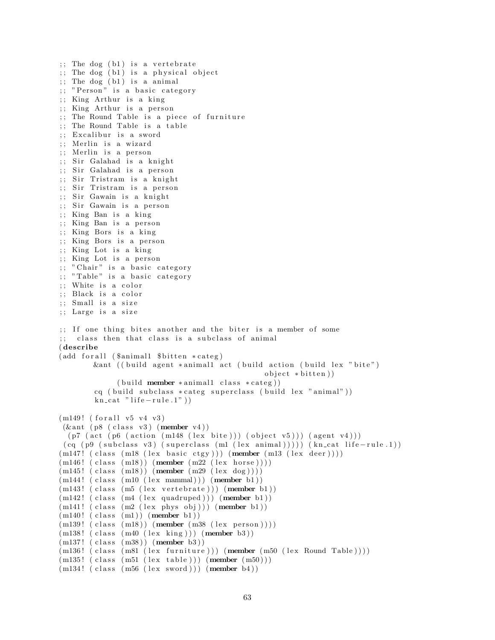$\therefore$  The dog (b1) is a vertebrate  $;$  The dog  $(b1)$  is a physical object ;; The dog (b1) is a animal ;; "Person" is a basic category  $;$  King Arthur is a king ;; King Arthur is a person  $\gamma$ ; The Round Table is a piece of furniture ;; The Round Table is a table ;; Excalibur is a sword ;; Merlin is a wizard ;; Merlin is a person ;; Sir Galahad is a knight ;; Sir Galahad is a person ;; Sir Tristram is a knight ;; Sir Tristram is a person ;; Sir Gawain is a knight ;; Sir Gawain is a person ;; King Ban is a king ;; King Ban is a person ;; King Bors is a king ;; King Bors is a person ;; King Lot is a king ;; King Lot is a person ;; " Chair" is a basic category  $;$  "Table" is a basic category ;; White is a color ;; Black is a color ;; Small is a size ;; Large is a size ;; If one thing bites another and the biter is a member of some ;; class then that class is a subclass of animal ( describe  $(add for all (Samimal1 8bitten *category)$ &ant ((build agent \*animal1 act (build action (build lex "bite")  $object * bitten)$ )  $(buid member * animal1 class * category))$ cq ( build subclass \* categ superclass ( build lex " animal"))  $kn\_cat$  " life  $-rule.1"$ )  $(m149! (for all v5 v4 v3)$  $(\&$  ant ( $p8$  (class v3) (member v4))  $(p7 (act (p6 (action (m148 (lex bite))) (object v5))) (agent v4)))$  $(cq (p9 (subclass v3) (superclass (ml (lex animal)))))(kncat life-rule.1))$  $(m147!$  (class  $(m18$  (lex basic ctgy))) (member  $(m13$  (lex deer))))  $(m146!~(class~(m18))~(member~(m22~(lex ~horse))))$  $(m145!$  (class  $(m18)$ ) (member  $(m29 \text{ (lex dog)}))$ )  $(m144!$  (class  $(m10$  (lex mammal))) (member b1))  $(m143!$  (class  $(m5$  (lex vertebrate))) (member b1))  $(m142! (class (m4 (lex quadruped))) (member b1))$  $(m141! (class (m2 (lex phys obj))) (member b1))$  $(m140! (class (ml)) (member b1))$  $(m139! \text{ (class } (m18)) \text{ (member } (m38 \text{ (lex person)})))$  $(m138! \text{ (class } (m40 \text{ (lex } king))) \text{ (member } b3))$  $(m137!~(class~(m38))~(member~b3))$  $(m136! (class (m81 (lex farniture))) (member (m50 (lex Round Table))))$  $(m135! \text{ (class } (m51 \text{ (lex table)})) (member (m50)))$  $(m134!$  (class  $(m56$  (lex sword))) (member b4))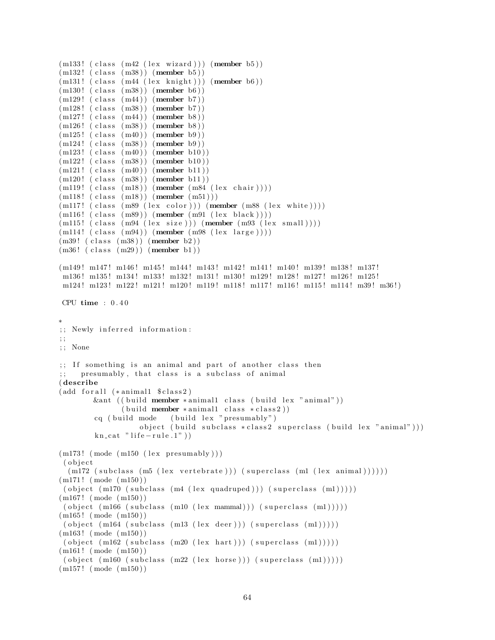```
(m133! (class (m42 (lex wizard))) (member b5))
(m132! (class (m38)) (member b5))(m131! (class (m44 (lex knight))) (member b6))(m130! (class (m38)) (member b6))
(m129! (class (m44)) (member b7))(m128! (class (m38)) (member b7))
(m127! (class (m44)) (member b8))
(m126! (class (m38)) (member b8))
(m125! (class (m40)) (member b9)(m124! (class (m38)) (member b9))
(m123! (class (m40)) (member b10))(m122! (class (m38)) (member b10))(m121! (class (m40)) (member b11))(m120! (class (m38)) (member b11))
(m119! (class (m18)) (member (m84 (lex chair))))(m118! (class (m18)) (member (m51)))(m117! (class (m89 (lex color))) (member (m88 (lex white))))(m116! (class (m89)) (member (m91 (lex black))))
(m115! (class (m94 (lex size))) (member (m93 (lex small))))(m114!~(class~(m94))~(member~(m98~(lex large))))(m39! (class (m38)) (member b2))
(m36! (class (m29)) (member b1))
(m149! m147! m146! m145! m144! m143! m142! m141! m140! m139! m138! m137!
m136 ! m135 ! m134 ! m133 ! m132 ! m131 ! m130 ! m129 ! m128 ! m127 ! m126 ! m125 !
m124! m123! m122! m121! m120! m119! m118! m117! m116! m115! m114! m39! m36!)
CPU time : 0 . 4 0
∗
;; Newly inferred information:
; ;
; ; None
;; If something is an animal and part of another class then
    presumably, that class is a subclass of animal
( describe
(add for all <math>*</math> animal1 <math>$class 2 )</math>)&ant ((build member *animal1 class (build lex "animal"))
               (\text{build member } * \text{animal1 class } * \text{class2}))cq ( build mode ( build lex " presumably" )
                   object ( build subclass * class2 superclass ( build lex "animal")))
        kn\_cat " life -rule.1")
(m173! \pmod{m150} \text{ (lex presumably)}( o b j e c t
  (m172 \text{ (subclass (m5 (lex vertebrate))) (superclass (ml (lex animal))))(m171! \pmod{m150})( object (m170 (subclass (m4 (lex quadruped))) (superclass (m1)))))
(m167 ! ( mode ( m150 ) )
 ( object ( m166 ( subclass ( m10 ( lex  mammal))) ( superclass ( m1)))))(m165! (mode (m150))
 ( object (m164 (subclass (m13 (lex deer))) (superclass (m1)))))(m163 ! ( mode ( m150 ) )
 ( object (m162 (subclass (m20 (lex hart))) (superclass (m1))))(m161! \pmod{m150})( object (m160 (subclass (m22 (lex horse))) (superclass (m1))))(m157! \pmod{m150})
```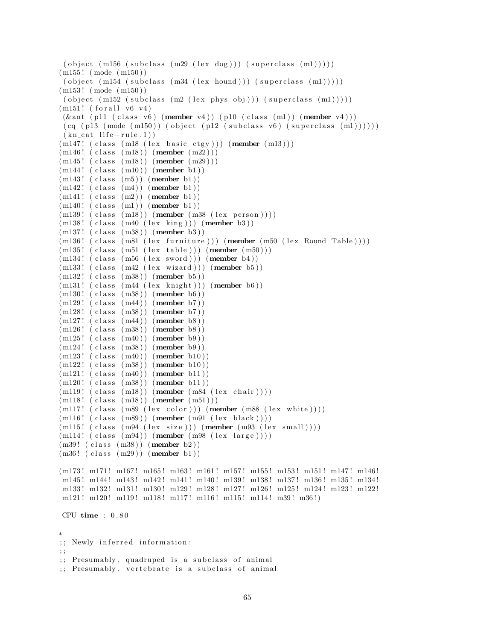```
( object (m156 (subclass (m29 (lex dog))) (superclass (m1))))
(m155 ! ( mode ( m150 ) )
 ( object (m154 (subclass (m34 (lex hound))) (superclass (m1))))(m153 ! ( mode ( m150 ) )
 ( object (m152 (subclass (m2 (lex phys obj))) (superclass (ml))))(m151! (for all v6 v4)
(\& ant ( p11 ( class v6) (member v4)) ( p10 ( class (m1)) (member v4)))
(cq (p13 (mode (m150)) (object (p12 (subclass v6) (superclass (m1))))))(kn_{\text{cat}} life -rule.1)(m147! ( class (m18 (lex basic ctgy))) (member (m13)))
(m146! (class (m18)) (member (m22)))
(m145! (class (m18)) (member (m29)))
(m144!~(class~(m10))~(member~b1))(m143! (class (m5)) (member b1))
(m142! (class (m4)) (member b1))(m141! (class (m2)) (member b1))(m140! (class (ml)) (member b1))(m139! (class (m18)) (member (m38 (lex person))))(m138! (class (m40 (lex king))) (member b3))(m137! (class (m38)) (member b3))
(m136! (class (m81 (lex farniture))) (member (m50 (lex Round Table))))(m135! (class (m51 (lex table))) (member (m50)))
(m134! (class (m56 (lex sword))) (member b4))
(m133! \text{ (class } (m42 \text{ (lex } wizard))) (member b5))
(m132! (class (m38)) (member b5))(m131! (class (m44 (lex knight))) (member b6))(m130! (class (m38)) (member b6)(m129! (class (m44)) (member b7))(m128! (class (m38)) (member b7))
(m127!~(class~(m44))~(member~b8))(m126! (class (m38)) (member b8))
(m125! (class (m40)) (member b9)(m124! (class (m38)) (member b9))
(m123! (class (m40)) (member b10))
(m122! (class (m38)) (member b10))(m121! (class (m40)) (member b11))(m120! (class (m38)) (member b11))
(m119! (class (m18)) (member (m84 (lex chair))))(m118!~(class~(m18))~(member~(m51)))(m117! \text{ (class (m89 (lex color))) (member (m88 (lex white))))(m116! (class (m89)) (member (m91 (lex black))))(m115! (class (m94 (lex size))) (member (m93 (lex small))))(m114! (class (m94)) (member (m98 (lex large))))(m39! \text{ (class } (m38)) \text{ (member } b2))(m36! \text{ (class } (m29)) \text{ (member } b1))(m173! m171! m167! m165! m163! m161! m157! m155! m153! m151! m147! m146!
m145! m144! m143! m142! m141! m140! m139! m138! m137! m136! m135! m134!
m133 ! m132 ! m131 ! m130 ! m129 ! m128 ! m127 ! m126 ! m125 ! m124 ! m123 ! m122 !
m121! m120! m119! m118! m117! m116! m115! m114! m39! m36!)
CPU time : 0.80∗
;; Newly inferred information:
; ;
;; Presumably, quadruped is a subclass of animal
```
<sup>;;</sup> Presumably, vertebrate is a subclass of animal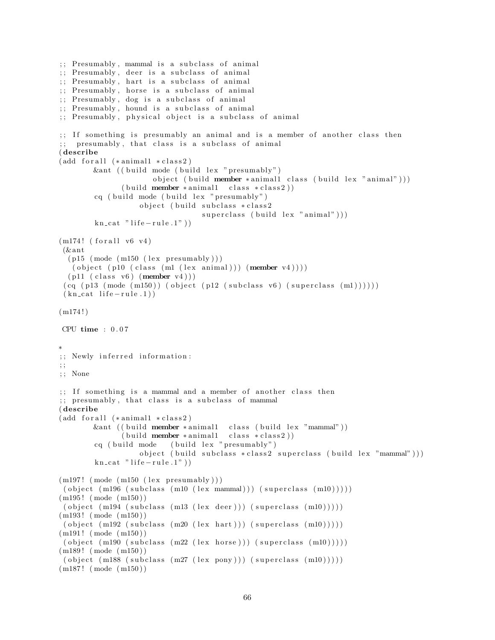```
\ldots Presumably, mammal is a subclass of animal
;; Presumably, deer is a subclass of animal
;; Presumably, hart is a subclass of animal
;; Presumably, horse is a subclass of animal
;; Presumably, dog is a subclass of animal
;; Presumably, hound is a subclass of animal
;; Presumably, physical object is a subclass of animal
\gamma;; If something is presumably an animal and is a member of another class then
;; presumably, that class is a subclass of animal
( describe
(add for all (* animal1 * class 2))\&ant (( build mode ( build lex " presumably")
                      object ( build member * animal1 class ( build lex " animal" ) )
              (buid member * animal1 class * class 2))cq ( build mode ( build lex " presumably")
                  object ( build subclass * class2
                                 superclass ( build lex "animal" ) )
        kn\_cat " life - rule .1" )(m174! (for all v6 v4)
 (\& ant
  (p15 \pmod{m150} (lex presumably))
   ( object ( p10 ( class (m1 (lex animal))) (member v4)))(p11 (class v6) (member v4) ))(cq (p13 (mode (m150)) (object (p12 (subclass v6) (superclass (m1))))))(kn \text{ cat } life-rule.1))(m174!)CPU time : 0 . 0 7
∗
;; Newly inferred information:
; ;
; ; None
;; If something is a mammal and a member of another class then
;; presumably, that class is a subclass of mammal
( describe
(add for all (* animal1 * class 2))&ant ((build member *animal1 class (build lex "mammal"))
              (buid member * animal1 class * class 2))cq ( build mode ( build lex " presumably" )
                  object ( build subclass * class2 superclass ( build lex "mammal")))
        kn\_cat " life -rule.1")
(m197! \pmod{m150} (lex presumably)))
 ( object (m196 (subclass (m10 (lex mammal))) (superclass (m10)))))(m195! (mode (m150))
 ( object (m194 (subclass (m13 (lex deer))) (superclass (m10)))))(m193! (mode (m150))
 ( object (m192 (subclass (m20 (lex hart))) (superclass (m10))))(m191! \pmod{m150})( object (m190 (subclass (m22 (lex horse))) (superclass (m10)))))(m189! (mode (m150))
 ( object (m188 (subclass (m27 (lex pony))) (superclass (m10)))))(m187 ! ( mode ( m150 ) )
```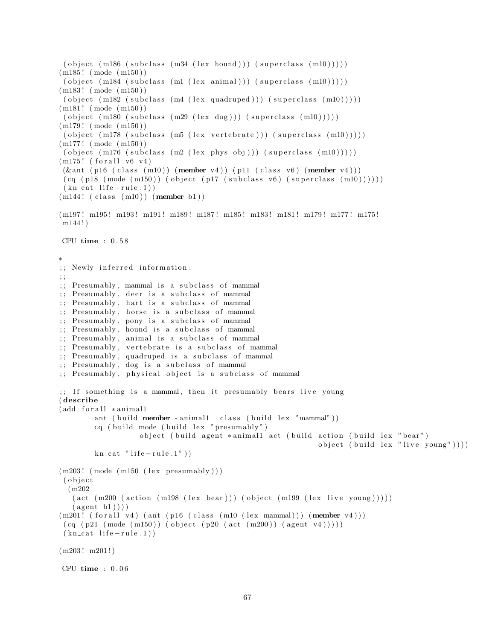```
( object (m186 (subclass \ (m34 \ (lex \ bound))) (superclass \ (m10))))(m185 ! ( mode ( m150 ) )
 ( object (m184 (subclass (ml (lex animal))) (superclass (ml0))))(m183 ! ( mode ( m150 ) )
 ( object (m182 (subclass (m4 (lex quadruped))) (superclass (m10))))(m181! \pmod{m150})( object (m180 (subclass (m29 (lex dog))) (superclass (m10))))(m179 ! ( mode ( m150 ) )
( object (m178 (subclass (m5 (lex vertebrate))) (superclass (m10)))))
(m177 ! ( mode ( m150 ) )
( object (m176 (subclass (m2 (lex phys obj))) (superclass (m10)))))(m175! (for all v6 v4)
(\& ant (p16 (class (m10)) (member v4)) (p11 (class v6) (member v4)))
 (cq (p18 (mode (m150)) (object (p17 (subclass v6) (superclass (m10))))))(kn_{cat} life -rule.1))
(m144!~(class~(m10))~(member~b1))(m197! m195! m193! m191! m189! m187! m185! m183! m181! m179! m177! m175!
m144 ! )
CPU time : 0 . 5 8
∗
;; Newly inferred information:
; ;
;; Presumably, mammal is a subclass of mammal
;; Presumably, deer is a subclass of mammal
;; Presumably, hart is a subclass of mammal
;; Presumably, horse is a subclass of mammal
;; Presumably, pony is a subclass of mammal
;; Presumably, hound is a subclass of mammal
;; Presumably, animal is a subclass of mammal
;; Presumably, vertebrate is a subclass of mammal
;; Presumably, quadruped is a subclass of mammal
;; Presumably, dog is a subclass of mammal
;; Presumably, physical object is a subclass of mammal
;; If something is a mammal, then it presumably bears live young
( describe
(add for all * animal1)ant ( build member * animal1 class ( build lex "mammal"))
        cq ( build mode ( build lex " presumably")
                   object ( build agent *animal1 act ( build action ( build lex " bear")
                                                              object ( build lex "live young" )))
        kn\_cat " life -rule.1")
(m203! \pmod{m150} (lex presumably))
( o b j e c t
  (m202
   (\text{act } (m200 \text{ (action } (m198 \text{ (lex } bear))) (\text{object } (m199 \text{ (lex } live young))))(\text{agent } b1)))(m201! (for all v4) (ant (p16 (class (m10 (lex mammal))) (member v4)))(cq (p21 (mode (m150)) (object (p20 (act (m200)) (agent v4))))(kn_{\text{cat}}\text{life}-rule.1))
(m203! m201!)CPU time : 0 . 0 6
```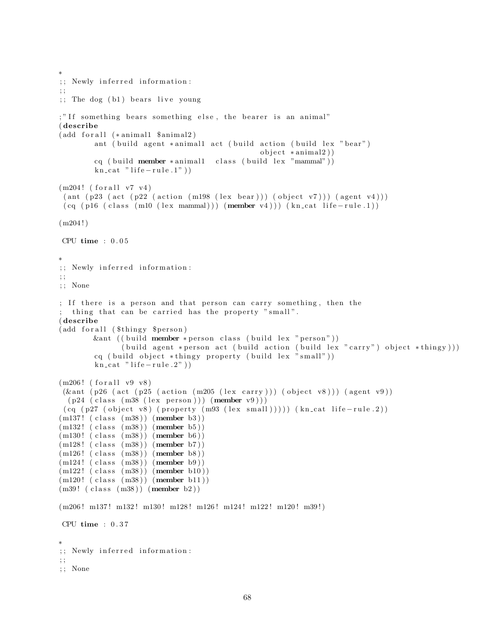```
∗
;; Newly inferred information:
\therefore; The dog (b1) bears live young
;" If something bears something else, the bearer is an animal"
( describe
(add for all <math>*</math> animal1 <math>$animal2)</math>)ant ( build agent *animal1 act ( build action ( build lex " bear")
                                                  object * animal2)cq ( build member *animal1 class ( build lex "mammal"))
         kn\_cat " life -rule.1")
(m204! (for all v7 v4)
 (\text{ant } (p23 \text{ (act } (p22 \text{ (action } (m198 \text{ (lex } bear))) \text{ (object } v7))) (\text{agent } v4)))(cq (p16 (class (m10 (lex mammal))) (member v4))) (kn_cat life-rule.1))(m204!)CPU time : 0 . 0 5
∗
;; Newly inferred information:
; ;
; ; None
; If there is a person and that person can carry something, then the
 thing that can be carried has the property "small".
( describe
(add for all ($thingy $person)
        kant ( ( build member * person class ( build lex " person"))
               ( build agent * person act ( build action ( build lex "carry") object * thingy)))
         cq ( build object *thingy property ( build lex "small"))
         kn\_cat " life -rule.2"))
(m206! (for all v9 v8))(\& ant (p26 (act (p25 (action (m205 (lex carry))) (object v8))) (agent v9))
  (p24 \text{ (class } (m38 \text{ (lex person)})) (member v9)))(cq (p27 (object v8) (property (m93 (lex small)))))(kn_cat life-rule.2))(m137! (class (m38)) (member b3))(m132! (class (m38)) (member b5))(m130! (class (m38)) (member b6))
(m128! (class (m38)) (member b7))
(m126! (class (m38)) (member b8))
(m124! (class (m38)) (member b9))
(m122! (class (m38)) (member b10))
(m120! (class (m38)) (member b11))(m39! \text{ (class } (m38)) \text{ (member } b2))(m206! m137! m132! m130! m128! m126! m124! m122! m120! m39!)
CPU time : 0 . 3 7
∗
;; Newly inferred information:
; ;
; ; None
```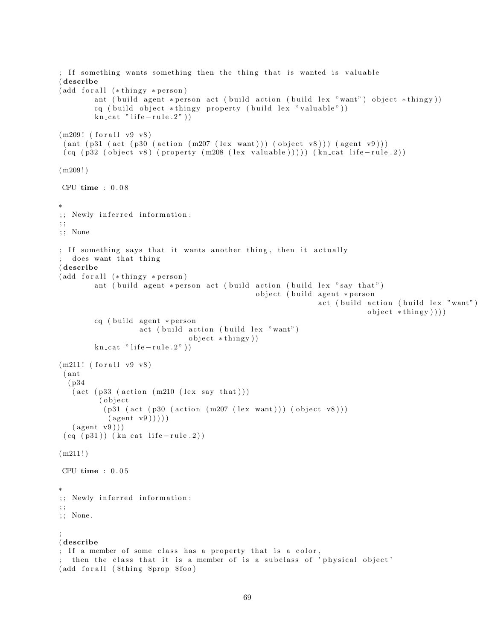```
; If something wants something then the thing that is wanted is valuable
( describe
(add for all <math>(*thingy * person)ant ( build agent * person act ( build action ( build lex "want") object * thingy))
        cq ( build object *thingy property ( build lex " valuable"))
        kn\_cat " life -rule.2")
(m209! (for all v9 v8)
 ( ant ( p31 ( act ( p30 ( action (m207 ( lex want)))( object v8)))( agent v9)))(cq (p32 (object v8) (property (m208 (lex valuable)))))(kn-cut life-rule.2))(m209!)CPU time : 0 . 0 8
∗
;; Newly inferred information:
; ;
; ; None
; If something says that it wants another thing, then it actually
  does want that thing
( describe
(add for all <math>(*thingy * person)ant ( build agent * person act ( build action ( build lex " say that")
                                                object (build agent *person
                                                               act (build action (build lex "want")
                                                                            object * thing y ))cq ( build agent * person
                   act (build action (build lex "want")
                               object * thing y )kn\_cat " life -rule.2"))
(m211! (for all v9 v8))( ant
  ( p34
   (\text{act } (p33 \text{ (action } (m210 \text{ (lex say that })))( object(p31 (act (p30 (action (m207 (lex want)))) (object v8)))(\text{agent } v9))))
   (\text{agent v9}))(cq (p31)) (kncat life-rule.2))(m211!)CPU time : 0 . 0 5
∗
;; Newly inferred information:
; ;
; ; None .
;
( describe
; If a member of some class has a property that is a color,
 then the class that it is a member of is a subclass of 'physical object'
(add for all ($thing $prop $ foo)
```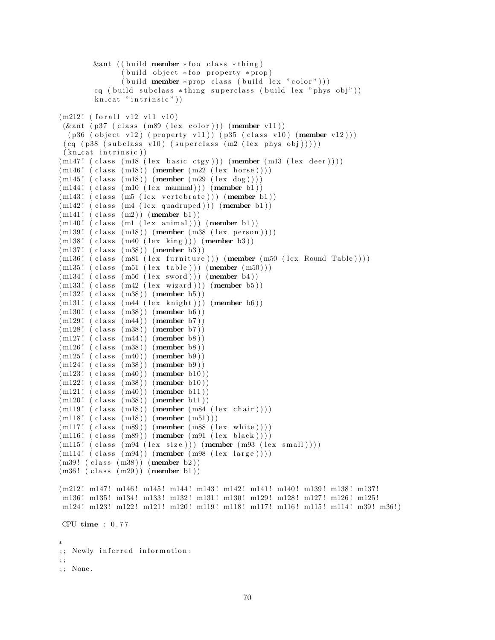```
&ant (( build member * foo class * thing)
              (buid object * foo property * prop)(\text{build member *prop class } (\text{build lex " color"))})cq ( build subclass *thing superclass ( build lex " phys obj"))
        kn\_cat " intrinsic" ))(m212! (for all v12 v11 v10)(\& ant (p37 (class (m89 (lex color))) (member v11))
  (p36 (object v12) (property v11)) (p35 (class v10) (member v12)))(cq (p38 (subclass v10) (superclass (m2 (lex phys obj))))(kn_{\text{cat}} \text{ intrinsic}))(m147! (class (m18 (lex basic ctgy))) (member (m13 (lex deer))))
(m146!~(class~(m18))~(member~(m22~(lex ~horse))))(m145! (class (m18)) (member (m29 \text{ (lex dog)})))
(m144!~(class~(m10~(lex~mannal)))~(member~b1))(m143! (class (m5 (lex vertebrate))) (member b1))
(m142! (class (m4 (lex quadruped))) (member b1))
(m141! (class (m2)) (member b1))(m140! (class (m1 (lex animal))) (member b1))
(m139! (class (m18)) (member (m38 (lex person))))
(m138! (class (m40 (lex king))) (member b3))
(m137! (class (m38)) (member b3))
(m136! (class (m81 (lex furniture))) (member (m50 (lex Round Table))))
(m135! (class (m51 (lex table))) (member (m50)))
(m134! (class (m56 (lex sword))) (member b4))
(m133! (class (m42 (lex wizard))) (member b5))(m132! \text{ (class } (m38)) \text{ (member } b5))(m131! (class (m44 (lex knight))) (member b6))(m130! (class (m38)) (member b6))(m129! (class (m44)) (member b7))(m128! (class (m38)) (member b7))
(m127! (class (m44)) (member b8))
(m126! (class (m38)) (member b8))
(m125! (class (m40)) (member b9)(m124!~(class~(m38))~(member~b9))(m123! (class (m40)) (member b10))(m122! (class (m38)) (member b10))(m121! (class (m40)) (member b11))(m120! (class (m38)) (member b11))(m119! (class (m18)) (member (m84 (lex chair))))(m118! (class (m18)) (member (m51)))(m117! (class (m89)) (member (m88 (lex white))))(m116! (class (m89)) (member (m91 (lex black))))(m115! (class (m94 (lex size))) (member (m93 (lex small))))(m114!~(class~(m94))~(member~(m98~(lex~large))))(m39! \text{ (class } (m38)) \text{ (member } b2))(m36! (class (m29)) (member b1))
(m212! m147! m146! m145! m144! m143! m142! m141! m140! m139! m138! m137!
m136 ! m135 ! m134 ! m133 ! m132 ! m131 ! m130 ! m129 ! m128 ! m127 ! m126 ! m125 !
m124! m123! m122! m121! m120! m119! m118! m117! m116! m115! m114! m39! m36!)
CPU time : 0.77∗
;; Newly inferred information:
; ;
; ; None .
```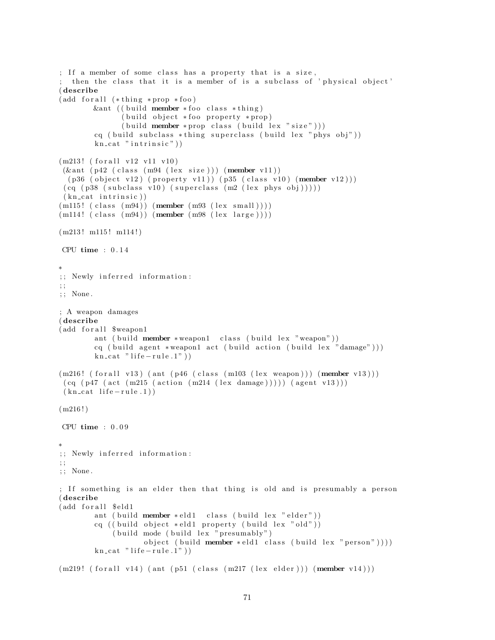```
; If a member of some class has a property that is a size,
 then the class that it is a member of is a subclass of 'physical object'
( describe
(add for all <math>(*thing * prop * foo)</math>)kant ( ( build member * foo class * thing )
               (buid object * foo property * prop)(\text{build member } * \text{prop class } (\text{build lex } " \text{ size }"))cq ( build subclass *thing superclass ( build lex " phys obj"))
        kn\_cat " in trinsic")
(m213! (for all v12 v11 v10)(\& ant (p42 (class (m94 (lex size))) (member v11))
  (p36 (object v12) (property v11)) (p35 (class v10) (member v12)))(cq (p38 (subclass v10) (superclass (m2 (lex phys obj))))(kn_{\text{cat}}\text{ intrinsic}))(m115! (class (m94)) (member (m93 (lex small))))(m114!~(class~(m94))~(member~(m98~(lex large))))(m213! \text{ m}115! \text{ m}114!)CPU time : 0 . 1 4
∗
;; Newly inferred information:
; ;
; ; None .
; A weapon damages
( describe
(add for all $weapon1
        ant ( build member * weapon1 class ( build lex "weapon"))
        cq ( build agent *weapon1 act ( build action ( build lex "damage") ) )
        kn cat " life - rule.1")(m216! (for all v13) (ant (p46 (class (m103 (lex weapon)))) (member v13)))(cq (p47 (act (m215 (action (m214 (lex damage)))))(agent v13)))(kn_{\text{cat}}\text{life}-rule.1)(m216!)CPU time : 0 . 0 9
∗
;; Newly inferred information:
; ;
; ; None .
; If something is an elder then that thing is old and is presumably a person
( describe
(add for all $ eld1
        ant ( build member * eld1 class ( build lex " elder"))
        cq ( ( build object *eld1 property ( build lex "old"))
             ( build mode ( build lex " presumably")
                     object ( build member * eld1 class ( build lex " person" ) ) ) )
        kn\_cat " life -rule.1")
(m219! (for all v14) (ant (p51 (class (m217 (lex elder))) (member v14)))
```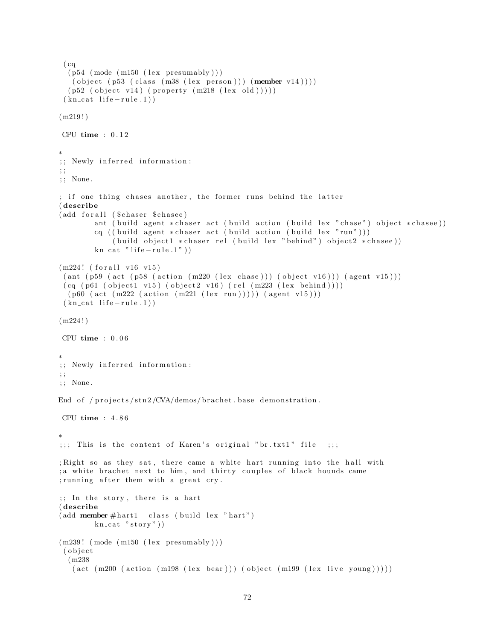```
(cq)(p54 \ (mode \ (m150 \ (lex \ presumably)))( object (p53 (class (m38 (lex person))) (member v14))))
  (p52 (object v14) (property (m218 (lex old))))(kn_{\text{cat}}\text{life}-rule.1)(m219!)CPU time : 0 . 1 2
∗
;; Newly inferred information:
; ;
; ; None .
; if one thing chases another, the former runs behind the latter
( describe
(add for all ($chaser $ chase e)
         ant ( build agent * chaser act ( build action ( build lex " chase") object * chasee))
         cq (( build agent * chaser act (\text{build action } (\text{build lex } "run"))(build object1 * \text{chaser rel} (build lex "behind") object2 * \text{chase})kn cat " life - rule.1")(m224! (for all v16 v15))( ant ( p59 ( act ( p58 ( action (m220 (lex \; \text{chase}))) ( ( b ject v16))) ( agent v15)))(cq (p61 (object1 v15) (object2 v16) (rel (m223 (lex behind))))(p60 (act (m222 (action (m221 (lex run)))) (agent v15)))(kn_{\text{cat}}\text{life}-rule.1)(m224!)CPU time : 0 . 0 6
∗
;; Newly inferred information:
; ;
; ; None .
End of /projects/stn2/CVA/demos/brachet.base demonstration.
CPU time : 4 . 8 6
∗
;;;; This is the content of Karen's original "br.txt1" file ;;;
; Right so as they sat, there came a white hart running into the hall with
; a white brachet next to him, and thirty couples of black hounds came
; running after them with a great cry.
;; In the story, there is a hart
( describe
(\text{add member #hart1 class } (\text{build lex "hart")})kn cat "stop"))
(m239! \pmod{m150} \text{ (lex presumably)}( o b j e c t
  (m238
   (\text{act } (m200 \text{ (action } (m198 \text{ (lex bear)}))) (\text{object } (m199 \text{ (lex live young)})))
```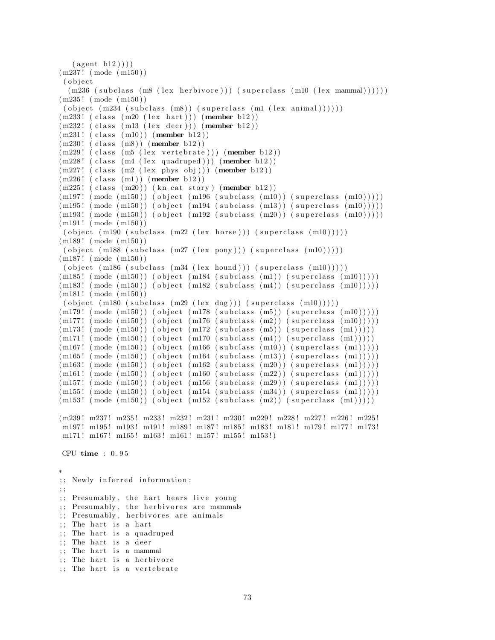```
(\text{agent } b12))(m237 ! ( mode ( m150 ) )
( o b j e c t
 (m236 (subclass (m8 (lex herbivore))) (superclass (m10 (lex mammal))))))
(m235 ! ( mode ( m150 ) )
 ( object (m234 (subclass (m8)) (superclass (ml (lex animal))))))(m233! (class (m20 (lex hart))) (member b12))
(m232! (class (m13 (lex deer))) (member b12))
(m231!~(class~(m10))~(member~b12))(m230! (class (m8)) (member b12))(m229! (class (m5 (lex vertebrate))) (member b12))
(m228! (class (m4 \ (lex\ quadruped))) (member b12))
(m227! (class (m2 (lex phys obj))) (member b12))
(m226! (class (m1)) (member b12))
(m225! (class (m20)) (kn_cat story) (member b12))
(m197! \pmod{m150}) (object (m196 \pmod{m10}) (superclass (m10))))
(m195! \pmod{m150}) (object (m194 \pmod{m13}) (superclass (m10))))
(m193! \pmod{m150}) (object (m192 \pmod{m20}) (superclass (m10))))
(m191! \pmod{m150})( object (m190 (subclass (m22 (lex horse))) (superclass (m10))))(m189! (mode (m150))
( object (m188 (subclass (m27 (lex pony))) (superclass (m10)))))(m187! (mode (m150))
( object (m186 (subclass (m34 (lex bound))) (superclass (m10)))))(m185! \pmod{m150}) (object (m184 \pmod{m1}) (superclass (m10))))
(m183! \pmod{m150}) (object (m182 \pmod{m4}) (superclass (m10))))
(m181! \pmod{m150})( object (m180 (subclass (m29 (lex dog))) (superclass (m10)))))(m179! \pmod{m150}) (object (m178 \pmod{m5}) (superclass (m10))))
(m177! \pmod{m150} (object (m176 \pmod{m2} (superclass (m2)))
(m173! \pmod{m150} \pmod{object (m172 \pmod{m5}) (superclass (m1))))(m171! \pmod{m150} (object (m170 \pmod{m10} (subclass (m4)) (superclass (m1))))
(m167! \pmod{m150}) (object (m166 \pmod{m10}) (superclass (m1))))
(m165! \pmod{m150}) (object (m164 \pmod{m13}) (superclass (m1))))
(m163! \pmod{m150}) (object (m162 \pmod{m20}) (superclass (m1))))
(m161! \pmod{m150}) (object (m160 \pmod{m22}) (superclass (m1))))
(m157! \pmod{m150}) (object (m156 \pmod{m29}) (superclass (m1))))
(m155! \pmod{m150}) (object (m154 \pmod{m34}) (superclass (m1))))
(m153! \pmod{m150}) (object (m152 \pmod{m2}) (superclass (m1))))
(m239! m237! m235! m233! m232! m231! m230! m229! m228! m227! m226! m225!
m197! m195! m193! m191! m189! m187! m185! m183! m181! m179! m177! m173!
m171! m167! m165! m163! m161! m157! m155! m153!)
CPU time : 0 . 9 5
∗
;; Newly inferred information:
; ;
;; Presumably, the hart bears live young
;; Presumably, the herbivores are mammals
;; Presumably, herbivores are animals
;; The hart is a hart
;; The hart is a quadruped
;; The hart is a deer
;; The hart is a mammal
;; The hart is a herbivore
```

```
;; The hart is a vertebrate
```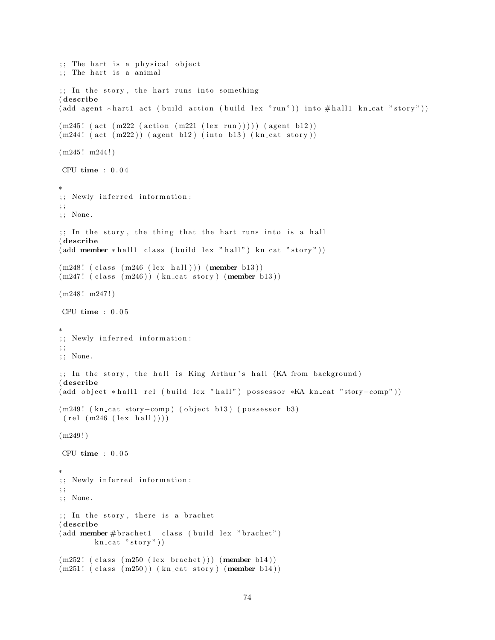```
\therefore The hart is a physical object
\cdots The hart is a animal
;; In the story, the hart runs into something
( describe
( add agent * hart1 act ( build action ( build lex " run" ) ) into \# hall1 kn_cat " story" ) )
(m245! (act (m222 (action (m221 (lex run))))) (agent b12))
(m244! (\text{act } (m222)) (\text{agent } b12) (\text{into } b13) (\text{kn\_cat story}))
(m245! m244!)CPU time : 0 . 0 4
∗
;; Newly inferred information:
; ;
; ; None .
\gamma;; In the story, the thing that the hart runs into is a hall
( describe
(\text{add member * hall1 class } (build \text{ lex "hall"}) kn_cat "story"))(m248! (class (m246 (lex hall))) (member b13))
(m247!~(class~(m246))~(kn\_cat~ story)~(member~b13))(m248! m247!)CPU time : 0 . 0 5
∗
;; Newly inferred information:
; ;
; ; None .
;; In the story, the hall is King Arthur's hall (KA from background)
( describe
( add object * hall1 rel ( build lex " hall") possessor *KA kn_cat "story-comp"))
(m249! (kn_cat story-comp) (object b13) (possessor b3)
(\text{rel} (\text{m246} (\text{lex} \text{hall})))(m249!)CPU time : 0 . 0 5
∗
;; Newly inferred information:
; ;
; ; None .
;; In the story, there is a brachet
( describe
(add <b>member # bracket1 - class (build lex " bracket")kn\_cat "story"))
(m252! (class (m250 (lex brachet))) (member b14))
```

```
(m251! (class (m250)) (kn_cat story) (member b14))
```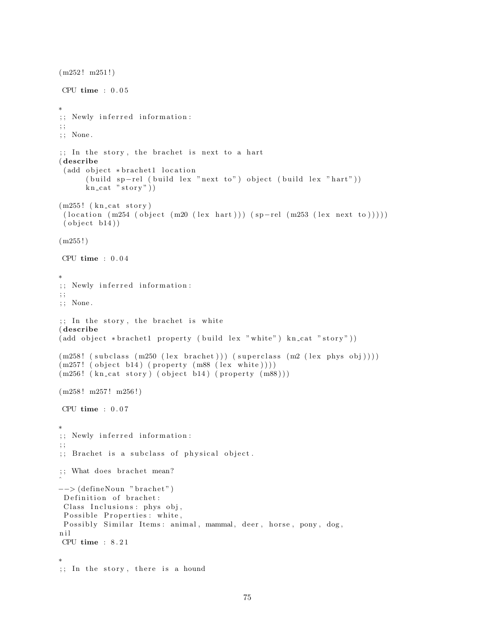```
(m252! m251!)CPU time : 0 . 0 5
∗
;; Newly inferred information:
; ;
; ; None .
;; In the story, the brachet is next to a hart
( describe
 (add object * bracket 1 location( build sp-rel ( build lex " next to") object ( build lex " hart"))
      kn cat "stop"))
(m255! (kn_cat story)
 (location (m254 (object (m20 (lex hart))) (sp-rel (m253 (lex next to))))( object b14) )(m255!)CPU time : 0.04∗
;; Newly inferred information:
; ;
; ; None .
;; In the story, the brachet is white
( describe
(\text{add object * bracket1 property (build lex "white") kncat " story"))(m258! (subclass (m250 (lex brachet))) (superclass (m2 (lex phys obj))))
(m257! (object b14) (property (m88 (lex white))))
(m256! (kn_cat story) (object b14) (property (m88)))
(m258! m257! m256!)CPU time : 0 . 0 7
∗
;; Newly inferred information:
; ;
;; Brachet is a subclass of physical object.
;; What does brachet mean?
\hat{a}−−> (defineNoun "brachet")
Definition of brachet:
 Class Inclusions: phys obj,
 Possible Properties: white,
 Possibly Similar Items: animal, mammal, deer, horse, pony, dog,
n i l
CPU time : 8 . 2 1
∗
;; In the story, there is a hound
```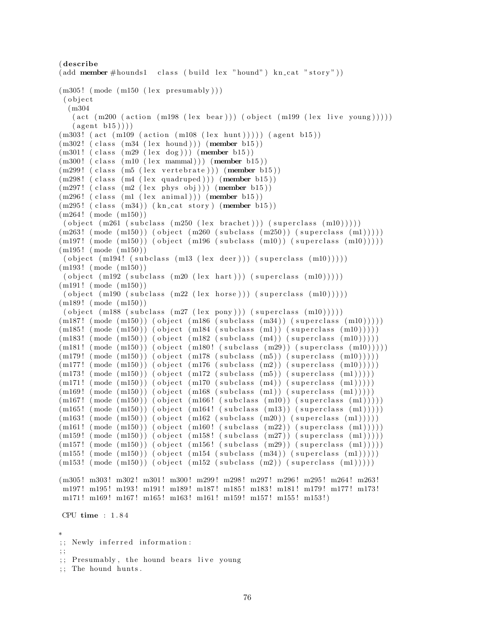```
( describe
(\text{add member \#bounds1} \quad \text{class} \quad (\text{build lex "bound") kn_cat "story"))(m305! \pmod{m150} \text{ (lex presumably)}( o b j e c t
  (m304
   (\text{act } (m200 \text{ (action } (m198 \text{ (lex } bar))) \text{ (object } (m199 \text{ (lex } live \text{ young}))))(\text{agent } b15)))(m303! (act (m109 (action (m108 (lex hunt))))) (agent b15))
(m302! (class (m34 (lex hourd))) (member b15))(m301! (class (m29 \text{ (lex dog)})) (member b15))
(m300! (class (m10 (lex mammal))) (member b15))
(m299! (class (m5 (lex vertebrate))) (member b15))
(m298! (class (m4 (lex quadruped))) (member b15))
(m297! (class (m2 (lex phys obj))) (member b15))
(m296! (class (m1 (lex animal))) (member b15))
(m295! (class (m34)) (kn_cat story) (member b15))
(m264 ! ( mode ( m150 ) )
( object (m261 (subclass (m250 (lex bracket))) (superclass (m10)))))(m263! \pmod{m150}) (object (m260 \pmod{m250}) (superclass (m1))))
(m197! \pmod{m150} (object (m196 \pmod{m10}) (superclass (m10))))
(m195! \pmod{m150})( object (m194! (subclass (m13 (lex deer))) (superclass (m10))))(m193! (mode (m150))
( object (m192 (subclass (m20 (lex hart))) (superclass (m10))))(m191! \pmod{m150})( object (m190 (subclass (m22 (lex horse))) (superclass (m10)))))(m189! \pmod{m150})( object (m188 (subclass (m27 (lex pony))) (superclass (m10)))))(m187! \pmod{m150}) (object (m186 \pmod{m34}) (superclass (m10))))
(m185! \pmod{m150}) (object (m184 \pmod{m1}) (superclass (m10))))
(m183! \pmod{m150}) (object (m182 \pmod{m4}) (superclass (m10))))
(m181! \pmod{m150}) (object (m180! \pmod{m29}) (superclass (m10))))
(m179! \pmod{m150} \pmod{object (m178 (subclass (m5)) (superclass (m10)))})(m177! \pmod{m150} \pmod{object (m176 (subclass (m2)) (superclass (m10)))})(m173! \pmod{m150}) (object (m172 \pmod{m5}) (superclass (m1))))
(m171! \pmod{m150}) (object (m170 \pmod{m4}) (superclass (m1))))
(m169! \pmod{m150}) (object (m168 \pmod{m1}) (superclass (m1))))
(\hspace{0.2cm} \text{m167!} \hspace{0.2cm} (\hspace{0.2cm} \text{mode} \hspace{0.2cm} (\hspace{0.2cm} \text{m150}) ) (\hspace{0.2cm} \text{object} \hspace{0.2cm} (\hspace{0.2cm} \text{m166!} \hspace{0.2cm} (\hspace{0.2cm} \text{subclass} \hspace{0.2cm} (\hspace{0.2cm} \text{m10})) (\hspace{0.2cm} \text{superclass} \hspace{0.2cm} (\hspace{0.2cm} \text{m1}))))(m165! \pmod{m150}) (object (m164! \pmod{m13}) (superclass (m1))))
(m163! \pmod{m150}) (object (m162 \pmod{m20}) (superclass (m1)))))
(m161! \pmod{m150}) (object (m160! \pmod{m22}) (superclass (m1))))
(m159! \pmod{m150}) (object (m158! \pmod{m27}) (superclass (m1))))
(m157! \pmod{m150}) (object (m156! \pmod{m29}) (superclass (m1))))
(m155! \pmod{m150}) (object (m154 \pmod{m34}) (superclass (m1))))
(m153! \pmod{m150}) (object (m152 \pmod{m2}) (superclass (m1))))
(m305! m303! m302! m301! m300! m299! m298! m297! m296! m295! m264! m263!
m197! m195! m193! m191! m189! m187! m185! m183! m181! m179! m177! m173!
m171! m169! m167! m165! m163! m161! m159! m157! m155! m153!)
CPU time : 1 . 8 4
∗
```
<sup>;;</sup> Newly inferred information:

<sup>; ;</sup>

<sup>;;</sup> Presumably, the hound bears live young

<sup>; ;</sup> The hound hunts .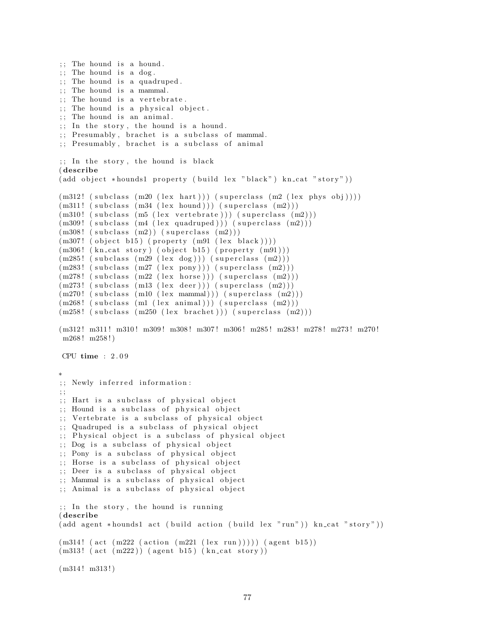```
:: The hound is a hound.
\vdots The hound is a dog.
;; The hound is a quadruped.
; The hound is a mammal.
; The hound is a vertebrate.
; The hound is a physical object.
;; The hound is an animal.
; In the story, the hound is a hound.
;; Presumably, brachet is a subclass of mammal.
; Presumably, brachet is a subclass of animal
\gamma; In the story, the hound is black
( describe
(\text{add object *bounds1 property (build lex "black") kn\_cat "stor"))(m312! (subclass (m20 (lex hart))) (superclass (m2 (lex phys obj))))
(m311! (subclass (m34 (lex bound))) (superclass (m2)))(m310! (subclass (m5 (lex vertebrate))) (superclass (m2)))
(m309! (subclass (m4 (lex quadruped))) (superclass (m2))))
(m308! (subclass (m2)) (superclass (m2)))
(m307! (object b15) (property (m91 (lex black))))
(m306! (kn_cat story) (object b15) (property (m91)))
(m285! \text{ (subclass (m29 (lex dog))) (superclass (m2) ))})(m283! \text{ (subclass (m27 (lex pony))) (superclass (m2) )})(m278! \text{ (subclass (m22 (lex horse))) (superclass (m2)))(m273! \text{ (subclass (m13 (lex deer))) (superclass (m2)))(m270! (subclass (m10 (lex mammal))) (superclass (m2)))
(m268! (subclass (m1 (lex animal))) (superclass (m2))))
(m258! \text{ (subclass (m250 (lex bracket))) (superclass (m2)))}(m312! m311! m310! m309! m308! m307! m306! m285! m283! m278! m273! m270!
m268 ! m258 ! )
CPU time : 2 . 0 9
∗
;; Newly inferred information:
; ;
;; Hart is a subclass of physical object
;; Hound is a subclass of physical object
;; Vertebrate is a subclass of physical object
;; Quadruped is a subclass of physical object
;; Physical object is a subclass of physical object
;; Dog is a subclass of physical object
;; Pony is a subclass of physical object
;; Horse is a subclass of physical object
;; Deer is a subclass of physical object
;; Mammal is a subclass of physical object
;; Animal is a subclass of physical object
;; In the story, the hound is running
( describe
( add agent *hounds1 act ( build action ( build lex "run") ) kn_cat "story" ) )
(m314! (act (m222 (action (m221 (lex run)))) (agent b15))(m313! \text{ (act } (m222)) \text{ (agent } b15) \text{ (kncat story)})(m314! m313!)
```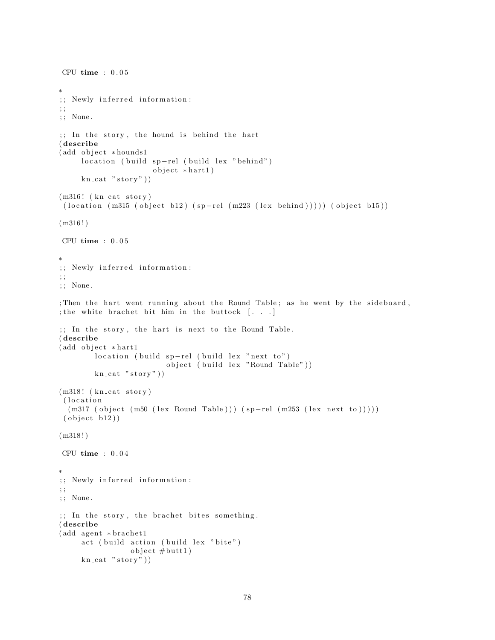```
CPU time : 0.05∗
;; Newly inferred information:
; ;
; ; None .
;; In the story, the hound is behind the hart
( describe
(add object *hounds1
     location ( build sp-rel ( build lex " behind")
                      object * hart1)kn\_cat "stor y")
(m316! (kn_cat story)
 ( location (m315 (object b12) (sp-rel (m223 (lex behind)))) ) (object b15))
(m316!)CPU time : 0 . 0 5
∗
;; Newly inferred information:
; ;
; ; None .
; Then the hart went running about the Round Table; as he went by the sideboard,
; the white brachet bit him in the buttock \left[ . . . . \right];; In the story, the hart is next to the Round Table.
( describe
(add object * hart1)location (build spr–rel (build lex "next to")object ( build lex "Round Table" ))
        kn\_cat "story"))
(m318! (kn\_cat~ story)(location)
  (m317 (object (m50 (lex Round Table))) (sp-rel (m253 (lex next to))))( object b12) )(m318!)CPU time : 0 . 0 4
∗
;; Newly inferred information:
; ;
; ; None .
;; In the story, the brachet bites something.
( describe
(add agent * bracket1)act (build action (build lex "bite")
                 object \# but t1)kn\_cat "stor y"))
```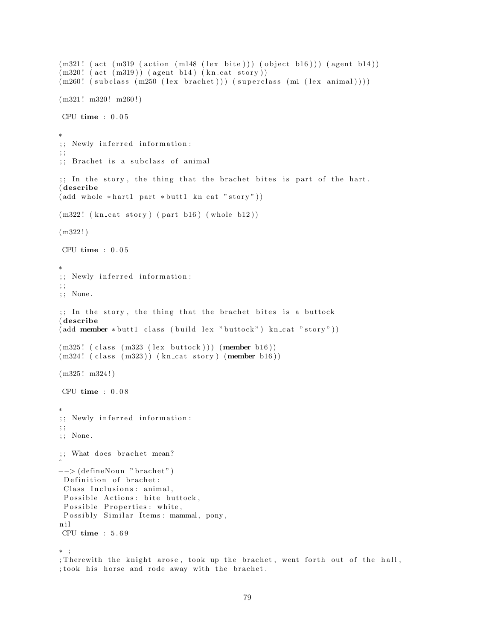```
(m321! (\text{act } (m319 \text{ (action } (m148 \text{ (lex bite)})) (\text{object } b16))) (\text{agent } b14))(m320! (act (m319)) (agent b14) (kn_cat story))
(m260! (subclass (m250 (lex brachet))) (superclass (m1 (lex animal))))
(m321! m320! m260!)CPU time : 0 . 0 5
∗
;; Newly inferred information:
; ;
;; Brachet is a subclass of animal
\mathbf{r}; In the story, the thing that the brachet bites is part of the hart.
( describe
(\text{add whole *hart1 part * but t1 kn_cat "story"))(m322! (kn_cat story) (part b16) (whole b12))
(m322!)CPU time : 0 . 0 5
∗
;; Newly inferred information:
; ;
; ; None .
;; In the story, the thing that the brachet bites is a buttock
( describe
(\text{add member * buttl class } (\text{build lex "butlock") kn_cat "story"))(m325! (class (m323 (lex buttock))) (member b16))
(m324! (class (m323)) (kn_cat story) (member b16))
(m325 ! m324 ! )
CPU time : 0 . 0 8
∗
;; Newly inferred information:
; ;
; ; None .
;; What does brachet mean?
\hat{a}-- (defineNoun "brachet")
 Definition of brachet:
 Class Inclusions: animal,
 Possible Actions: bite buttock,
 Possible Properties: white,
 Possibly Similar Items: mammal, pony,
n i l
CPU time : 5 . 6 9
∗ ;
; Therewith the knight arose, took up the brachet, went forth out of the hall,
; took his horse and rode away with the brachet.
```

```
79
```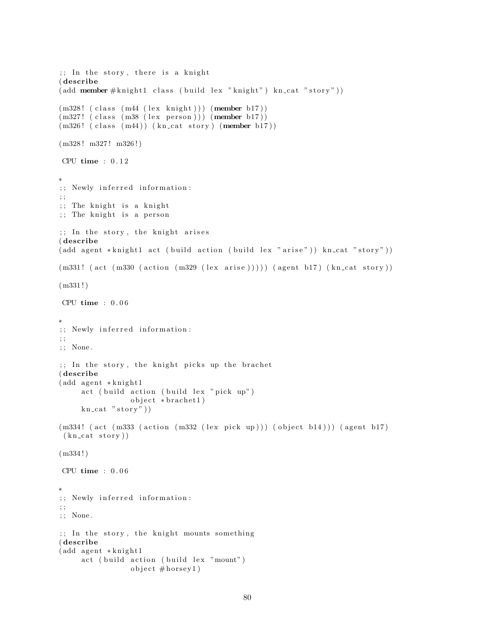```
;; In the story, there is a knight
( describe
(\text{add member } \# \text{knight1 class } (\text{build lex "knight") kn_cat "story"))(m328! (class (m44 (lex knight))) (member b17))
(m327! (class (m38 (lex person))) (member b17))
(m326! (class (m44)) (kn_cat story) (member b17))
(m328! m327! m326!)CPU time : 0 . 1 2
∗
;; Newly inferred information:
; ;
;; The knight is a knight
;; The knight is a person
\gamma; In the story, the knight arises
( describe
(\text{add agent *knight1 act } (\text{build action } (\text{build lex " arise")) \ kn\_cat " story"))(m331! (act (m330 (action (m329 (lex arise))))) (agent b17) (kn_cat story))
(m331!)CPU time : 0 . 0 6
∗
;; Newly inferred information:
; ;
; ; None .
;; In the story, the knight picks up the brachet
( describe
(add agent * knight1)act ( build action ( build lex " pick up")
                 object * bracket 1)kn\_cat "story")
(m334! (act (m333 (action (m332 (lex pick up))) (object b14))) (agent b17)
(kn\_cat\_stor y))(m334!)CPU time : 0 . 0 6
∗
;; Newly inferred information:
; ;
; ; None .
;; In the story, the knight mounts something
( describe
(add agent * knight1)act (build action (build lex "mount")
                 object \#horsey1)
```

```
80
```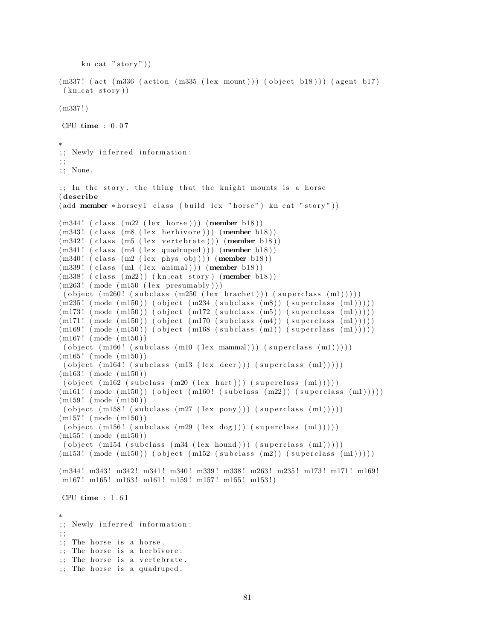```
kn\_cat "stor y")
(m337! (act (m336 (action (m335 (lex mount))) (object b18))) (agent b17)
 (kn_{\text{cat }story})(m337!)CPU time : 0.07∗
;; Newly inferred information:
; ;
; ; None .
;; In the story, the thing that the knight mounts is a horse
( describe
(\text{add member *horsey1 class } (\text{build lex "horse") kn_cat " story"))(m344! (class (m22 (lex horse))) (member b18))
(m343! (class (m8 (lex herbivore))) (member b18))
(m342! (class (m5 (lex vertebrate))) (member b18))
(m341! (class (m4 (lex quadruped))) (member b18))
(m340! (class (m2 (lex phys obj))) (member b18))
(m339! (class (ml (lex animal))) (member b18))(m338! (class (m22)) (kncat story) (member b18))(m263! \pmod{m150} (lex presumably))
( object (m260! (subclass (m250 (lex bracket))) (superclass (m1))))(m235! \pmod{m150}) (object (m234 \pmod{m8}) (superclass (m1))))
(m173! \pmod{m150} (object (m172 \pmod{m5}) (superclass (m1))))
(m171! \pmod{m150} \pmod{object (m170 (subclass (m4)) (superclass (m1)))})(m169! \pmod{m150}) (object (m168 \pmod{m1}) (superclass (m1))))
(m167! (mode (m150))
( object ( m166! ( subclass ( m10 ( lex  mammal))) ( superclass ( m1))))(m165 ! ( mode ( m150 ) )
( object (m164! (subclass (m13 (lex deer))) (superclass (m1))))
(m163! (mode (m150))
( object (m162 (subclass (m20 (lex hart))) (superclass (m1))))(m161! \pmod{m150}) (object (m160! \pmod{m22}) (superclass (m1))))
(m159! (mode (m150))
 ( object (m158! (subclass (m27 (lex pony))) (m27) (superclass (m1))))
(m157 ! ( mode ( m150 ) )
( object (m156! (subclass (m29 (lex dog))) (superclass (m1))))(m155 ! ( mode ( m150 ) )
( object (m154 (subclass (m34 (lex bound))) (superclass (m1))))(m153! \pmod{m150}) (object (m152 \pmod{m2}) (superclass (m1))))
(m344! m343! m342! m341! m340! m339! m338! m263! m235! m173! m171! m169!
m167! m165! m163! m161! m159! m157! m155! m153!)
CPU time : 1 . 6 1
∗
;; Newly inferred information:
; ;
;; The horse is a horse.
;; The horse is a herbivore.
;; The horse is a vertebrate.
;; The horse is a quadruped.
```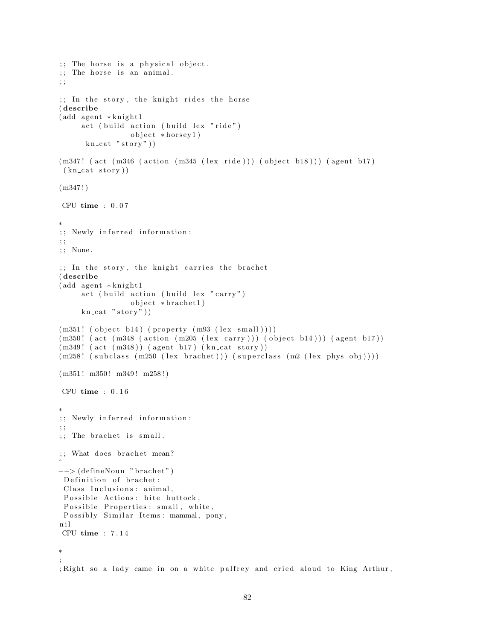```
\therefore The horse is a physical object.
;; The horse is an animal.
; ;
;; In the story, the knight rides the horse
( describe
(add agent * knight1)act ( build action ( build lex "ride")
                 object * horsey1)kn\_cat "story")
(m347! (act (m346 (action (m345 (lex ride))) (object b18))) (agent b17)
 (kn_{\text{cat }story})(m347!)CPU time : 0 . 0 7
∗
;; Newly inferred information:
; ;
; ; None .
;; In the story, the knight carries the brachet
( describe
(add agent * knight1)act ( build action ( build lex " carry")
                 object * bracket 1)kn\_cat "story"))
(m351! (object b14) (property (m93 (lex small))))(m350! (act (m348 (action (m205 (lex carry))) (object b14))) (agent b17))
(m349! \text{ (act } (m348)) \text{ (agent } b17) \text{ (kncat story)})(m258! (subclass (m250 (lex brachet))) (superclass (m2 (lex phys obj))))
(m351! m350! m349! m258!)CPU time : 0 . 1 6
∗
;; Newly inferred information:
; ;
;; The brachet is small.
;; What does brachet mean?
\hat{a}-- (defineNoun "brachet")
 Definition of brachet:
 Class Inclusions: animal,
 Possible Actions: bite buttock,
 Possible Properties: small, white,
 Possibly Similar Items: mammal, pony,
n i l
CPU time : 7 . 1 4
∗
;
; Right so a lady came in on a white palfrey and cried aloud to King Arthur,
```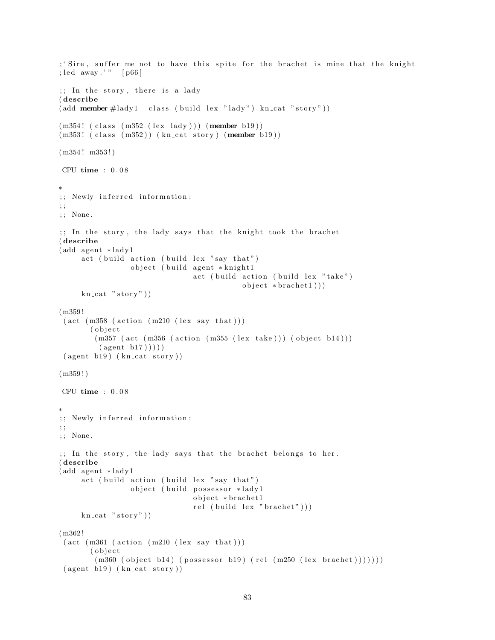```
; 'Sire, suffer me not to have this spite for the brachet is mine that the knight
; led away.'" [p66]
;; In the story, there is a lady
( describe
(\text{add member #lady1 class (build lex "lady") kncat " story"))(m354! (class (m352 (lex lady))) (member b19))
(m353! (class (m352)) (kn_cat story) (member b19))
(m354! m353!)CPU time : 0 . 0 8
∗
;; Newly inferred information:
; ;
; ; None .
\gamma; In the story, the lady says that the knight took the brachet
( describe
(add agent *lady1
     act (build action (build lex "say that")
                 object ( build agent * knight1
                                 act ( build action ( build lex " take")
                                             object * bracket 1))kn cat "stop"))
(m359 !
 (\text{act } (m358 \text{ (action } (m210 \text{ (lex say that})))( object(m357 (act (m356 (action (m355 (lex take))) (object b14)))(\text{agent } b17)))
 ( agent b19) ( kn\_cat story ) )(m359!)CPU time : 0.08∗
;; Newly inferred information:
; ;
; ; None .
;; In the story, the lady says that the brachet belongs to her.
( describe
(add agent *lady1
     act ( build action ( build lex "say that")
                 object (build possessor *lady1
                                 o b ject * brachet 1
                                 rel (build lex "brachet")))
     kn\_cat "story")
(m362 !
 (\text{act } (m361 \ (\text{action } (m210 \ (lex say that)))( object(m360 (object b14) (possessor b19) (rel (m250 (lex brachet)))))))(\text{agent } b19) (\text{kn\_cat } story))
```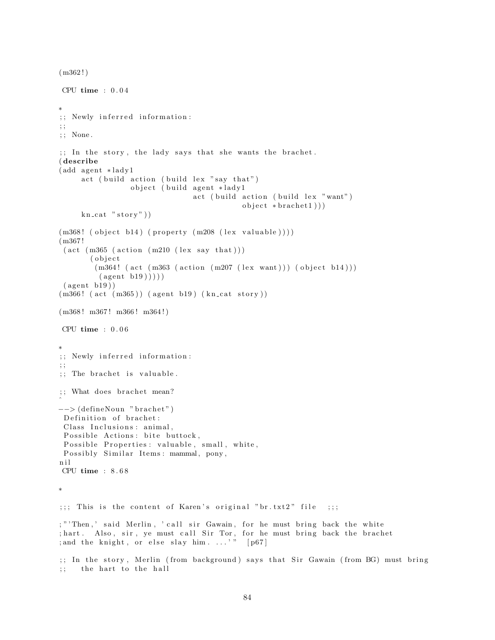```
(m362!)CPU time : 0 . 0 4
∗
;; Newly inferred information:
; ;
; ; None .
;; In the story, the lady says that she wants the brachet.
( describe
(add agent *lady1)
     act ( build action ( build lex " say that")
                 object (build agent *lady1
                                 act (build action (build lex "want")
                                             object * bracket1))kn\_cat "story")
(m368! (object b14) (property (m208 (lex valuable))))
(m367 !
 (\text{act } (m365 \ (\text{action } (m210 \ (lex say that)))( o b j e c t
        (m364! (act (m363 (action (m207 (lex want))) (object b14)))
         (\text{agent } b19))))
 (\text{agent } b19))(m366! (act (m365)) (agent b19) (kn_cat story))
(m368! \text{ m}367! \text{ m}366! \text{ m}364!)CPU time : 0 . 0 6
∗
;; Newly inferred information:
; ;
;; The brachet is valuable.
;; What does brachet mean?
\hat{a}−−> (defineNoun "brachet")
 Definition of brachet:
 Class Inclusions: animal,
 Possible Actions: bite buttock,
Possible Properties: valuable, small, white,
Possibly Similar Items: mammal, pony,
n i l
CPU time : 8 . 6 8
∗
;;;; This is the content of Karen's original "br.txt2" file ;;;
; " 'Then,' said Merlin, ' call sir Gawain, for he must bring back the white
; hart. Also, sir, ye must call Sir Tor, for he must bring back the brachet
; and the knight, or else slay him....'" [p67];; In the story, Merlin (from background) says that Sir Gawain (from BG) must bring
;; the hart to the hall
```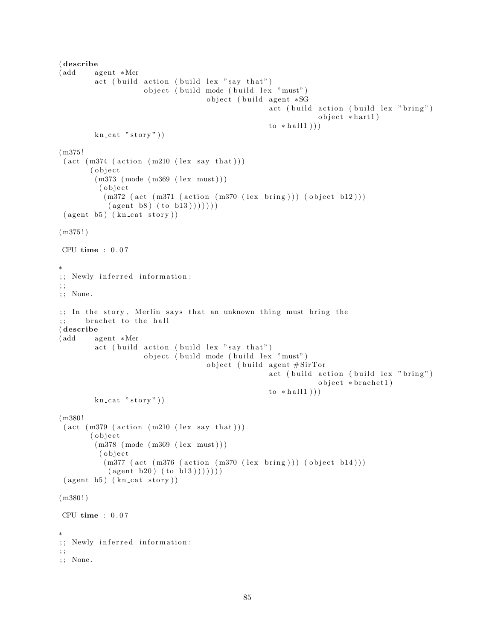```
( describe
(add agent ∗Mer
         act ( build action ( build lex " say that")
                       object ( build mode ( build lex "must")
                                        object (build agent *SG
                                                         act ( build action ( build lex " bring" )
                                                                      object * hart1)to * hall1 ) ) )
         kn\_cat "stor y")
(m375 !
 (\text{act } (m374 \text{ (action } (m210 \text{ (lex say that})))( o b j e c t
         (m373 \ (mode \ (m369 \ (lex \ must))))( object
            (m372 \text{ (act } (m371 \text{ (action } (m370 \text{ (lex bring)}))) \text{ (object } b12)))(\text{agent } b8) (\text{to } b13)))))(\text{agent } b5) (\text{kn\_cat } story))(m375!)CPU time : 0 . 0 7
∗
;; Newly inferred information:
; ;
; ; None .
;; In the story, Merlin says that an unknown thing must bring the
;; brachet to the hall
( describe
(add agent ∗Mer
         act ( build action ( build lex "say that")
                       object ( build mode ( build lex "must")
                                        object (build agent \#SirTor
                                                         act ( build action ( build lex " bring")
                                                                      object * bracket 1)to * hall1 ) ) )
         kn\_cat "story")
(m380 !
 (\text{act } (m379 \text{ (action } (m210 \text{ (lex say that})))( o b j e c t
         (m378 \ (mode \ (m369 \ (lex \ must)))( object(m377 (act (m376 (action (m370 (lex bring)))) (object b14)))(\text{agent } b20) (\text{to } b13)))))( agent b5) ( kn_c at story ) )(m380!)CPU time : 0.07∗
;; Newly inferred information:
; ;
; ; None .
```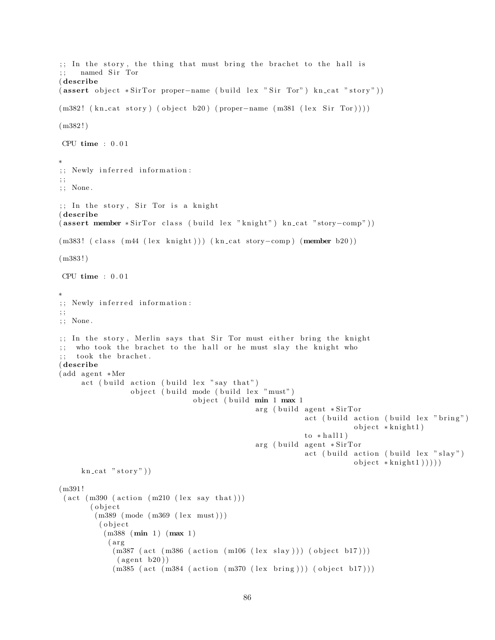```
;; In the story, the thing that must bring the brachet to the hall is
;; named Sir Tor
( describe
( assert object *SirTor proper-name ( build lex "Sir Tor") kn_cat "story"))
(m382! (kn\_cat story) ( object b20) (proper−name (m381 (lex Sir Tor))))
(m382!)CPU time : 0 . 0 1
∗
;; Newly inferred information:
; ;
; ; None .
;; In the story, Sir Tor is a knight
( describe
( assert member * SirTor class ( build lex "knight") kn_cat "story-comp"))
(m383! ( class (m44 (lex knight))) (kn_cat story-comp) (member b20))
(m383!)CPU time : 0 . 0 1
∗
;; Newly inferred information:
; ;
; ; None .
;; In the story, Merlin says that Sir Tor must either bring the knight
;; who took the brachet to the hall or he must slay the knight who
;; took the brachet.
( describe
(add agent ∗Mer
     act ( build action ( build lex " say that")
                 object ( build mode ( build lex "must")
                                object (build min 1 max 1
                                               arg ( build agent *SirTor
                                                           act ( build action ( build lex " bring")
                                                                        object * knight 1)to * hall1)
                                               arg ( build agent *SirTor
                                                           act (build action (build lex "slay")
                                                                       object * knight1)))
     kn\_cat "story")
(m391 !
 (\text{act } (m390 \text{ (action } (m210 \text{ (lex say that})))( o b j e c t
        (m389 \ (mode \ (m369 \ (lex \ must)))( object
           (m388 (min 1) (max 1))(arg)(m387 (act (m386 (action (m106 (lex slay))) (object b17)))(\text{agent } b20))(m385 (act (m384 (action (m370 (lex bring)))) (object b17)))
```

```
86
```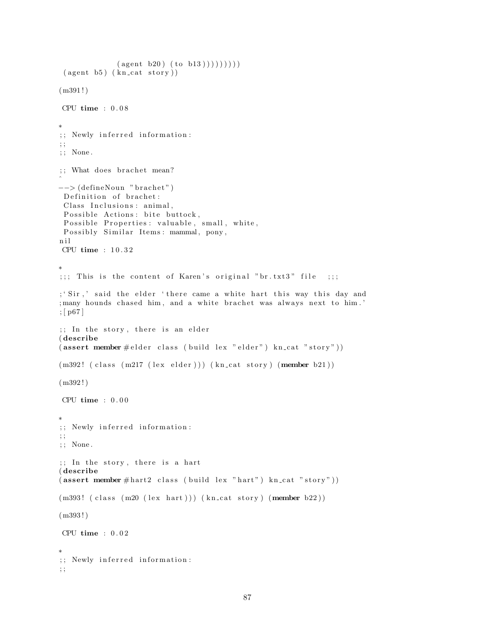```
(\text{agent } b20) (\text{to } b13))))) ))( agent b5) ( kn_c at story ) )(m391!)CPU time : 0.08∗
;; Newly inferred information:
; ;
; ; None .
;; What does brachet mean?
\hat{a}-- (defineNoun "brachet")
 Definition of brachet:
Class Inclusions: animal,
 Possible Actions: bite buttock,
Possible Properties: valuable, small, white,
 Possibly Similar Items: mammal, pony,
n i l
CPU time : 1 0 . 3 2
∗
;;;; This is the content of Karen's original "br.txt3" file ;;;
; 'Sir,' said the elder 'there came a white hart this way this day and
; many hounds chased him, and a white brachet was always next to him.'
; [ p67 ]
;; In the story, there is an elder
( describe
(assert member \# elder class (build lex "elder") kn_cat "story"))
(m392! (class (m217 (lex elder))) (kncat story) (member b21))(m392!)CPU time : 0.00∗
;; Newly inferred information:
; ;
; ; None .
;; In the story, there is a hart
( describe
(assert member #hart2 class (build lex "hart") kn_cat "story"))
(m393! (class (m20 (lex hart))) (kncat story) (member b22))(m393 ! )
CPU time : 0 . 0 2
∗
;; Newly inferred information:
\mathcal{L}
```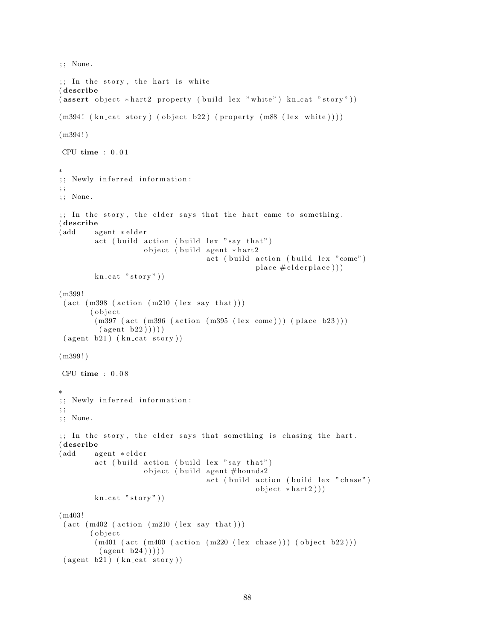```
; ; None .
;; In the story, the hart is white
( describe
(assert\;object\;*hart2\;property\; (build\; lex\;"white")\;kn\_cat\;"story"))(m394! (kn_cat story) (object b22) (property (m88 (lex white))))
(m394!)CPU time : 0.01∗
;; Newly inferred information:
; ;
; ; None .
;; In the story, the elder says that the hart came to something.
( describe
(add agent ∗elder
         act ( build action ( build lex " say that")
                     object (build agent *hart2
                                      act (build action (build lex "come")
                                                  place # elderplace ))kn\_cat "stor y")
(m399 !
 (\text{act } (m398 \text{ (action } (m210 \text{ (lex say that})))( o b j e c t
         (m397 (act (m396 (action (m395 (lex come))) (place b23)))(\text{agent } b22) ))(\text{agent } b21) (\text{kn\_cat story}))(m399!)
CPU time : 0 . 0 8
∗
;; Newly inferred information:
; ;
; ; None .
;; In the story, the elder says that something is chasing the hart.
( describe
(add agent ∗elder
         act ( build action ( build lex "say that")
                     object (build agent #hounds2
                                      act ( build action ( build lex " chase")
                                                  object * hart2))kn\_cat "story"))
(m403 !
 (\text{act } (m402 \text{ (action } (m210 \text{ (lex say that})))( object
         (m401 (act (m400 (action (m220 (lex chose)))) (object b22)))(\text{agent } b24))))
 (\text{agent } b21) (\text{kn\_cat story}))
```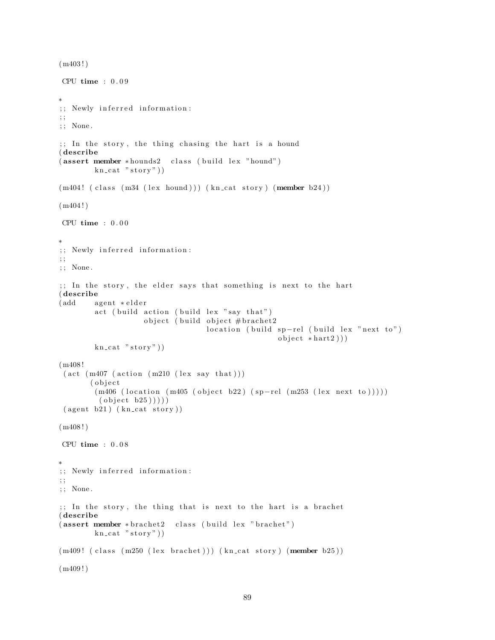```
(m403!)CPU time : 0 . 0 9
∗
;; Newly inferred information:
; ;
; ; None .
;; In the story, the thing chasing the hart is a hound
( describe
(assert member *hounds2 class (build lex "hound")
         kn\_cat "story"))
(m404! (class (m34 (lex hound))) (kn_cat story) (member b24))
(m404!)CPU time : 0.00∗
;; Newly inferred information:
; ;
; ; None .
;; In the story, the elder says that something is next to the hart
( describe
(add agent ∗elder
         act ( build action ( build lex "say that")
                     object (build object # brachet2
                                     location ( build sp-rel ( build lex "next to")
                                                       object * hart2))kn\_cat "stor y")
(m408 !
 (\text{act } (m407 \text{ (action } (m210 \text{ (lex say that})))( o b j e c t
         (m406 (location (m405 (object b22) (sp-rel (m253 (lex next to))))))\left( object b25\left)))))
 (\text{agent } b21) (\text{kn cat story}) )(m408!)CPU time : 0 . 0 8
∗
;; Newly inferred information:
; ;
\,; \, ; \, None .
\gamma;; In the story, the thing that is next to the hart is a brachet
( describe
(assert member * bracket2 \text{ class } (build lex " bracket")kn\_cat "story"))
(m409! (class (m250 (lex brachet))) (kn_cat story) (member b25))
(m409!)
```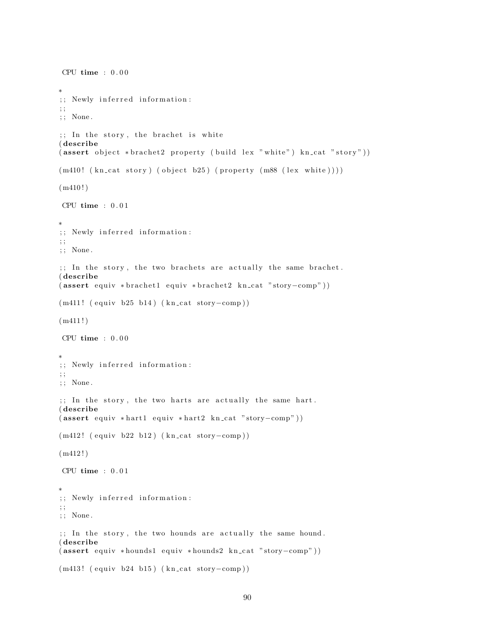```
CPU time : 0.00∗
;; Newly inferred information:
; ;
; ; None .
;; In the story, the brachet is white
( describe
( assert object *brachet2 property (build lex "white") kn_cat "story"))
(m410! (kn_{cat story}) (object b25) (property (m88 (lex white))))
(m410!)CPU time : 0.01∗
;; Newly inferred information:
; ;
; ; None .
; In the story, the two brachets are actually the same brachet.
( describe
( assert equiv * brachet1 equiv * brachet2 kn_cat "story-comp"))
(m411! (equiv b25 b14) (kn_cat story-comp))(m411!)CPU time : 0.00∗
;; Newly inferred information:
; ;
; ; None .
;; In the story, the two harts are actually the same hart.
( describe
(assert\equiv\{quity *hart1\equiv\{quity * hart2\} \text{ } kncat \text{ } "story–comp" } )(m412! (equiv b22 b12) (kn_cat story-comp))
(m412!)CPU time : 0.01∗
;; Newly inferred information:
; ;
; ; None .
;; In the story, the two hounds are actually the same hound.
( describe
( assert equiv * hounds1 equiv * hounds2 kn_cat "story-comp"))
(m413! (equiv b24 b15) (kn_cat story-comp))
```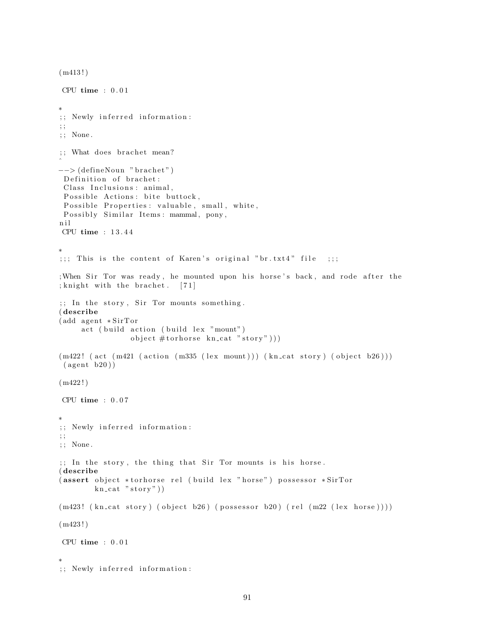```
(m413!)CPU time : 0 . 0 1
∗
;; Newly inferred information:
; ;
; ; None .
;; What does brachet mean?
\hat{a}−−> (defineNoun "brachet")
 Definition of brachet:
 Class Inclusions: animal,
 Possible Actions: bite buttock,
 Possible Properties: valuable, small, white,
 Possibly Similar Items: mammal, pony,
n i l
CPU time : 1 3 . 4 4
∗
;;;; This is the content of Karen's original "br.txt4" file ;;;
; When Sir Tor was ready, he mounted upon his horse's back, and rode after the
; knight with the brachet. [71];; In the story, Sir Tor mounts something.
( describe
(add agent * SirTor)act (build action (build lex "mount")
                 object #tonhorse kn_cat "story")))
(m422! (act (m421 (action (m335 (lex mount))) (kn_cat story) (object b26)))
(\text{agent } b20))(m422!)CPU time : 0 . 0 7
∗
;; Newly inferred information:
; ;
; ; None .
;; In the story, the thing that Sir Tor mounts is his horse.
( describe
(assert object *torhorse rel (build lex "horse") possessor *SirTor
        kn\_cat "stor y"))
(m423! \ (kn\_cat \ story) (object b26) (possessor b20) (rel (m22 (lex horse))))(m423!)CPU time : 0.01∗
;; Newly inferred information:
```

```
91
```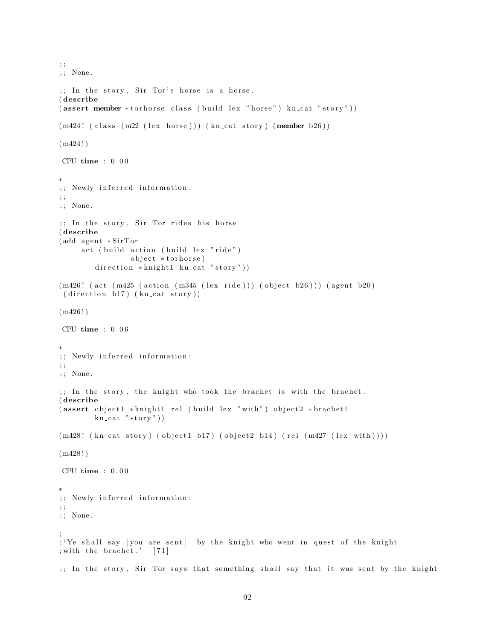```
; ;
; ; None .
;; In the story, Sir Tor's horse is a horse.
( describe
(assert member *torhorse class (build lex "horse") kn_cat "story"))
(m424! (class (m22 (lex horse))) (kn_cat story) (member b26))
(m424!)CPU time : 0.00∗
;; Newly inferred information:
; ;
; ; None .
;; In the story, Sir Tor rides his horse
( describe
(add agent * SirTor)act ( build action ( build lex "ride")
                object *torhorse)
        direction *knight1 kn_cat "story"))
(m426! (act (m425 (action (m345 (lex ride))) (object b26))) (agent b20)
(direction b17) (kncat story))(m426!)CPU time : 0 . 0 6
∗
;; Newly inferred information:
; ;
; ; None .
;; In the story, the knight who took the brachet is with the brachet.
( describe
(assert object1 *knight1 rel (build lex "with") object2 *brachet1
        kn\_cat "story")
(m428! (kn_cat story) (object1 b17) (object2 b14) (rel (m427 (lex with))))
(m428!)CPU time : 0.00∗
;; Newly inferred information:
; ;
; ; None .
;
; 'Ye shall say [you are sent] by the knight who went in quest of the knight
; with the brachet .' [71];; In the story, Sir Tor says that something shall say that it was sent by the knight
```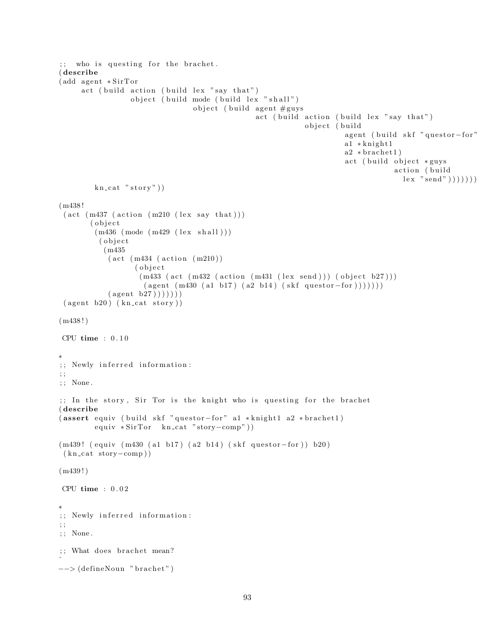```
;; who is questing for the brachet.
( describe
(add agent * SirTor)act ( build action ( build lex " say that")
                  object ( build mode ( build lex " shall")
                                  object (build agent \#guys
                                                  act ( build action ( build lex " say that")
                                                               object (build
                                                                         agent ( build skf " questor -for"
                                                                         a1 * knight1
                                                                         a2 * bracket1)act ( build object *guys
                                                                                      action (build
                                                                                        lex "send")))))kn\_cat "story")
(m438 !
 (\text{act } (m437 \ (\text{action } (m210 \ (lex say that)))( o b j e c t
         (m436 \ (mode \ (m429 \ (lex \ shall)))( o b j e c t
           (m435
            (\text{act } (m434 (\text{action } (m210)))( o b ) e c t
                    (m433 (act (m432 (action (m431 (lex send)))) (object b27)))(\text{agent } (m430 (a1 b17) (a2 b14) (skf question-for) )))))(\text{agent } b27)))))( agent b20) ( kn_cat story ) )(m438!)CPU time : 0.10∗
;; Newly inferred information:
; ;
; ; None .
;; In the story, Sir Tor is the knight who is questing for the brachet
( describe
( assert equiv ( build skf " questor-for" a1 *knight1 a2 *brachet1)
         equiv * SirTor kn_cat "story-comp"))
(m439! ( equiv (m430 (a1 b17) (a2 b14) ( skf questor-for )) b20)
 (kn\_cat\_story–comp))
(m439!)CPU time : 0.02∗
;; Newly inferred information:
\therefore; ; None .
;; What does brachet mean?
\hat{a}−−> (defineNoun "brachet")
```

```
93
```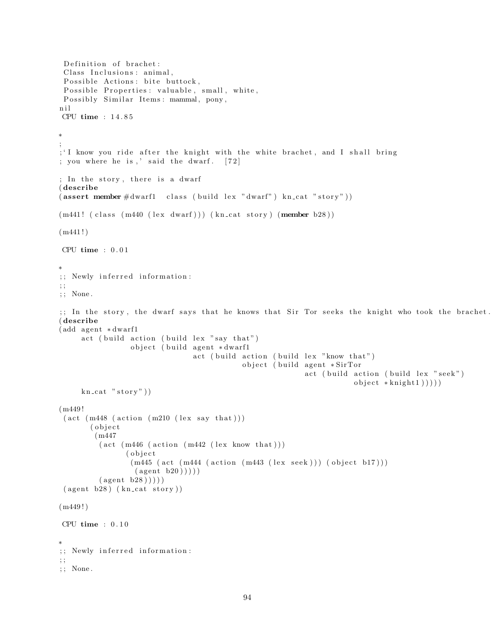```
Definition of brachet:
 Class Inclusions: animal,
 Possible Actions: bite buttock,
 Possible Properties: valuable, small, white,
 Possibly Similar Items: mammal, pony,
n i l
CPU time : 1 4 . 8 5
∗
;
; 'I know you ride after the knight with the white brachet, and I shall bring
; you where he is,' said the dwarf. [72]; In the story, there is a dwarf
( describe
(assert member \#\text{dwarf} class (build lex "dwarf") kn_cat "story"))
(m441! (class (m440 (lex dwarf))) (kn_cat story) (member b28))(m441!)CPU time : 0 . 0 1
∗
;; Newly inferred information:
; ;
; ; None .
;; In the story, the dwarf says that he knows that Sir Tor seeks the knight who took the brachet.
( describe
(add agent *dwarf1
     act ( build action ( build lex "say that")
                  object (build agent *dwarf1
                                  act ( build action ( build lex "know that")
                                              object ( build agent *SirTor
                                                              act ( build action ( build lex " seek")
                                                                           object * knight1))))kn\_cat "story"))
(m449 !
 (\text{act } (m448 \text{ (action } (m210 \text{ (lex say that})))( o b j e c t
        (m447
          (\text{act } (m446 \ (\text{action } (m442 \ (lex \ known \ that))))( o b j e c t
                  (m445 (act (m444 (action (m443 (lex seek))) (object b17)))(\text{agent } b20)))
          (\text{agent } b28))))
 (\text{agent } b28) (\text{kn\_cat story}))(m449!)CPU time : 0.10∗
;; Newly inferred information:
; ;
; ; None .
```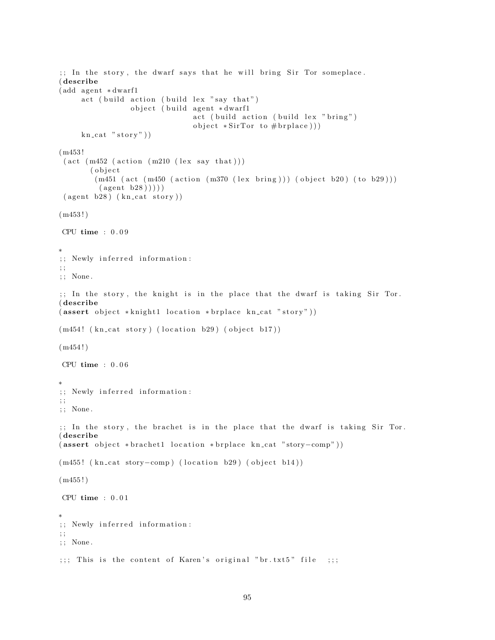```
;; In the story, the dwarf says that he will bring Sir Tor someplace.
( describe
(add agent *dwarf1
     act ( build action ( build lex " say that")
                 object ( build agent *dwarf1
                                act ( build action ( build lex "bring")object *SirTor to #brplace))
     kn\_cat "stor y")
(m453 !
 (\text{act } (m452 \text{ (action } (m210 \text{ (lex say that})))( o b j e c t
        (m451 (act (m450 (action (m370 (lex bring))) (object b20) (to b29)))
         (\text{agent } b28))))
 ( agent b28) ( kn_cat story ) )(m453!)CPU time : 0 . 0 9
∗
;; Newly inferred information:
; ;
; ; None .
;; In the story, the knight is in the place that the dwarf is taking Sir Tor.
( describe
(assert object * knight location * brplace kn_cat "story"))
(m454! (kn_cat story) (location b29) (object b17))
(m454!)CPU time : 0 . 0 6
∗
;; Newly inferred information:
; ;
; ; None .
;; In the story, the brachet is in the place that the dwarf is taking Sir Tor.
( describe
( assert object * brachet1 location * brplace kn_cat "story-comp"))
(m455! (kn_cat story-comp) (location b29) (object b14))
(m455!)CPU time : 0.01∗
;; Newly inferred information:
; ;
; ; None .
;;;; This is the content of Karen's original "br.txt5" file ;;;
```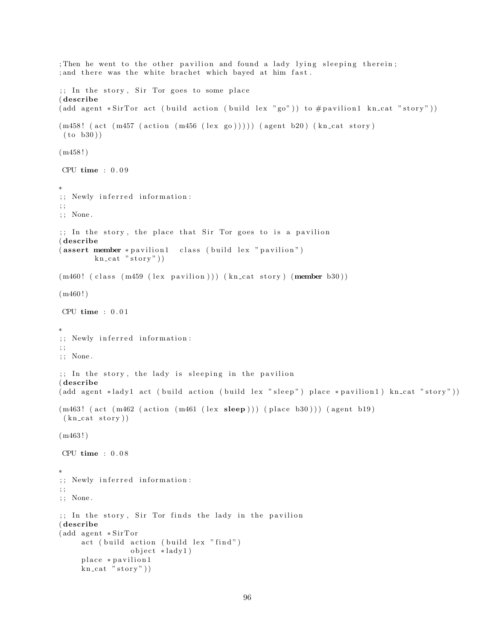```
; Then he went to the other pavilion and found a lady lying sleeping therein;
; and there was the white brachet which bayed at him fast.
;; In the story, Sir Tor goes to some place
( describe
( add agent *SirTor act ( build action ( build lex "go")) to \# pavilion1 kn_cat "story"))
(m458! (act (m457 (action (m456 (lex go))))) (agent b20) (kn_cat story)
 (to b30))(m458!)CPU time : 0 . 0 9
∗
;; Newly inferred information:
; ;
; ; None .
\gamma;; In the story, the place that Sir Tor goes to is a pavilion
( describe
(assert member * pavilion1 - class (build lex " pavilion")kn\_cat "story"))
(m460! (class (m459 (lex pavilion))) (kn_cat story) (member b30))
(m460!)CPU time : 0.01∗
;; Newly inferred information:
; ;
; ; None .
;; In the story, the lady is sleeping in the pavilion
( describe
(\text{add agent *lady1 act } (build action (build lex "sleep") place * pavilion1) kncat " story"))(m463! (act (m462 (action (m461 (lex sleep))) (place b30))) (agent b19)
 (kn<sub>cat story</sub>))
(m463!)CPU time : 0 . 0 8
∗
;; Newly inferred information:
; ;
; ; None .
;; In the story, Sir Tor finds the lady in the pavilion
( describe
(add agent * SirTor)act (build action (build lex "find")
                 object *lady1)
     place * pavilion1
     kn\_cat "stor y"))
```

```
96
```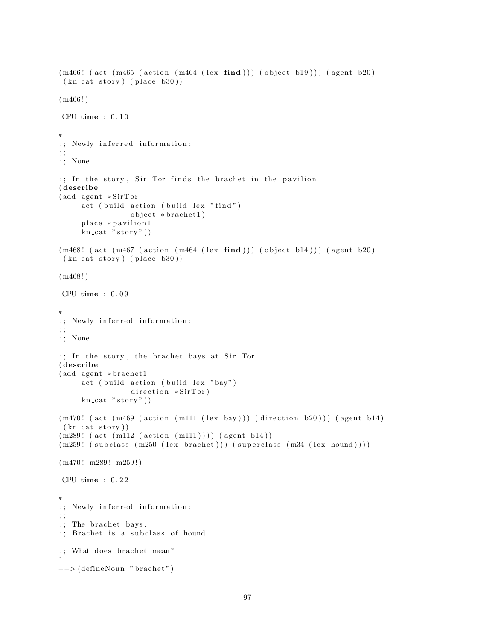```
(m466! (act (m465 (action (m464 (lex find))) (object b19))) (agent b20)
 (kn\_cat~ story) (place~b30))(m466!)CPU time : 0.10∗
;; Newly inferred information:
; ;
; ; None .
\gamma; In the story, Sir Tor finds the brachet in the pavilion
( describe
(add agent * SirTor)act (build action (build lex "find")
                 object * bracket 1)place * pavilion1
     kn\_cat "stor y")
(m468! (act (m467 (action (m464 (lex find))) (object b14))) (agent b20)
 (kn\_cat\_story) (place b30))
(m468!)CPU time : 0 . 0 9
∗
;; Newly inferred information:
; ;
; ; None .
;; In the story, the brachet bays at Sir Tor.
( describe
(add agent * bracket1)act ( build action ( build lex "bay")
                 direction * SirTor)kn\_cat "story")
(m470! (act (m469 (action (m111 (lex bay))) (direction b20))) (agent b14)
 (kn\_cat~story))(m289! \ (act \ (m112 \ (action \ (m111))))) \ (agent \ b14))(m259! (subclass (m250 (lex brachet))) (superclass (m34 (lex hound))))
(m470! m289! m259!)CPU time : 0 . 2 2
∗
;; Newly inferred information:
\ddot{\phantom{0}};
;; The brachet bays.
;; Brachet is a subclass of hound.
;; What does brachet mean?
\hat{a}−−> (defineNoun "brachet")
```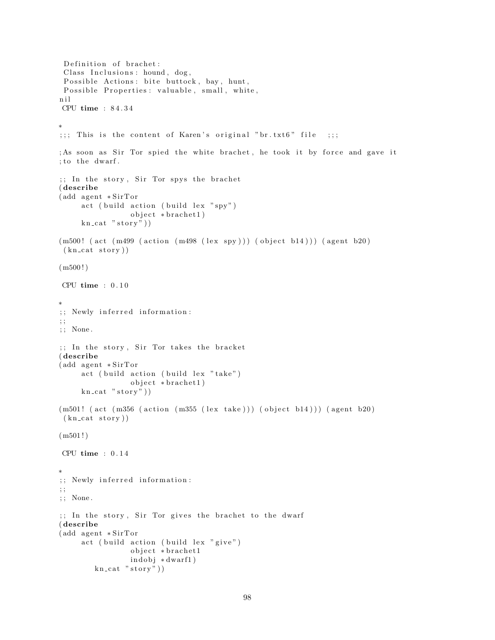```
Definition of brachet:
 Class Inclusions: hound, dog,
 Possible Actions: bite buttock, bay, hunt,
 Possible Properties: valuable, small, white,
n i l
CPU time : 8 4 . 3 4
∗
;;;; This is the content of Karen's original "br. txtt6" file ;;;
; As soon as Sir Tor spied the white brachet, he took it by force and gave it
; to the dwarf.
; In the story, Sir Tor spys the brachet
( describe
(add agent * SirTor)act ( build action ( build lex " spy")object *brachet1)
     kn\_cat "stor y")
(m500! (act (m499 (action (m498 (lex spy))) (object b14))) (agent b20)
 (kn cat story))
(m500!)CPU time : 0 . 1 0
∗
;; Newly inferred information:
; ;
; ; None .
;; In the story, Sir Tor takes the bracket
( describe
(add agent * SirTor)act ( build action ( build lex " take")
                 object * bracket1)kn\_cat "stor y"))
(m501! (act (m356 (action (m355 (lex take))) (object b14))) (agent b20)
 (kn<sub>cat story</sub>))
(m501!)CPU time : 0 . 1 4
∗
;; Newly inferred information:
; ;
; ; None .
;; In the story, Sir Tor gives the brachet to the dwarf
( describe
(add agent *SirTor
     act ( build action ( build lex " give")
                 object * brachet1
                 indobj *dwarf1)
        kn\_cat "stor y"))
```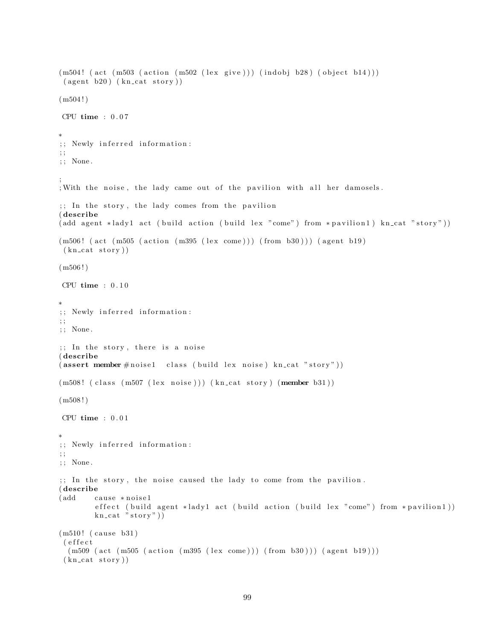```
(m504! (act (m503 (action (m502 (lex give))) (indobj b28) (object b14)))
 (\text{agent } b20) (\text{kn\_cat story}))(m504!)CPU time : 0 . 0 7
∗
;; Newly inferred information:
; ;
; ; None .
;
; With the noise, the lady came out of the pavilion with all her damosels.
;; In the story, the lady comes from the pavilion
( describe
( add agent * lady 1 act ( build action ( build lex "come") from * pavilion 1) kn_cat "story"))
(m506! (act (m505 (action (m395 (lex come))) (from b30))) (agent b19)
 (kn cat story))
(m506!)CPU time : 0 . 1 0
∗
;; Newly inferred information:
; ;
; ; None .
;; In the story, there is a noise
( describe
(assert member #noise1 class (build lex noise) kn_cat "story"))
(m508! (class (m507 (lex noise))) (kn_cat story) (member b31))
(m508!)CPU time : 0 . 0 1
∗
;; Newly inferred information:
; ;
; ; None .
;; In the story, the noise caused the lady to come from the pavilion.
( describe
(add cause ∗noise1
        effect (build agent *lady1 act (build action (build lex "come") from *pavilion1))
        kn\_cat "stor y"))
(m510! (cause b31)
 ( e f f e c t
  (m509 (act (m505 (action (m395 (lex come))) (from b30)))(agent b19)))(kn\_cat\_stor y)
```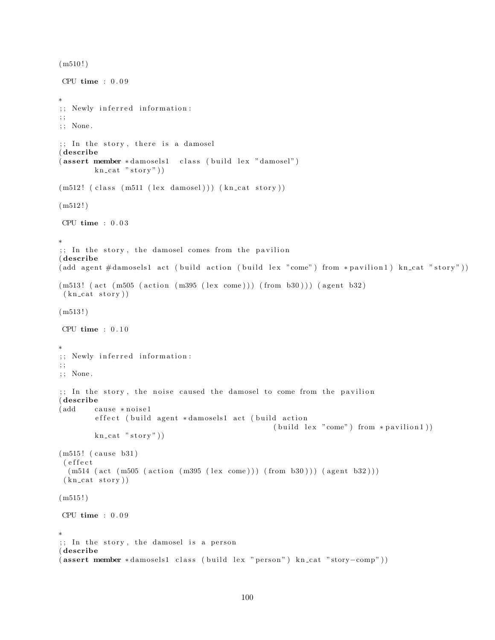```
(m510!)CPU time : 0 . 0 9
∗
;; Newly inferred information:
; ;
; ; None .
;; In the story, there is a damosel
( describe
( assert member *damosels1 class (build lex "damosel")
        kn cat "stop"))
(m512! (class (m511 (lex damosel))) (kncat story))(m512!)CPU time : 0.03∗
;; In the story, the damosel comes from the pavilion
( describe
(add agent \#damosels1 act (build action (build lex "come") from *pavilion1) kn_cat "story"))
(m513! (act (m505 (action (m395 (lex come))) (from b30))) (agent b32)
(kn cat story))
(m513!)CPU time : 0.10∗
;; Newly inferred information:
; ;
; ; None .
;; In the story, the noise caused the damosel to come from the pavilion
( describe
(add cause ∗noise1
        effect (build agent *damosels1 act (build action
                                                  (buid lex "come") from * pavilion1))kn\_cat "story"))
(m515! (cause b31)
( e f f e c t
 (m514 (act (m505 (action (m395 (lex come))) (from b30))) (agent b32)))(kn\_cat\_story))(m515!)CPU time : 0.09∗
;; In the story, the damosel is a person
( describe
( assert member *damosels1 class (build lex " person") kn_cat " story-comp"))
```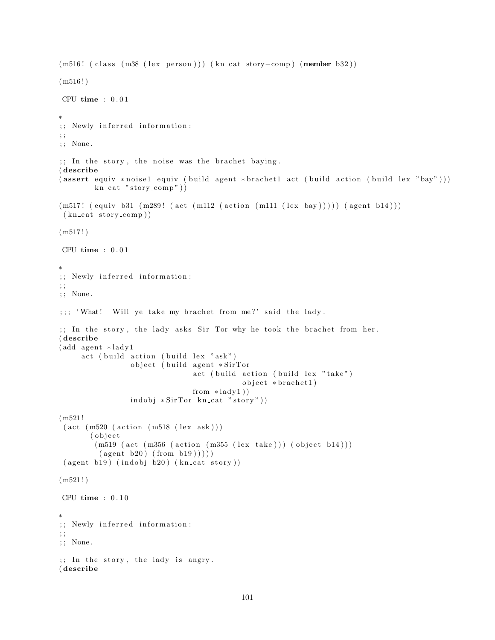```
(m516! ( class (m38 (lex person))) (kn_cat story-comp) (member b32))
(m516!)CPU time : 0 . 0 1
∗
;; Newly inferred information:
; ;
; ; None .
;; In the story, the noise was the brachet baying.
( describe
( assert equiv * noise1 equiv ( build agent * brachet1 act ( build action ( build lex "bay")))
         kn\_cat "story\_comp"))
(m517! (equiv b31 (m289! (act (m112 (action (m111 (lex bay))))) (agent b14)))(kn cat story comp))
(m517!)CPU time : 0 . 0 1
∗
;; Newly inferred information:
; ;
; ; None .
;;; 'What! Will ye take my brachet from me?' said the lady.
;; In the story, the lady asks Sir Tor why he took the brachet from her.
( describe
(add agent *lady1
     act ( build action ( build lex "ask")
                 object ( build agent *SirTor
                                 act ( build action ( build lex " take")
                                              object * bracket1)from *lady1)\text{indobj} * \text{SirTor} \text{kn} \text{cat} " \text{ story"})
(m521 !
 (\text{act } (m520 \text{ (action } (m518 \text{ (lex ask)})))( object(m519 (act (m356 (action (m355 (lex take))) (object b14)))(\text{agent } b20) (\text{from } b19)))
 ( agent b19) (indobj b20) (kncat story))(m521!)CPU time : 0.10∗
;; Newly inferred information:
; ;
; ; None .
;; In the story, the lady is angry.
( describe
```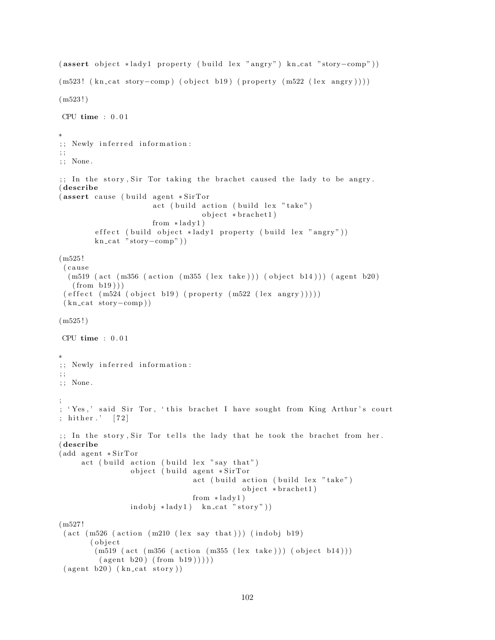```
( assert object *lady1 property ( build lex " angry") kn_cat " story-comp"))
(m523! (kn_cat story-comp) (object b19) (property (m522 (lex angry))))
(m523!)CPU time : 0 . 0 1
∗
;; Newly inferred information:
; ;
; ; None .
\gamma;; In the story, Sir Tor taking the brachet caused the lady to be angry.
( describe
(assert cause (build agent *SirTor)
                       act ( build action ( build lex " take")
                                   object * bracket1)from * lady1)
         effect ( build object *lady1 property ( build lex "angry"))
        kn\_cat "story-comp"))
(m525 !
 ( c au se
  (m519 (act (m356 (action (m355 (lex take)))) (object b14))) (agent b20)(from b19))(effect (m524 (object b19) (property (m522 (lex angry))))(kn\_cat~story–comp)(m525!)CPU time : 0.01∗
;; Newly inferred information:
; ;
; ; None .
;
; 'Yes,' said Sir Tor, 'this brachet I have sought from King Arthur's court
; hither \cdot [72]
;; In the story, Sir Tor tells the lady that he took the brachet from her.
( describe
(add agent * SirTor)act ( build action ( build lex " say that")
                 object ( build agent *SirTor
                                 act ( build action ( build lex " take")
                                             object *brachet1)
                                 from * lady1)
                 indobj * lady1) kn_cat "story"))
(m527 !
 (\text{act } (m526 \text{ (action } (m210 \text{ (lex say that)}))) (\text{indobj b19})(object)
        (m519 (act (m356 (action (m355 (lex take)))) (object b14)))(\text{agent } b20) (\text{from } b19)))
 ( agent b20) ( kn\_cat story ) )
```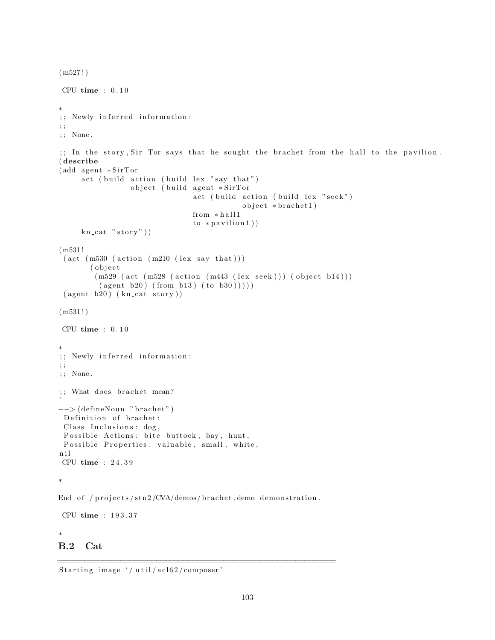```
(m527!)CPU time : 0.10∗
;; Newly inferred information:
; ;
; ; None .
\gamma;; In the story, Sir Tor says that he sought the brachet from the hall to the pavilion.
( describe
(add agent * SirTor)act ( build action ( build lex " say that")
                  object ( build agent *SirTor
                                  act ( build action ( build lex " seek")
                                               object * bracket1)from * hall1to * partition1)kn<sub>cat</sub> "stor y")
(m531 !
 (\text{act } (m530 \text{ (action } (m210 \text{ (lex say that })))( object
         (m529 (act (m528 (action (m443 (lex seek))) (object b14)))(\text{agent } b20) (\text{from } b13) (\text{to } b30)))
 (\text{agent } b20) (\text{kn\_cat story}))(m531!)CPU time : 0.10∗
;; Newly inferred information:
; ;
; ; None .
;; What does brachet mean?
ˆ
−−> (defineNoun "brachet")
 Definition of brachet:
 Class Inclusions: dog,
 Possible Actions: bite buttock, bay, hunt,
 Possible Properties: valuable, small, white,
n i l
CPU time : 2 4 . 3 9
∗
End of /projects/stn2/CVA/demos/brachet.demo demonstration.
CPU time : 1 9 3 . 3 7
∗
B.2 Cat
```
==============================================================

Starting image  $\frac{'}{$ util/acl62/composer'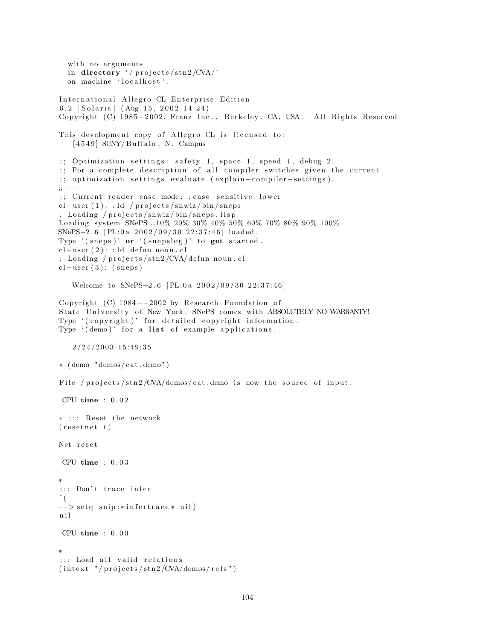```
with no arguments
  in directory '/ projects/stn2/CVA/'
  on machine 'localhost'.
International Allegro CL Enterprise Edition
6.2 [Solaris] (Aug 15, 2002 14:24)
Copyright (C) 1985-2002, Franz Inc., Berkeley, CA, USA. All Rights Reserved.
This development copy of Allegro CL is licensed to:
   [4549] SUNY/Buffalo, N. Campus
;; Optimization settings: safety 1, space 1, speed 1, debug 2.
;; For a complete description of all compiler switches given the current
;; optimization settings evaluate (explain-compiler-settings).
;;−−−
;; Current reader case mode: : case-sensitive-lower
cl-user(1): id / projects/snwiz/bin/sneps; Loading / projects/snwiz/bin/sneps.lisp
Loading system SNePS...10% 20% 30% 40% 50% 60% 70% 80% 90% 100%
SNePS−2.6 [PL:0a 2002/09/30 22:37:46] loaded.
Type '(s_{n+1})' or '(s_{n+1})' to get started.
cl-user (2): : ld defun_noun.cl
; Loading / projects/stn2/CVA/defun_noun.cl
cl-user(3): (sneps)
   Welcome to SNePS-2.6 [PL:0a 2002/09/30 22:37:46]
Copyright (C) 1984−−2002 by Research Foundation of
State University of New York. SNePS comes with ABSOLUTELY NO WARRANTY!
Type '(copyright)' for detailed copyright information.
Type '(demo)' for a list of example applications.
   2/24/2003 15:49:35
∗ ( demo "demos/ c a t . demo" )
File / projects/\frac{\sinh 2}{\cosh 2} /CVA/demos/cat .demo is now the source of input.
CPU time : 0 . 0 2
* ;;; Reset the network
(resetnet t)Net reset
CPU time : 0 . 0 3
∗
;;; Don't trace infer
\hat{\ } (
−−> setq snip :* infertrace * nil)
n i l
CPU time : 0 . 0 0
∗
;;; Load all valid relations
(intext "/projects/stn2/CVA/demos/rels")
```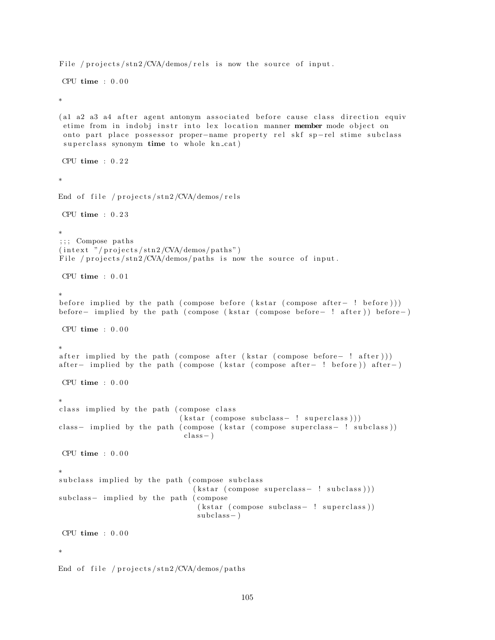```
File / projects/stn2/CVA/demos/rels is now the source of input.
CPU time : 0.00∗
(al a2 a3 a4 after agent antonym associated before cause class direction equiv
 etime from in indobj instr into lex location manner member mode object on
 onto part place possessor proper-name property rel skf sp-rel stime subclass
 superclass synonym time to whole kn_cat)CPU time : 0 . 2 2
∗
End of file / projects/stn2/CVA/demos/relsCPU time : 0 . 2 3
∗
;; ; Compose paths
(intext "/projects/stn2/CVA/demos/paths")
File / projects/stn2/CVA/demos/paths is now the source of input.
CPU time : 0.01∗
before implied by the path ( compose before ( k star ( compose after – ! before ) ) )
before− implied by the path ( compose (kstar ( compose before− ! after ) ) before− )
CPU time : 0.00∗
after implied by the path ( compose after ( k star ( compose before – ! after ) ) )
after – implied by the path ( compose ( k star ( compose after – ! before ) ) after – )
CPU time : 0.00∗
class implied by the path (compose class
                             (kstar (composite subclass - ! superclass)))class- implied by the path ( compose ( kstar ( compose superclass- ! subclass ) )
                             class - )CPU time : 0.00∗
subclass implied by the path (compose subclass
                                (kstar (composite superclass - ! subclass)))subclass- implied by the path (compose
                                 (kstar (composite subclass - ! superclass))subclass - )CPU time : 0 . 0 0
∗
End of file / projects/stn2/CVA/demos/paths
```

```
105
```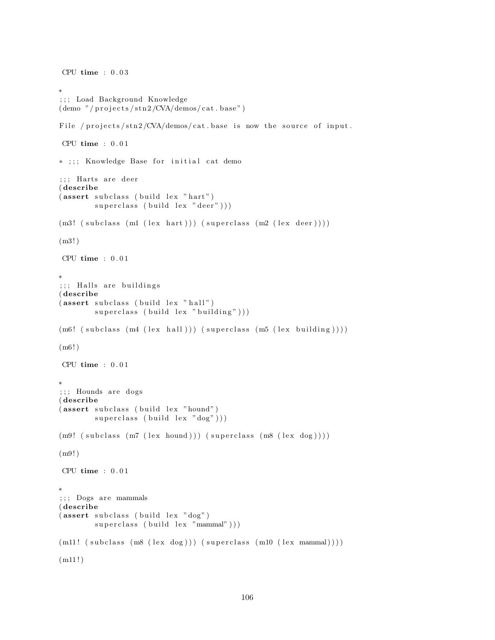```
CPU time : 0.03∗
; ; ; Load Background Knowledge
(demo'/projects/stn2/CVA/demos/cat.base'')File / projects/stn2/CVA/demos/cat.base is now the source of input.
CPU time : 0.01* ;;; Knowledge Base for initial cat demo
;;; Harts are deer
( describe
(assert subclass (build lex "hart")superclass ( build lex " deer" )))
(m3! (subclass (m1 (lex hart))) (superclass (m2 (lex deer))))
(m3! )
CPU time : 0.01∗
;;; Halls are buildings
( describe
(assert subclass (build lex "hall")superclass ( build lex " building" ) ) )
(m6! (subclass (m4 (lex hall))) (superclass (m5 (lex building))))
(m6! )
CPU time : 0 . 0 1
∗
;;; Hounds are dogs
( describe
(assert subclass (build lex "hound")
        superclass ( build lex "dog" ) ) )
(m9! (subclass (m7 (lex hound))) (superclass (m8 (lex dog))))
(m9! )
CPU time : 0.01∗
; ; ; Dogs are mammals
( describe
(assert subclass (build lex "dog")superclass ( build lex "mammal" ) ) )
(m11! (subclass (m8 (lex dog))) (superclass (m10 (lex mammal))))(m11!)
```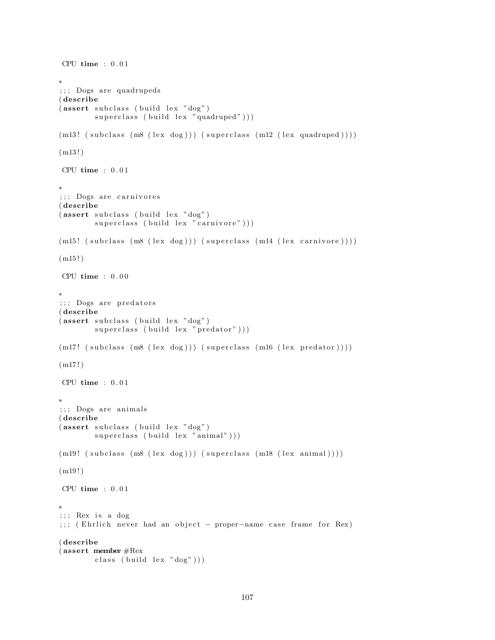```
CPU time : 0 . 0 1
∗
;;; Dogs are quadrupeds
( describe
(assert subclass (build lex "dog")superclass ( build lex "quadruped")))
(m13! (subclass (m8 (lex dog))) (superclass (m12 (lex quadruped)))))
(m13!)CPU time : 0 . 0 1
∗
;;; Dogs are carnivores
( describe
(assert subclass (build lex "dog")superclass ( build lex " carnivore" ) ) )
(m15! (subclass (m8 (lex dog))) (superclass (m14 (lex carnivore)))))
(m15!)CPU time : 0.00∗
;;; Dogs are predators
( describe
(assert subclass (build lex "dog")superclass (build lex "predator")))
(m17! \ (subclass \ (m8 \ (lex \ dog))) \ (superclass \ (m16 \ (lex \ predator))))(m17!)CPU time : 0.01∗
;;; Dogs are animals
( describe
(assert subclass (build lex "dog")superclass (build lex "animal")))
(m19! (subclass (m8 (lex dog))) (superclass (m18 (lex animal)))))
(m19!)CPU time : 0.01∗
; ; ; Rex is a dog
;;; (Ehrlich never had an object - proper-name case frame for Rex)
( describe
( assert member #Rex
        class (build lex "dog"))
```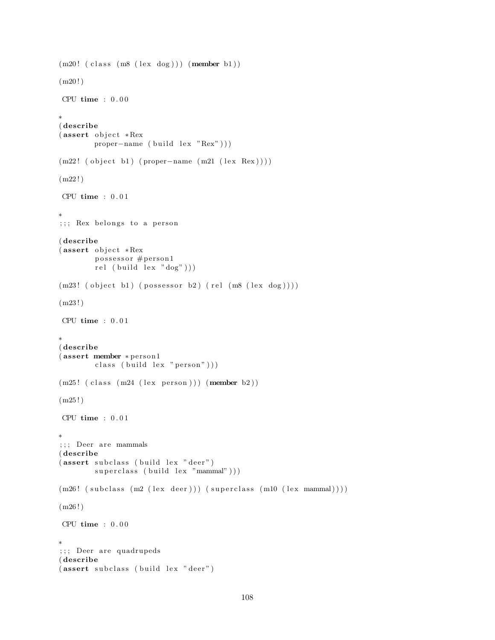```
(m20! (class (m8 (lex dog))) (member b1))
(m20!)CPU time : 0.00∗
( describe
(assert object * Rex)proper-name (build lex "Rex"))(m22! (object b1) (proper-name (m21 (lex Rex))))(m22!)CPU time : 0.01∗
; ; ; Rex belongs to a person
( describe
(assert object * Rex)possessor #person1
        rel (build lex "dog"))(m23! (object b1) (possessor b2) (rel (m8 (lex dog))))
(m23 ! )
CPU time : 0.01∗
( describe
(assert member * person1
        class ( build lex " person" )))
(m25! (class (m24 (lex person))) (member b2))
(m25!)CPU time : 0.01∗
;;; Deer are mammals
( describe
(assert subclass (build lex "deer")superclass ( build lex "mammal" ) ) )
(m26! (subclass (m2 (lex deer))) (superclass (m10 (lex mammal))))
(m26!)CPU time : 0.00∗
;;; Deer are quadrupeds
( describe
(assert subclass (build lex "deer")
```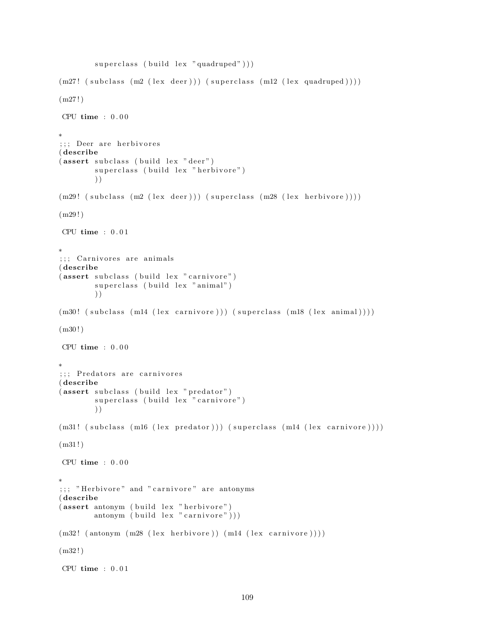```
superclass ( build lex "quadruped")))
(m27! \ (subclass \ (m2 \ (lex \ deer))) \ (superclass \ (m12 \ (lex \ quadruped))))(m27!)CPU time : 0 . 0 0
∗
;;; Deer are herbivores
( describe
(assert subclass (build lex "deer")superclass (build lex "herbivore")
        ) )
(m29! (subclass (m2 (lex deer))) (superclass (m28 (lex herbivore))))
(m29!)CPU time : 0 . 0 1
∗
;;; Carnivores are animals
( describe
(assert subclass (build lex "carnivore")
        superclass (build lex "animal")
        ) )
(m30! (subclass (m14 (lex carnivore))) (superclass (m18 (lex animal))))
(m30!)CPU time : 0.00∗
;;; Predators are carnivores
( describe
(assert subclass (build lex "predator")superclass (build lex "carnivore")
        ) )
(m31! (subclass (m16 (lex predator))) (superclass (m14 (lex carnivore))))
(m31!)CPU time : 0 . 0 0
∗
;;; "Herbivore" and "carnivore" are antonyms
( describe
(assert antonym (build lex "herbivore")
        antonym ( build lex " carnivore")))
(m32! (antonym (m28 (lex herbivore)) (m14 (lex carnivore))))
(m32!)CPU time : 0.01
```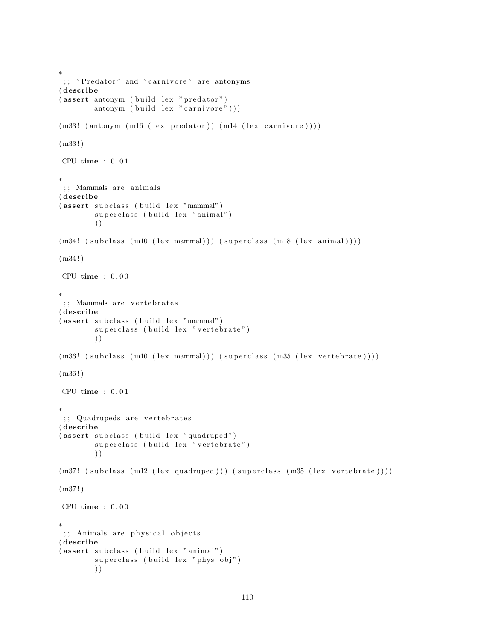```
;;; "Predator" and "carnivore" are antonyms
( describe
(assert antonym (build lex "predator")
        antonym ( build lex " carnivore" )))
(m33! (antonym (m16 (lex predator)) (m14 (lex carnivore))))
(m33 ! )
CPU time : 0 . 0 1
∗
;;; Mammals are animals
( describe
(assert subclass (build lex "mammal")
        superclass (build lex "animal")
        ) )
(m34! (subclass (m10 (lex mammal))) (superclass (m18 (lex animal))))
(m34!)CPU time : 0.00∗
; ;; Mammals are vertebrates
( describe
(assert subclass (build lex "mammal")
        superclass (build lex "vertebrate")
        ) )
(m36! (subclass (m10 (lex mammal))) (superclass (m35 (lex vertebrate))))
(m36!)CPU time : 0.01∗
;;; Quadrupeds are vertebrates
( describe
(assert subclass (build lex "quadruped")
        superclass (build lex "vertebrate")
        ) )
(m37! (subclass (m12 (lex quadruped))) (superclass (m35 (lex vertebrate))))
(m37!)CPU time : 0.00∗
;;; Animals are physical objects
( describe
(assert subclass (build lex "animal")
        superclass (build lex "phys obj")
        ) )
```
∗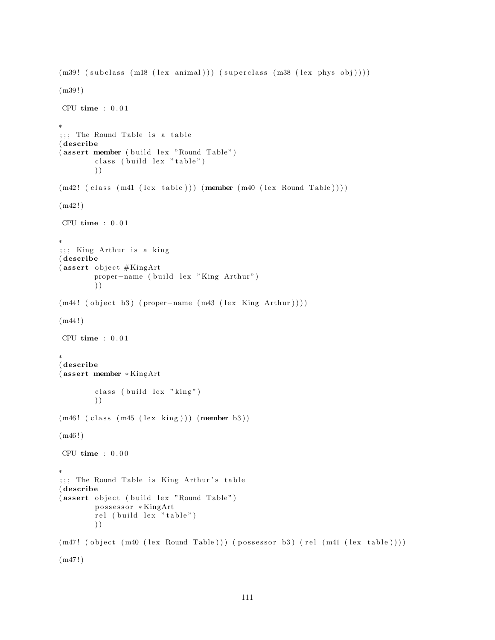```
(m39! (subclass (m18 (lex animal))) (superclass (m38 (lex phys obj))))
(m39 ! )
CPU time : 0.01∗
;;; The Round Table is a table
( describe
(assert member (build lex "Round Table")class (build lex "table")
        ) )
(m42! (class (m41 (lex table))) (member (m40 (lex Round Table))))(m42!)CPU time : 0.01∗
;;; King Arthur is a king
( describe
(assert \; object \#KingArt)proper-name ( build lex "King Arthur")
        ) )
(m44! ( object b3) ( proper-name (m43 (lex King Arthur ) ) ) )
(m44!)CPU time : 0.01∗
( describe
( assert member ∗ KingArt
        class (build lex "king")
        ) )
(m46! ( class (m45 ( lex king ) ) ) (member b3 ))
(m46!)CPU time : 0.00∗
;;; The Round Table is King Arthur's table
( describe
(assert object ( build lex "Round Table")
        possessor *KingArt
        rel (build lex "table")
        ) )
(m47! ( object (m40 (lex Round Table )) ) ( possessor b3) (rel (m41 (lex table ))))
(m47 ! )
```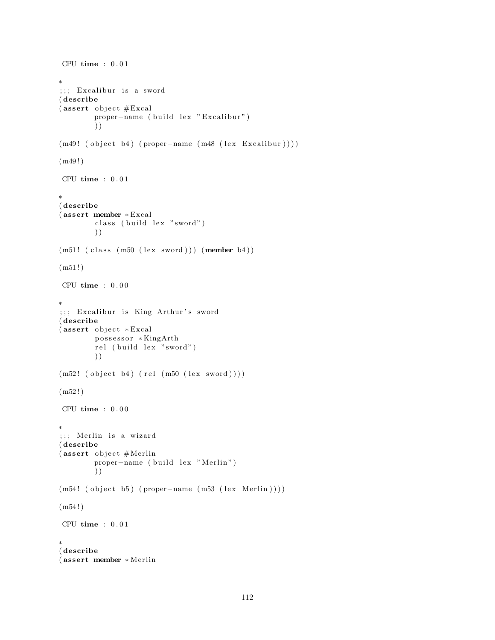```
CPU time : 0.01∗
;;; Excalibur is a sword
( describe
(assert \; object \#Exact)proper-name ( build lex " Excalibur")
        ) )
(m49! (object b4) (proper-name (m48 (lex Excaling)))(m49!)CPU time : 0.01∗
( describe
( assert member ∗ Excal
        class (build lex "sword")) )
(m51! (class (m50 (lex word))) (member b4))(m51!)CPU time : 0.00∗
;;; Excalibur is King Arthur's sword
( describe
(assert \; object \; *Exactpossessor *KingArth
        rel (build lex "sword")
        ) )
(m52! (object b4) (rel (m50 (lex sword))))(m52!)CPU time : 0.00∗
;;; Merlin is a wizard
( describe
(assert object #Merlinproper-name ( build lex " Merlin")
        ) )
(m54! ( object b5) ( proper-name (m53 (lex Merlin ) ) ) )
(m54!)CPU time : 0.01∗
( describe
( assert member ∗ Me rlin
```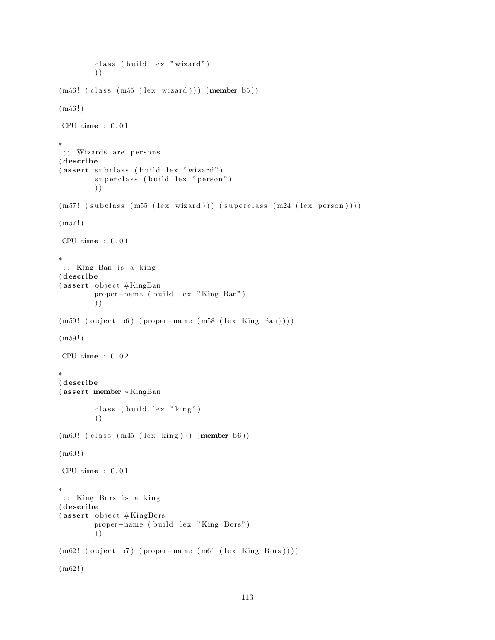```
class ( build lex " wizard")
        ) )
(m56! (class (m55 (lex wizard))) (member b5))
(m56!)CPU time : 0 . 0 1
∗
;;; Wizards are persons
( describe
(assert subclass (build lex "wizard")
        superclass (build lex "person")
        ) )
(m57! (subclass (m55 (lex wizard))) (superclass (m24 (lex person))))
(m57!)CPU time : 0 . 0 1
∗
;;; King Ban is a king
( describe
(assert \; object \#KingBanproper-name ( build lex "King Ban")
        ) )
(m59! ( object b6) ( proper-name (m58 (lex King Ban) )))
(m59!)CPU time : 0.02∗
( describe
( assert member ∗ KingBan
        class (build lex "king")
        ) )
(m60! (class (m45 (lex king))) (member b6))
(m60 ! )
CPU time : 0.01∗
;;; King Bors is a king
( describe
(assert\;object\#KingBorsproper-name ( build lex "King Bors")
        ) )
(m62! ( object b7) ( proper-name (m61 (lex King Bors ) ) ) )
(m62!)
```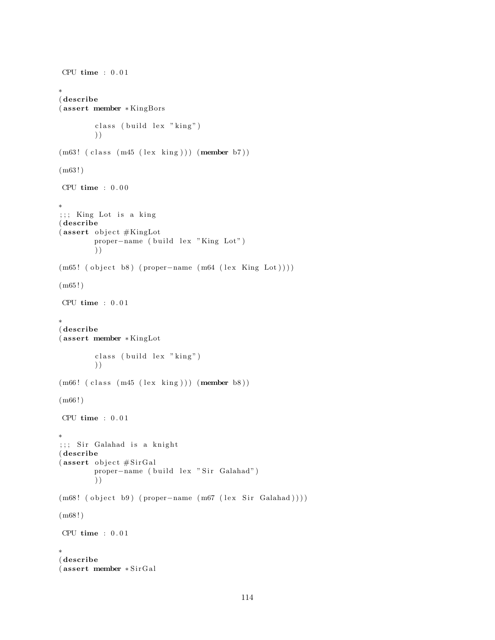```
CPU time : 0 . 0 1
∗
( describe
( assert member ∗ KingBors
        class (build lex "king")
        ) )
(m63! (class (m45 (lex king))) (member b7))
(m63 ! )
CPU time : 0 . 0 0
∗
;;; King Lot is a king
( describe
(assert\; object \#KingLotproper-name ( build lex "King Lot")
        ) )
(m65! ( object b8) ( proper-name (m64 (lex King Lot))))
(m65!)CPU time : 0.01∗
( describe
( assert member ∗ KingLot
        class (build lex "king")
        ) )
(m66! (class (m45 (lex king))) (member b8))
(m66!)CPU time : 0.01∗
;;; Sir Galahad is a knight
( describe
(assert\;object\#SirGal)proper-name ( build lex " Sir Galahad")
        ) )
(m68! (object b9) (proper-name (m67 (lex Sir Galahad))))(m68 ! )
CPU time : 0.01∗
( describe
( assert member ∗ Si rG al
```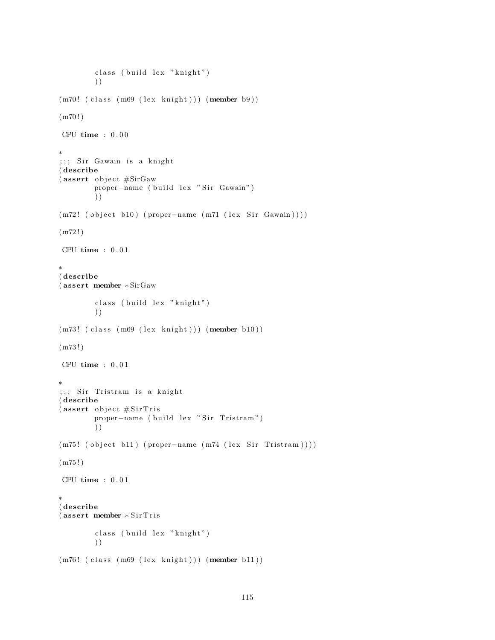```
class ( build lex "knight")
        ) )
(m70! (class (m69 (lex knight))) (member b9))
(m70!)CPU time : 0.00∗
;;; Sir Gawain is a knight
( describe
(assert object #SirGaw
        proper-name ( build lex " Sir Gawain")
        ) )
(m72! ( object b10) ( proper-name (m71 (lex Sir Gawain ) ) ) )
(m72!)CPU time : 0.01∗
( describe
( assert member ∗ SirGaw
        class ( build lex "knight")
        ) )
(m73! (class (m69 (lex knight))) (member b10))
(m73!)CPU time : 0.01∗
;;; Sir Tristram is a knight
( describe
(assert\;object\#SirTrisproper-name ( build lex " Sir Tristram")
        ) )
(m75! ( object b11) ( proper-name (m74 ( lex Sir Tristram ) ) ) )
(m75 ! )
CPU time : 0 . 0 1
∗
( describe
(assert member *SirTrisclass (build lex "knight")
        ) )
(m76! (class (m69 (lex knight))) (member b11))
```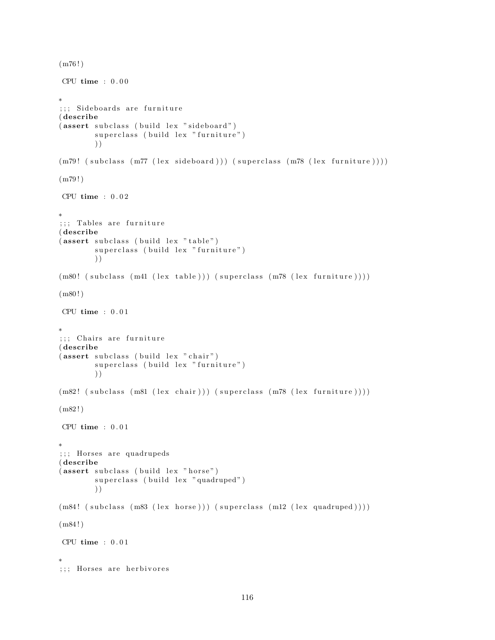```
(m76!)CPU time : 0.00∗
;;; Sideboards are furniture
( describe
(assert subclass (build lex "sideboard")superclass (build lex "furniture")
        ) )
(m79! \text{ (subclass (}m77 \text{ (lex sideboard)})) (superclass (m78 \text{ (lex } further))))(m79!)CPU time : 0.02∗
;;; Tables are furniture
( describe
(assert subclass (build lex "table")superclass (build lex "furniture")
        ) )
(m80! (subclass (m41 (lex table))) (superclass (m78 (lex furniture))))
(m80!)CPU time : 0.01∗
;;; Chairs are furniture
( describe
(assert subclass (build lex "chair")superclass (build lex "furniture")
        ) )
(m82! (subclass (m81 (lex chair))) (superclass (m78 (lex furniture))))
(m82!)CPU time : 0.01∗
;;; Horses are quadrupeds
( describe
(assert subclass (build lex "horse")superclass (build lex "quadruped")
        ) )
(m84! (subclass (m83 (lex horse))) (superclass (m12 (lex quadruped))))
(m84 ! )
CPU time : 0.01∗
;;; Horses are herbivores
```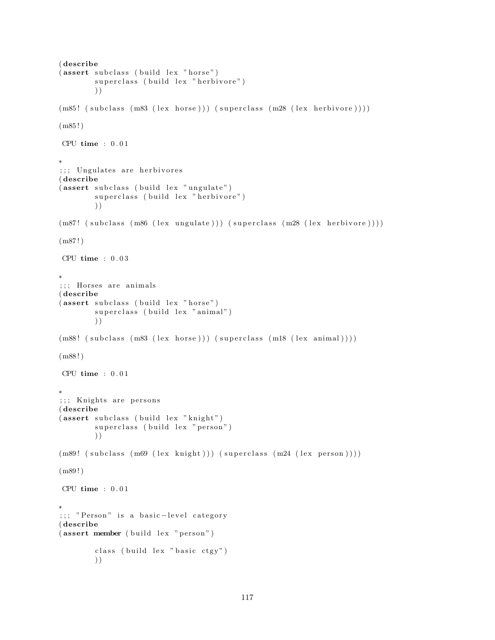```
( describe
(assert subclass (build lex "horse")
        superclass (build lex "herbivore")
        ) )
(m85! (subclass (m83 (lex horse))) (superclass (m28 (lex herbivore))))
(m85!)CPU time : 0.01∗
;;; Ungulates are herbivores
( describe
(assert subclass (build lex "ungulate")
        superclass ( build lex " herbivore")
        ) )
(m87! \text{ (subclass (m86 (lex unguide)))} (superclass (m28 (lex herbivore))))(m87!)CPU time : 0.03∗
;;; Horses are animals
( describe
(assert subclass (build lex "horse")
        superclass (build lex "animal")
        ) )
(m88! (subclass (m83 (lex horse))) (superclass (m18 (lex animal))))
(m88 ! )
CPU time : 0.01∗
;;; Knights are persons
( describe
(assert subclass (build lex "knight")
        superclass (build lex "person")
        ) )
(m89! (subclass (m69 (lex knight))) (superclass (m24 (lex person))))
(m89 ! )
CPU time : 0.01∗
;;; " Person" is a basic-level category
( describe
(assert member (build lex "person")
        class ( build lex " basic ctgy")
        ) )
```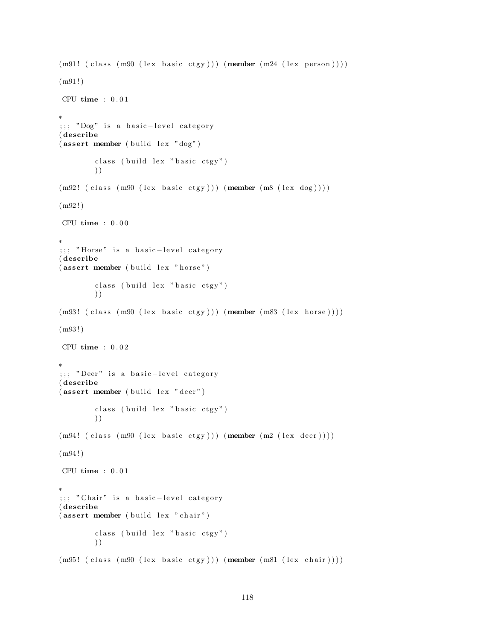```
(m91! (class (m90 (lex basic ctgy))) (member (m24 (lex person))))(m91!)CPU time : 0.01∗
;;; "Dog" is a basic-level category
( describe
(\text{assert member } (\text{build lex } "dog")class ( build lex " basic ctgy")
        ) )
(m92! (class (m90 (lex basic ctgy))) (member (m8 (lex dog))))(m92!)CPU time : 0.00∗
;;; "Horse" is a basic-level category
( describe
(assert member (b uild lex "horse")
        class ( build lex " basic ctgy")
        ) )
(m93! (class (m90 (lex basic ctgy))) (member (m83 (lex horse))))(m93 ! )
CPU time : 0.02∗
;;; "Deer" is a basic-level category
( describe
(assert member ( build lex " deer")
        class ( build lex " basic ctgy")
        ) )
(m94! ( class (m90 (lex basic ctgy))) (member (m2 (lex deer))))
(m94!)CPU time : 0.01∗
;;; " Chair" is a basic-level category
( describe
(assert member (b uild lex " chair")
        class (build lex "basic ctgy")
        ) )
(m95! (class (m90 (lex basic ctgy))) (member (m81 (lex chair))))
```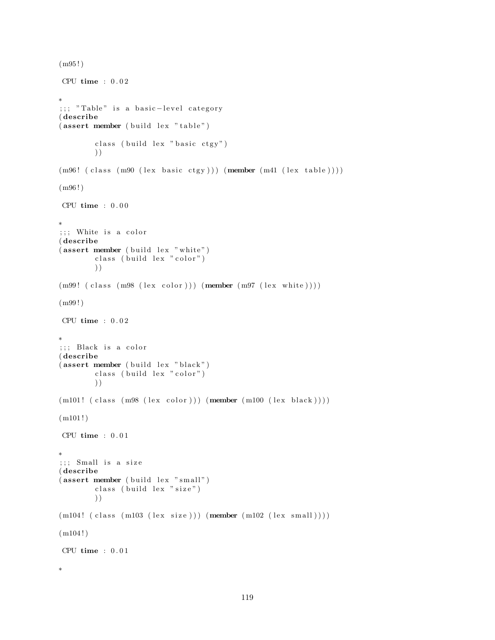```
(m95 ! )
CPU time : 0.02∗
;;; "Table" is a basic-level category
( describe
(assert member (build lex "table")class ( build lex " basic ctgy")
        ) )
(m96!~(class~(m90~(lex~basic~ctgy))))~(member~(m41~(lex~table))))(m96 ! )
CPU time : 0.00∗
;;; White is a color
( describe
(assert member (build lex "white")class (build lex "color")
        ) )
(m99! (class (m98 (lex color))) (member (m97 (lex white))))(m99 ! )
CPU time : 0.02∗
;;; Black is a color
( describe
(assert member (buid lex "black")class (build lex "color")
        ) )
(m101! (class (m98 (lex color))) (member (m100 (lex black))))(m101!)CPU time : 0.01∗
;;; Small is a size
( describe
(assert member (build lex "small")
        class ( build lex " size" )
        ) )
(m104! (class (m103 (lex size))) (member (m102 (lex small))))(m104!)CPU time : 0.01∗
```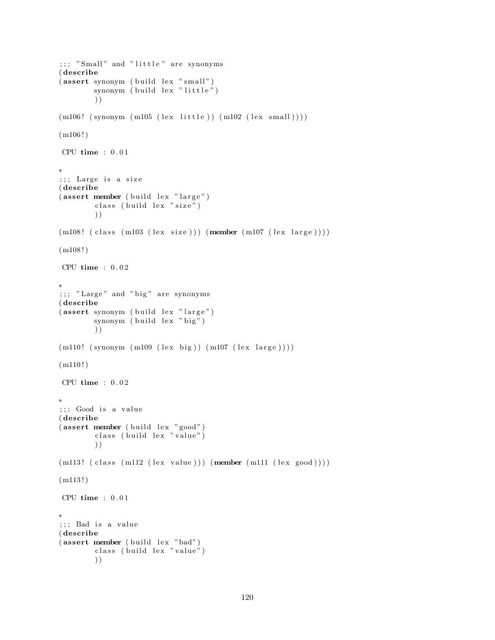```
;;;; "Small" and "little" are synonyms
( describe
(assert synonym (build lex "small")
        synonym (build lex "little")
        ) )
(m106! (synonym (m105 (lex little)) (m102 (lex small))))
(m106!)CPU time : 0.01∗
; ;; Large is a size
( describe
(assert member (build lex "large")class ( build lex " size")
        ) )
(m108! (class (m103 (lex size))) (member (m107 (lex large))))(m108!)CPU time : 0.02∗
;;; "Large" and "big" are synonyms
( describe
(assert synonym ( build lex "large")
        synonym (build lex "big")
        ) )
(m110! (synonym (m109 (lex big)) (m107 (lex large))))
(m110!)CPU time : 0.02∗
;;; Good is a value
( describe
(assert member (build lex "good")
        class (build lex "value")
        ) )
(m113! (class (m112 (lex value))) (member (m111 (lex good))))(m113!)CPU time : 0.01∗
; ;; Bad is a value
( describe
(\text{assert member } (\text{build lex "bad")})class (build lex "value")
        ) )
```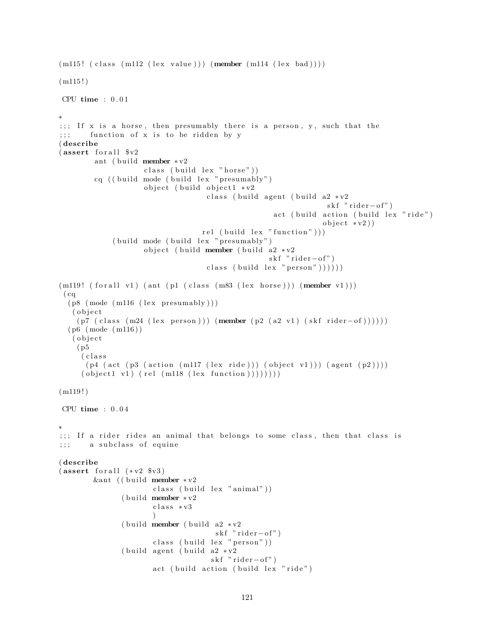```
(m115! (class (m112 (lex value))) (member (m114 (lex bad))))(m115!)CPU time : 0 . 0 1
∗
;;; If x is a horse, then presumably there is a person, y, such that the
;;; function of x is to be ridden by y
( describe
(sasert for all <math>\y2</math>
        ant ( build member *v2class ( build lex " horse" ))
        cq (( build mode ( build lex " presumably")object (build object1 * v2class ( build agent ( build a2 \times v2skf "rider-of")
                                                    act ( build action ( build lex "ride")object * v2)rel ( build lex " function" )))
             (buid mode (build lex "presumably")object ( build member ( build a2 *v2
                                                    skf "rider-of")
                                    class (build lex "person" )))))
(m119! (for all v1) (ant (pl (class (m83 (lex horse)))) (member v1)))(cq)(p8 \text{ (mode (m116 (lex presumably)))}( o b j e c t
    (p7 (class (m24 (lex person))) (member (p2 (a2 v1) (skf rider-of))))))(p6 \pmod{m116})( o b j e c t
    ( p5
     ( c l a s s
      (p4 \text{ (act (p3 (action (m117 (lex ride))) (object v1))) (agent (p2))))})( object 1 v1 ) (rel (m118 (lex function ))))))))
(m119!)CPU time : 0 . 0 4
∗
;;; If a rider rides an animal that belongs to some class, then that class is
;;; a subclass of equine
( describe
(assert for all (*v2 %v3))&ant (( build member * v2
                       class (build lex "animal"))( build member * v2c l a s s ∗ v3
                       \left( \right)( build member ( build a2 \cdot v2skf "rider-of")
                       class (build lex "person")( build agent ( build a2 \times v2skf "rider-of")
                       act (build action (build lex "ride")
```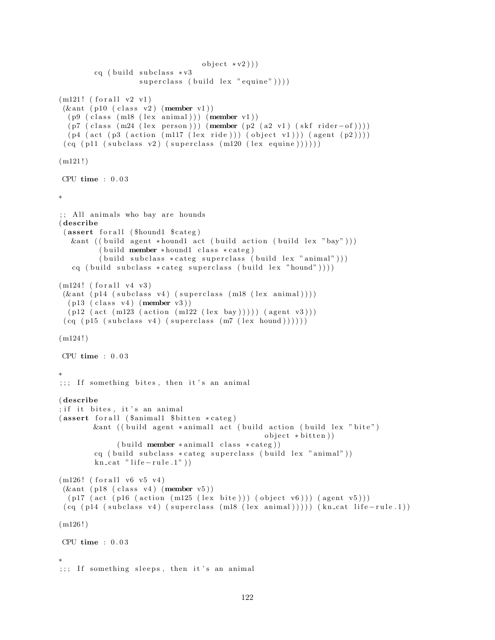```
object * v2))cq ( build subclass * v3superclass ( build lex " equine" ) ) )
(m121! (for all v2 v1)(\& ant ( p10 ( class v2) (member v1))
  (p9 (class (m18 (lex animal))) (member v1))(p7 \text{ (class (m24 (lex person))) (member (p2 (a2 v1) (skf rider–of))))})(p4 \text{ (act (p3 (action (m117 (lex ride))) (object v1))) (agent (p2))))})(cq (p11 (subclass v2) (superclass (m120 (lex equivalence))))))(m121!)CPU time : 0 . 0 3
∗
;; All animals who bay are hounds
( describe
 (assert for all ($hound1 $categ)&ant ( ( build agent *hound1 act ( build action ( build lex "bay")))
         (build member *hound1 class *categ)
         (\text{build subclass } * \text{category } \text{superclass } (\text{build lex } " \text{ animal }"))cq ( build subclass * categ superclass ( build lex "hound") ) ) )
(m124! (for all v4 v3))(\& ant ( p14 ( subclass v4) ( superclass (m18 (lex animal))))(p13 (class v4) (member v3))(p12 (act (m123 (action (m122 (lex bay)))) (agent v3)))(cq (p15 (subclass v4) (superclass (m7 (lex bound))))))(m124!)CPU time : 0 . 0 3
∗
;;; If something bites, then it's an animal
( describe
; if it bites, it's an animal
(assert for all (ʻ\$ animal1 <math>\$bitten * category)&ant ((build agent *animal1 act (build action (build lex "bite")
                                                  object * bitten)(buid member * animal1 class * category))cq ( build subclass * categ superclass ( build lex " animal"))
        kn\_cat " life -rule.1")
(m126! (for all v6 v5 v4)
(kant (p18 (class v4) (member v5))(p17 (act (p16 (action (m125 (lex bite))) (object v6))) (agent v5)))(cq (p14 (subclass v4) (superclass (m18 (lex animal)))))(kn-cut life-rule.1))(m126!)CPU time : 0 . 0 3
∗
;;; If something sleeps, then it's an animal
```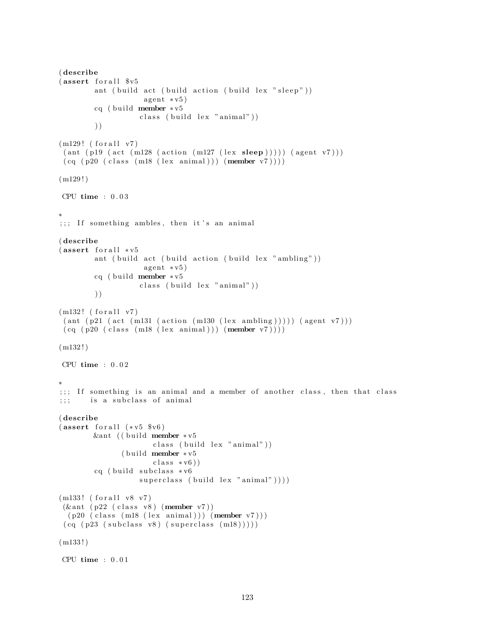```
( describe
(assert for all <math>$v5ant ( build act ( build action ( build lex " sleep" ))
                     agent * v5)cq ( build member * v5
                    class (build lex "animal"))) )
(m129! (for all v7))(\text{ant } (p19 \text{ (act } (m128 \text{ (action } (m127 \text{ (lex } sleep)))))) (\text{agent } v7)))(cq (p20 (class (m18 (lex animal))) (member v7))))(m129!)CPU time : 0 . 0 3
∗
;;; If something ambles, then it's an animal
( describe
(assert for all <math>*v5</math>)ant ( build act ( build action ( build lex " ambling" ))
                     agent * v5)cq ( build member * v5
                    class (build lex "animal"))) )
(m132! (for all v7))(ant (p21 (act (m131 (action (m130 (lex ambling)))))(agent v7)))(cq (p20 (class (m18 (lex animal))) (member v7))))(m132!)CPU time : 0 . 0 2
∗
;;; If something is an animal and a member of another class, then that class
;;; is a subclass of animal
( describe
(assert for all (*v5 $v6)&ant ((build member ∗v5
                       class (build lex "animal"))( build member * v 5\text{class} * \text{v6}))
         cq ( build subclass * v6superclass ( build lex "animal" )))
(m133! (for all v8 v7)
(kant (p22 (class v8) (member v7))(p20 \text{ (class (m18 (lex animal))) (member v7) ))})(cq (p23 (subclass v8) (superclass (m18))))(m133!)CPU time : 0.01
```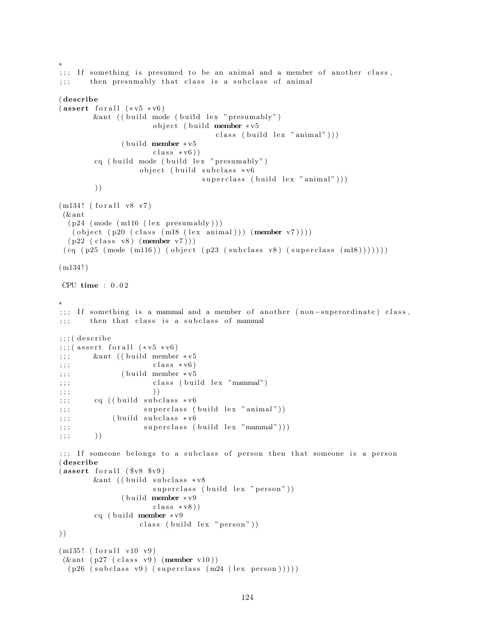```
;;; If something is presumed to be an animal and a member of another class,
;;; then presumably that class is a subclass of animal
( describe
(assert for all (*v5 * v6))\&ant (( build mode ( build lex " presumably")
                     object (build member *v5
                                    class ( build lex "animal" )))
              (b uild member * v5class * v6)cq ( build mode ( build lex " presumably")
                  object ( build subclass *v6
                                 superclass ( build lex "animal" ) )
        ) )
(m134! (for all v8 v7)
(& ant
  (p24 \ (mode \ (m116 \ (lex \ presumably)))( object (p20 (class (m18 (lex animal))) (member v7)))(p22 \text{ (class v8) (member v7)}))(cq (p25 (mode (m116)) (object (p23 (subclass v8) (superclass (m18))))))(m134!)CPU time : 0 . 0 2
∗
;;; If something is a mammal and a member of another (non-superordinate) class,
;;; then that class is a subclass of mammal
;;;; (describe
;\;; (assert for all (*v5 * v6);; ; & & & & ant ((build member * v 5; ; ; \text{class} * \text{v6})
;; ; ( build member * v5\langle;;; class (build lex "mammal")
;\,;\,\, ))
;; ; cq ((build subclass * v6(;;; superclass (build lex "animal"))
;;; (build subclass * v6\langle;;; superclass (build lex "mammal")))
; ; ; ) )
;;; If someone belongs to a subclass of person then that someone is a person
( describe
(assert for all ( <math>$v8</math> <math>$v9</math>)&ant ((build subclass *v8
                     superclass (build lex "person"))
              ( build member * v9class * v8)cq ( build member * v9
                  class (build lex "person"))) )
(m135! (for all v10 v9)
(\& ant (p27 \text{ (class v9) (member v10)}))(p26 (subclass v9) (superclass (m24 (lex person))))
```
∗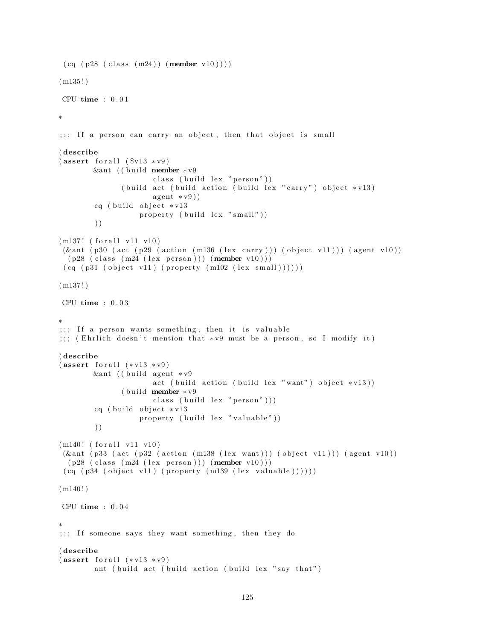```
(cq ( p28 (class (m24) ) (member v10) ) )(m135!)CPU time : 0 . 0 1
∗
\cdots;;; If a person can carry an object, then that object is small
( describe
(\text{assert } \text{for all } (\$v13 * v9))&ant (( build member * v9
                       class (build lex "person"))
               ( build act ( build action ( build lex "carry") object *v13)
                       agent * v9)cq ( build object * v13property (build lex "small"))
        ) )
(m137! (for all v11 v10)(\& ant (p30 (act (p29 (action (m136 (lex carry))) (object v11))) (agent v10))
  (p28 \text{ (class } (m24 \text{ (lex } person))) \text{ (member } v10)))(cq (p31 (object v11) (property (m102 (lex small))))(m137!)CPU time : 0 . 0 3
∗
;;; If a person wants something, then it is valuable
;;; (Ehrlich doesn't mention that * v9 must be a person, so I modify it)
( describe
(assert for all (*v13 * v9))&ant ((build agent *v9
                       act ( build action ( build lex "want") object * v13 ))
               ( build member * v9class ( build lex " person"))
        cq ( build object * v13property ( build lex " valuable" ))
        ) )
(m140! (for all v11 v10)(\& ant (p33 (act (p32 (action (m138 (lex want))) (object v11))) (agent v10))
 (p28 \text{ (class } (m24 \text{ (lex } person))) \text{ (member } v10)))(cq (p34 (object v11) (property (m139 (lex valuable))))))(m140!)CPU time : 0.04∗
;;; If someone says they want something, then they do
( describe
(assert for all (*v13 * v9))ant ( build act ( build action ( build lex " say that")
```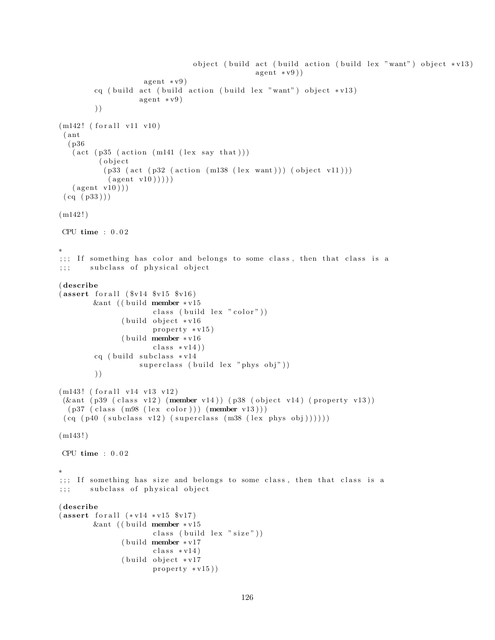```
object ( build act ( build action ( build lex "want") object * v13)
                                                 agent * v9)agent * v9)cq ( build act ( build action ( build lex "want") object * v13)
                    agent * v9)) )
(m142! (for all v11 v10)( ant
  ( p36
   (\text{act} (\text{p35} (\text{action} (\text{m141} (\text{lex say that})))( o b j e c t
           (p33 (act (p32 (action (m138 (lex want))) (object v11)))(\text{agent v10})))(\text{agent v10}))
 (cq (p33))(m142!)CPU time : 0 . 0 2
∗
;;; If something has color and belongs to some class, then that class is a
;;; subclass of physical object
( describe
(assert for all ( <math>$v14 $v15 $v16 )</math>)&ant (( build member * v15
                       class ( build lex " color" ))
               ( build object *v16
                       property * v15)( build member * v16class * v14)cq ( build subclass * v14superclass ( build lex " phys obj" ))
        ) )
(m143! (for all v14 v13 v12)(\& ant (p39 (class v12) (member v14)) (p38 (object v14) (property v13))
  (p37 \text{ (class } (m98 \text{ (lex color)})) (member v13)))(cq (p40 (subclass v12) (superclass (m38 (lex phys obj))))))(m143!)CPU time : 0 . 0 2
∗
;;; If something has size and belongs to some class, then that class is a
;;; subclass of physical object
( describe
(s) (assert for all (*v14 * v15 * v17))
        &ant (( build member * v15
                        class ( build lex "size" ) )
               ( build member * v17class * v14)(b uild object * v17
                       property * v15)
```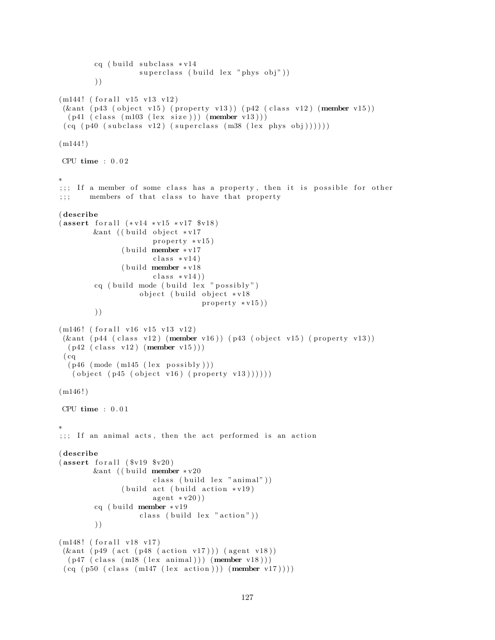```
cq ( build subclass * v14superclass ( build lex " phys obj" ))
        ) )
(m144! (for all v15 v13 v12)(\& ant (p43 (object v15) (property v13)) (p42 (class v12) (member v15))
  (p41 \text{ (class } (m103 \text{ (lex size)})) (member v13)))(cq (p40 (subclass v12) (superclass (m38 (lex phys obj)))))(m144!)CPU time : 0 . 0 2
∗
;;; If a member of some class has a property, then it is possible for other
;;; members of that class to have that property
( describe
(assert for all <math>(*v14 * v15 * v17 * v18)</math>)&ant (( build object * v17
                       property * v15)(b uild member * v17
                       class * v14)( build member * v18class * v14)cq ( build mode ( build lex " possibly" )
                    object ( build object *v18
                                   property * v15)) )
(m146! (for all v16 v15 v13 v12)
 (\& ant (p44 (class v12) (member v16)) (p43 (object v15) (property v13))
  (p42 \text{ (class v12) (member v15 )}))(cq)(p46 \ (mode \ (m145 \ (lex \ possibly \)))( object ( p45 ( object v16) ( property v13))))(m146!)CPU time : 0 . 0 1
∗
;;; If an animal acts, then the act performed is an action
( describe
(assert for all ( <math>$v19</math> <math>$v20</math>)&ant (( build member * v20
                       class (build lex "animal"))(b uild act (b uild action * v19)
                       a gent * v20)cq ( build member *v19
                    class ( build lex "action"))
        ) )
(m148! (for all v18 v17))(\& ant (p49 (act (p48 (action v17))) (agent v18))
  (p47 (class (m18 (lex animal))) (member v18)))
```

```
(cq (p50 (class (m147 (lex action)))) (member v17))))
```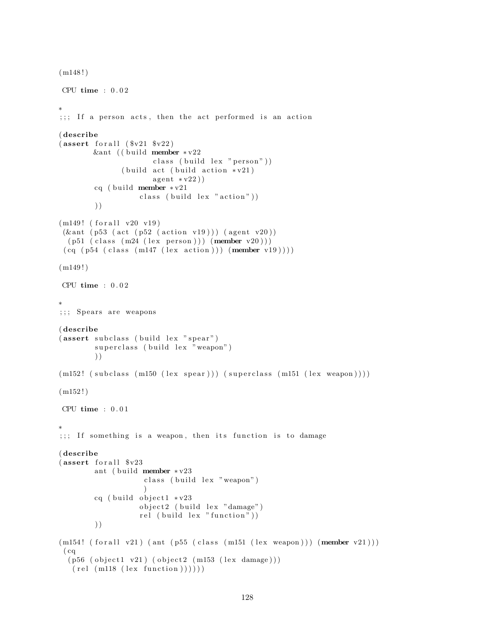```
(m148!)CPU time : 0 . 0 2
∗
\gamma;; If a person acts, then the act performed is an action
( describe
(s<sub>v21</sub> s<sub>v22</sub>)&ant (( build member * v22
                       class (build lex "person")(b uild act ( build action * v21)
                       agent * v22)cq ( build member * v21class ( build lex "action"))
        ) )
(m149! (for all v20 v19)(\& ant (p53 (act (p52 (action v19))) (agent v20))
  (p51 \text{ (class } (m24 \text{ (lex } person))) \text{ (member } v20)))(cq (p54 (class (m147 (lex action)))) (member v19))))(m149!)CPU time : 0 . 0 2
∗
;;; Spears are weapons
( describe
(assert subclass (build lex "spear")superclass (build lex "weapon")
         ) )
(m152! (subclass (m150 (lex spear))) (superclass (m151 (lex weapon))))
(m152!)CPU time : 0 . 0 1
∗
;;; If something is a weapon, then its function is to damage
( describe
(assert for all <math>\sqrt[6]{v23})</math>ant ( build member * v23class (build lex "weapon")
                     )
        cq ( build object 1 * v23object2 (build lex "damage")
                    rel ( build lex " function"))
        ) )
(m154! (for all v21) (ant (p55 (class (m151 (lex weapon)))) (member v21)))(cq)(p56 (object1 v21) (object2 (m153 (lex damage))))(\text{rel (m118 (lex function))))
```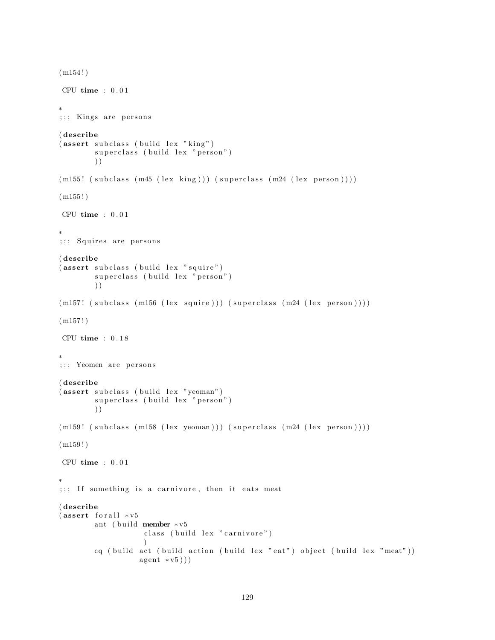```
(m154!)CPU time : 0.01∗
;;; Kings are persons
( describe
(assert subclass (build lex "king")superclass (build lex "person")
        ) )
(m155! (subclass (m45 (lex king))) (superclass (m24 (lex person))))
(m155!)CPU time : 0.01∗
;;; Squires are persons
( describe
(assert subclass ( build lex " squire")
        superclass (build lex "person")
        ) )
(m157! (subclass (m156 (lex squire))) (superclass (m24 (lex person))))
(m157!)CPU time : 0.18∗
;;; Yeomen are persons
( describe
(assert subclass (build lex "yeoman")superclass (build lex "person")
        ) )
(m159! (subclass (m158 (lex yeoman))) (superclass (m24 (lex person))))
(m159!)CPU time : 0.01∗
;;; If something is a carnivore, then it eats meat
( describe
\int \text{assert} for all * v5ant ( build member * v5
                    class (build lex "carnivore")
                    \lambdacq ( build act ( build action ( build lex " eat" ) object ( build lex " meat" ) )
                   a gent * v5))
```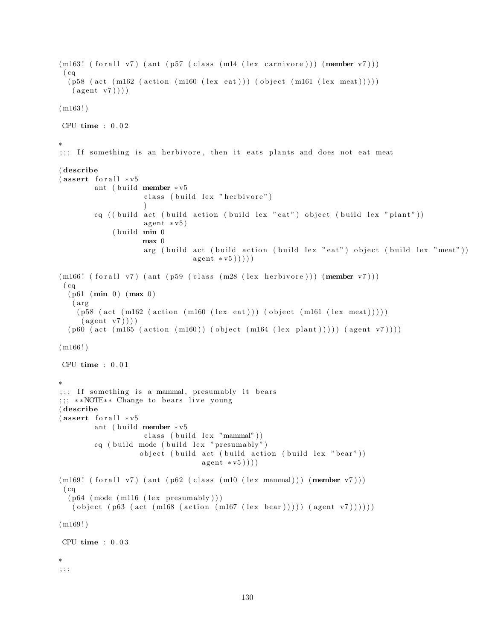```
(m163! \text{ (for all } v7) (ant (p57 \text{ (class } (ml4 \text{ (lex canivore)))} (member v7))))
 (cq)(p58 \text{ (act (m162 (action (m160 (lex eat)))) (object (m161 (lex meat))))))(\text{agent v7})))(m163!)CPU time : 0.02∗
;;; If something is an herbivore, then it eats plants and does not eat meat
( describe
(assert for all <math>*v5</math>)ant ( build member * v5class ( build lex " herbivore")
                     )
         cq ( ( build act ( build action ( build lex " eat" ) object ( build lex " plant" ) )
                     agent * v5)(b uild min 0max 0
                     arg ( build act ( build action ( build lex " eat" ) object ( build lex " meat" ) )
                                 a gent * v5))))
(m166! (for all v7) (ant (p59 (class (m28 (lex herbivore))) (member v7)))(cq)(p61 (min 0) (max 0)(arg)(p58 (act (m162 (action (m160 (lex eat)))) (object (m161 (lex meat))))))(\text{agent v7})))(p60 (act (m165 (action (m160)) (object (m164 (lex plant))))) (agent v7))))
(m166!)CPU time : 0 . 0 1
∗
;;; If something is a mammal, presumably it bears
;;; **NOTE** Change to bears live young
( describe
(assert for all <math>*v5</math>)ant ( build member * v5class (build lex "mammal"))
         cq ( build mode ( build lex " presumably")
                    object ( build act ( build action ( build lex " bear" ))
                                    a gent * v5)))(m169! (for all v7) (ant (p62 (class (m10 (lex mammal))) (member v7)))(cq)(p64 \ (mode \ (m116 \ (lex \ presumably)))( object (p63 (act (m168 (action (m167 (lex bear)))))) (agent v7))))))
(m169!)CPU time : 0 . 0 3
∗
; ; ;
```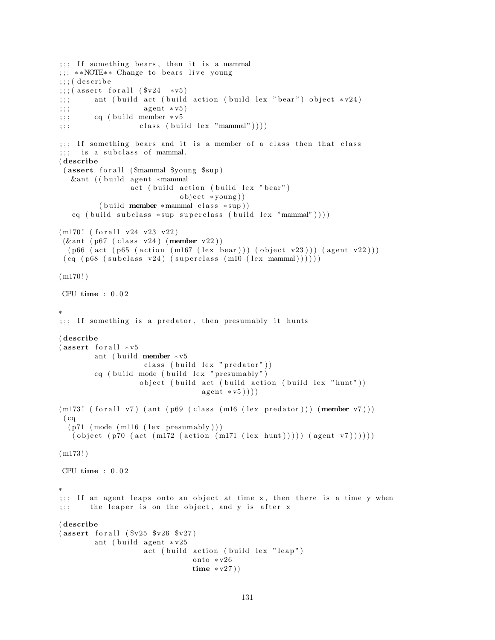```
;;; If something bears, then it is a mammal
;;; **NOTE** Change to bears live young
;;;; ( describe
\langle;;;( assert for all (\$v24 *v5);;; ant ( build act ( build action ( build lex " bear") object *v24)
;;; agent * v 5)
;;; cq ( build member * v 5;\,;\,;\qquad \qquad \text{class (build lex "mammal"))}));;; If something bears and it is a member of a class then that class
; ; ; is a subclass of mammal.
( describe
 (assert for all ($mammal $young $sup)
  &ant ((build agent ∗mammal
                 act ( build action ( build lex " bear" )
                             object * young))
         (buid member * mammal class * sup))cq ( build subclass *sup superclass ( build lex "mammal") ) ) )
(m170! (for all v24 v23 v22)
(\& ant ( p67 ( class v24) (member v22))
  (p66 (act (p65 (action (m167 (lex bear))) (object v23))) (agent v22)))
 (cq (p68 (subclass v24) (superclass (m10 (lex mammal))))))(m170!)CPU time : 0 . 0 2
∗
;;; If something is a predator, then presumably it hunts
( describe
(assert for all <math>*v5ant ( build member * v5class ( build lex " predator" ) )
        cq ( build mode ( build lex " presumably")
                   object ( build act ( build action ( build lex " hunt" ))
                                  a gent * v5)))(m173! \text{ (for all v7) (ant (p69 (class (m16 (lex predator))) (member v7)))}(cq)(p71 \ (mode \ (m116 \ (lex \ presumably)))( object (p70 (act (m172 (action (m171 (lex hunt)))) (agent v7))))(m173!)CPU time : 0 . 0 2
∗
;;; If an agent leaps onto an object at time x, then there is a time y when
;;; the leaper is on the object, and y is after x
( describe
(assert for all ( <math>$v25 $v26 $v27)</math>)ant ( build agent * v25act (build action (build lex "leap")
                                onto ∗ v26
                                time ∗ v27 ) )
```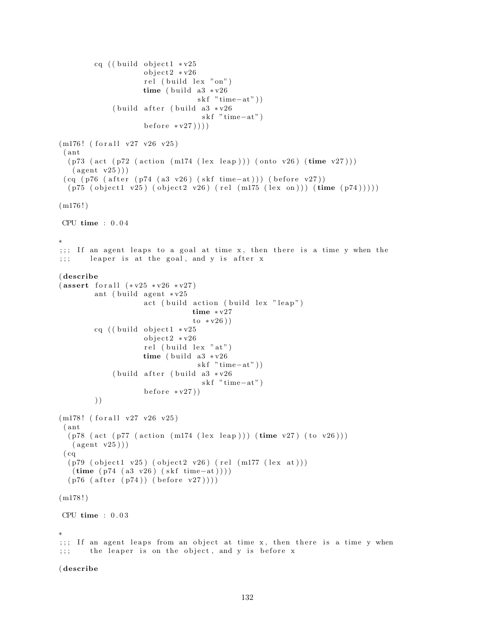```
cq ((build object1 * v25object2 * v26rel (build lex "on")
                    time ( build a3 \sqrt{26}skf "time-at" ) )
             ( build after ( build a3 *v26
                                  skf "time-at"
                    \text{before} * v27))(m176! (for all v27 v26 v25)
 ( ant
  (p73 \text{ (act (p72 (action (m174 (lex leap))) (onto v26) (time v27)))}(\text{agent v25}))(cq (p76 (after (p74 (a3 v26) (skf time-at))) (before v27))(p75 (object1 v25) (object2 v26) (rel (ml75 (lex on))) (time (p74))))(m176!)CPU time : 0 . 0 4
∗
;;; If an agent leaps to a goal at time x, then there is a time y when the
;;; leaper is at the goal, and y is after x
( describe
(assert for all <math>(*v25 * v26 * v27)</math>)ant ( build agent * v25act ( build action ( build lex " leap")
                                time ∗ v27
                                \frac{1}{\sqrt{2}} (v26))
        cq ((build object1 * v25object2 * v26rel (build lex "at")
                    time ( build a3 * v26skf "time-at"))
             ( build after ( build a3 * v26skf "time-at")
                    \text{before} * v27))
        ) )
(m178! (for all v27 v26 v25))( ant
  (p78 (act (p77 (action (m174 (lex leap))) (time v27) (to v26)))(\text{agent v25}))(cq)(p79 (object1 v25) (object2 v26) (rel (m177 (lex at)))(time (p74 (a3 v26) (skf time-at))))(p76 (after (p74)) (before v27))))(m178!)CPU time : 0.03∗
;;; If an agent leaps from an object at time x, then there is a time y when
;;; the leaper is on the object, and y is before x
```
## ( describe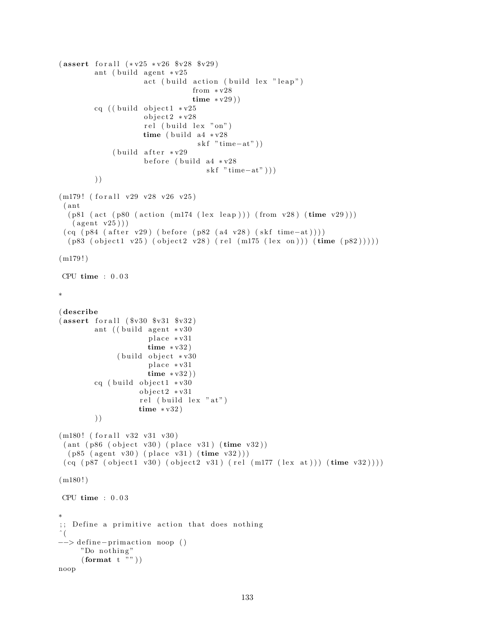```
(assert for all <math>(*v25 * v26 * v28 * v29)</math>)ant ( build agent * v25act (build action (build lex "leap")
                                 from ∗ v28
                                 time * v29)cq ((build object1 * v25object2 * v28rel (build lex "on")
                    time ( build a4 \times v28skf "time-at"))
             (b uild after * v29
                     before (build a4 *v28
                                    skf "time-at")))
        ) )
(m179! (for all v29 v28 v26 v25)( ant
  (p81 (act (p80 (action (m174 (lex leap))) (from v28) (time v29)))(\text{agent v25}))(cq (p84 (after v29) (before (p82 (a4 v28) (skf time-at))))(p83 (object1 v25) (object2 v28) (rel (m175 (lex on))) (time (p82)))))(m179!)CPU time : 0 . 0 3
∗
( describe
(assert for all <math>(\$v30 \$v31 \$v32)ant ((build agent * v30place *v31
                     time * v32)(b uild object * v30
                      place *v31
                     time * v32)cq ( build object 1 \cdot v30object2 * v31rel (build lex "at")
                   time * v32)) )
(m180! (for all v32 v31 v30)(ant (p86 (object v30) (place v31) (time v32))(p85 (agent v30) (place v31) (time v32)))(cq (p87 (object1 v30) (object2 v31) (rel (m177 (lex at))) (time v32))))(m180!)CPU time : 0 . 0 3
∗
;; Define a primitive action that does nothing
ˆ (
−−> define - primaction noop ()
     "Do nothing"
     \left( format t "" \right))
noop
```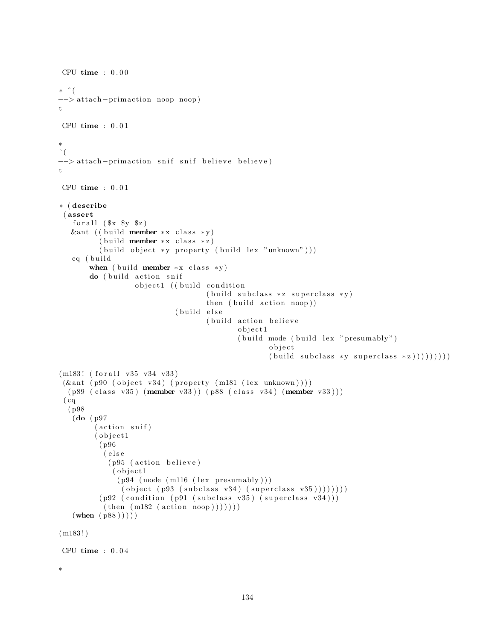```
CPU time : 0.00∗ ˆ (
−−> a t t ach−p rim ac ti on noop noop )
t
CPU time : 0.01∗
\hat{\zeta}--> attach-primaction snif snif believe believe)
t
CPU time : 0 . 0 1
∗ ( describe
 ( assert
   for all ($x \ $y \ $z)$&ant (( build member *x class *y)
          (buid member * x class * z)( build object *y property ( build lex "unknown")))
   cq (build
        when ( build member *x class *y)
        do (build action snif
                   object1 ((build condition
                                      (buid subclass * z superclass * y)then (\text{build action } \text{noop}))(build else
                                      (build action believe
                                              o b j e c t 1
                                              (buid mode (build lex "presumably")o b j e c t
                                                      (\text{build subclass } *y \text{ superclass } *z))))))))(m183! (for all v35 v34 v33)(kant (p90 (object v34) (property (m181 (lex unknown))))(p89 (class v35) (member v33) ) (p88 (class v34) (member v33) ))( cq
  ( p98
   (do ( p97
         (\text{action } \text{snif})(object1
          ( p96
           ( e l s e
            (p95 (action believe)
             ( o b j e c t 1
               (p94 \ (mode \ (m116 \ (lex \ presumably)))( object (p93 (subclass v34) (superclass v35)))))(p92 (condition (p91 (subclass v35) (superclass v34)))(\text{then } (m182 \text{ (action noop)})))(\text{when } (p88) )))
(m183!)CPU time : 0.04∗
```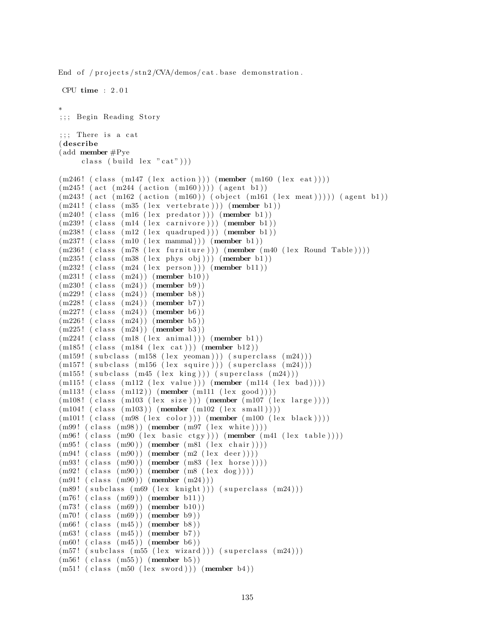End of /projects/stn2/CVA/demos/cat.base demonstration.

```
CPU time : 2 . 0 1
∗
;; Begin Reading Story
;;; There is a cat
( describe
( add member #Pye
     class ( build lex "cat" )))
(m246! (class (m147 (lex action))) (member (m160 (lex eat))))
(m245! (\text{act } (m244 (\text{action } (m160))))) (\text{agent } b1))(m243! (act (m162 (action (m160))) (object (m161 (lex meat))))) (agent b1))
(m241! (class (m35 (lex vertebrate))) (member b1))(m240! (class (m16 (lex predator))) (member b1))
(m239! (class (m14 (lex carnivore))) (member b1))
(m238! (class (m12 (lex quadruped))) (member b1))
(m237! (class (m10 (lex mammal))) (member b1))(m236! (class (m78 (lex furniture))) (member (m40 (lex Round Table))))
(m235! (class (m38 (lex phys obj))) (member b1))
(m232! (class (m24 (lex person))) (member b11))
(m231! (class (m24)) (member b10))(m230! (class (m24)) (member b9))
(m229! (class (m24)) (member b8))(m228! (class (m24)) (member b7))
(m227! (class (m24)) (member b6))
(m226! (class (m24)) (member b5))
(m225! (class (m24)) (member b3))(m224! (class (m18 (lex animal))) (member b1))
(m185! (class (m184 (lex cat))) (member b12))
(m159! (subclass (m158 (lex yeoman))) (superclass (m24)))
(m157! (subclass (m156 (lex squire))) (superclass (m24)))
(m155! (subclass (m45 (lex king))) (superclass (m24)))
(m115! (class (m112 (lex value))) (member (m114 (lex bad))))(m113! (class (m112)) (member (m111 (lex good))))(m108! (class (m103 (lex size))) (member (m107 (lex large))))(m104!~(class~(m103))~(member~(m102~(lex~small))))(m101! (class (m98 (lex color))) (member (m100 (lex black))))
(m99!~(class~(m98))~(member~(m97~(lex~white))))(m96! (class (m90 (lex basic ctgy))) (member (m41 (lex table))))(m95! (class (m90)) (member (m81 (lex chair))))(m94!~(class~(m90))~(member~(m2~(lex~deer))))(m93! \text{ (class } (m90)) \text{ (member } (m83 \text{ (lex horse)})))(m92! \text{ (class } (m90)) \text{ (member } (m8 \text{ (lex } dog)))(m91! (class (m90)) (member (m24)))
(m89! (subclass (m69 (lex knight))) (superclass (m24)))
(m76! (class (m69)) (member b11))
(m73! (class (m69)) (member b10))
(m70! (class (m69)) (member b9))
(m66! (class (m45)) (member b8))
(m63! (class (m45)) (member b7))
(m60! (class (m45)) (member b6))
(m57! (subclass (m55 (lex wizard))) (superclass (m24)))
(m56! (class (m55)) (member b5))
(m51! (class (m50 (lex word))) (member b4))
```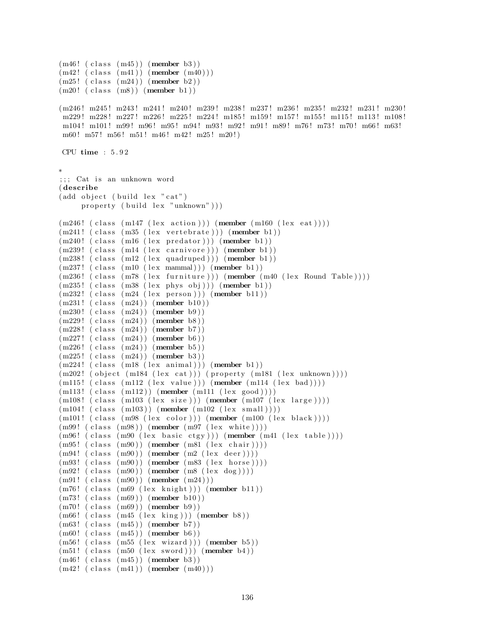```
(m46! (class (m45)) (member b3))
(m42! \text{ (class } (m41)) \text{ (member } (m40)))(m25! (class (m24)) (member b2))(m20! (class (m8)) (member b1))(m246! m245! m243! m241! m240! m239! m238! m237! m236! m235! m232! m231! m230!
 m229 ! m228 ! m227 ! m226 ! m225 ! m224 ! m185 ! m159 ! m157 ! m155 ! m115 ! m113 ! m108 !
m104! m101! m99! m96! m95! m94! m93! m92! m91! m89! m76! m73! m70! m66! m63!
m60! m57! m56! m51! m46! m42! m25! m20!)
CPU time : 5 . 9 2
∗
;;; Cat is an unknown word
( describe
(add object (build lex "cat")property (build lex "unknown")))
(m246! (class (m147 (lex action))) (member (m160 (lex eat))))
(m241! (class (m35 (lex vertebrate))) (member b1))
(m240! (class (m16 (lex predator))) (member b1))
(m239! (class (m14 (lex carnivore))) (member b1))
(m238! (class (m12 (lex quadruped))) (member b1))
(m237! (class (m10 (lex mammal))) (member b1))
(m236! (class (m78 (lex furniture))) (member (m40 (lex Round Table))))
(m235! (class (m38 (lex phys obj))) (member b1))
(m232! (class (m24 (lex person))) (member b11))(m231! (class (m24)) (member b10))(m230! (class (m24)) (member b9)(m229! (class (m24)) (member b8))(m228! (class (m24)) (member b7))
(m227! (class (m24)) (member b6))
(m226! (class (m24)) (member b5))
(m225! (class (m24)) (member b3))
(m224! (class (m18 (lex animal))) (member b1))
(m202! (object (m184 (lex cat))) (property (m181 (lex unknown))))(m115! (class (m112 (lex value))) (member (m114 (lex bad))))(m113! (class (m112)) (member (m111 (lex good))))(m108! (class (m103 (lex size))) (member (m107 (lex large))))
(m104!~(class~(m103))~(member~(m102~(lex~small))))(m101! (class (m98 (lex color))) (member (m100 (lex black))))(m99!~(class~(m98))~(member~(m97~(lex~white))))(m96! (class (m90 (lex basic ctgy))) (member (m41 (lex table))))(m95! (class (m90)) (member (m81 (lex chair))))(m94!~(class~(m90))~(member~(m2~(lex~deer))))(m93! \text{ (class } (m90)) \text{ (member } (m83 \text{ (lex horse)})))(m92! \text{ (class } (m90)) \text{ (member } (m8 \text{ (lex } dog)))(m91! (class (m90)) (member (m24)))
(m76! (class (m69 (lex knight))) (member b11))
(m73! (class (m69)) (member b10))
(m70! (class (m69)) (member b9))
(m66! ( class (m45 ( lex king )) ) (member b8))
(m63! (class (m45)) (member b7))
(m60! (class (m45)) (member b6))
(m56! (class (m55 (lex wizard))) (member b5))(m51! (class (m50 (lex word))) (member b4))(m46! (class (m45)) (member b3))
(m42! \ (class \ (m41)) \ (member \ (m40) ) )
```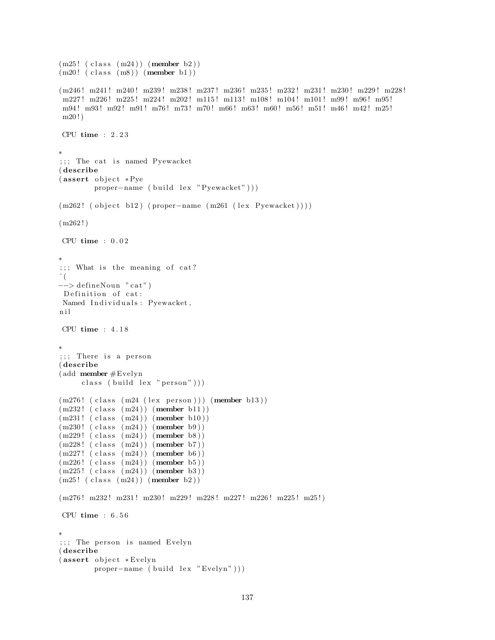```
(m25! (class (m24)) (member b2))
(m20! (class (m8)) (member b1))(m246! m241! m240! m239! m238! m237! m236! m235! m232! m231! m230! m229! m228!
m227! m226! m225! m224! m202! m115! m113! m108! m104! m101! m99! m96! m95!
m94! m93! m92! m91! m76! m73! m70! m66! m63! m60! m56! m51! m46! m42! m25!
m20!CPU time : 2 . 2 3
∗
;;; The cat is named Pyewacket
( describe
(assert object *Pye)proper-name ( build lex "Pyewacket")))
(m262! ( object b12) ( proper-name (m261 (lex Pyewacket))))
(m262!)CPU time : 0 . 0 2
∗
;;; What is the meaning of cat?
\hat{\ } (
\rightarrow defineNoun "cat")
Definition of cat:
Named Individuals: Pyewacket,
n i l
CPU time : 4 . 1 8
∗
;;;; There is a person
( describe
( add member #Evelyn
     class (build lex "person"))(m276! (class (m24 (lex person))) (member b13))
(m232! (class (m24)) (member b11))(m231! (class (m24)) (member b10))(m230! (class (m24)) (member b9))
(m229! (class (m24)) (member b8))
(m228! (class (m24)) (member b7))
(m227!~(class~(m24))~(member~b6))(m226! (class (m24)) (member b5))
(m225! (class (m24)) (member b3))
(m25! (class (m24)) (member b2))(m276! m232! m231! m230! m229! m228! m227! m226! m225! m25!)
CPU time : 6.56∗
; ; ; The person is named Evelyn
( describe
(assert object *Evelyn
        proper-name ( build lex "Evelyn")))
```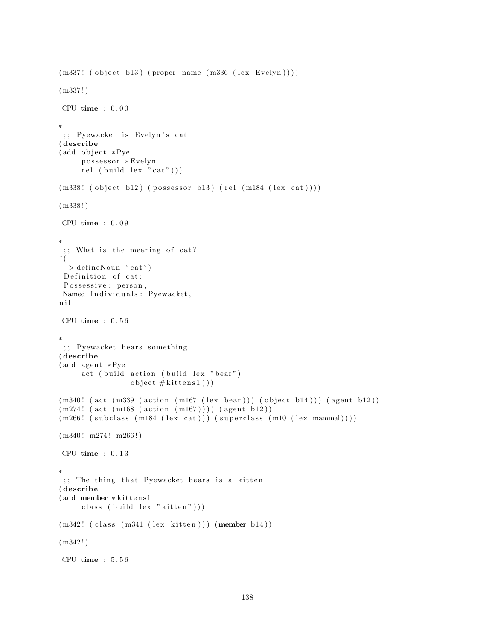```
(m337! ( object b13) ( proper-name (m336 (lex Evelyn ) ) )
(m337!)CPU time : 0.00∗
;;; Pyewacket is Evelyn's cat
( describe
(add object *Pye)possessor *Evelyn
     rel ( build lex " cat" ) ) )
(m338! (object b12) (possessor b13) (rel (m184 (lex cat))))
(m338 ! )
CPU time : 0.09∗
; ; ; What is the meaning of cat?\hat{a} (
−−> de fineNoun " c a t " )
Definition of cat:
 Possessive : person,
Named Individuals: Pyewacket,
n i l
CPU time : 0.56∗
;;; Pyewacket bears something
( describe
(add agent *Pye
     act (build action (build lex "bear")
                object #kittens1 ))
(m340! (act (m339 (action (m167 (lex bear))) (object b14))) (agent b12))
(m274! (act (m168 (action (m167)))) (agent b12))(m266! (subclass (m184 (lex cat))) (superclass (m10 (lex mammal))))
(m340! m274! m266!)CPU time : 0.13∗
;;; The thing that Pyewacket bears is a kitten
( describe
(add member ∗kittens1
     class (build lex "kitten"))(m342! (class (m341 (lex kitten))) (member b14))
(m342!)CPU time : 5 . 5 6
```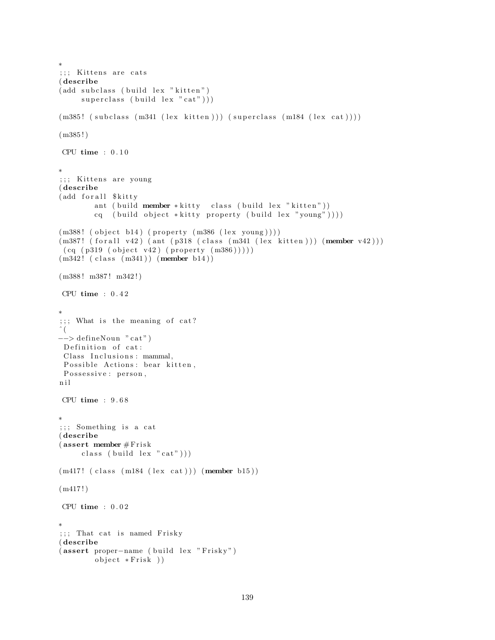```
∗
;;; Kittens are cats
( describe
(add subclass (build lex "kitten")
     superclass ( build lex "cat" ) ) )
(m385! (subclass (m341 (lex kitten))) (superclass (m184 (lex cat))))
(m385!)CPU time : 0.10∗
;;; Kittens are young
( describe
(add for all $kitty)
        ant ( build member * kitty class ( build lex " kitten"))
        cq ( build object *kitty property ( build lex "young" ) ) ) )
(m388! (object b14) (property (m386 (lex young))))(m387! \text{ (for all } v42) (ant (p318 (class (m341 \text{ (lex } kitten)))) (member v42)))(cq (p319 (object v42) (property (m386))))(m342! (class (m341)) (member b14))(m388! m387! m342!)
CPU time : 0 . 4 2
∗
;;; What is the meaning of cat?
\hat{\ } (
-\rightarrow defineNoun "cat")
 Definition of cat:
 Class Inclusions: mammal,
 Possible Actions: bear kitten,
 Possessive: person,
n i l
CPU time : 9 . 6 8
∗
;;; Something is a cat
( describe
(assert member #Friskclass (build lex "cat"))(m417!~(class~(m184~(lex cat)))~(member~b15))(m417!)CPU time : 0.02∗
;;; That cat is named Frisky
( describe
(assert proper-name (build lex "Frisky")
        object * Frisk)
```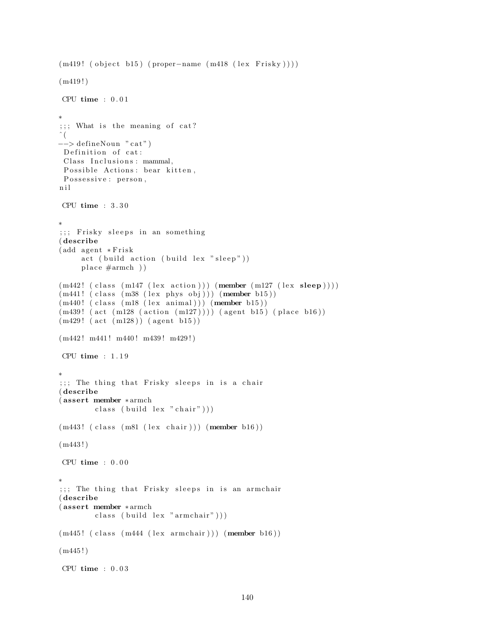```
(m419! (object b15) (proper-name (m418 (lex Frisky))))(m419!)CPU time : 0.01∗
;;; What is the meaning of cat?
\hat{\ } (
−−> de fineNoun " c a t " )
Definition of cat:
 Class Inclusions: mammal,
 Possible Actions: bear kitten,
Possessive : person,
n i l
CPU time : 3 . 3 0
∗
;;;; Frisky sleeps in an something
( describe
(add agent ∗Frisk
     act ( build action ( build lex " sleep"))
     place #armch)(m442! (class (m147 (lex action))) (member (m127 (lex sleep))))
(m441! ( class (m38 (lex phys obj))) (member b15))(m440! (class (m18 (lex animal))) (member b15))
(m439! \text{ (act } (m128 \text{ (action } (m127)))) \text{ (agent } b15) (place b16))(m429! (act (m128)) (agent b15))(m442! m441! m440! m439! m429!)CPU time : 1 . 1 9
∗
;;; The thing that Frisky sleeps in is a chair
( describe
( assert member ∗ armch
        class (build lex "chair"))(m443! (class (m81 (lex chair))) (member b16))
(m443 ! )
CPU time : 0 . 0 0
∗
;;; The thing that Frisky sleeps in is an armchair
( describe
( assert member ∗ armch
        class ( build lex "armchair"))
(m445! (class (m444 (lex armchair))) (member b16))
(m445!)CPU time : 0 . 0 3
```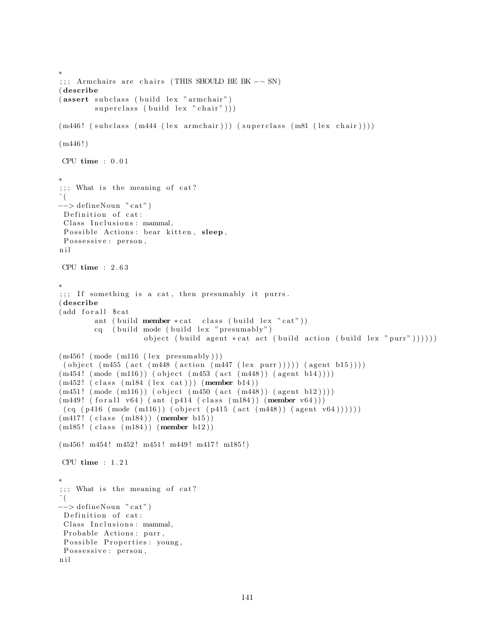```
∗
;;;; Armchairs are chairs (THIS SHOULD BE BK -- SN)
( describe
(assert subclass (build lex "armchair")
         superclass ( build lex " chair" ) )
(m446! (subclass (m444 (lex armchair))) (superclass (m81 (lex chair))))
(m446!)CPU time : 0 . 0 1
∗
; ; ; What is the meaning of cat?\left(−−> de fineNoun " c a t " )
Definition of cat:
 Class Inclusions: mammal,
 Possible Actions: bear kitten, sleep,
 Possessive : person,
n i l
CPU time : 2 . 6 3
∗
;;; If something is a cat, then presumably it purrs.
( describe
(add for all $ cat
         ant ( build member * cat class ( build lex "cat"))
         cq ( build mode ( build lex " presumably" )
                     object ( build agent * cat act ( build action ( build lex " purr" ) ) ) ) ) )
(m456! \pmod{m116} \text{ (lex presumably)}( object (m455 (act (m448 (action (m447 (lex purr))))) (agent b15))))
(m454! \pmod{m116}) (object (m453 \text{ (act } (m448)) (agent b14))))
(m452! (class (m184 (lex cat))) (member b14))(m451! \pmod{m116}) (object (m450 \text{ (act } (m448)) (agent b12))))
(m449! (for all v64) (ant (p414 (class (m184)) (member v64)))(cq (p416 (mode (m116)) (object (p415 (act (m448)) (agent v64))))))(m417!~(class~(m184))~(member~b15))(m185! (class (m184)) (member b12))(m456! \text{ m}454! \text{ m}452! \text{ m}451! \text{ m}449! \text{ m}417! \text{ m}185!)CPU time : 1 . 2 1
∗
;;; What is the meaning of cat?
\hat{\ } (
\rightarrow defineNoun "cat")
Definition of cat:
 Class Inclusions: mammal,
 Probable Actions: purr,
 Possible Properties: young,
 Possessive: person,
n i l
```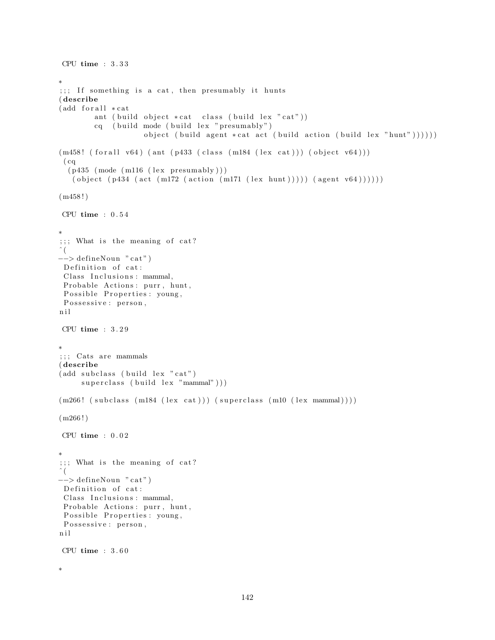```
CPU time : 3 . 3 3
∗
;;; If something is a cat, then presumably it hunts
( describe
(add for all <math>*</math>cat)ant ( build object *cat class ( build lex " cat" ))
        cq ( build mode ( build lex " presumably")
                     object (build agent *cat act (build action (build lex "hunt"))))))
(m458! (for all v64) (ant (p433 (class (m184 (lex cat)))) (object v64)))(cq)(p435 \pmod{m116} \text{ (lex presumably)} )( object (p434 (act (m172 (action (m171 (lex hunt)))))) (agent v64))))))
(m458!)CPU time : 0 . 5 4
∗
;;; What is the meaning of cat?
\hat{\ } (
−−> de fineNoun " c a t " )
Definition of cat:
 Class Inclusions: mammal,
Probable Actions: purr, hunt,
 Possible Properties: young,
 Possessive : person,
n i l
CPU time : 3 . 2 9
∗
;;;; Cats are mammals
( describe
(add subclass (build lex "cat")superclass (build lex "mammal")))
(m266! (subclass (m184 (lex cat))) (superclass (m10 (lex mammal))))
(m266!)CPU time : 0.02∗
;;; What is the meaning of cat?
\hat{\ } (
−−> de fineNoun " c a t " )
 Definition of cat:
 Class Inclusions: mammal,
 Probable Actions: purr, hunt,
 Possible Properties : young,
 Possessive : person,
n i l
CPU time : 3 . 6 0
```

```
∗
```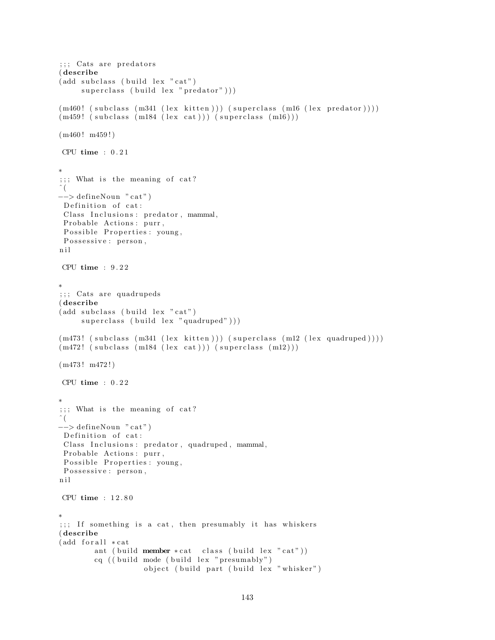```
;;; Cats are predators
( describe
(add subclass (build lex "cat")superclass ( build lex " predator" ) ) )
(m460! (subclass (m341 (lex kitten))) (superclass (m16 (lex predator))))
(m459! (subclass (m184 (lex cat))) (superclass (m16)))
(m460! m459!)CPU time : 0.21∗
;;; What is the meaning of cat?
\hat{\ } (
\rightarrow defineNoun "cat")
Definition of cat:
Class Inclusions: predator, mammal,
Probable Actions: purr,
Possible Properties: young,
 Possessive : person,
n i l
CPU time : 9 . 2 2
∗
;;; Cats are quadrupeds
( describe
(add subclass (build lex "cat")superclass ( build lex "quadruped" ) ) )
(m473! (subclass (m341 (lex kitten))) (superclass (m12 (lex quadruped))))
(m472! \text{ (subclass (m184 (lex cat))) (superclass (m12)))(m473 ! m472 ! )
CPU time : 0.22∗
;;; What is the meaning of cat?
ˆ (
\rightarrow defineNoun "cat")
Definition of cat:
 Class Inclusions: predator, quadruped, mammal,
 Probable Actions: purr,
Possible Properties: young,
 Possessive : person,
n i l
CPU time : 1 2 . 8 0
∗
;;; If something is a cat, then presumably it has whiskers
( describe
(add for all <math>*</math>cat)ant ( build member *cat class ( build lex "cat"))
        cq ((build mode (build lex "presumably")
                    object ( build part ( build lex " whisker")
```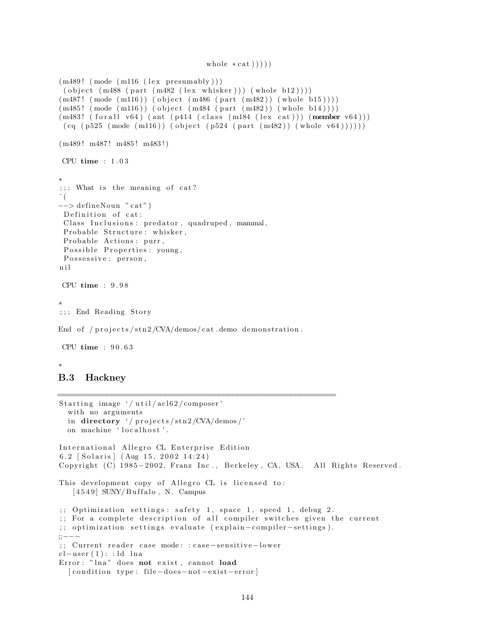```
\text{whole} * \text{cat}()()
```

```
(m489! \pmod{m116} (lex presumably)))( object (m488 (part (m482 (lex whisker))) (whole b12))))(m487! \pmod{m116}) (object \mbox{m486} (part \mbox{m482})) (whole b15)))(m485! \pmod{m116}) (object (m484 \pmod{m482}) (whole b14)))
(m483! \text{ (for all } v64) (ant (p414 \text{ (class } (m184 \text{ (lex cat)}))) (member v64)))
 (cq (p525 (mode (m116)) (object (p524 (part (m482)) (whole v64))))))(m489! m487! m485! m483!)
CPU time : 1 . 0 3
∗
; ; ; What is the meaning of cat?
 \left(−−> de fineNoun " c a t " )
 Definition of cat:
 Class Inclusions: predator, quadruped, mammal,
 Probable Structure: whisker,
 Probable Actions: purr,
 Possible Properties: young,
 Possessive: person,
n i l
CPU time : 9 . 9 8
∗
;; End Reading Story
End of /projects/stn2/CVA/demos/cat.demo demonstration.
CPU time : 9 0 . 6 3
∗
B.3 Hackney
==============================================================
Starting image '/util/acl62/composer'
  with no arguments
  in directory '/ projects/stn2/CVA/demos/'
  on machine 'localhost'.
International Allegro CL Enterprise Edition
6.2 [ Solaris ] (Aug 15, 2002 14:24)
Copyright (C) 1985-2002, Franz Inc., Berkeley, CA, USA. All Rights Reserved.
This development copy of Allegro CL is licensed to:
   [4549] SUNY/Buffalo, N. Campus
```

```
;; Optimization settings: safety 1, space 1, speed 1, debug 2.
```

```
;; For a complete description of all compiler switches given the current
```

```
;; optimization settings evaluate (explain-compiler-settings).
```

```
;;−−−
```

```
;; Current reader case mode: : case-sensitive-lower
```

```
cl-user(1):: ld lna
```

```
Error: "lna" does not exist, cannot load
  [ condition type: file-does-not-exist-error]
```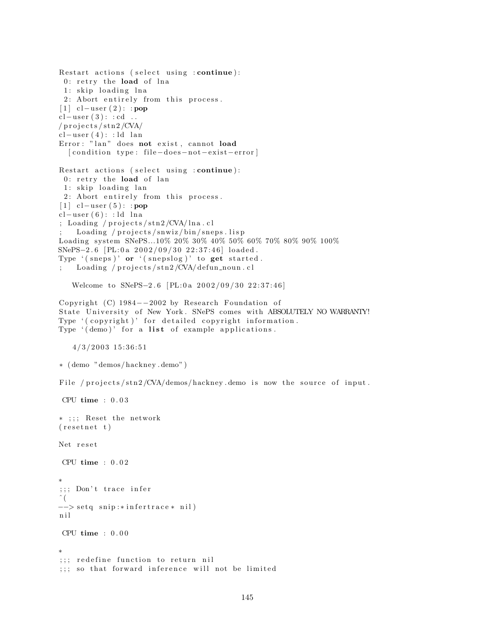```
Restart actions (select using : continue):
 0: retry the load of lna
 1: skip loading lna
 2: Abort entirely from this process.
[1] cl−user (2): : pop
cl-user(3): : cd.../ p r o j e c t s / s t n 2 /CVA/
cl-user(4):: ld lan
Error: "lan" does not exist, cannot load
  [ condition type: file-does-not-exist-error]
Restart actions (select using : continue):
 0: retry the load of lan
 1: skip loading lan
 2: Abort entirely from this process.
[1] cl−user (5): : pop
cl-user(6): : ld<sub>lna</sub>; Loading / projects/stn2/CVA/lna.cl
    Loading / projects/snwiz/bin/sneps. lispLoading system SNePS...10% 20% 30% 40% 50% 60% 70% 80% 90% 100%
SNePS−2.6 [PL:0a 2002/09/30 22:37:46] loaded.
Type '(s_{n+1})' or '(s_{n+1})' to get started.
; Loading / projects/stn2/CVA/defun_noun.cl
   Welcome to SNePS-2.6 [PL:0a 2002/09/30 22:37:46]
Copyright (C) 1984-2002 by Research Foundation of
State University of New York. SNePS comes with ABSOLUTELY NO WARRANTY!
Type '(copyright)' for detailed copyright information.
Type '( demo)' for a list of example applications.
   4/3/2003 15:36:51
∗ ( demo "demos/ hackney . demo" )
File / projects/stn2/CVA/demos/hackney demo is now the source of input.
CPU time : 0 . 0 3
* ;;; Reset the network
(resetnet t)Net reset
CPU time : 0 . 0 2
∗
;;; Don't trace infer
\hat{\ } (
−−> setq snip :* infertrace * nil)
n i l
CPU time : 0 . 0 0
∗
;;; redefine function to return nil
;;; so that forward inference will not be limited
```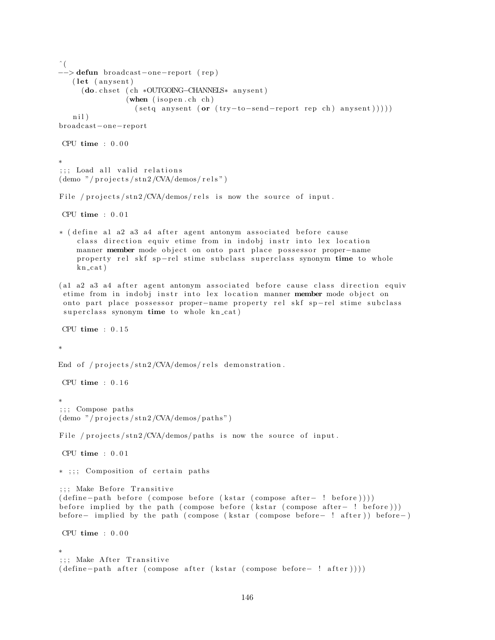```
\hat{\ } (
 −> defun broadcast−one−report (rep)
   (let (anysent)
     (do. chset (ch *OUTGOING–CHANNELS* anysent)
                (\text{when } (is open.ch ch)(setq any sent (or (try-to-send-report rep ch) any sent ))))ni)broadcas t−one−repor t
CPU time : 0 . 0 0
∗
;;; Load all valid relations
(demo \n<sup>n</sup>/projects/stn2/CVA/demos/rels<sup>n</sup>)File / projects/stn2/CVA/demos/rels is now the source of input.
CPU time : 0 . 0 1
∗ ( define a1 a2 a3 a4 after agent antonym associated before cause
    class direction equiv etime from in indobj instr into lex location
    manner member mode object on onto part place possessor proper-name
    property rel skf sp-rel stime subclass superclass synonym time to whole
    kn\_cat)
(al a2 a3 a4 after agent antonym associated before cause class direction equiv
 etime from in indobj instr into lex location manner member mode object on
 onto part place possessor proper-name property rel skf sp-rel stime subclass
 superclass synonym time to whole kn_cat)
CPU time : 0 . 1 5
∗
End of /projects/stn2/CVA/demos/rels demonstration.
CPU time : 0.16∗
;;; Compose paths
(demo " / projects / sta2 / CVA / demos / paths")File / projects/stn2/CVA/demos/paths is now the source of input.
CPU time : 0 . 0 1
* ;;; Composition of certain paths
;;; Make Before Transitive
( define - path before ( compose before ( kstar ( compose after - ! before ) ) ) )
before implied by the path ( compose before (kstar ( compose after – ! before ) ) )
before− implied by the path ( compose (kstar ( compose before– ! after )) before−)
CPU time : 0 . 0 0
∗
;;; Make After Transitive
( define-path after ( compose after ( kstar ( compose before- ! after ) ) ) )
```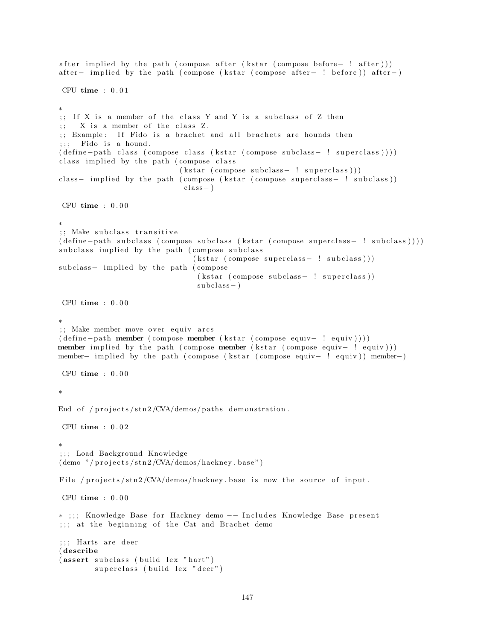```
after implied by the path ( compose after ( k star ( compose before− ! after ) ) )
after – implied by the path ( compose ( k star ( compose after – ! before ) ) after – \vertCPU time : 0 . 0 1
∗
;; If X is a member of the class Y and Y is a subclass of Z then
; X is a member of the class Z.
;; Example: If Fido is a brachet and all brachets are hounds then
;;; Fido is a hound.
( define – path class ( compose class ( kstar ( compose subclass – ! superclass ) ) )
class implied by the path (compose class
                             (kstar (composite subclass - ! superclass)))class- implied by the path ( compose ( kstar ( compose superclass- ! subclass ) )
                              class - )CPU time : 0 . 0 0
∗
;; Make subclass transitive
( define–path subclass ( compose subclass ( k star ( compose superclass – ! subclass ) ) )
subclass implied by the path (compose subclass
                                (kstar (composite superclass - ! subclass)))subclass- implied by the path (compose
                                 (kstar (composite subclass - ! superclass))subclass - )CPU time : 0 . 0 0
∗
;; Make member move over equiv arcs
( de fine−path member ( compose member ( k star ( compose equiv− ! equiv ) ) ) )
member implied by the path ( compose member ( kstar ( compose equiv – ! equiv)))
member– implied by the path ( compose ( k star ( compose equiv− ! equiv)) member–)
CPU time : 0.00∗
End of /projects/stn2/CVA/demos/paths demonstration.
CPU time : 0 . 0 2
∗
; ; ; Load Background Knowledge
(demo " / projects / sta2/CVA/demos/hackney base")File / projects/stn2/CVA/demos/hackney base is now the source of input.
CPU time : 0.00∗ ;;; Knowledge Base for Hackney demo -- Includes Knowledge Base present
;;; at the beginning of the Cat and Brachet demo
;;; Harts are deer
( describe
(assert subclass (build lex "hart")
        superclass (build lex "deer")
```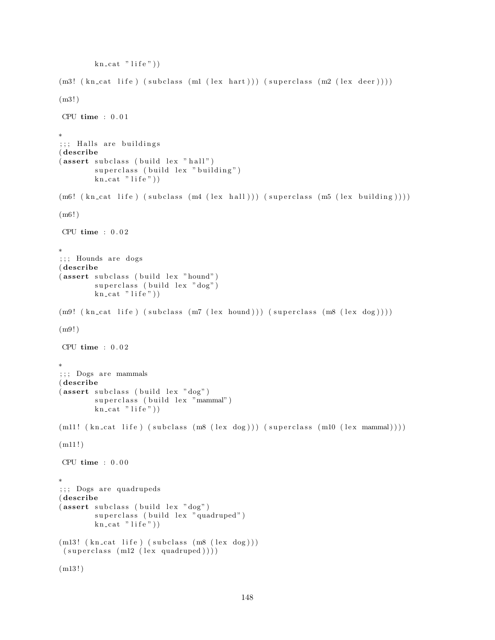```
kn\_cat "life")
(m3! (kn\text{-}cat life) (subclass(m1 (lex hart))) (superclass(m2 (lex deer))))(m3! )
CPU time : 0 . 0 1
∗
;;; Halls are buildings
( describe
(assert subclass (build lex "hall")superclass (build lex "building")
         kn cat "life"))
(m6! (kn_cat life) (subclass (m4 (lex hall))) (superclass (m5 (lex building))))
(m6!)CPU time : 0 . 0 2
∗
;;; Hounds are dogs
( describe
(assert \,subclass \, (build \, lex \, "hound")superclass (build lex "dog")
         \text{kn} cat " life"))
(m9! \ (kn\_cat \; life) \; (subclass \; (m7 \; (lex \; hound))) \; (superclass \; (m8 \; (lex \; dog))))(m9! )
CPU time : 0.02∗
;;; Dogs are mammals
( describe
(assert subclass (build lex "dog")superclass (build lex "mammal")
         \overline{\text{kn\_cat}} " life" ))
(m11! \ (kn\_cat \ life) \ (subclass \ (m8 \ (lex \ dog))) \ (superclass \ (m10 \ (lex \ mammal))))(m11!)CPU time : 0 . 0 0
∗
;;; Dogs are quadrupeds
( describe
(assert subclass (build lex "dog")superclass (build lex "quadruped")
         kn\_cat "life"))
(m13! (kn\_cat life) (subclass (m8 (lex dog)))(superclass (ml2 (lex quadruped))))(m13!)
```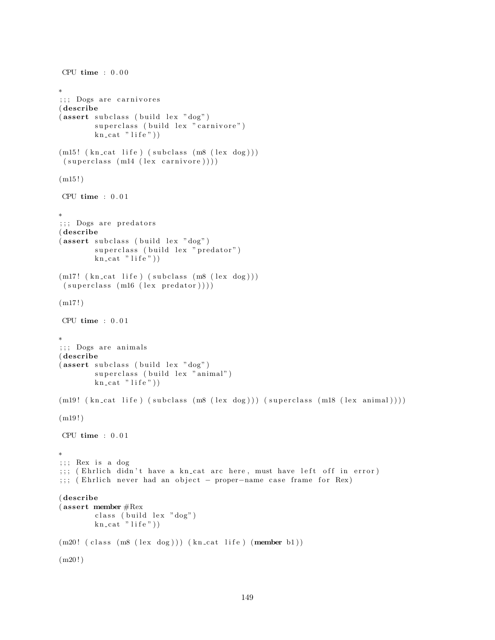```
CPU time : 0.00∗
;;; Dogs are carnivores
( describe
(assert subclass (build lex "dog")superclass (build lex "carnivore")
        kn\_cat "life"))
(m15! (kn\_cat life) (subclass (m8 (lex dog)))(superclass (m14 (lex canivore))))(m15!)CPU time : 0.01∗
;;; Dogs are predators
( describe
(assert subclass (build lex "dog")superclass (build lex "predator")
        kn\_cat "life"))
(m17! (kn_cat life) (subclass (m8 (lex dog)))(superclass (m16 (lex predator))))(m17!)CPU time : 0.01∗
;;; Dogs are animals
( describe
(assert subclass (build lex "dog")superclass (build lex "animal")
        \text{kn\_cat} " life" ) )
(m19! \ (kn\_cat \ life) \ (subclass \ (m8 \ (lex \ dog))) \ (superclass \ (m18 \ (lex \ animal))))(m19!)CPU time : 0.01∗
;;;; Rex is a dog
;;; (Ehrlich didn't have a kn_cat arc here, must have left off in error)
;;; (Ehrlich never had an object - proper-name case frame for Rex)
( describe
( assert member #Rex
        class (build lex "dog")
        kn\_cat "life"))
(m20! (class (m8 (lex dog))) (kn_cat life) (member b1))
(m20!)
```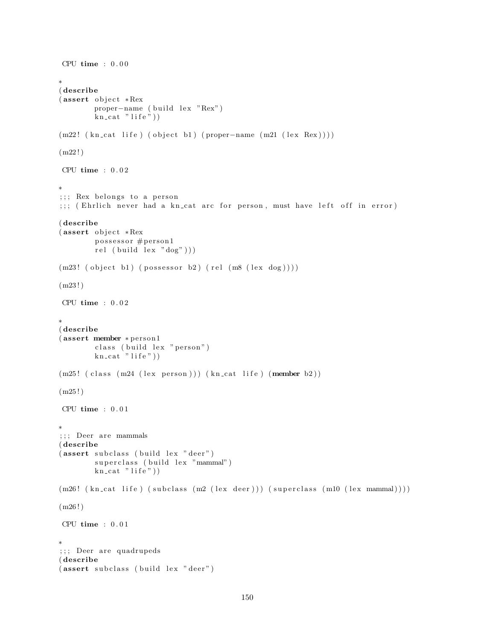```
CPU time : 0.00∗
( describe
( assert object *{\rm Re}\mathbf{x}proper-name ( build lex "Rex")
        kn cat "life")
(m22! (kn\_cat life) ( object b1) ( proper-name (m21 (lex Rex ) )))(m22!)CPU time : 0 . 0 2
∗
;;; Rex belongs to a person
;;; (Ehrlich never had a kn_cat arc for person, must have left off in error)
( describe
( assert object *Rex
        possessor #person1
        rel (build lex "dog"))(m23! ( object b1) (possessor b2) (rel (m8 (lex dog))))
(m23!)CPU time : 0 . 0 2
∗
( describe
(assert member * person1
        class ( build lex " person")
        kn\_cat "life"))
(m25! (class (m24 (lex person))) (kncat life) (member b2))(m25!)CPU time : 0.01∗
;;; Deer are mammals
( describe
(assert subclass (build lex "deer")superclass (build lex "mammal")
        kn\_cat "life"))
(m26! (kn_cat life) (subclass (m2 (lex deer))) (superclass (m10 (lex mammal))))
(m26!)CPU time : 0.01∗
;;; Deer are quadrupeds
( describe
(assert subclass (build lex "deer")
```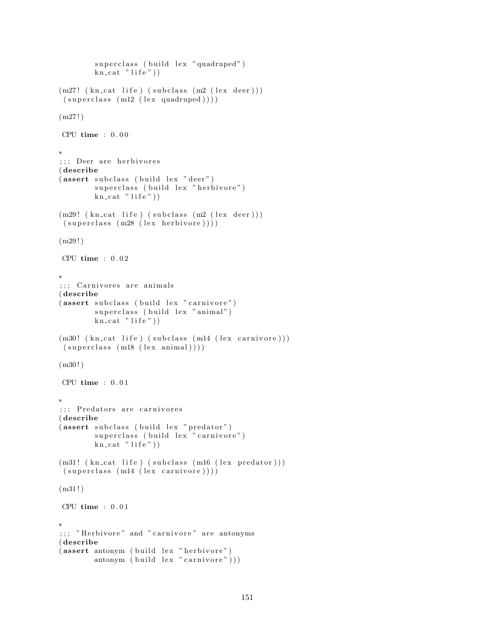```
superclass ( build lex " quadruped")
        kn\_cat "life")
(m27! (kn_cat life) (subclass (m2 (lex deer)))
(superclass (m12 (lex quadruped))))(m27!)CPU time : 0 . 0 0
∗
;;; Deer are herbivores
( describe
(assert subclass (build lex "deer")superclass (build lex "herbivore")
        kn\_cat "life"))
(m29! (kn_cat life) (subclass (m2 (lex deer)))
(superclass (m28 (lex herbivore))))(m29!)CPU time : 0.02∗
;;; Carnivores are animals
( describe
(assert subclass (build lex "carnivore")
        superclass (build lex "animal")
        kn\_cat "life"))
(m30! (kn_cat life) (subclass (m14 (lex carnivore)))
(superclass (m18 (lex animal))))(m30!)CPU time : 0.01∗
;;; Predators are carnivores
( describe
(assert subclass (build lex "predator")
        superclass (build lex "carnivore")
        kn\_cat "life"))
(m31! (kn_cat life) (subclass (m16 (lex predator)))
(superclass (m14 (lex canivore))))(m31!)CPU time : 0.01∗
;;; "Herbivore" and "carnivore" are antonyms
( describe
(assert antonym (build lex "herbivore")
        antonym ( build lex " carnivore" ) ) )
```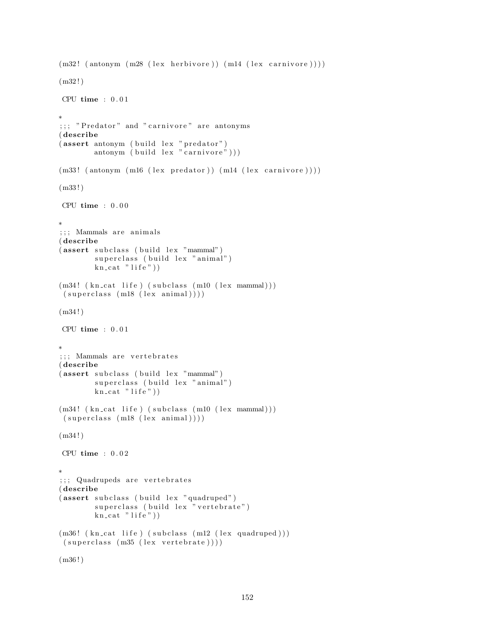```
(m32! (antonym (m28 (lex herbivore)) (m14 (lex carnivore)))
(m32!)CPU time : 0 . 0 1
∗
;;; "Predator" and "carnivore" are antonyms
( describe
(assert~antonym~(build~lex~"predator")antonym ( build lex "\text{carnivore}")))
(m33! (antonym (m16 (lex predator)) (m14 (lex carnivore))))
(m33 ! )
CPU time : 0.00∗
;;; Mammals are animals
( describe
(assert subclass (build lex "mammal")
        superclass (build lex "animal")
        kn\_cat "life"))
(m34! (kn_cat life) (subclass (m10 (lex mammal)))
 (superclass (m18 (lex animal))))(m34 ! )
CPU time : 0 . 0 1
∗
;;; Mammals are vertebrates
( describe
(assert subclass (build lex "mammal")
        superclass (build lex "animal")
        kn\_cat "life"))
(m34! (kn_cat life) (subclass (m10 (lex mammal)))
 (superclass (m18 (lex animal))))(m34!)CPU time : 0.02∗
;;; Quadrupeds are vertebrates
( describe
(assert subclass (build lex "quadruped")
        superclass (build lex "vertebrate")
        kn\_cat "life"))
(m36! (kn cat life) (subclass (m12 (lex quadruped)))
 (superclass (m35 (lex vertebrate))))(m36!)
```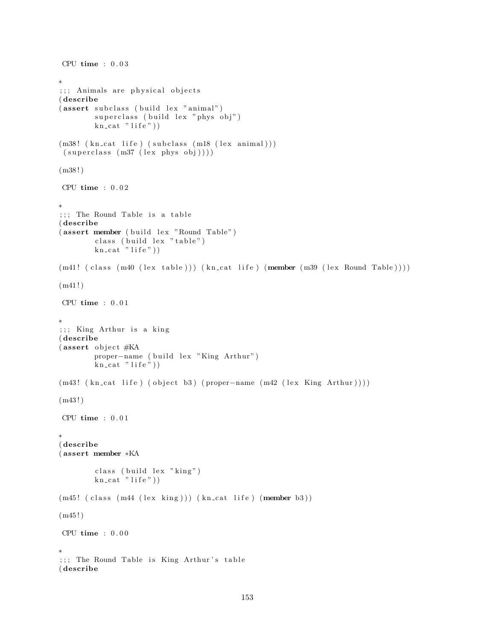```
CPU time : 0 . 0 3
∗
;;; Animals are physical objects
( describe
(assert subclass (build lex "animal")superclass ( build lex " phys obj")
        kn\_cat "life"))
(m38! (kn_cat life) (subclass (m18 (lex animal)))
 (superclass (m37 (lex phys obj)))(m38!)CPU time : 0 . 0 2
∗
;;; The Round Table is a table
( describe
(assert member (build lex "Round Table")
        class ( build lex "table")
        kn\_cat "life"))
(m41! ( class (m40 (lex table )) ) (kn cat life ) (member (m39 (lex Round Table )))
(m41!)CPU time : 0 . 0 1
∗
;;; King Arthur is a king
( describe
(assert object #KAproper-name ( build lex "King Arthur")
        kn\_cat "life"))
(m43! ( kn_cat life ) ( object b3) ( proper-name (m42 ( lex King Arthur ) ) ) )
(m43!)CPU time : 0.01∗
( describe
( assert member ∗KA
        class (build lex "king")
        kn\_cat "life"))
(m45! (class (m44 (lex king))) (kncat life) (member b3))(m45!)CPU time : 0 . 0 0
∗
;;; The Round Table is King Arthur's table
( describe
```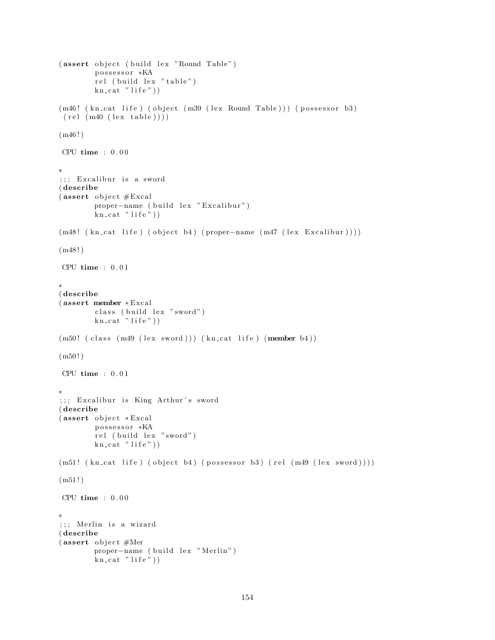```
(assert object (build lex "Round Table")possessor *KA
        rel (build lex "table")
        kn\_cat "life"))
(m46! (kn_{cat} life) ( object (m39 (lex Round Table ))) (p ossessor b3)(\text{rel} (\text{ma0} (\text{lex table})))(m46!)CPU time : 0.00∗
;;; Excalibur is a sword
( describe
(assert \; object \#Exact)proper-name ( build lex " Excalibur")
        kn\_cat "life"))
(m48! (kn_{cat} life) (object b4) (proper−name (m47 (lex Excalibur))))
(m48!)CPU time : 0.01∗
( describe
( assert member ∗ Excal
        class ( build lex " sword")
        kn\_cat "life"))
(m50! (class (m49 (lex sword))) (kn_cat life) (member b4))
(m50!)CPU time : 0.01∗
;;; Excalibur is King Arthur's sword
( describe
(assert object * Excel)possessor *KA
        rel (build lex "sword")
        kn\_cat "life"))
(m51! \ (kn\_cat \ life) \ (object \ b4) \ (possessor \ b3) \ (rel \ (m49 \ (lex \ sword))))(m51!)CPU time : 0.00∗
;;; Merlin is a wizard
( describe
(assert \; object \#Mer)proper-name ( build lex " Merlin")
        kn_cat "life"))
```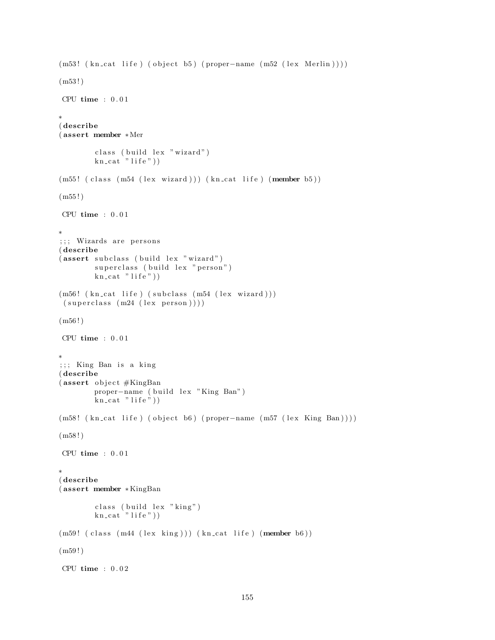```
(m53! \ (kn\_cat \text{ life}) \ (object \text{ b5}) \ (proper-name \ (m52 \ (lex \text{ Merlin})))(m53 ! )
CPU time : 0.01∗
( describe
( assert member ∗Mer
        class ( build lex " wizard")
        kn\_cat "life")
(m55! (class (m54 (lex wizard))) (kn_cat life) (member b5))
(m55!)CPU time : 0 . 0 1
∗
;;; Wizards are persons
( describe
(assert subclass (build lex "wizard")
        superclass (build lex "person")
        kn\_cat "life"))
(m56! (kn_cat life) (subclass (m54 (lex wizard)))
 (superclass (m24 (lex person))))(m56!)CPU time : 0.01∗
;;; King Ban is a king
( describe
(assert \; object \#KingBanproper-name ( build lex "King Ban")
        kn\_cat "life"))
(m58! \text{ (kncat life)} (object b6) (proper-name (m57 (lex King Ban))))(m58!)CPU time : 0.01∗
( describe
( assert member ∗ KingBan
        class (build lex "king")
        kn\_cat "life"))
(m59! (class (m44 (lex king))) (kncat life) (member b6))(m59!)CPU time : 0.02
```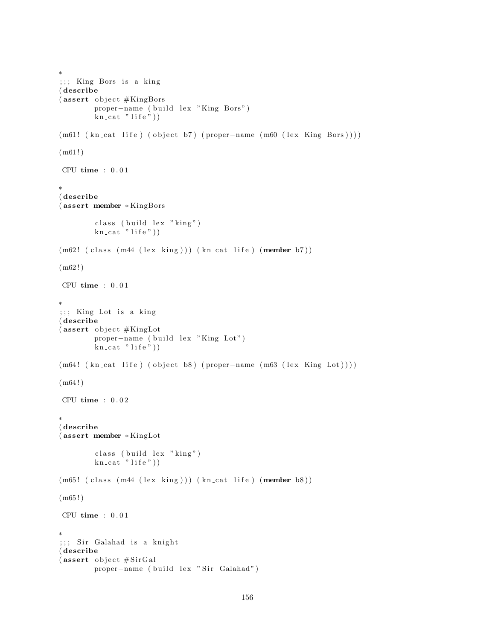```
∗
;;; King Bors is a king
( describe
(assert \; object \#KingBorsproper-name ( build lex "King Bors")
        kn\_cat "life"))
(m61! (kn_{cat} life) (object b7) (proper-name (m60 (lex King Bors))))
(m61!)CPU time : 0 . 0 1
∗
( describe
( assert member ∗ KingBors
        class ( build lex "king")
        kn\_cat "life"))
(m62! (class (m44 (lex king))) (kncat life) (member b7))(m62!)CPU time : 0 . 0 1
∗
;;; King Lot is a king
( describe
(assert object #KingLot
        proper-name ( build lex "King Lot")
        kn\_cat "life"))
(m64! (kn_{cat} life) (object b8) (proper-name (m63 (lex King Lot))))
(m64!)CPU time : 0 . 0 2
∗
( describe
( assert member ∗ KingLot
        class (build lex "king")
        kn\_cat "life"))
(m65! (class (m44 (lex king))) (kncat life) (member b8))(m65!)CPU time : 0.01∗
;;; Sir Galahad is a knight
( describe
(assert \; object \# Sir Gal)proper-name ( build lex " Sir Galahad")
```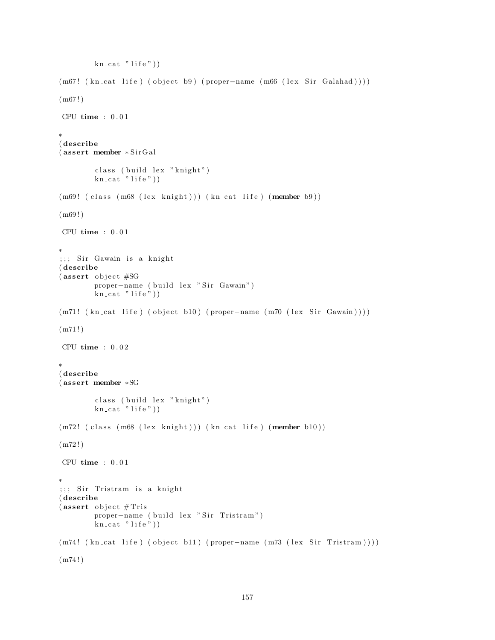```
kn\_cat "life")
(m67! (kn_cat life) (object b9) (proper-name (m66 (lex Sir Galahad))))
(m67!)CPU time : 0 . 0 1
∗
( describe
(assert member ∗SirGal
         class (build lex "knight")
        kn\_cat<sup>"</sup> life")
(m69! (class (m68 (lex knight))) (kn_cat life) (member b9))
(m69!)CPU time : 0 . 0 1
∗
;;; Sir Gawain is a knight
( describe
(assert object #SG
        proper-name ( build lex " Sir Gawain")
        \text{kn} cat " life"))
(m71! \ (kn\_cat \ life) \ (object \ b10) \ (proper-name \ (m70 \ (lex \ Sir \ Gawain))))(m71!)CPU time : 0.02∗
( describe
( assert member ∗SG
         class ( build lex " knight")
        kn\_cat "life"))
(m72! ( class (m68 (lex knight )) ) ( kn_cat life ) (member b10))
(m72!)CPU time : 0.01∗
;;; Sir Tristram is a knight
( describe
(assert object #Trisproper-name ( build lex " Sir Tristram")
        kn\_cat "life"))
(m74! ( kn_cat life) ( object b11) ( proper−name (m73 ( lex Sir Tristram ))))(m74!)
```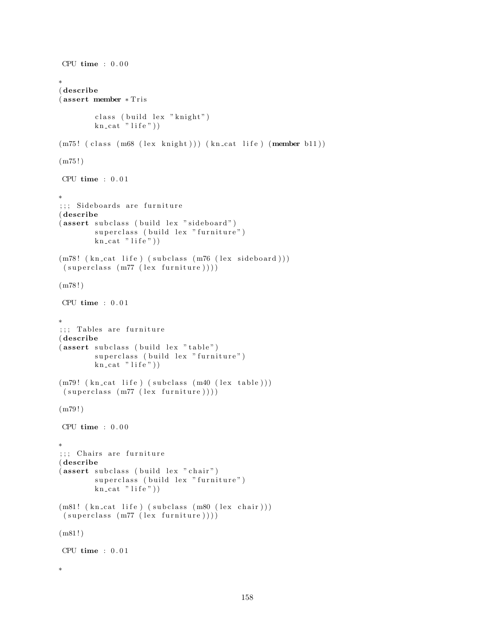```
CPU time : 0.00∗
( describe
( assert member ∗ T ri s
        class (build lex "knight")
        kn\_cat "life")
(m75! (class (m68 (lex knight))) (kn_cat life) (member b11))
(m75!)CPU time : 0 . 0 1
∗
;;; Sideboards are furniture
( describe
(assert subclass (build lex "sideboard")superclass (build lex "furniture")
        kn\_cat "life"))
(m78! (kn_cat life) (subclass (m76 (lex sideboard)))
 (superclass (m77 (lex familiar e))))(m78!)CPU time : 0 . 0 1
∗
;;; Tables are furniture
( describe
(assert subclass (build lex "table")superclass (build lex "furniture")
        kn\_cat "life"))
(m79! \ (kn\_cat \ life) \ (subclass \ (m40 \ (lex \ table)))(superclass (m77 (lex familiar e))))(m79!)CPU time : 0 . 0 0
∗
;;; Chairs are furniture
( describe
(assert subclass (build lex "chair")superclass (build lex "furniture")
        kn_cat "life"))
(m81! (kn_cat life) (subclass (m80 (lex chair)))
 (superclass (m77 (lex familiar e))))(m81!)CPU time : 0.01∗
```

```
158
```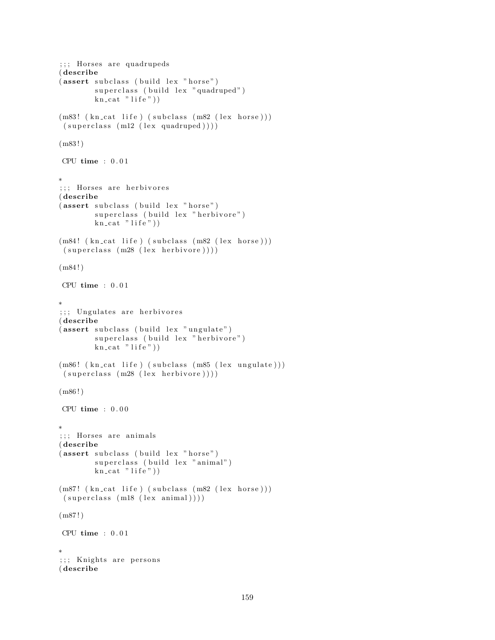```
;;; Horses are quadrupeds
( describe
(assert subclass (build lex "horse")
        superclass (build lex "quadruped")
        kn\_cat "life"))
(m83! (kn_cat life) (subclass (m82 (lex horse)))
(superclass (m12 (lex quadruped))))(m83!)CPU time : 0.01∗
;;; Horses are herbivores
( describe
(assert subclass (build lex "horse")
        superclass (build lex "herbivore")
        kn\_cat "life"))
(m84! (kn_cat life) (subclass (m82 (lex horse)))
(superclass (m28 (lex herbivore))))(m84 ! )
CPU time : 0 . 0 1
∗
;;; Ungulates are herbivores
( describe
(assert subclass (build lex "ungulate")
        superclass (build lex "herbivore")
        kn\_cat "life"))
(m86! (kn_cat life) (subclass (m85 (lex ungulate)))
(superclass (m28 (lex herbivore))))(m86!)CPU time : 0 . 0 0
∗
;;; Horses are animals
( describe
(assert subclass (build lex "horse")
        superclass (build lex "animal")
        kn\_cat "life"))
(m87! (kn_cat life) (subclass (m82 (lex horse)))
(superclass (m18 (lex animal))))(m87!)CPU time : 0 . 0 1
∗
;;; Knights are persons
( describe
```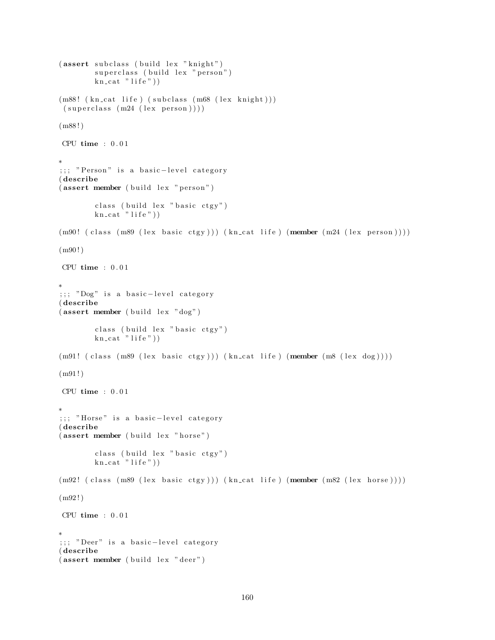```
(assert subclass (build lex "knight")superclass (build lex "person")
        kn\_cat "life"))
(m88! (kn_cat life) (subclass (m68 (lex knight)))
 (superclass (m24 (lex person)))(m88!)CPU time : 0.01∗
;;; "Person" is a basic-level category
( describe
(assert member (build lex "person")class ( build lex " basic ctgy")
        kn\_cat "life"))
(m90! (class (m89 (lex basic ctgy))) (kn_cat life) (member (m24 (lex person))))
(m90!)CPU time : 0.01∗
;;; "Dog" is a basic-level category
( describe
(\text{assert member } (\text{build lex } "dog")class ( build lex " basic ctgy")
        kn\_cat "life"))
(m91! ( class (m89 (lex basic ctgy))) (kn_cat life) (member (m8 (lex dog))))
(m91!)CPU time : 0.01∗
;;; "Horse" is a basic-level category
( describe
(assert member (buid lex "horse")class ( build lex " basic ctgy")
        kn\_cat "life"))
(m92! \text{ (class } (m89 \text{ (lex basic city)})) (kn\_cat life) (member (m82 \text{ (lex horse)})))(m92 ! )
CPU time : 0.01∗
;;; "Deer" is a basic-level category
( describe
(assert member (build lex "deer")
```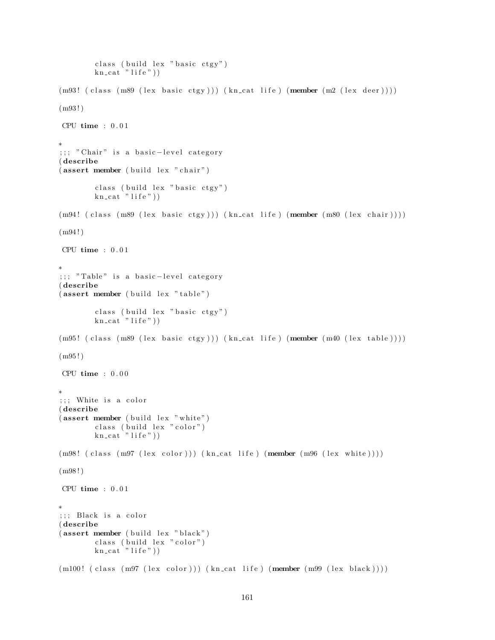```
class ( build lex " basic ctgy")
        kn\_cat "life")
(m93! ( class (m89 (lex basic ctgy))) (kn_cat life) (member (m2 (lex deer))))
(m93 ! )
CPU time : 0.01∗
;;; " Chair" is a basic-level category
( describe
(assert member (build lex "chair")class ( build lex " basic ctgy")
        kn cat " life")
(m94! ( class (m89 (lex basic ctgy))) (kn_cat life) (member (m80 (lex chair))))
(m94!)CPU time : 0 . 0 1
∗
;;; "Table" is a basic-level category
( describe
(assert member (build lex "table")class ( build lex " basic ctgy")
        kn\_cat "life"))
(m95! ( class (m89 (lex basic ctgy))) (kn_cat life) (member (m40 (lex table))))
(m95!)CPU time : 0.00∗
;;; White is a color
( describe
(assert member (build lex "white")class (build lex "color")
        kn\_cat "life"))
(m98! (class (m97 (lex color))) (kn_cat life) (member (m96 (lex white))))
(m98 ! )
CPU time : 0.01∗
;;; Black is a color
( describe
(assert member (build lex "black")class (build lex "color")
        kn\_cat "life"))
(m100! (class (m97 (lex color))) (kn\_cat life) (member (m99 (lex black))))
```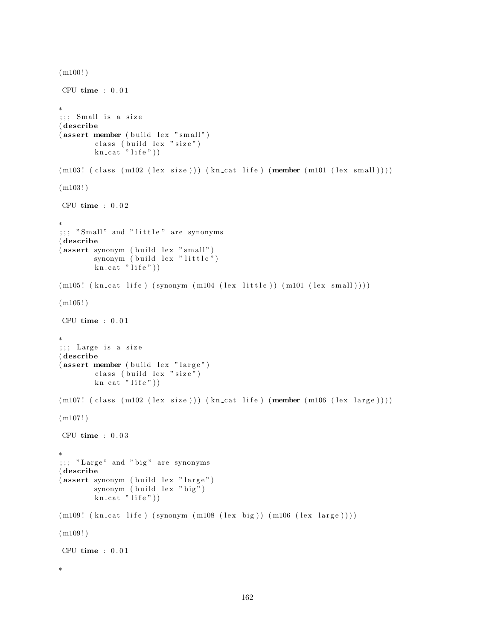```
(m100!)CPU time : 0.01∗
;; ; Small is a size
( describe
(assert member (build lex "small")class ( build lex " size")
        kn cat " life"))
(m103! (class (m102 (lex size))) (kncat life) (member (m101 (lex small))))(m103!)CPU time : 0.02∗
;;;; "Small" and "little" are synonyms
( describe
(assert \, symmetry) (build lex "small")
        synonym (build lex "little")
        kn\_cat "life"))
(m105! (kn\_cat life) (synonym (m104 (lex little)) (m101 (lex small))))(m105!)CPU time : 0.01∗
;;; Large is a size
( describe
(assert member (build lex "large")class (build lex "size")
        kn\_cat "life"))
(m107! (class (m102 (lex size))) (kn_cat life) (member (m106 (lex large))))
(m107!)CPU time : 0.03∗
;;; "Large" and "big" are synonyms
( describe
(assert \, synonym \, (build \, lex \, "large")synonym (build lex "big")
        kn\_cat "life"))
(m109! \ (kn\_cat \ life) \ (synonym \ (m108 \ (lex \ big)) \ (m106 \ (lex \ large))))(m109!)CPU time : 0.01∗
```

```
162
```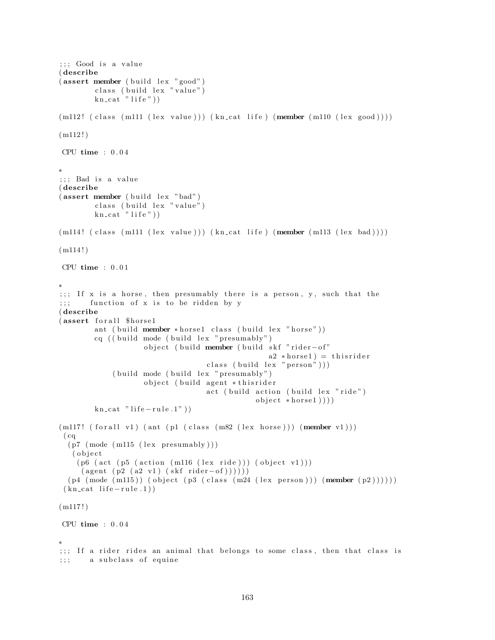```
;;; Good is a value
( describe
(assert member (build lex "good")
        class (build lex "value")
        kn\_cat "life"))
(m112! (class (m111 (lex value))) (kn-cut life) (member (m110 (lex good))))(m112!)CPU time : 0 . 0 4
∗
;;; Bad is a value
( describe
(\text{assert member } (\text{build lex "bad")})class (build lex "value")
        kn cat "life"))
(m114! (class (m111 (lex value))) (kncat life) (member (m113 (lex bad))))(m114!)CPU time : 0.01∗
;;; If x is a horse, then presumably there is a person, y, such that the
;;; function of x is to be ridden by y
( describe
(assert for all $horse1
        ant ( build member * horse1 class ( build lex " horse"))
        cq (( build mode ( build lex " presumably")object ( build member ( build skf "rider-of"
                                                  a2 * horse1) = thisriderclass ( build lex " person") )
             ( build mode ( build lex " presumably")
                    object (build agent * thisrider
                                   act ( build action ( build lex "ride")
                                               object * horse1))kn\_cat " life -rule.1")
(m117! (for all v1) (ant (pl (class (m82 (lex horse))) (member v1)))(cq)(p7 \pmod{m115} \text{ (lex presumably)} )( o b j e c t
    (p6 (act (p5 (action (m116 (lex ride))) (object v1)))(\text{agent } (p2 (a2 v1) (skf\text{ rider}-of))))(p4 \pmod{m115}) (object (p3 \pmod{m24} (lex person))) (member (p2))))))
 (kn_{\text{cat}}\text{life}-rule.1)(m117!)CPU time : 0 . 0 4
∗
;;; If a rider rides an animal that belongs to some class, then that class is
;;; a subclass of equine
```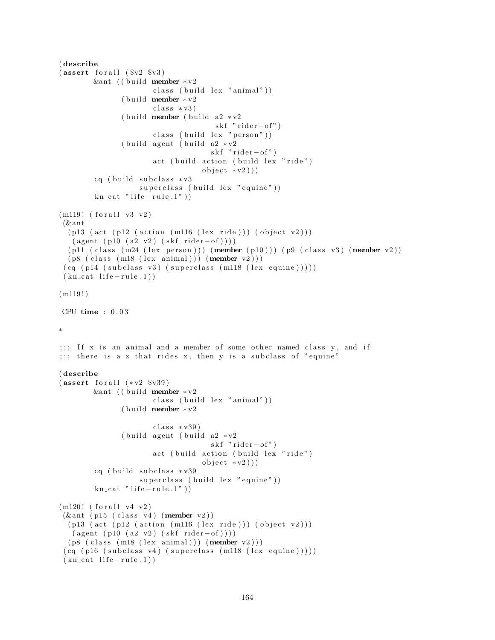```
( describe
(assert for all ( <math>$v2 $</math> <math>$v3)</math>)&ant (( build member ∗ v2
                       class (build lex "animal"))( build member *v2class * v3)( build member ( build a2 \div v2skf "rider-of")
                       class ( build lex " person" ) )
               ( build agent ( build a2 * v2skf "rider-of")
                       act ( build action ( build lex "ride")
                                   object *v2))cq ( build subclass * v3superclass (build lex "equine"))
        kn\_cat " life - rule .1" )(m119! (for all v3 v2))(& ant
  (p13 (act (p12 (action (m116 (lex ride))) (object v2)))(\text{agent } (p10 (a2 v2) (skf rider-of))))(p11 (class (m24 (lex person))) (member (p10))) (p9 (class v3) (member v2))(p8 (class (m18 (lex animal))) (member v2)))(cq (p14 (subclass v3) (superclass (m118 (lex equivalence))))(kn_{\text{cat}}\text{life}-rule.1)(m119!)CPU time : 0 . 0 3
∗
;;; If x is an animal and a member of some other named class y, and if
;;; there is a z that rides x, then y is a subclass of "equine"
( describe
(assert for all (*v2 $v39))&ant (( build member * v^2class (build lex "animal"))( build member * v2class * v39)( build agent ( build a2 \times v2skf "rider-of")
                      act (build action (build lex "ride")
                                   object * v2))cq (build subclass * v39superclass (build lex "equine"))
        kn\_cat " life -rule.1")
(m120! (for all v4 v2))(\& ant (p15 (class v4) (member v2))
  (p13 (act (p12 (action (m116 (lex ride))) (object v2)))(\text{agent } (p10 (a2 v2) (skf rider-of))))(p8 (class (m18 (lex animal))) (member v2)))(cq (p16 (subclass v4) (superclass (m118 (lex equivalence))))(kn cat life -rule.1))
```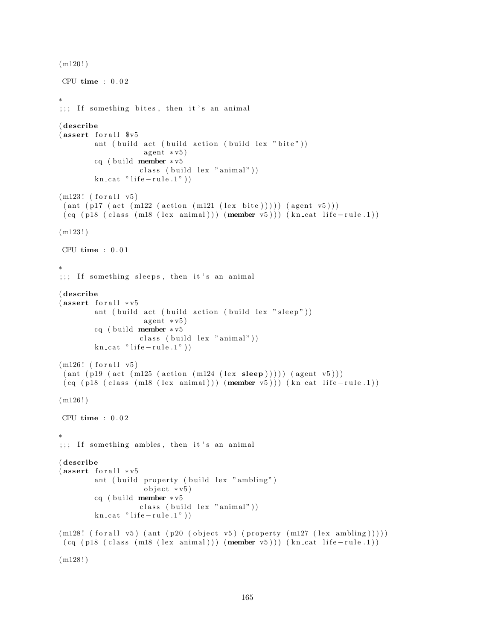```
(m120!)CPU time : 0 . 0 2
∗
;;; If something bites, then it's an animal
( describe
(sasert for all <math>\V<sup>5</sup>
        ant ( build act ( build action ( build lex " bite" ))
                     agent * v5)cq ( build member * v5class (build lex "animal"))kn\_cat " life -rule.1")
(m123! (for all v5)(ant (p17 (act (m122 (action (m121 (lex bite)))))) (agent v5)))(cq (p18 (class (m18 (lex animal))) (member v5))) (kn_c cat life-rule.1))(m123!)CPU time : 0 . 0 1
∗
;;; If something sleeps, then it's an animal
( describe
(assert for all <math>*v5</math>)ant ( build act ( build action ( build lex " sleep" ))
                     agent * v5)cq ( build member * v5
                    class (build lex "animal"))kn\_cat " life -rule.1")
(m126! (for all v5)
 (\text{ant } (p19 \text{ (act } (m125 \text{ (action } (m124 \text{ (lex } sleep)))))) (\text{agent } v5)))(cq (p18 (class (m18 (lex animal))) (member v5))) (kncat life-rule.1))(m126!)CPU time : 0 . 0 2
∗
;;; If something ambles, then it's an animal
( describe
(assert for all <math>*v5ant ( build property ( build lex " ambling")
                     object * v5)cq ( build member * v5
                    class (build lex "animal"))
         kn\_cat " life -rule.1")
(m128! \text{ (for all v5) (ant (p20 (object v5) (property (m127 (lex ambling))))})(cq (p18 (class (m18 (lex animal))) (member v5))) (kncat life-rule.1))
```

```
(m128!)
```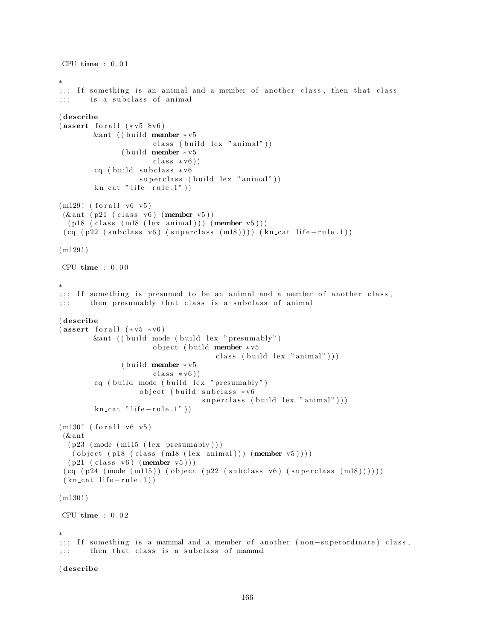```
CPU time : 0.01∗
;;; If something is an animal and a member of another class, then that class
;;; is a subclass of animal
( describe
(assert for all (*v5 $v6)&ant (( build member * v5
                      class (build lex "animal"))
              ( build member * v 5\text{class} * \text{v6})cq ( build subclass * v6superclass ( build lex "animal" ))
        kn cat " life - rule.1")(m129! (for all v6 v5)
(\& ant (p21 (class v6) (member v5))
 (p18 (class (m18 (lex animal))) (member v5)))(cq (p22 (subclass v6) (superclass (m18)))) (kncat life-rule.1))(m129!)CPU time : 0.00∗
;;; If something is presumed to be an animal and a member of another class,
;;; then presumably that class is a subclass of animal
( describe
(assert for all (*v5 * v6))\&ant (( build mode ( build lex " presumably")
                      object (build member *v5
                                     class ( build lex "animal" )))
               ( build member * v 5class * v6)cq ( build mode ( build lex " presumably" )
                   object ( build subclass *v6
                                  superclass ( build lex "animal" ) )
        kn cat " life - rule.1")(m130! (for all v6 v5))(& ant
  (p23 \pmod{m115} \text{ (lex presumably)} )( object ( p18 ( class (m18 (lex animal))) (member v5)))(p21 \text{ (class } v6) \text{ (member } v5)))(cq (p24 (mode (m115)) (object (p22 (subclass v6) (superclass (m18))))))(kn \text{ cat } life-rule.1))(m130!)CPU time : 0.02∗
;;; If something is a mammal and a member of another (non-superordinate) class,
;;; then that class is a subclass of mammal
```
( describe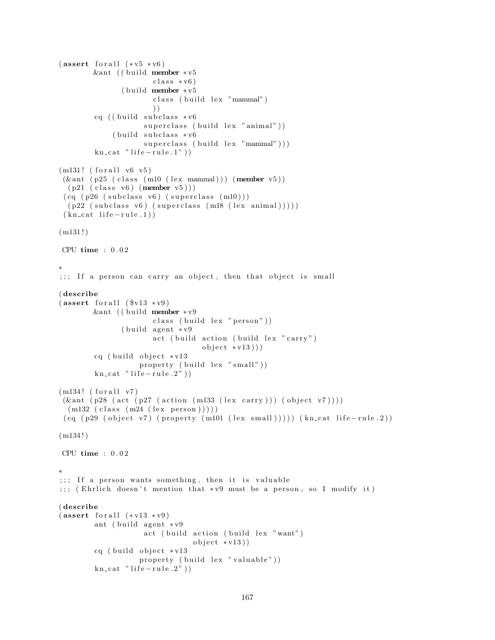```
(assert for all (*v5 * v6))&ant (( build member * v5
                      class * v6)( build member * v 5class (build lex "mammal")
                      ) )
        cq ((build subclass * v6superclass (build lex "animal"))
             (b uild subclass * v6superclass ( build lex "mammal" ) ) )
        kn\_cat " life -rule.1")
(m131! (for all v6 v5))(\& ant (p25 (class (m10 (lex mammal))) (member v5))
  (p21 \text{ (class v6) (member v5) )})(cq (p26 (subclass v6) (superclass (m10)))(p22 (subclass v6) (superclass (m18 (lex animal)))))
 (kn_{\text{cat}}\text{life}-rule.1)(m131!)CPU time : 0 . 0 2
∗
;;; If a person can carry an object, then that object is small
( describe
(assert for all ( <math>$v13 ** v9</math>) )&ant (( build member ∗v9
                      class (build lex "person"))(build agent * v9)act ( build action ( build lex " carry")
                                  object * v13))cq ( build object * v13property (build lex "small"))
        kn\_cat " life -rule.2"))
(m134! (for all v7))(\& ant (p28 (act (p27 (action (m133 (lex carry))) (object v7))))
  (m132 (class (m24 (lex person))))(cq (p29 (object v7) (property (m101 (lex small)))))(kn-cut life-rule.2))(m134!)CPU time : 0.02∗
;;; If a person wants something, then it is valuable
;;; (Ehrlich doesn't mention that *v9 must be a person, so I modify it)
( describe
(s) (assert for all (*v13 * v9))
        ant ( build agent * v9act (build action (build lex "want")
                                object * v13))
        cq ( build object *v13
                   property (build lex "valuable"))
        kn\_cat " life -rule.2"))
```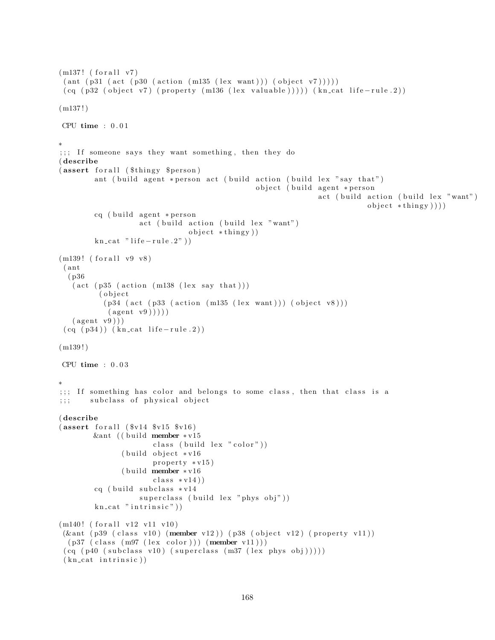```
(m137! (for all v7))\left( \text{ant } \left( \text{p31 } \left( \text{act } \left( \text{p30 } \left( \text{action } \left( \text{m135 } \left( \text{lex } \text{want} \right) \right) \right) \right) \left( \text{object } \text{v7} \right) \right) \right) \right)(cq (p32 (object v7) (property (m136 (lex valuable)))) (kncat life-rule.2))(m137!)CPU time : 0.01∗
;;; If someone says they want something, then they do
( describe
(assert for all ($thingy $person)
         ant ( build agent * person act ( build action ( build lex " say that")
                                                       object ( build agent *person
                                                                         act (build action (build lex "want")
                                                                                       object * thing y ))cq ( build agent * person
                      act (build action (build lex "want")
                                    object * thing y )kn\_cat " life -rule.2"))
(m139! (for all v9 v8))( ant
  ( p36
   (\text{act} (\text{p35} (\text{action} (\text{m138} (\text{lex say that})))( object
            (p34 \text{ (act (p33 (action (m135 (lex want))) (object v8)))}(\text{agent } v9)))
   (\text{agent } v9))(cq (p34)) (kncat life-rule.2))(m139!)CPU time : 0 . 0 3
∗
;;; If something has color and belongs to some class, then that class is a
;;; subclass of physical object
( describe
(assert for all ( <math>$v14 $v15 $v16 )</math>)&ant ((build member ∗v15
                          class ( build lex " color" ))
                 ( build object *v16
                          property * v15)( build member * v16class * v14)cq ( build subclass *v14
                      superclass (build lex "phys obj"))
          kn\_cat " intrinsic" ) )
(m140! (for all v12 v11 v10)(\& \text{ant } (p39 \text{ (class v10) (member v12) ) (p38 (object v12) ( property v11))})(p37 (class (m97 (lex color))) (member v11)))(cq (p40 (subclass v10) (superclass (m37 (lex phys obj))))(kn_{\text{cat}}\text{ intrinsic}))
```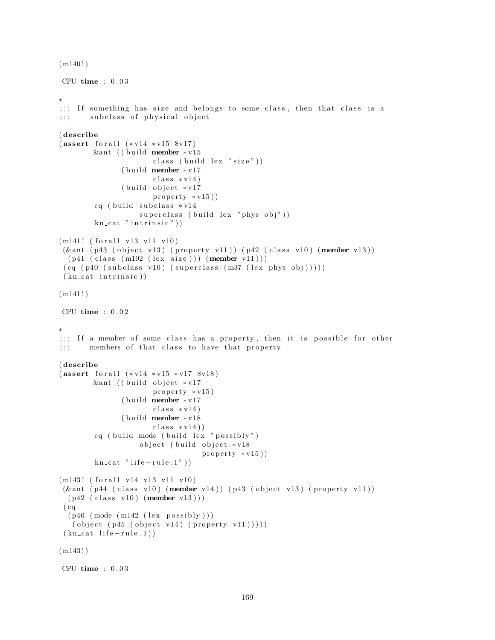```
(m140!)
```

```
CPU time : 0.03
```

```
∗
;;; If something has size and belongs to some class, then that class is a
;;; subclass of physical object
( describe
(assert for all <math>(*v14 * v15 * v17)</math>)&ant (( build member * v15
                       class ( build lex "size" ) )
               ( build member * v17class * v14)(b uild object * v17
                       property * v15)cq ( build subclass * v14superclass ( build lex " phys obj" ))
        kn\_cat " intrinsic" ) )
(m141! (for all v13 v11 v10)(\& ant (p43 (object v13) (property v11)) (p42 (class v10) (member v13))
  (p41 (class (m102 (lex size))) (member v11)))(cq (p40 (subclass v10) (superclass (m37 (lex phys obj))))(kn_{\text{cat}}\text{ intrinsic}))(m141!)CPU time : 0 . 0 2
∗
;;; If a member of some class has a property, then it is possible for other
;;; members of that class to have that property
( describe
(assert for all <math>(*v14 * v15 * v17 * v18)</math>)&ant (( build object *v17
                       property * v15)( build member ∗v17
                       class * v14)(b uild member * v18
                       class * v14)cq ( build mode ( build lex " possibly")
                    object ( build object *v18
                                   property * v15)kn cat " life - rule . 1"))
(m143! (for all v14 v13 v11 v10)
(\&ant (p44 (class v10) (member v14)) (p43 (object v13) (property v11))
  (p42 \text{ (class v10) (member v13) )})(cq)(p46 \ (mode \ (m142 \ (lex \ possibly \)))( object ( p45 ( object v14) ( property v11))))(kn_{\text{cat}}\text{life}-rule.1)(m143!)CPU time : 0 . 0 3
```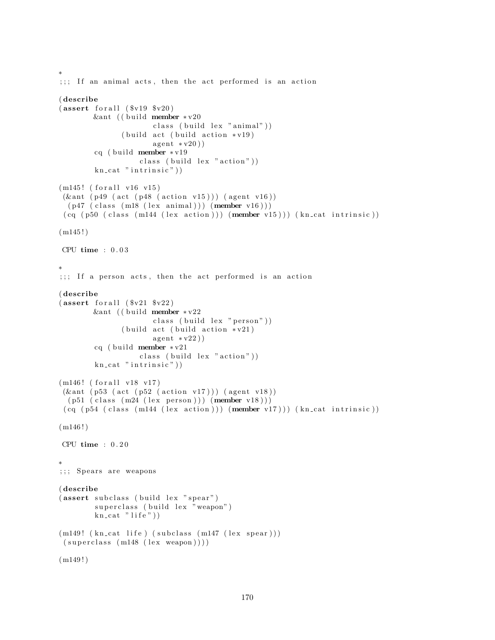```
∗
;;; If an animal acts, then the act performed is an action
( describe
(assert for all ( <math>$v19</math> <math>$v20</math>)&ant (( build member * v20
                       class (build lex "animal"))(b uild act (b uild action * v19)
                       a gent * v20)cq ( build member * v19class (build lex "action"))
        kn\_cat " intrinsic")
(m145! (for all v16 v15)(\& ant ( p49 ( act ( p48 ( action v15))) ( agent v16))
 (p47 (class (m18 (lex animal))) (member v16)))(cq (p50 (class (m144 (lex action)))) (member v15))) (kn_cat intrinsic))(m145!)CPU time : 0 . 0 3
∗
;;; If a person acts, then the act performed is an action
( describe
(assert for all ( <math>$v21</math> <math>$v22</math>)&ant (( build member * v22
                       class (build lex "person"))(buid \; act \; (build \; action \; *v21))a gent * v22)cq ( build member * v21class ( build lex "action"))
        kn\_cat " intrinsic" ) )
(m146! (for all v18 v17))(\& ant (p53 (act (p52 (action v17))) (agent v18))
  (p51 (class (m24 (lex person))) (member v18)))(cq (p54 (class (m144 (lex action))) (member v17))) (kn_cat intrinsic))(m146!)CPU time : 0 . 2 0
∗
;;; Spears are weapons
( describe
(assert subclass (build lex "spear")
        superclass (build lex "weapon")
        kn\_cat "life"))
(m149! (kn_cat life) (subclass (m147 (lex spear)))
 (superclass (m148 (lex weapon))))(m149!)
```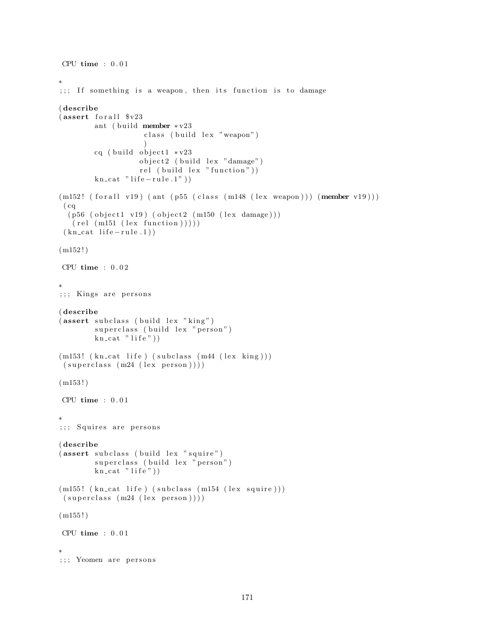```
CPU time : 0.01∗
;;; If something is a weapon, then its function is to damage
( describe
(assert for all <math>\sqrt[6]{v23})</math>ant ( build member * v23class (build lex "weapon")
                     )
        cq ( build object 1 \cdot v^2 + v23
                    object2 (build lex "damage")
                    rel (build lex "function"))
         kn\_cat " life -rule.1")
(m152! (for all v19) (ant (p55 (class (m148 (lex weapon)))) (member v19)))(cq)(p56 (object1 v19) (object2 (m150 (lex damage))))(\text{rel} (\text{m151} (\text{lex} \text{function})))(kn_{\text{cat}} life -\text{rule}.1))
(m152!)CPU time : 0.02∗
;;; Kings are persons
( describe
(assert subclass (build lex "king")superclass (build lex "person")
        kn\_cat "life"))
(m153! (kncat life) (subclass (m44 (lex king)))(superclass (m24 (lex person))))(m153!)CPU time : 0.01∗
;;; Squires are persons
( describe
(assert subclass (build lex "squire")
         superclass (build lex "person")
        kn\_cat "life"))
(m155! (kn\_cat life) (subclass (m154 (lex square)))(superclass (m24 (lex person))))(m155!)CPU time : 0 . 0 1
∗
;;; Yeomen are persons
```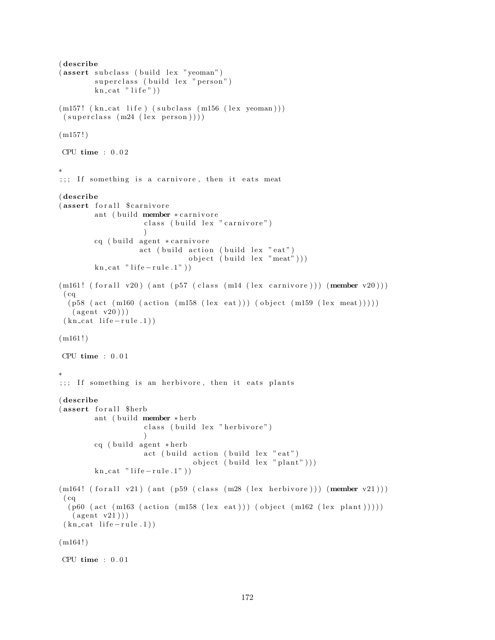```
( describe
(assert subclass (build lex "yeoman")
        superclass (build lex "person")
        kn\_cat "life"))
(m157! (kn_cat life) (subclass (m156 (lex yeoman)))
 (superclass (m24 (lex person)))(m157!)CPU time : 0.02∗
;;; If something is a carnivore, then it eats meat
( describe
(assert forall $ carnivore
        ant ( build member * carnivore
                     class ( build lex " carnivore")
                     \left( \right)cq ( build agent * carnivore
                   act ( build action ( build lex "eat")object (build lex "meat"))kn\_cat "life - rule.1")
(m161! (for all v20) (ant (p57 (class (m14 (lex cannivore)))) (member v20)))(cq)(p58 \text{ (act (m160 (action (m158 (lex eat)))) (object (m159 (lex meat))))))(\text{agent v20}))(kn_{\text{cat}}\text{life}-rule.1))
(m161!)CPU time : 0.01∗
;;; If something is an herbivore, then it eats plants
( describe
(assert for all $herb
        ant ( build member * herb
                     class (build lex "herbivore")
                     \lambdacq ( build agent * herb
                     act ( build action ( build lex " eat")
                                 object ( build lex " plant" )))
        kn\_cat " life - rule .1" )(m164! (for all v21) (ant (p59 (class (m28 (lex herbivore)))) (member v21)))(cq)(p60 (act (m163 (action (m158 (lex eat)))) (object (m162 (lex plant))))(\text{agent v21} ))(kn_{\text{cat}}\text{life}-rule.1))
(m164!)CPU time : 0.01
```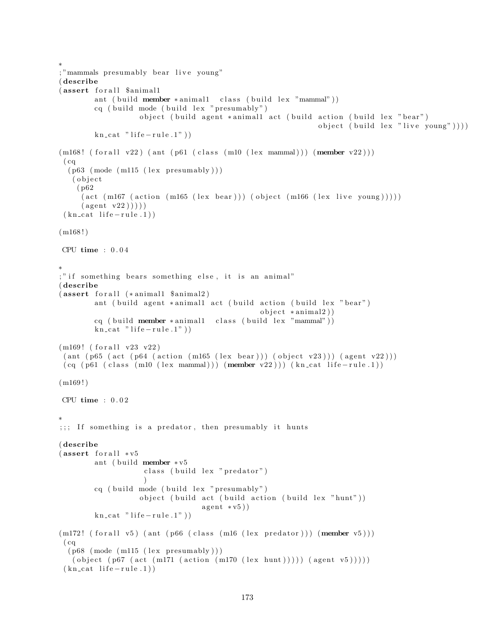```
∗
; "mammals presumably bear live young"
( describe
(assert for all $animal1
        ant ( build member * animal1 class ( build lex "mammal"))
        cq ( build mode ( build lex " presumably" )
                    object ( build agent *animall act ( build action ( build lex " bear")
                                                                object ( build lex "live young" )))
        kn\_cat " life -rule.1")
(m168! (for all v22) (ant (p61 (class (m10 (lex mammal))) (member v22)))(cq)(p63 \ (mode \ (m115 \ (lex \ presumably)))( o b j e c t
    ( p62
     (\text{act (m167 (action (m165 (lex bear))) (object (m166 (lex live young))))})(\text{agent v22}))))
 (kn_{cat} life -rule.1))
(m168!)CPU time : 0 . 0 4
∗
;" if something bears something else, it is an animal"
( describe
(assert forall (*animal1 $animal2)
        ant ( build agent *animal1 act ( build action ( build lex " bear")
                                                  object * animal2))cq ( build member * animal1 class ( build lex "mammal"))
        kn\_cat " life -rule.1")
(m169! (for all v23 v22)\left( \text{ant } \left( \text{p65 (act (p64 (action (m165 (lex bear))) (object v23))} \right) \right)(cq (p61 (class (m10 (lex mammal))) (member v22))) (kn_cat life-rule.1))(m169!)CPU time : 0 . 0 2
∗
;;; If something is a predator, then presumably it hunts
( describe
(assert for all <math>*v5ant ( build member * v5class ( build lex " predator" )
                     \lambdacq ( build mode ( build lex " presumably")
                    object ( build act ( build action ( build lex " hunt" ))
                                   a gent * v 5)kn\_cat " life -rule.1")
(m172! (for all v5) (ant (p66 (class (m16 (lex predator))) (member v5)))(cq)(p68 \ (mode \ (m115 \ (lex \ presumably)))( object (p67 (act (m171 (action (m170 (lex hunt))))) (agent v5)))))
 (kn \text{ cat } life-rule.1))
```

```
173
```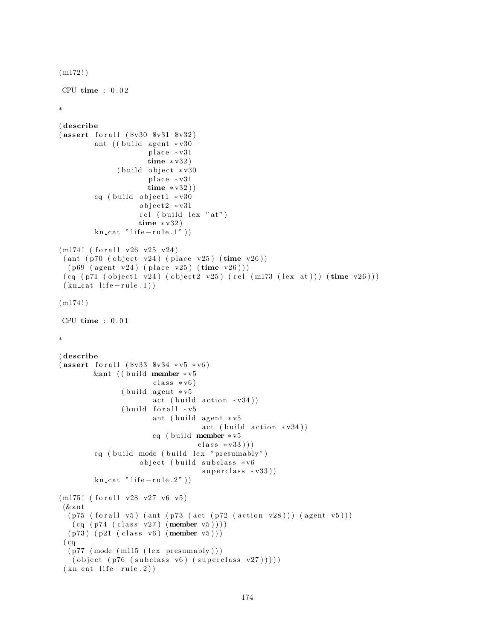```
(m172!)CPU time : 0 . 0 2
∗
( describe
(assert for all ( <math>$v30 $sv31 $sv32</math>) )ant ((build agent * v30place *v31
                        time * v32)(b uild object * v30
                        place *v31
                        time * v32)cq ( build object1 *v30
                      object2 * v31rel (build lex "at")
                      time ∗ v32 )
         kn cat " life - rule.1")(m174! (for all v26 v25 v24)
 \left( \text{ant } \left( \text{ p70 } \left( \text{ object } v24 \right) \right. \left( \text{ place } v25 \right) \right) \left( \text{ time } v26 \right) \right)(p69 (agent v24) (place v25) (time v26)))(cq (p71 (object1 v24) (object2 v25) (rel (m173 (lex at))) (time v26)))(kn_{\text{cat}}\text{life}-rule.1)(m174!)CPU time : 0 . 0 1
∗
( describe
(assert for all ( $v33 $v34 * v5 * v6 )&ant ((build member ∗v5
                         class * v6)(b uild agent * v<sup>5</sup>
                         act (build action *v34))( build for all * v5ant ( build agent * v5act (build action *v34))cq ( build member * v5
                                      class * v33))cq ( build mode ( build lex " presumably")
                      object ( build subclass *v6
                                       superclass * v33))kn\_cat " life -rule.2"))
(m175! (for all v28 v27 v6 v5)
 (& ant
  (p75 (for all v5) (ant (p73 (act (p72 (action v28)))) (agent v5)))(cq (p74 (class v27) (member v5))))(p73) (p21 (class v6) (member v5)))(cq)(p77 \pmod{m115} \text{ (lex presumably)} )( object (p76 (subclass v6) (superclass v27)))))(kn_{\text{cat}}\text{ life} - rule.2))
```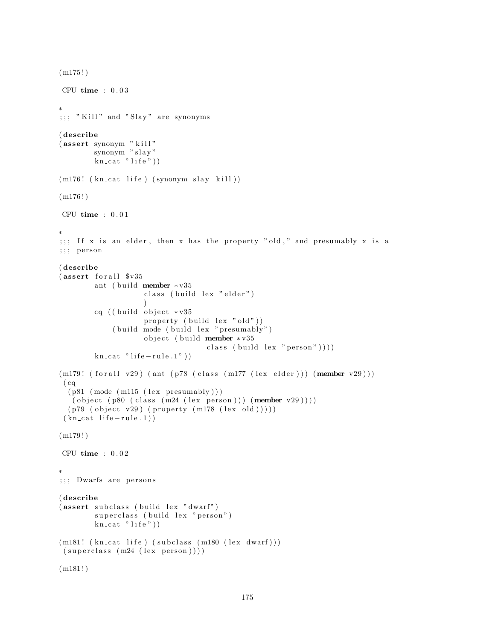```
(m175!)CPU time : 0 . 0 3
∗
; ; ; "Kill" and "Slay" are synonyms
( describe
(assert synonym " kill"
        synonym " slay"
        \overline{\text{kn\_cat}} " life")
(m176! (kn_cat life) (synonym slay kill))
(m176!)CPU time : 0.01∗
;;; If x is an elder, then x has the property "old," and presumably x is a
;;; person
( describe
(assert for all <math>$v35ant ( build member * v35class ( build lex " elder")
                     \lambdacq ((build object * v35property (build lex "old"))
             ( build mode ( build lex " presumably")
                    object (build member *v35
                                    class ( build lex " person" )))
        kn\_cat " life - rule .1" )(m179! (for all v29) (ant (p78 (class (m177 (lexelder))) (member v29)))( cq
  (p81 \pmod{m115} \text{ (lex presumably)} )( object (p80 (class (m24 (lex person))) (member v29))))(p79 (object v29) (property (m178 (lex old))))(kn_{\text{cat}}\text{life}-rule.1)(m179!)CPU time : 0.02∗
;;; Dwarfs are persons
( describe
(assert subclass (build lex "dwarf")superclass (build lex "person")
        kn\_cat "life"))
(m181! (kn_cat life) (subclass (m180 (lex dwarf)))
 (superclass (m24 (lex person))))(m181!)
```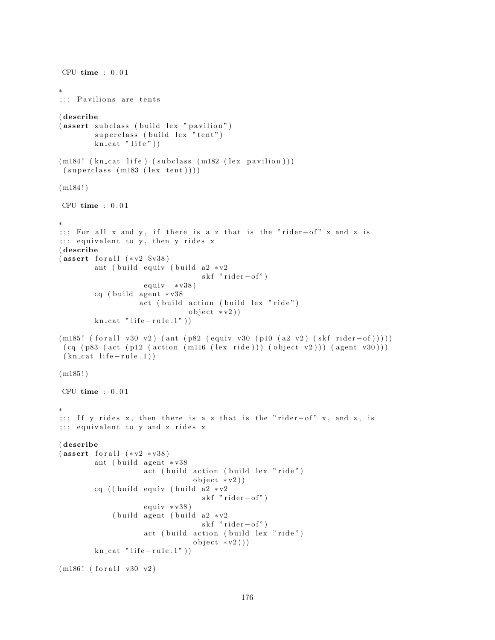```
CPU time : 0.01∗
;;; Pavilions are tents
( describe
(assert subclass (build lex "pavilion")
        superclass ( build lex " tent" )
        kn\_cat "life"))
(m184! (kn_cat life) (subclass (m182 (lex pavilion)))
 (superclass (m183 (lex tent))))(m184!)CPU time : 0 . 0 1
∗
;;; For all x and y, if there is a z that is the "rider-of" x and z is
;;; equivalent to y, then y rides x
( describe
(assert for all (*v2 $v38))ant ( build equiv ( build a2 \cdot v2skf "ride r-of")equiv \times v38)cq ( build agent *v38
                   act ( build action ( build lex "ride")
                              object * v2)kn\_cat " life -rule.1")
(m185! (for all v30 v2) (ant (p82 (equiv v v30 (p10 (a2 v2) (skf rider–of))))))(cq (p83 (act (p12 (action (m116 (lex ride))) (object v2))) (agent v30)))(kn \text{ cat } life-rule.1))(m185!)CPU time : 0 . 0 1
∗
;;; If y rides x, then there is a z that is the "rider-of" x, and z, is
;;; equivalent to y and z rides x
( describe
(assert for all (*v2 * v38))ant ( build agent *v38
                    act ( build action ( build lex " ride")
                                object * v2)cq ((build equiv (build a2 * v2skf "rider-of")
                    equiv * v38)( build agent ( build a2 * v2skf "ride r-of")act (build action (build lex "ride")
                                object * v2))kn\_cat " life -rule.1")
```

```
(m186! (for all v30 v2)
```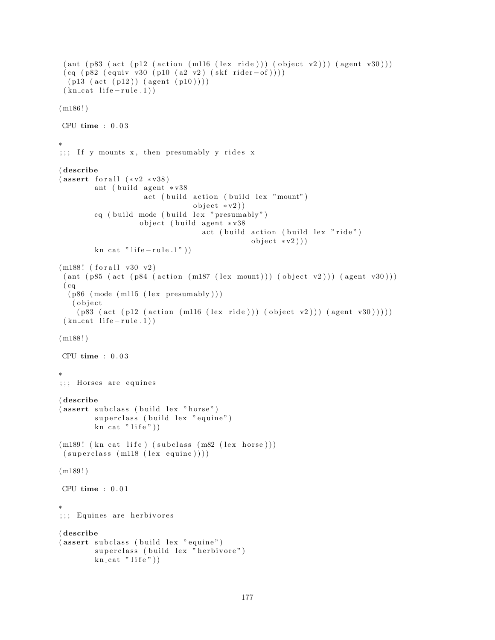```
(\text{ant } (p83 \text{ (act } (p12 \text{ (action } (m116 \text{ (lex } ride))) \text{ (object } v2))) (\text{agent } v30)))(cq (p82 (equiv v v30 (p10 (a2 v2) (skf rider-of))))(p13 (act (p12)) (agent (p10))))(kn_{\text{cat}}\text{life}-rule.1)(m186!)CPU time : 0 . 0 3
∗
;;; If y mounts x, then presumably y rides x
( describe
(assert for all (*v2 * v38))ant ( build agent * v38act ( build action ( build lex "mount")
                                   object * v2)cq ( build mode ( build lex " presumably")
                     object (build agent *v38
                                     act ( build action ( build lex "ride")
                                                  object * v2))kn\_cat " life -rule.1")
(m188! (for all v30 v2)(\text{ant } (p85 \text{ (act } (p84 \text{ (action } (m187 \text{ (lex } mount))) \text{ (object } v2))) (\text{agent } v30)))(cq)(p86 \text{ (mode (m115 (lex presumably)))})( o b j e c t
    (p83 (act (p12 (action (m116 (lex ride))) (object v2))) (agent v30))))(kn_{\text{cat}}\text{life}-rule.1)(m188!)CPU time : 0 . 0 3
∗
;;; Horses are equines
( describe
(assert subclass (build lex "horse")
         superclass (build lex "equine")
         kn\_cat "life"))
(m189! (kn_cat life) (subclass (m82 (lex horse)))
 (superclass (m118 (lex equivalence))))(m189!)CPU time : 0.01∗
;;; Equines are herbivores
( describe
(assert subclass (build lex "equine")
         superclass (build lex "herbivore")
         kn\_cat "life"))
```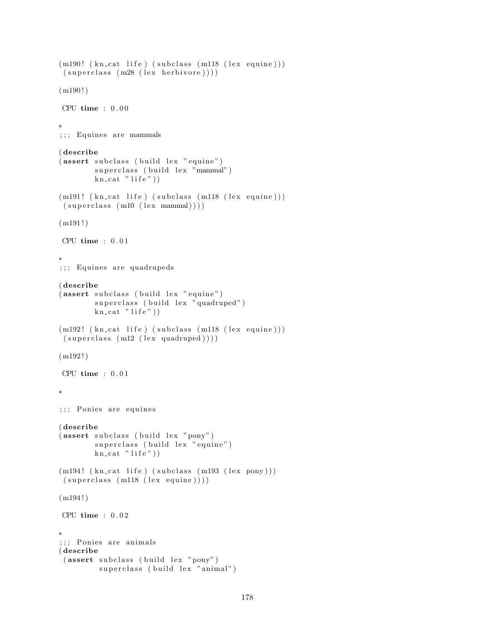```
(m190! (kn_cat life) (subclass (m118 (lex equine)))
 (superclass (m28 (lex herbivore))))(m190!)CPU time : 0.00∗
; ; ; Equines are mammals
( describe
(assert subclass (build lex "equine")
        superclass (build lex "mammal")
        \overrightarrow{\text{kn\_cat}} " life")
(m191! (kn_cat life) (subclass (m118 (lex equine)))
 (superclass (m10 (lex mammal))))(m191!)CPU time : 0 . 0 1
∗
;;; Equines are quadrupeds
( describe
(assert subclass (build lex "equine")
        superclass (build lex "quadruped")
        kn\_cat "life"))
(m192! (kn_cat life) (subclass (m118 (lex equine)))
 (superclass (m12 (lex quadruped))))(m192!)CPU time : 0.01∗
;;; Ponies are equines
( describe
(assert subclass (build lex "pony")superclass (build lex "equine")
        kn\_cat "life"))
(m194! (kn_cat life) (subclass (m193 (lex pony)))
 (superclass (m118 (lex equivalence))))(m194!)CPU time : 0.02∗
;;; Ponies are animals
( describe
 (assert subclass (build lex "pony")
         superclass (build lex "animal")
```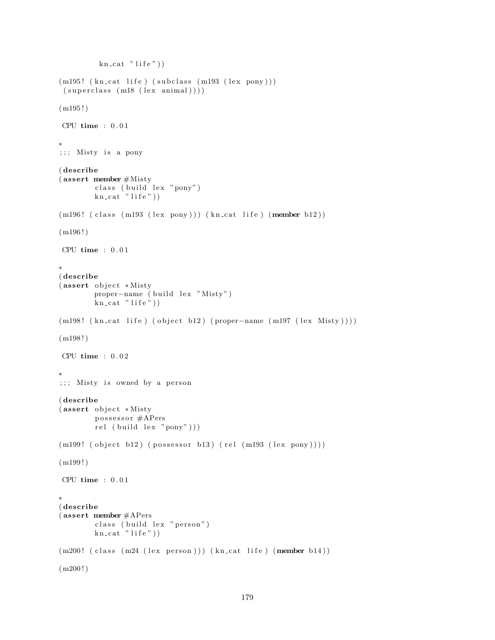```
kn\_cat "life")
(m195! (kn_cat life) (subclass (m193 (lex pony)))
 (superclass (m18 (lex animal))))(m195!)CPU time : 0.01∗
;;; Misty is a pony
( describe
(assert member #Mistyclass (build lex "pony")
        kn\_cat "life"))
(m196! (class (m193 (lex pony))) (kn_cat life) (member b12))
(m196!)CPU time : 0.01∗
( describe
(assert object *Misty
        proper-name ( build lex "Misty")
        kn\_cat "life"))
(m198! (kn_cat life) (object b12) (proper-name (m197 (lex Misty))))
(m198!)CPU time : 0.02∗
;;; Misty is owned by a person
( describe
(assert object *Misty
        possessor #APers
        rel (build lex "pony")))
(m199! (object b12) (possessor b13) (rel (m193 (lex pony))))(m199!)CPU time : 0.01∗
( describe
( assert member #APers
        class ( build lex " person")
        kn\_cat "life"))
(m200! (class (m24 (lex person))) (kncat life) (member b14))(m200!)
```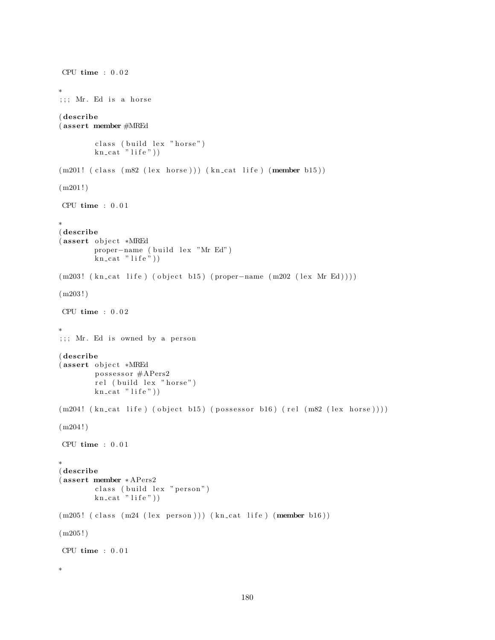```
CPU time : 0.02∗
;;; Mr. Ed is a horse
( describe
( assert member #MREd
        class (build lex "horse")
        kn\_cat "life"))
(m201! (class (m82 (lex horse))) (kn_cat life) (member b15))
(m201!)CPU time : 0.01∗
( describe
(assert object *MREd
        proper-name ( build lex "Mr Ed")
        kn\_cat "life"))
(m203! ( kn_cat life ) ( object b15 ) ( proper-name (m202 (lex Mr Ed))))
(m203!)CPU time : 0 . 0 2
∗
;;; Mr. Ed is owned by a person
( describe
(assert object *MREd
        possessor #APers2
        rel (build lex "horse")
        kn\_cat "life"))
(m204! (kn_{cat} life) (object b15) (possessor b16) (rel (m82 (lex horse))))
(m204!)CPU time : 0.01∗
( describe
( assert member ∗ APers2
        class (build lex "person")
        kn\_cat "life"))
(m205! (class (m24 (lex person))) (kn_cat life) (member b16))
(m205!)CPU time : 0.01∗
```

```
180
```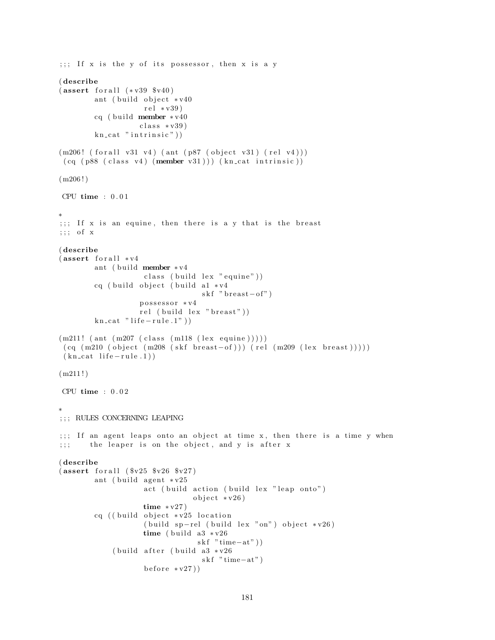```
\cdots if x is the y of its possessor, then x is a y
( describe
(assert for all (*v39 $v40)ant ( build object * v40rel * v39)cq ( build member * v40class * v39)kn\_cat " intrinsic" ))(m206! (for all v31 v4) (ant (p87 (object v31) (rel v4)))
 (cq (p88 (class v4) (member v31))) (kncat intrinsic))(m206!)CPU time : 0.01∗
;;; If x is an equine, then there is a y that is the breast
;;; of x( describe
(assert for all <math>*v4ant ( build member * v4
                     class ( build lex " equine" ))
        cq ( build object ( build a1 * v4skf " breast-of")
                    possessor *v4
                    rel ( build lex " breast"))
        kn\_cat " life -rule.1")
(m211! (ant (m207 (class (m118 (lex equivalence))))))(cq \ (m210 \ (object \ (m208 \ (skf \ breast-of))) (rel \ (m209 \ (lex \ breast))))))(kn \text{ cat } life-rule.1))(m211!)CPU time : 0 . 0 2
∗
; ; \; ; \; RULES CONCERNING LEAPING
;;; If an agent leaps onto an object at time x, then there is a time y when
;;; the leaper is on the object, and y is after x
( describe
(assert for all ( <math>$v25 $v26 $v27)</math>)ant ( build agent * v25act (build action (build lex "leap onto")
                                 object * v26)time * v27)cq ((build object * v25 location
                     (buid sp-rel (build lex "on") object *v26)time ( build a3 \sqrt{26}skf "time-at"))
             ( build after ( build a3 *v26
                                   skf "time-at"
                     \text{before} * v27)
```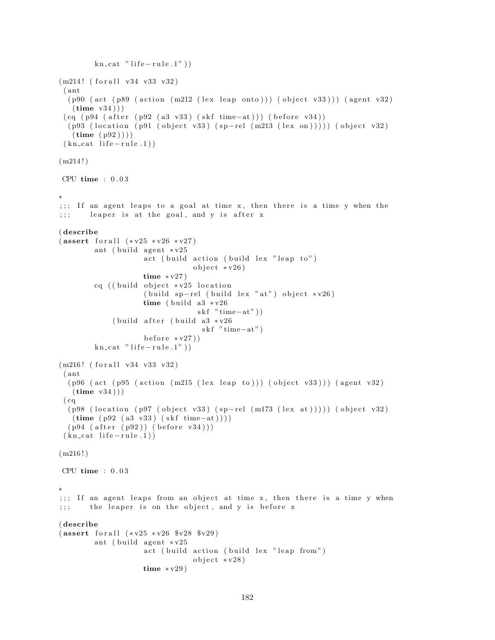```
kn\_cat " life - rule .1"))
(m214! (for all v34 v33 v32))( ant
  (p90 (act (p89 (action (m212 (lex leap onto))) (object v33))) (agent v32)
   (\text{time } v34))
 (cq (p94 (after (p92 (a3 v33) (skf time-at)))) (before v34))(p93 (location (p91 (object v33) (sp-rel (m213 (lex on)))))(object v32)(\text{time } (p92))(kn_{\text{cat}}\text{life}-rule.1)(m214!)CPU time : 0 . 0 3
∗
;;; If an agent leaps to a goal at time x, then there is a time y when the
;;; leaper is at the goal, and y is after x
( describe
(assert for all <math>(*v25 * v26 * v27)</math>)ant ( build agent * v25act (build action (build lex "leap to")
                                 object * v26)time * v27)cq ( ( build object * v25 location
                     (buid sp-rel (build lex "at") object *v26)time ( build a3 \sqrt{26}skf "time-at"))
             ( build after ( build a3 * v26skf "time-at"
                     before * v27)kn\_cat " life -rule.1")
(m216! (for all v34 v33 v32)
 ( ant
  (p96 (act (p95 (action (m215 (lex leap to))) (object v33))) (agent v32)
   (\text{time } v34)))
 (cq)(p98 \text{ (location (p97 (object v33) (sp-rel (m173 (lex at)))))(object v32))(time ( p92 (a3 v33) (skf time-at) ) ))(p94 (after (p92)) (before v34)))(kn_{\text{cat}}\text{ life} - rule.1))(m216!)CPU time : 0 . 0 3
∗
;;; If an agent leaps from an object at time x, then there is a time y when
;;; the leaper is on the object, and y is before x
( describe
(assert for all <math>(*v25 * v26 * v28 * v29)</math>)ant ( build agent * v25act (build action (build lex "leap from")
                                 object * v28)time * v29)
```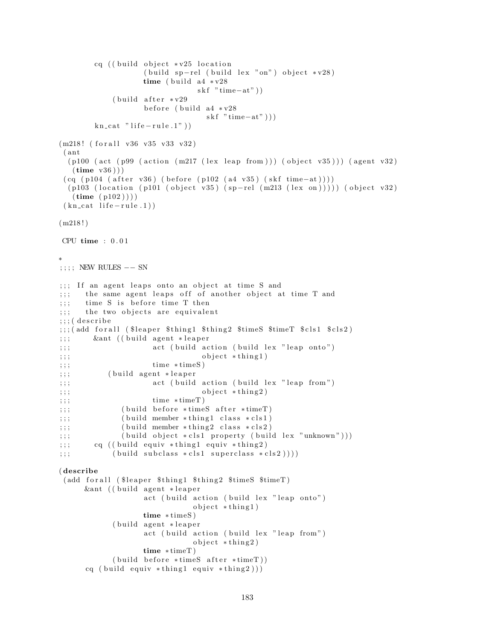```
cq ((build object *v25 location
                  (buid s<sub>p</sub>-rel (build lex "on") object *v28)time ( build a4 \sqrt{*} v28skf "time-at" ) )
           ( build after * v29before (build a4 *v28
                                skf "time-at" ))
       kn\_cat " life -rule.1")
(m218! (for all v36 v35 v33 v32)
 ( ant
  (p100 (act (p99 (action (m217 (lex leap from))) (object v35))) (agent v32)(\text{time } v36)))
 (cq (p104 (after v36) (before (p102 (a4 v35) (skf time-at))))(p103 (location (p101 (object v35) (sp-rel (m213 (lex on))))) (object v32)
  (\text{time } (p102))(kn_{\text{cat}}\text{life}-rule.1))
(m218!)CPU time : 0 . 0 1
∗
;; ; ; NEW RULES -- SN
;;; If an agent leaps onto an object at time S and
;;; the same agent leaps off of another object at time T and
;;; time S is before time T then
;;; the two objects are equivalent
;;;; (describe
;;;(add for all ($leaper $thing1 $thing2 $timeS $timeT $ cls1 $ cls2)
;;; & & & ant ( ( build agent * leaper
;;; act (build action (build lex "leap onto")
\mathbf{p};;; object * thing 1)
; ; ; time * time S)
;;; (build agent *leaper
;;; act (build action (build lex "leap from")
;;;;
; ; ; time * time \mathbb{T})
;;; ( build before *timeS after *timeT)
;;;; ( build member *thing1 class *cls1)
;;;; ( build member *thing 2 class *cls2)
;;; ( build object *cls1 property ( build lex "unknown" ) )
;;; cq ((build equiv *thing1 equiv *thing2)
;\; ; \; ; \; (build subclass * cls1 superclass * cls2 )))
( describe
 (add for all ($leaper $thing1 $thing2 $timeS $timeT)
     &ant ((build agent *leaper
                  act ( build action ( build lex " leap onto")
                             object * thing1)time ∗ timeS )
           (build agent *leaper
                  act (build action (build lex "leap from")
                             object * thing 2)time ∗ timeT )
           (buid before * timeS after * timeT))cq ( build equiv * thing 1 equiv * thing 2)))
```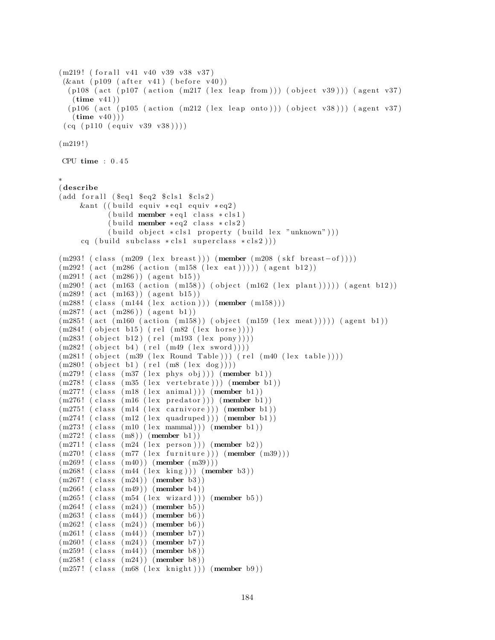```
(m219! (for all v41 v40 v39 v38 v37)
 (kant (p109 (after v41) (before v40))(p108 (act (p107 (action (m217 (lex leap from))) (object v39))) (agent v37)(\text{time } v41))(p106 (act (p105 (action (m212 (lex leap onto))) (object v38))) (agent v37)
   (\text{time } v40))(cq (p110 (equiv v 39 v38))))(m219!)CPU time : 0 . 4 5
∗
( describe
(add for all (Seq1 <math>Seq2</math> <math>Sels1 <math>Scls2</math>)&ant ( ( b uil d e qui v ∗ eq1 e q ui v ∗ eq2 )
            (\text{build member} * eq1 \text{ class } *cls1)(\text{build member} * eq2 \text{ class } *cls2)(\text{build object *cls1 property (build lex "unknown"))})cq ( build subclass * cls1 superclass * cls2 ) ) )
(m293! ( class (m209 (lex breast))) (member (m208 (skf breast-of))))
(m292! (act (m286 (action (m158 (lex eat)))))) (agent b12))(m291! (act (m286)) (agent b15))(m290! (act (m163 (action (m158)) (object (m162 (lex plant))))) (agent b12))
(m289! \text{ (act } (m163)) \text{ (agent } b15))(m288! (class (m144 (lex action))) (member (m158)))
(m287! \text{ (act } (m286)) \text{ (agent } b1))(m285! (act (m160 (action (m158)) (object (m159 (lex meat))))) (agent b1))
(m284! (object b15) (rel (m82 (lex horse))))
(m283! (object b12) (rel (m193 (lex pony))))(m282! (object b4) (rel (m49 (lex sword))))(m281! (object (m39 (lex Round Table))) (rel (m40 (lex table))))(m280! (object b1) (rel (m8 (lex dog))))(m279! (class (m37 (lex phys obj))) (member b1))
(m278! (class (m35 (lex vertebrate))) (member b1))
(m277!~(class~(m18~(lex~animal)))~(member~b1))(m276! (class (m16 (lex predator))) (member b1))
(m275! (class (m14 (lex carnivore))) (member b1))
(m274! (class (m12 (lex quadruped))) (member b1))
(m273! (class (m10 (lex mammal))) (member b1))
(m272!~(class~(m8))~(member~b1))(m271! (class (m24 (lex person))) (member b2))
(m270! (class (m77 (lex furniture))) (member (m39)))
(m269!~( \text{class } (m40))~( \text{member } (m39)) )(m268! (class (m44 (lex king))) (member b3))
(m267! (class (m24)) (member b3))
(m266! (class (m49)) (member b4))
(m265! (class (m54 (lex wizard))) (member b5))
(m264! (class (m24)) (member b5))
(m263! (class (m44)) (member b6))
(m262! (class (m24)) (member b6))
(m261! (class (m44)) (member b7))
(m260! (class (m24)) (member b7))
(m259! (class (m44)) (member b8))
(m258! (class (m24)) (member b8))
(m257! (class (m68 (lex knight))) (member b9))
```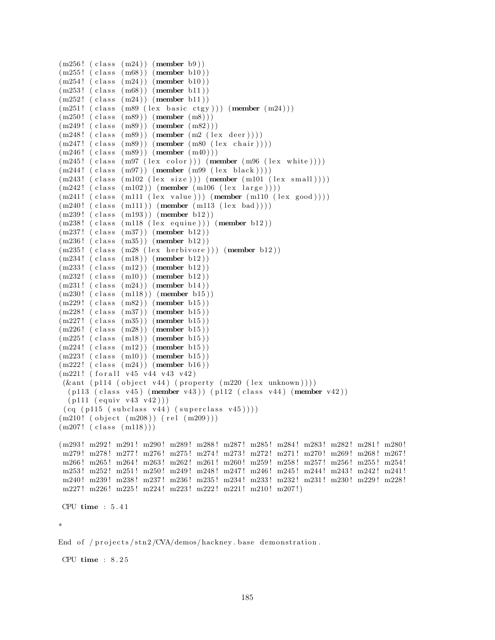```
(m256! (class (m24)) (member b9))
(m255! (class (m68)) (member b10))
(m254!~(class~(m24))~(member~b10))(m253! (class (m68)) (member b11))
(m252! \text{ (class } (m24)) \text{ (member } b11))(m251! ( class (m89 (lex basic ctgy))) (member (m24)))
(m250! (class (m89)) (member (m8)))
(m249!~( \text{class } (m89))~( \text{member } (m82)))(m248! (class (m89)) (member (m2 (lex deer))))
(m247!~(class~(m89))~(member~(m80~(lex~chair))))(m246!~(class~(m89))~(member~(m40)))(m245! (class (m97 (lex color))) (member (m96 (lex white))))
(m244!~(class~(m97))~(member~(m99~(lex~black))))(m243! (class (m102 (lex size))) (member (m101 (lex small))))
(m242!~(class~(m102))~(member~(m106~(lex~large)))(m241! (class (m111 (lex value))) (member (m110 (lex good))))(m240! (class (m111)) (member (m113 (lex bad))))
(m239! (class (m193)) (member b12))
(m238! (class (m118 (lex equivalence))) (member b12))
(m237!~( \text{class } (m37))~( \text{member } b12))(m236! (class (m35)) (member b12))
(m235! (class (m28 (lex herbivore))) (member b12))
(m234! (class (m18)) (member b12))
(m233! (class (m12)) (member b12))
(m232! (class (m10)) (member b12))(m231!~(class~(m24))~(member~b14))(m230! (class (m118)) (member b15))
(m229! (class (m82)) (member b15))
(m228! (class (m37)) (member b15))
(m227! (class (m35)) (member b15))
(m226! (class (m28)) (member b15))
(m225! (class (m18)) (member b15))
(m224! (class (m12)) (member b15))
(m223! (class (m10)) (member b15))
(m222! (class (m24)) (member b16))(m221! (for all v45 v44 v43 v42)
 (\& ant (p114 (object v44) (property (m220 \text{ (lex unknown)})))
  (p113 (class v45) (member v43) ) (p112 (class v44) (member v42) )(p111 (equiv v43 v42)))(cq (p115 (subclass v44) (superclass v45))))(m210! (object (m208)) (rel (m209)))(m207!~(class~(m118)))(m293! m292! m291! m290! m289! m288! m287! m285! m284! m283! m282! m281! m280!
 m279 ! m278 ! m277 ! m276 ! m275 ! m274 ! m273 ! m272 ! m271 ! m270 ! m269 ! m268 ! m267 !
 m266 ! m265 ! m264 ! m263 ! m262 ! m261 ! m260 ! m259 ! m258 ! m257 ! m256 ! m255 ! m254 !
 m253! m252! m251! m250! m249! m248! m247! m246! m245! m244! m243! m242! m241!
 m240 ! m239 ! m238 ! m237 ! m236 ! m235 ! m234 ! m233 ! m232 ! m231 ! m230 ! m229 ! m228 !
 m227! m226! m225! m224! m223! m222! m221! m210! m207!)
CPU time : 5 . 4 1
∗
End of /projects/stn2/CVA/demos/hackney.base demonstration.
```
CPU time : 8 . 2 5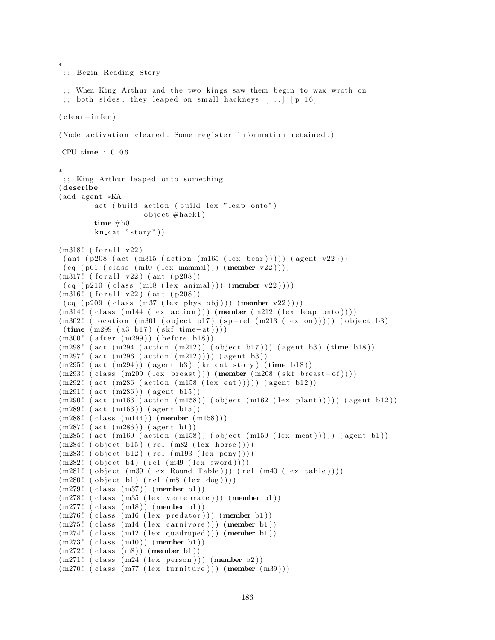```
;;; Begin Reading Story
;;; When King Arthur and the two kings saw them begin to wax wroth on
;;; both sides, they leaped on small hackneys [\ldots] [p 16]
( clear-infer)( Node activation cleared . Some register information retained .)
CPU time : 0.06∗
;;; King Arthur leaped onto something
( describe
(add agent *KA
        act (build action (build lex "leap onto")
                     object \#hack1)time #h0kn\_cat "stor y")
(m318! (for all v22))( ant (p208 (act (m315 (action (m165 (lex bear)))) (agent v22)))(cq (p61 (class (m10 (lex mammal))) (member v22))))(m317! \text{ (for all } v22) (ant (p208))
 (cq (p210 (class (m18 (lex animal))) (member v22))))(m316! (for all v22) (ant (p208))(cq (p209 (class (m37 (lex phys obj))) (member v22))))(m314! (class (m144 (lex action)))) (member (m212 (lex leap onto))))(m302! \text{ (location } (m301 \text{ (object } b17) \text{ (sp-rel } (m213 \text{ (lex on)}))) (\text{object } b3)(\text{time } (m299 (a3 b17) (skf time-at))))(m300! (after (m299)) (before b18))
(m298! (act (m294 (action (m212)) (object b17))) (agent b3) (time b18))
(m297! \text{ (act } (m296 \text{ (action } (m212)))) \text{ (agent } b3))(m295! (\text{act } (m294)) (\text{agent } b3) (\text{kn\_cat } story) (\text{time } b18))(m293! ( class (m209 (lex breast))) (member (m208 (skf breast-of))))
(m292! \text{ (act } (m286 \text{ (action } (m158 \text{ (lex } eat)))))) (agent b12))
(m291! (act (m286)) (agent b15))(\text{m290! (act (m163 (action (m158)) (object (m162 (lex plant)))))(agent b12))(m289! \text{ (act } (m163)) \text{ (agent } b15))(m288!~( \text{class } (m144))~( \text{member } (m158)) )(m287! \text{ (act } (m286)) \text{ (agent } b1))(m285! (act (m160 (action (m158)) (object (m159 (lex meat))))) (agent b1))
(m284! (object b15) (rel (m82 (lex horse))))
(m283! \text{ (object b12) (rel (m193 (lex pony))))})(m282! (object b4) (rel (m49 (lex sword))))(m281! (object (m39 (lex Round Table))) (rel (m40 (lex table))))
(m280! (object b1) (rel (m8 (lex dog))))(m279!~(class~(m37))~(member~b1))(m278! (class (m35 (lex vertebrate))) (member b1))
(m277!~(class~(m18))~(member~b1))(m276! (class (m16 (lex predator))) (member b1))
(m275! (class (m14 (lex carnivore))) (member b1))
(m274! (class (m12 (lex quadruped))) (member b1))
(m273! (class (m10)) (member b1))
(m272!~(class~(m8))~(member~b1))(m271! (class (m24 (lex person))) (member b2))
(m270! (class (m77 (lex furniture))) (member (m39)))
```
∗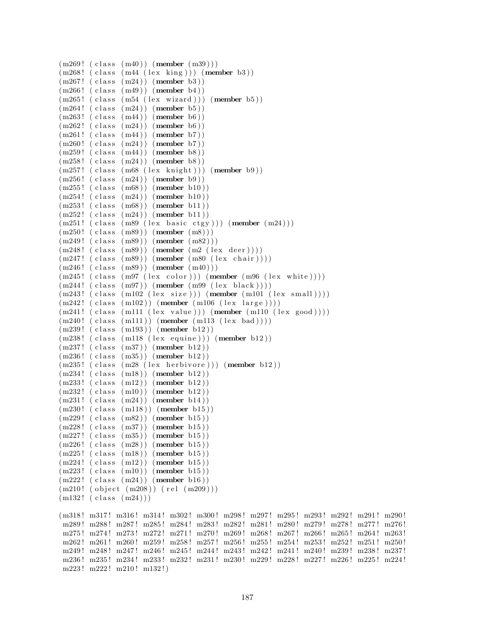```
(m269! ( class (m40)) (member (m39)))
(m268! (class (m44 (lex king))) (member b3))
(m267!~(class~(m24))~(member~b3))(m266! (class (m49)) (member b4))
(m265! (class (m54 (lex wizard))) (member b5))
(m264! (class (m24)) (member b5))
(m263! (class (m44)) (member b6))
(m262! (class (m24)) (member b6))
(m261! (class (m44)) (member b7))
(m260! (class (m24)) (member b7))
(m259! (class (m44)) (member b8))
(m258! (class (m24)) (member b8))
(m257! (class (m68 (lex knight))) (member b9))
(m256! (class (m24)) (member b9))
(m255! (class (m68)) (member b10))
(m254! (class (m24)) (member b10))
(m253! (class (m68)) (member b11))(m252! (class (m24)) (member b11))
(m251! (class (m89 (lex basic ctgy))) (member (m24)))
(m250! (class (m89)) (member (m8)))
(m249!~( \text{class } (m89)) (member (m82)))(m248!~(class~(m89))~(member~(m2~(lex~deer))))(m247!~(class~(m89))~(member~(m80~(lex~chair))))(m246! (class (m89)) (member (m40)))
(m245! (class (m97 (lex color))) (member (m96 (lex white))))
(m244! (class (m97)) (member (m99 (lex black))))
(m243! (class (m102 (lex size))) (member (m101 (lex small))))(m242! ( class (m102)) (member (m106 (lex large))))(m241! (class (m111 (lex value))) (member (m110 (lex good))))(m240! (class (m111)) (member (m113 (lex bad))))
(m239! \text{ (class } (m193)) \text{ (member } b12))(m238! (class (m118 (lex equivalence))) (member b12))
(m237! (class (m37)) (member b12))
(m236! (class (m35)) (member b12))
(m235! (class (m28 (lex herbivore))) (member b12))
(m234! (class (m18)) (member b12))
(m233! (class (m12)) (member b12))
(m232! (class (m10)) (member b12))(m231! (class (m24)) (member b14))(m230! (class (m118)) (member b15))
(m229! (class (m82)) (member b15))(m228! (class (m37)) (member b15))
(m227!~(class~(m35))~(member~b15))(m226! (class (m28)) (member b15))
(m225! (class (m18)) (member b15))
(m224! (class (m12)) (member b15))
(m223! (class (m10)) (member b15))
(m222! (class (m24)) (member b16))(m210! (object (m208)) (rel (m209)))(m132! (class (m24)))(m318! m317! m316! m314! m302! m300! m298! m297! m295! m293! m292! m291! m290!
m289 ! m288 ! m287 ! m285 ! m284 ! m283 ! m282 ! m281 ! m280 ! m279 ! m278 ! m277 ! m276 !
m275 ! m274 ! m273 ! m272 ! m271 ! m270 ! m269 ! m268 ! m267 ! m266 ! m265 ! m264 ! m263 !
m262! m261! m260! m259! m258! m257! m256! m255! m254! m253! m252! m251! m250!
m249 ! m248 ! m247 ! m246 ! m245 ! m244 ! m243 ! m242 ! m241 ! m240 ! m239 ! m238 ! m237 !
m236 ! m235 ! m234 ! m233 ! m232 ! m231 ! m230 ! m229 ! m228 ! m227 ! m226 ! m225 ! m224 !
m223! m222! m210! m132!)
```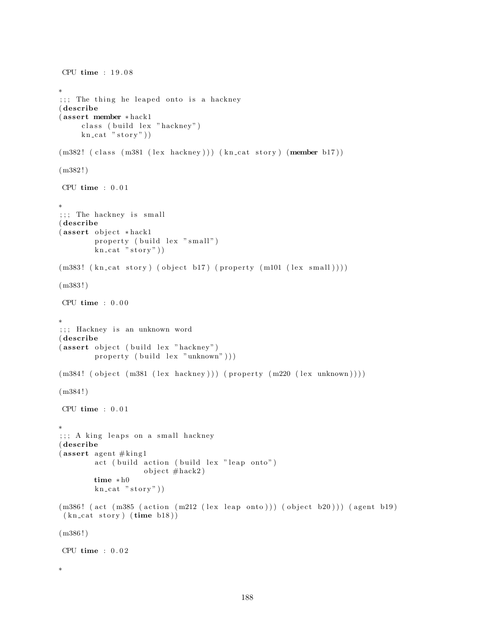```
CPU time : 1 9 . 0 8
∗
;;; The thing he leaped onto is a hackney
( describe
( assert member ∗ hack1
     class (build lex "hackney")
     kn\_cat "stor y")
(m382! (class (m381 (lex hackney))) (kn_cat story) (member b17))
(m382!)CPU time : 0 . 0 1
∗
;;; The hackney is small
( describe
(assert object * \textit{back1})property (build lex "small")
        kn\_cat "stor y"))
(m383! \ (kn\_cat \ story) \ (object \ b17) \ (property \ (m101 \ (lex \ small)))(m383!)CPU time : 0 . 0 0
∗
;;; Hackney is an unknown word
( describe
(assert object ( build lex " hackney" )
        property (build lex "unknown"))(m384! (object (m381 (lex hacking))) (property (m220 (lex unknown))))(m384!)CPU time : 0.01∗
;;; A king leaps on a small hackney
( describe
(assert agent \#king1
        act (build action (build lex "leap onto")
                    object \#hack2)time ∗ h0
        kn\_cat "stor y")
(m386! (act (m385 (action (m212 (lex leap onto))) (object b20))) (agent b19)
 (kn\_cat~story) (time~b18))(m386!)CPU time : 0.02∗
```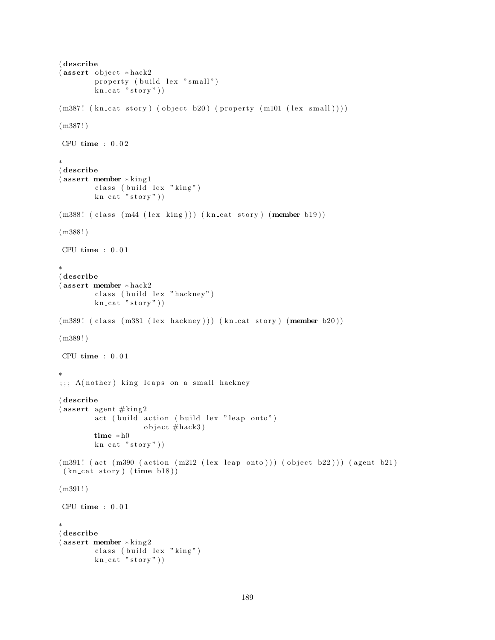```
( describe
(assert object * \text{hack2})property (build lex "small")
         \text{kn\_cat} " story"))
(m387! \ (kn\_cat \ story) \ (object \ b20) \ (property \ (m101 \ (lex \ small)))(m387!)CPU time : 0.02∗
( describe
( assert member ∗ kin g 1
        class (build lex "king")
        kn cat "story")(m388! (class (m44 (lex king))) (kncat story) (member b19))(m388!)CPU time : 0.01∗
( describe
( assert member ∗ hack2
        class (build lex "hackney")
        kn\_cat "story"))
(m389! (class (m381 (lex backup))) (kncat story) (member b20))(m389!)CPU time : 0.01∗
;;;; A(nother) king leaps on a small hackney
( describe
(assert agent \#king2
        act ( build action ( build lex " leap onto" )
                    object \#hack3)time ∗ h0
        kn\_cat "story"))
(m391! (act (m390 (action (m212 (lex leap onto))) (object b22))) (agent b21)
 (kn\_cat~ story) (time~b18)(m391!)CPU time : 0.01∗
( describe
( assert member ∗ kin g 2
        class (build lex "king")
        kn\_cat "stor y"))
```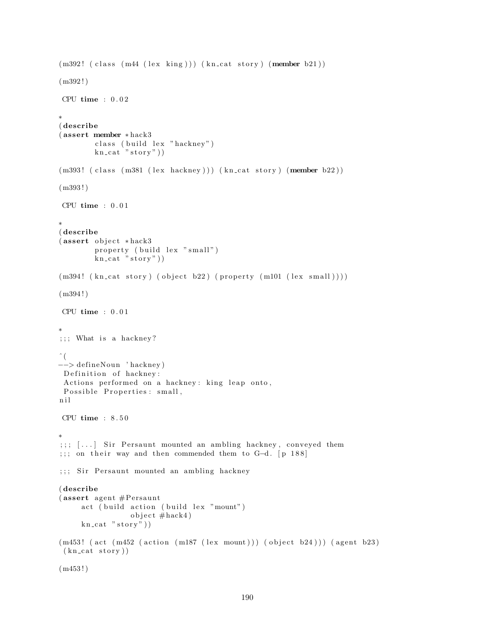```
(m392! (class (m44 (lex king))) (kn_cat story) (member b21))
(m392 ! )
CPU time : 0.02∗
( describe
( assert member ∗ hack3
         class (build lex "hackney")
         kn cat "story")(m393! (class (m381 (lex hackney))) (kn_cat story) (member b22))
(m393 ! )
CPU time : 0.01∗
( describe
(assert object * \text{hack}3)property (build lex "small")
        kn\_cat "story"))
(m394! (kn_cat story) (object b22) (property (m101 (lex small))))
(m394 ! )
CPU time : 0.01∗
;;; What is a hackney?
\hat{\ } (
−−> de fineNoun ' hackney )
Definition of hackney:
Actions performed on a hackney: king leap onto,
Possible Properties: small,
n i l
CPU time : 8 . 5 0
∗
; ; ; [...] Sir Persaunt mounted an ambling hackney, conveyed them
;;; on their way and then commended them to G-d. [p 188]
;;; Sir Persaunt mounted an ambling hackney
( describe
(assert \; agent \; \#Personact (build action (build lex "mount")
                  object \# \text{hack4})
     kn\_cat "story")
(m453! (\text{act } (m452 \text{ (action } (m187 \text{ (lex } mount))) (\text{object } b24))) (\text{agent } b23)(kn\_cat~story))(m453 ! )
```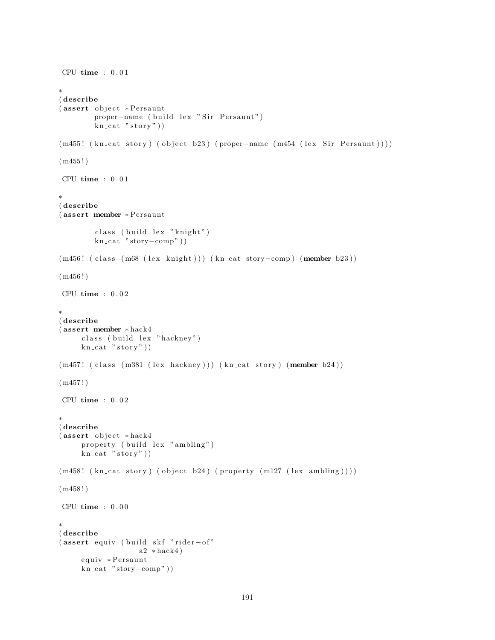```
CPU time : 0.01∗
( describe
(assert object *Persaunt
        proper-name ( build lex " Sir Persaunt")
        kn\_cat "stor y")
(m455! (kn\text{-cat story}) (object b23) (proper-name (m454 (lex Sir Persaunt))))
(m455!)CPU time : 0.01∗
( describe
(assert member ∗Persaunt
        class ( build lex " knight")
        kn cat "story-comp"))
(m456! ( class (m68 (lex knight))) (kn_cat story-comp) (member b23))
(m456!)CPU time : 0.02∗
( describe
( assert member ∗ hack4
     class ( build lex " hackney" )
     kn cat "stop"))
(m457! (class (m381 (lex hackney))) (kn_cat story) (member b24))
(m457!)CPU time : 0.02∗
( describe
(assert object *hack4
     property (build lex "ambling")
     kn\_cat "stor y"))
(m458! (kn_cat story) (object b24) (property (m127 (lex ambling))))
(m458 ! )
CPU time : 0.00∗
( describe
(assert equiv ( build skf "rider-of"
                   a2 * \text{hack}4equiv ∗Persaunt
     kn_cat "story-comp"))
```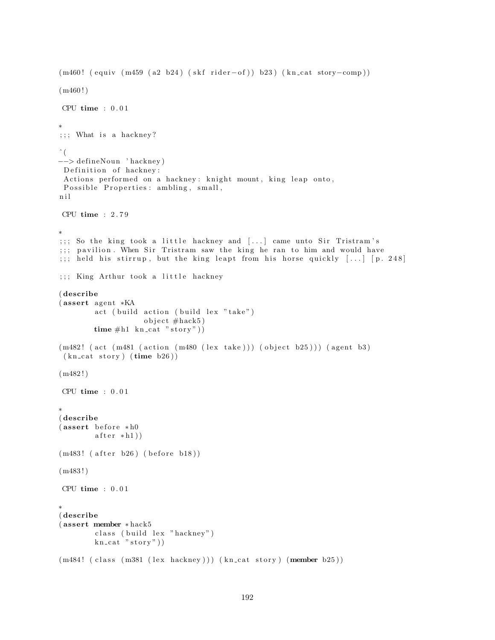```
(m460! ( equiv (m459 (a2 b24) (skf rider–of)) b23) (kn_cat story–comp))(m460!)CPU time : 0.01∗
;;; What is a hackney?
\hat{\ } (
−−> de fineNoun ' hackney )
Definition of hackney:
Actions performed on a hackney: knight mount, king leap onto,
 Possible Properties: ambling, small,
n i l
CPU time : 2 . 7 9
∗
;;; So the king took a little hackney and [...] came unto Sir Tristram's
;;; pavilion. When Sir Tristram saw the king he ran to him and would have
;;; held his stirrup, but the king leapt from his horse quickly \left[ \ldots \right] [p. 248]
;;; King Arthur took a little hackney
( describe
(assert agent *KA
        act (build action (build lex "take")
                    object \#hack5)time #h1 kn_cat "story"))
(m482! (act (m481 (action (m480 (lex take))) (object b25))) (agent b3)
 (kn\_cat~ story) (time~b26)(m482!)CPU time : 0.01∗
( describe
(assert before * h0)after * h1)(m483! (after b26) (before b18))
(m483!)CPU time : 0.01∗
( describe
( assert member ∗ hack5
        class (build lex "hackney")
        kn\_cat "story"))
(m484! (class (m381 (lex hackney))) (kn_cat story) (member b25))
```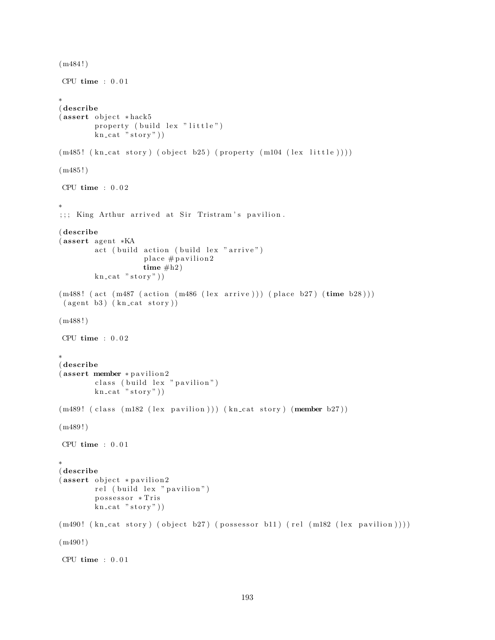```
(m484!)CPU time : 0.01∗
( describe
(assert object * \text{hack} 5)property ( build lex " little")
        kn\_cat "stor y")
(m485! (kn_cat story) (object b25) (property (m104 (lex little))))
(m485!)CPU time : 0 . 0 2
∗
;;; King Arthur arrived at Sir Tristram's pavilion.
( describe
(assert agent *KA
        act ( build action ( build lex " arrive" )
                    place # pavilion2
                    time #h2)kn\_cat "stor y"))
(m488! (act (m487 (action (m486 (lex arrive))) (place b27) (time b28)))
 ( agent b3) ( kncat story ) )(m488!)CPU time : 0.02∗
( describe
(assert member * pavilion2
        class (build lex "pavilion")
        kn\_cat "stor y"))
(m489! (class (m182 (lex pavilion))) (kn_cat story) (member b27))
(m489!)CPU time : 0.01∗
( describe
(assert\;object\; *{\it pavilion2})rel (build lex "pavilion")
        possessor * Tris
        kn\_cat "story"))
(m490! (kn_{cat story}) (object b27) (possessor b11) (rel (m182 (lex pavilion))))
(m490!)CPU time : 0.01
```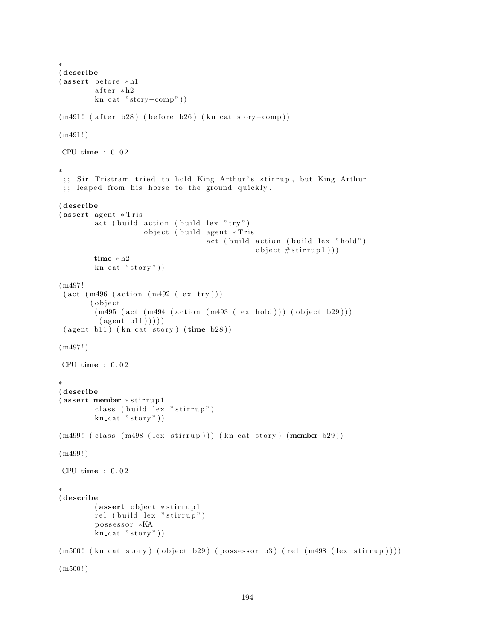```
∗
( describe
(assert before * h1)after * h2kn_cat "story-comp"))
(m491! ( after b28) ( before b26) (kn_cat story-comp))
(m491!)CPU time : 0.02∗
;;; Sir Tristram tried to hold King Arthur's stirrup, but King Arthur
;;; leaped from his horse to the ground quickly.
( describe
(assert agent * Tris)act (build action (build lex "try")
                     object ( build agent * Tris
                                    act ( build action ( build lex " hold")
                                                object #stirrup1))time ∗ h2
        kn\_cat "stor y"))
(m497 !
 (\text{act } (m496 \text{ (action } (m492 \text{ (lex try})))( o b j e c t
        (m495 (act (m494 (action (m493 (lex hold))) (object b29)))(\text{agent } b11))))
 ( agent b11) ( kn\_cat story) ( time b28) )(m497!)CPU time : 0 . 0 2
∗
( describe
( assert member ∗ s t i r r u p 1
         class ( build lex " stirrup")
        kn\_cat "stor y")
(m499! (class (m498 (lex stirrup))) (kn_cat story) (member b29))
(m499!)CPU time : 0.02∗
( describe
        (assert object *stirrup1
        rel (build lex "stirrup")
        possessor *KA
        kn\_cat "story")
(m500! (kn_cat story) (object b29) (possessor b3) (rel (m498 (lex stirrup))))
(m500!)
```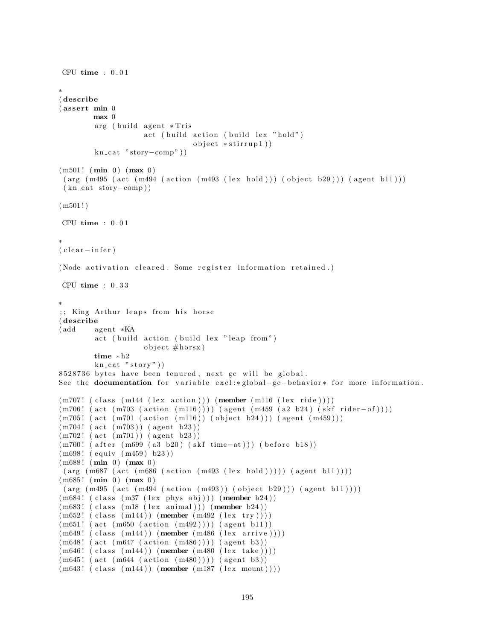```
CPU time : 0.01∗
( describe
( assert min 0
        max 0
        arg ( build agent * Tris
                     act ( build action ( build lex " hold")
                                 object * stirring 1)kn\_cat "storv-comp"))
(m501! \ (min \ 0) \ (max \ 0))(\text{arg}(m495 \text{ (act} (m494 \text{ (action} (m493 \text{ (lex hold}))) (object b29))) (\text{agent } b11)))(kn-cat story-comp))
(m501!)CPU time : 0.01∗
( clear - infer)
(Node activation cleared. Some register information retained.)
CPU time : 0 . 3 3
∗
;; King Arthur leaps from his horse
( describe
(add agent *KA)
        act (build action (build lex "leap from")
                     object \#horsx)time ∗ h2
        kn\_cat "stor y")
8528736 bytes have been tenured, next gc will be global.
See the documentation for variable excl:*global-gc-behavior* for more information.
(m707!~(class~(m144~(lex~action)))~(member~(m116~(lex~ride))))(m706!~(act~(m703~(action~(m116)))))~(agent~(m459~(a2~b24)~(skf~rider-of))))(m705! \ (act \ (m701 \ (action \ (m116)) \ (object \ b24))) \ (agent \ (m459)))(m704! (act (m703)) (agent b23))(m702! (act (m701)) (agent b23))(m700! ( after (m699 (a3 b20) (skf time-at))) ( before b18))
(m698! \ (equiv \ (m459) \ b23))(m688! (min 0) (max 0)(\arg \left(\text{m687 (act (m686 (action (m493 (lex hold)))))) (\text{agent b11})))})(m685! \; (min \; 0) \; (max \; 0))(\text{arg (m495 (act (m494 (action (m493)) (object b29)))) (agent b11))))(m684! (class (m37 (lex phys obj))) (member b24))
(m683! (class (m18 (lex animal))) (member b24))
(m652! (class (m144)) (member (m492 (lex try))))(m651! \ (act \ (m650 \ (action \ (m492))))) \ (agent \ b11))(m649! (class (m144)) (member (m486 (lex arrive))))(m648! \text{ (act } (m647 \text{ (action } (m486)))) \text{ (agent } b3))(m646!~(class~(m144))~(member~(m480~(lex~take))))(m645! (act (m644 (action (m480)))) (agent b3))
(m643! (class (m144)) (member (m187 (lex mount))))
```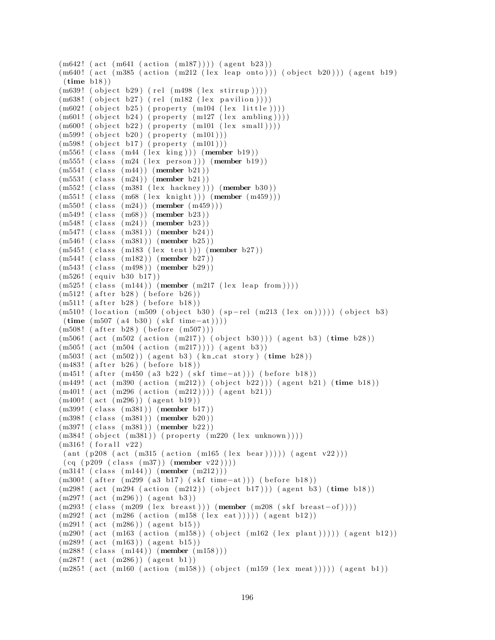```
(m642! (act (m641 (action (m187)))) (agent b23))(m640! (act (m385 (action (m212 (lex leap onto))) (object b20))) (agent b19)
 (\text{time } b18))(m639! (object b29) (rel (m498 (lex stirrup))))(m638! (object b27) (rel (m182 (lex pavilion))))(m602! (object b25) (property (m104 (lex little))))(m601! (object b24) (property (m127 \text{ (lex ambling)})))
(\text{m600!} \ (\text{object } b22) \ (\text{property} \ (\text{m101} \ (\text{lex small})))(m599! \text{ (object } b20) \text{ (property } (m101)))(m598! (object b17) (property (m101)))
(m556! (class (m44 (lex king))) (member b19))
(m555! \text{ (class } (m24 \text{ (lex person)})) (member b19))
(m554! (class (m44)) (member b21))
(m553! (class (m24)) (member b21))
(m552! \text{ (class } (m381 \text{ (lex } hackney))) (member b30))
(m551! ( class (m68 (lex knight))) (member (m459)))
(m550! (class (m24)) (member (m459)))(m549!~(class~(m68))~(member~b23))(m548! (class (m24)) (member b23))
(m547!~(class~(m381))~(member~b24))(m546! (class (m381)) (member b25))
(m545! (class (m183 (lex tent))) (member b27))
(m544! (class (m182)) (member b27))(m543! (class (m498)) (member b29))
(m526! (equiv v b30 b17))(m525! (class (m144)) (member (m217 (lex leap from ))))
(m512! (after b28) (before b26))
(m511! (after b28) (before b18))(m510! (location (m509 (object b30) (sp-rel (m213 (lex on))))) (object b3)
 (\text{time } (m507 (a4 b30) (skf time-at))))(m508! (after b28) (before (m507)))
(m506! (act (m502 (action (m217)) (object b30))) (agent b3) (time b28))
(m505! \ (act \ (m504 \ (action \ (m217))))) \ (agent \ b3))(m503! (act (m502)) (agent b3) (kn_cat story) (time b28))
(m483! (after b26) (before b18))
(m451! ( after (m450 \text{ (a3 b22) (skf time-at)})) ( before b18))
(m449! (act (m390 (action (m212)) (object b22))) (agent b21) (time b18))(m401! (act (m296 (action (m212))))) (agent b21))(m400!~ (act~ (m296))~ (agent~ b19))(m399! \text{ (class } (m381)) \text{ (member } b17))(m398! \text{ (class } (m381)) \text{ (member } b20))(m397! \text{ (class } (m381)) \text{ (member } b22))(m384! (object (m381)) (property (m220 (lex unknown))))(m316! (for all v22)\left( \text{ant } \left( \text{p208 (act } (m315 (action (m165 (lex bear)))) \right) \text{ (agent v22)} ) \right)(cq (p209 (class (m37)) (member v22))))(m314! (class (m144)) (member (m212)))(m300! ( after (m299 (a3 b17) (skf time-at))) (before b18))
(m298! (act (m294 (action (m212))) (object b17))) (agent b3) (time b18))
(m297! \ (act \ (m296)) \ (agent \ b3))(m293! ( class (m209 (lex breast))) (member (m208 (skf breast-of))))
(m292! \text{ (act } (m286 \text{ (action } (m158 \text{ (lex } eat)))))) (agent b12))
(m291! \ (act \ (m286)) \ (agent \ b15))(m290! (act (m163 (action (m158)) (object (m162 (lex plant))))) (agent b12))
(m289! (act (m163)) (agent b15))(m288!~( \text{class } (m144))~( \text{member } (m158)) )(m287! \ (act \ (m286)) \ (agent \ b1))(m285! (act (m160 (action (m158))) (object (m159 (lex meat))))) (agent b1))
```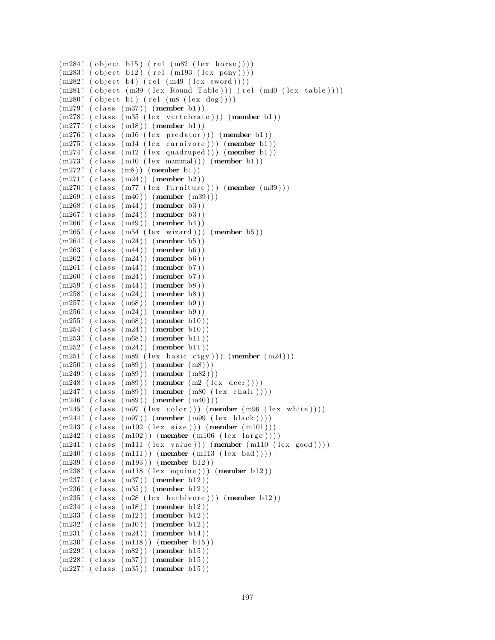```
(m284! (object b15) (rel (m82 (lex horse))))
(m283! (object b12) (rel (m193 (lex pony))))
(m282! (object b4) (rel (m49 (lex sword))))(m281! \text{ (object (m39 (lex Round Table))) (rel (m40 (lex table))))(m280! (object b1) (rel (m8 (lex dog))))(m279! (class (m37)) (member b1))
(m278'! (class (m35 (lex vertebrate))) (member b1))
(m277! (class (m18)) (member b1))
(m276! (class (m16 (lex predator))) (member b1))
(m275! (class (m14 (lex carnivore))) (member b1))
(m274! (class (m12 (lex quadruped))) (member b1))
(m273! (class (m10 (lex mammal))) (member b1))
(m272!~(class~(m8))~(member~b1))(m271! (class (m24)) (member b2))
(m270! (class (m77 (lex furniture))) (member (m39)))
(m269!~( \text{class } (m40))~( \text{member } (m39)) )(m268! (class (m44)) (member b3))
(m267!~(class~(m24))~(member~b3))(m266! (class (m49)) (member b4))
(m265! (class (m54 (lex wizard))) (member b5))
(m264! (class (m24)) (member b5))
(m263! (class (m44)) (member b6))
(m262! (class (m24)) (member b6))
(m261! (class (m44)) (member b7))(m260! (class (m24)) (member b7))
(m259! (class (m44)) (member b8))
(m258! (class (m24)) (member b8))
(m257!~(class~(m68))~(member~b9))(m256! (class (m24)) (member b9))
(m255! (class (m68)) (member b10))
(m254! (class (m24)) (member b10))
(m253! (class (m68)) (member b11))
(m252! (class (m24)) (member b11))
(m251! (class (m89 (lex basic ctgy))) (member (m24)))
(m250! (class (m89)) (member (m8)))
(m249! (class (m89)) (member (m82)))(m248! (class (m89)) (member (m2 (lex deer))))
(m247!~(class~(m89))~(member~(m80~(lex~chair))))(m246!~( \text{class } (m89))~( \text{member } (m40) ) )(m245! (class (m97 (lex color))) (member (m96 (lex white))))
(m244!~(class~(m97))~(member~(m99~(lex~black))))(m243! (class (m102 (lex size))) (member (m101)))
(m242! ( class (m102)) (member (m106 (lex large))))(m241! (class (m111 (lex value))) (member (m110 (lex good))))(m240! (class (m111)) (member (m113 (lex bad))))
(m239! (class (m193)) (member b12))(m238! (class (m118 (lex equivalence))) (member b12))
(m237! (class (m37)) (member b12))
(m236! (class (m35)) (member b12))
(m235! (class (m28 (lex herbivore))) (member b12))
(m234! (class (m18)) (member b12))
(m233! (class (m12)) (member b12))
(m232! \text{ (class } (m10)) \text{ (member } b12))(m231! (class (m24)) (member b14))(m230! (class (m118)) (member b15))
(m229!~(class~(m82))~(member~b15))(m228! (class (m37)) (member b15))
(m227! (class (m35)) (member b15))
```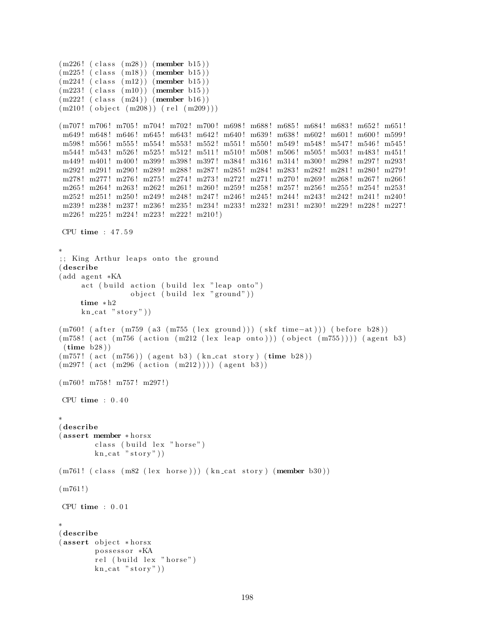```
(m226! (class (m28)) (member b15))
(m225! (class (m18)) (member b15))
(m224!~(class~(m12))~(member~b15))(m223! (class (m10)) (member b15))(m222! (class (m24)) (member b16))(m210! (object (m208)) (rel (m209)))
(m707! m706! m705! m704! m702! m700! m698! m688! m685! m684! m683! m652! m651!
m649! m648! m646! m645! m643! m642! m640! m639! m638! m602! m601! m600! m599!
m598 ! m556 ! m555 ! m554 ! m553 ! m552 ! m551 ! m550 ! m549 ! m548 ! m547 ! m546 ! m545 !
m544! m543! m526! m525! m512! m511! m510! m508! m506! m505! m503! m483! m451!
m449! m401! m400! m399! m398! m397! m384! m316! m314! m300! m298! m297! m293!
m292! m291! m290! m289! m288! m287! m285! m284! m283! m282! m281! m280! m279!
m278 ! m277 ! m276 ! m275 ! m274 ! m273 ! m272 ! m271 ! m270 ! m269 ! m268 ! m267 ! m266 !
 m265 ! m264 ! m263 ! m262 ! m261 ! m260 ! m259 ! m258 ! m257 ! m256 ! m255 ! m254 ! m253 !
 m252! m251! m250! m249! m248! m247! m246! m245! m244! m243! m242! m241! m240!
m239 ! m238 ! m237 ! m236 ! m235 ! m234 ! m233 ! m232 ! m231 ! m230 ! m229 ! m228 ! m227 !
m226! m225! m224! m223! m222! m210!)
CPU time : 4 7 . 5 9
∗
;; King Arthur leaps onto the ground
( describe
(add agent *KA
     act ( build action ( build lex " leap onto")
                 object (build lex "ground"))
     time ∗ h2
     kn\_cat "stor y")
(m760! ( after (m759 (a3 (m755 (lex ground))) (skf time-at))) (before b28))
(m758! (act (m756 (action (m212 (lex leap onto))) (object (m755)))) (agent b3)
 (\text{time } b28))(m757! (act (m756)) (agent b3) (kn_cat story) (time b28))
(m297! \text{ (act } (m296 \text{ (action } (m212)))) \text{ (agent } b3))(m760! m758! m757! m297!)
CPU time : 0 . 4 0
∗
( describe
(assert member * horsx
        class (build lex "horse")
        kn cat "story")
(m761! (class (m82 (lex horse))) (kn_cat story) (member b30))
(m761!)CPU time : 0.01∗
( describe
(assert object * horsx)possessor *KA
        rel (build lex "horse")
        kn\_cat "stor y")
```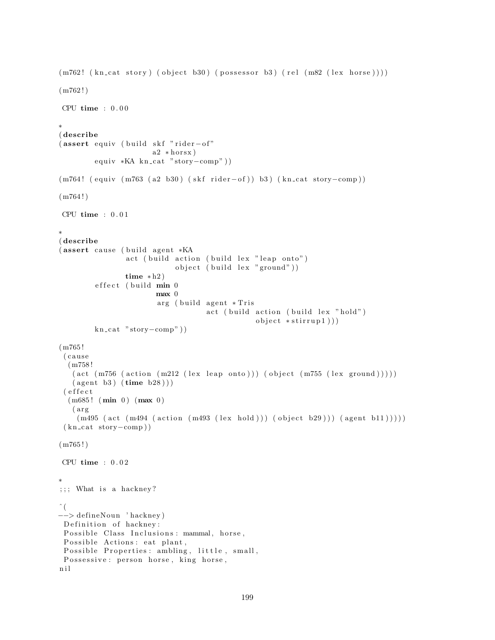```
(m762! (kn-cat story) (object b30) (possessor b3) (rel (m82 (lex horse))))(m762!)CPU time : 0.00∗
( describe
(assert equiv ( build skf "rider-of"
                       a2 * hours x)equiv *KA kn_cat "story-comp"))
(m764! ( equiv (m763 ( a2 b30) ( skf rider-of ) ) b3 ) ( kn_cat story-comp ) )
(m764!)CPU time : 0 . 0 1
∗
( describe
(assert cause (build agent *KA
                 act ( build action ( build lex " leap onto")
                             object (build lex "ground"))
                 time * h2)effect (build min 0
                         max 0
                         arg ( build agent * Tris
                                     act ( build action ( build lex " hold")
                                                  object *stirrup1)))
         kn\_cat "story-comp"))
(m765 !
 ( c au se
  (m758 !
   (\text{act } (m756 \text{ (action } (m212 \text{ (lex leap onto)})) (\text{object } (m755 \text{ (lex ground)})))(\text{agent } b3) (\text{time } b28)))( e f f e c t
  (m685! \; (min \; 0) \; (max \; 0))(arg)(m495 (act (m494 (action (m493 (lex hold))) (object b29))) (agent b11)))))
 (kn\_cat~story–comp)(m765!)CPU time : 0 . 0 2
∗
;;; What is a hackney?
\hat{\ } (
−−> de fineNoun ' hackney )
 Definition of hackney:
 Possible Class Inclusions: mammal, horse,
 Possible Actions: eat plant,
 Possible Properties: ambling, little, small,
 Possessive: person horse, king horse,
n i l
```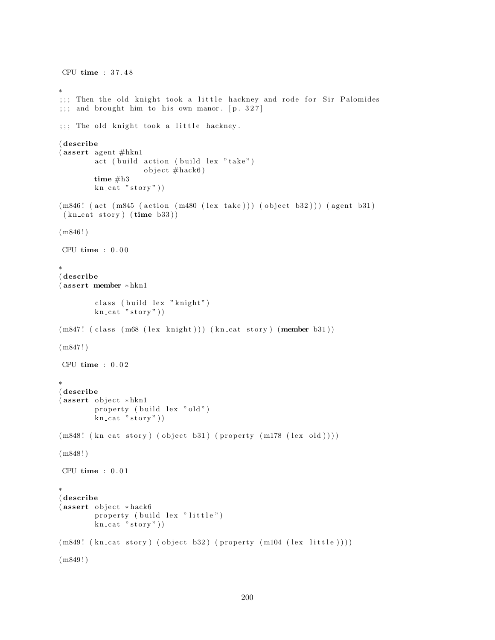```
CPU time : 3 7 . 4 8
∗
;;; Then the old knight took a little hackney and rode for Sir Palomides
;;; and brought him to his own manor. [p. 327];;; The old knight took a little hackney.
( describe
(assert agent #hkn1)act ( build action ( build lex "take")
                    object # \text{hack} 6time #h3
        kn cat "stop"))
(m846! (act (m845 (action (m480 (lex take))) (object b32))) (agent b31)
 (kn\_cat\_story) (time b33))(m846!)CPU time : 0 . 0 0
∗
( describe
( assert member ∗ hkn1
        class (build lex "knight")
        kn\_cat "stor y")
(m847! (class (m68 (lex knight))) (kn_cat story) (member b31))
(m847!)CPU time : 0 . 0 2
∗
( describe
(assert object *hkn1
        property (build lex "old")
        kn\_cat "stor y")
(m848! (kn_cat story) (object b31) (property (m178 (lex old))))
(m848!)CPU time : 0.01∗
( describe
(assert object *hack6
        property (build lex "little")
        kn\_cat "stor y"))
(m849! (kn_cat story) (object b32) (property (m104 (lex little))))
(m849!)
```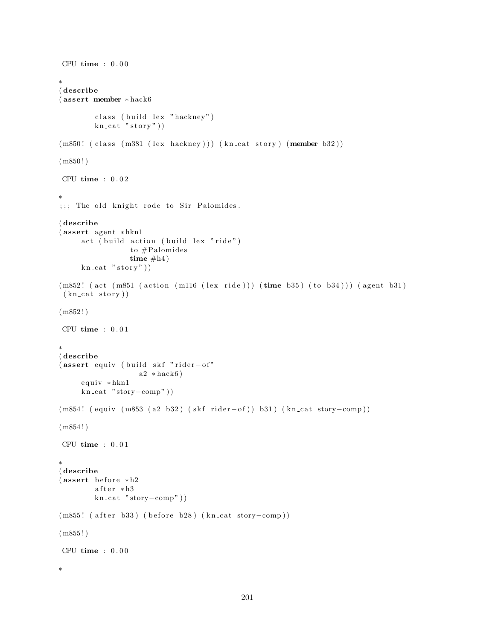```
CPU time : 0 . 0 0
∗
( describe
( assert member ∗ hack6
        class (build lex "hackney")
        kn cat "stop"))
(m850! (class (m381 (lex hackney))) (kn_cat story) (member b32))
(m850!)CPU time : 0 . 0 2
∗
;;; The old knight rode to Sir Palomides.
( describe
(assert agent * hkn1)act ( build action ( build lex "ride")
                 to #Palomidestime #h4)kn\_cat "story")
(m852! (act (m851 (action (m116 (lex ride))) (time b35) (to b34))) (agent b31)
 (kn cat story))
(m852!)CPU time : 0.01∗
( describe
( assert equiv ( build skf "rider-of"
                   a2 * \text{hack}6)
     equiv *hkn1
     kn-cat "story-comp"))
(m854! ( equiv (m853 ( a2 b32) ( skf rider-of ) ) b31 ) ( kn_cat story-comp ) )
(m854!)CPU time : 0.01∗
( describe
(assert before *h2after * h3kn\_cat "story-comp"))
(m855! ( after b33) ( before b28) (kn_cat story-comp))
(m855!)CPU time : 0.00∗
```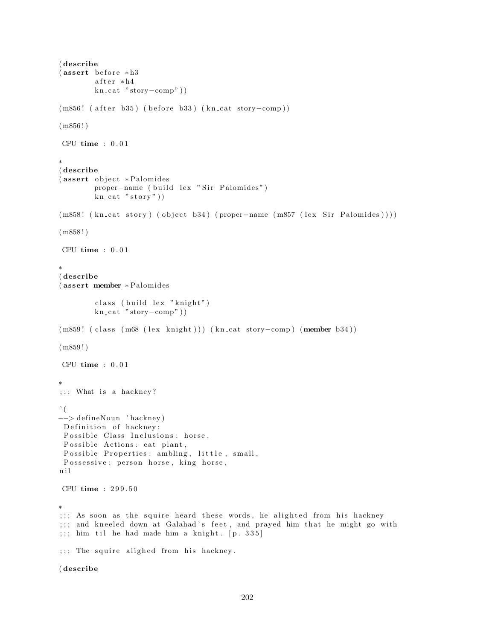```
( describe
(assert before * h3)after * h4kn cat "story-comp"))
(m856! ( after b35) ( before b33) (kn_cat story-comp))
(m856!)CPU time : 0 . 0 1
∗
( describe
(assert object *Palomides)
        proper-name ( build lex " Sir Palomides")
        kn\_cat "stor y")
(m858! (kn\_cat story) (object b34) (proper-name (m857 (lex Sir Palomides))))
(m858!)CPU time : 0 . 0 1
∗
( describe
( assert member ∗ Palomides
        class (build lex "knight")
        kn\_cat "story-comp"))
(m859! ( class (m68 (lex knight))) (kn_cat story-comp) (member b34))
(m859!)CPU time : 0 . 0 1
∗
;;; What is a hackney?
\hat{\ } (
−−> de fineNoun ' hackney )
 Definition of hackney:
 Possible Class Inclusions: horse,
 Possible Actions: eat plant,
Possible Properties: ambling, little, small,
 Possessive: person horse, king horse,
n i l
CPU time : 2 9 9 . 5 0
∗
;;; As soon as the squire heard these words, he alighted from his hackney
;;; and kneeled down at Galahad's feet, and prayed him that he might go with
;;;; him til he had made him a knight. [p. 335];;; The squire alighed from his hackney.
```
( describe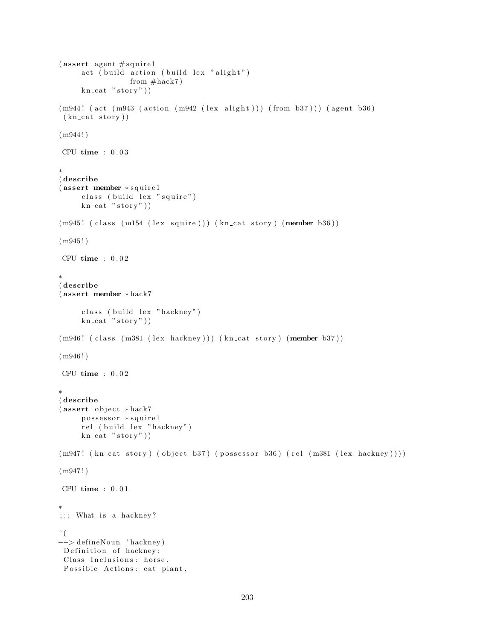```
(assert agent # squire 1
     act ( build action ( build lex " alight")
                 from # \text{hack} 7kn\_cat "stor y"))
(m944! (act (m943 (action (m942 (lex alight))) (from b37))) (agent b36)
 (kn_{\text{cat }story})(m944!)CPU time : 0.03∗
( describe
(assert member ∗ squire1
     class ( build lex " squire")
     kn\_cat "stor y"))
(m945! (class (m154 (lex squire))) (kn_cat story) (member b36))
(m945!)CPU time : 0.02∗
( describe
( assert member ∗ hack7
     class ( build lex " hackney" )
     kn\_cat "story")
(m946! (class (m381 (lex hackney))) (kn_cat story) (member b37))
(m946!)CPU time : 0.02∗
( describe
(assert object *hack7
     possessor * squire1
     rel (build lex "hackney")
     kn\_cat "story"))
(m947! (kn_cat story) (object b37) (possessor b36) (rel (m381 (lex hackney))))
(m947!)CPU time : 0.01∗
;;; What is a hackney?
ˆ (
−−> de fineNoun ' hackney )
 Definition of hackney:
 Class Inclusions: horse,
 Possible Actions: eat plant,
```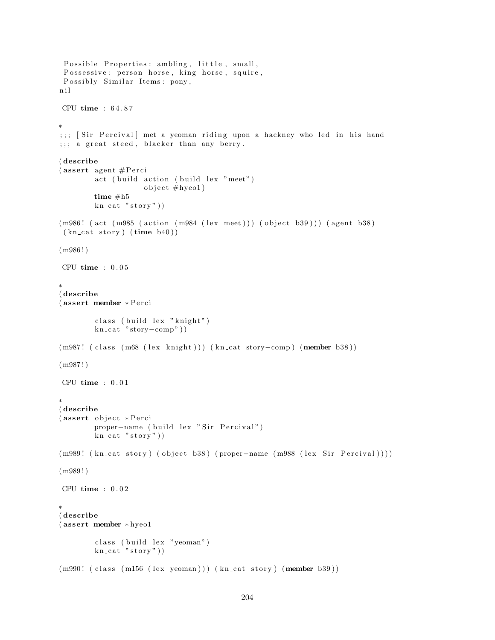```
Possible Properties: ambling, little, small,
 Possessive: person horse, king horse, squire,
 Possibly Similar Items: pony,
n i l
CPU time : 6 4 . 8 7
∗
;;; [Sir Percival] met a yeoman riding upon a hackney who led in his hand
;;; a \text{ great steel}, \text{blacker than any berry}.( describe
( assert agent # P erci
        act ( build action ( build lex "meet")object \#hyeo1)time #h5
        kn cat "stop"))
(m986! (act (m985 (action (m984 (lex meet))) (object b39))) (agent b38)
 (kn_{\text{cat story}})(time_{b40})(m986!)CPU time : 0.05∗
( describe
( assert member ∗ P e r ci
        class ( build lex "knight")
        kn\_cat "story-comp")
(m987! ( class (m68 (lex knight))) (kn_cat story-comp) (member b38))
(m987!)CPU time : 0.01∗
( describe
(assert object * Perci
        proper-name ( build lex " Sir Percival")
        kn\_cat "story")
(m989! ( kn_cat story ) ( object b38 ) ( proper-name (m988 ( lex Sir Percival ) ) ) )
(m989!)CPU time : 0.02∗
( describe
( assert member ∗ hyeo1
        class (build lex "yeoman")
        kn\_cat "stor y"))
(m990! (class (m156 (lex yeoman))) (kn_cat story) (member b39))
```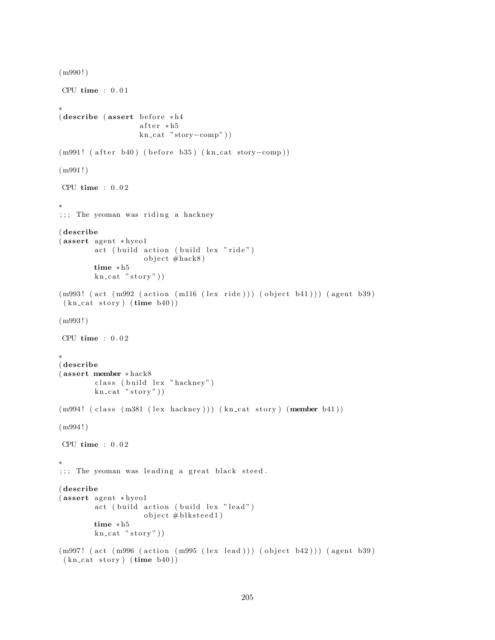```
(m990!)
CPU time : 0.01∗
(describe (assert before * h4))after * h5kn cat "story-comp"))
(m991! ( after b40) ( before b35) (kn_cat story-comp))
(m991 ! )
CPU time : 0 . 0 2
∗
;;; The yeoman was riding a hackney
( describe
(assert agent * hyeo1
        act ( build action ( build lex "ride")
                    object \#hack8)time ∗ h5
        kn\_cat "story")
(m993! (act (m992 (action (m116 (lex ride))) (object b41))) (agent b39)
 (kn\_cat~ story) (time~b40)(m993 ! )
CPU time : 0.02∗
( describe
( assert member ∗ hack8
        class (build lex "hackney")
        kn\_cat "stor y"))
(m994! (class (m381 (lex hackney))) (kn_cat story) (member b41))
(m994 ! )
CPU time : 0.02∗
;;; The yeoman was leading a great black steed.
( describe
(assert agent * hyeo1)act ( build action ( build lex " lead")
                    object \#blksted1)time ∗ h5
        kn\_cat "story")
(m997! (act (m996 (action (m995 (lex lead))) (object b42))) (agent b39)
 (kn\_cat~ story) (time~b40))
```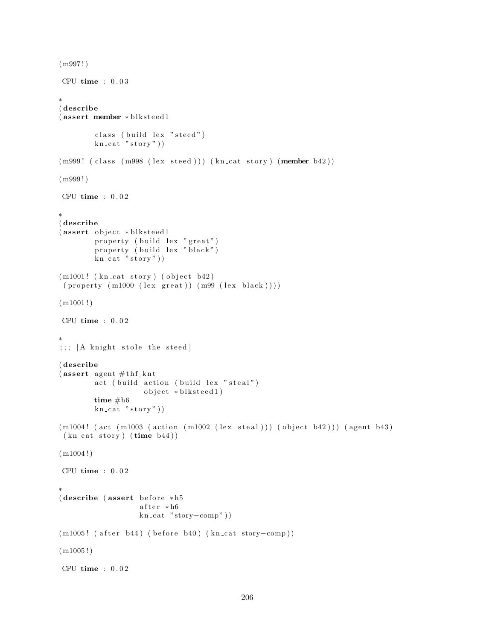```
(m997!)CPU time : 0 . 0 3
∗
( describe
(assert member * blksteed1
        class (build lex "steed")
        kn\_cat "stor y"))
(m999! (class (m998 (lex steel))) (kncat story) (member b42))(m999!)CPU time : 0.02∗
( describe
(assert object *blksteed1
        property ( build lex "great")
        property (build lex "black")
        kn\_cat "story"))
(m1001! (kn_cat story) (object b42)
(p roperty (m1000 (lex great)) (m99 (lex black))))(m1001!)CPU time : 0.02∗
;;;; [A knight stole the steed]
( describe
(assert agent \#thf knt
        act ( build action ( build lex " steal")
                   object * blksteed1)
        time #h6
        kn cat "story")
(m1004! (act (m1003 (action (m1002 (lex steal))) (object b42))) (agent b43)
(kn\_cat~ story) (time~b44))(m1004!)CPU time : 0.02∗
(descripte (assert before *h5
                  after * h6kn\_cat "story-comp"))
(m1005! ( after b44) ( before b40) (kn_cat story-comp))
(m1005!)CPU time : 0.02
```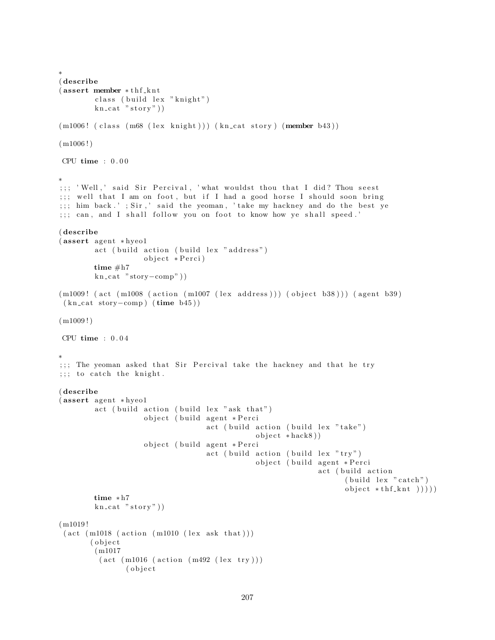```
∗
( describe
(assert member * thf knt
        class (build lex "knight")
        kn\_cat "stor y"))
(m1006! (class (m68 (lex knight))) (kn_cat story) (member b43))
(m1006!)CPU time : 0.00∗
;;; ' Well,' said Sir Percival, ' what wouldst thou that I did? Thou seest
;;; well that I am on foot, but if I had a good horse I should soon bring
;;; him back.' ; Sir,' said the yeoman, 'take my hackney and do the best ye
;;; can, and I shall follow you on foot to know how ye shall speed.'
( describe
(assert agent * hyeo1)
        act ( build action ( build lex " address")
                     o b ject ∗ Perci)
        time #h7
        kn_cat "story-comp"))
(m1009! (act (m1008 (action (m1007 (lex address))) (object b38))) (agent b39)
 (kn\_cat~story–comp) (time b45))
(m1009!)CPU time : 0.04∗
;;; The yeoman asked that Sir Percival take the hackney and that he try
;;; to catch the knight.
( describe
(assert agent * hyeo1
        act ( build action ( build lex "ask that")
                     object ( build agent * Perci
                                    act ( build action ( build lex "take")
                                                object * \hbox{hack} 8 ))object ( build agent * Perci
                                    act ( build action ( build lex "try")
                                                object ( build agent * Perci
                                                                act (build action
                                                                      (b uild lex "catch")
                                                                      object *thf_knt) ))time ∗ h7
        kn\_cat "stor y"))
(m1019 !
 (\text{act } (m1018 \text{ (action } (m1010 \text{ (lex ask that})))( object
        (m1017
         (\text{act } (m1016 \ (\text{action } (m492 \ (lex try)))( o b j e c t
```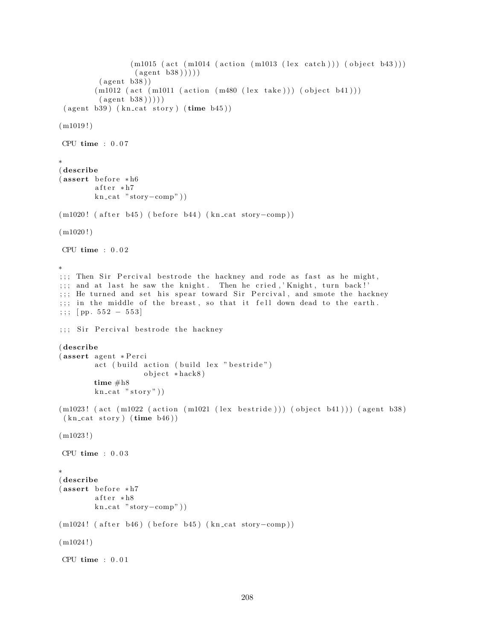```
(m1015 (act (m1014 (action (m1013 (lex catch))) (object b43)))(\text{agent } b38))))
         (\text{agent } b38))(m1012 (act (m1011 (action (m480 (lex take))) (object b41)))(\text{agent } b38)))
 ( agent b39) ( kn\_cat story) ( time b45) )(m1019!)CPU time : 0.07∗
( describe
(assert before * h6)after * h7kn\_cat "stor -comp"))
(m1020! ( after b45) ( before b44) (kn_cat story-comp))
(m1020!)CPU time : 0 . 0 2
∗
;;; Then Sir Percival bestrode the hackney and rode as fast as he might,
;;; and at last he saw the knight. Then he cried, 'Knight, turn back!'
;;; He turned and set his spear toward Sir Percival, and smote the hackney
;;; in the middle of the breast, so that it fell down dead to the earth.
;;; [ pp. 552 - 553]
;;; Sir Percival bestrode the hackney
( describe
(assert agent ∗Perci
        act ( build action ( build lex " bestride")
                    object *hack8)
        time #h8
        kn\_cat "story"))
(m1023! (act (m1022 (action (m1021 (lex bestride))) (object b41))) (agent b38)
 (kn\_cat~ story) (time~b46)(m1023!)CPU time : 0.03∗
( describe
(assert before * h7)after * h8kn\_cat "story-comp"))
(m1024! (after b46) (before b45) (kn_cat story-comp))
(m1024!)CPU time : 0 . 0 1
```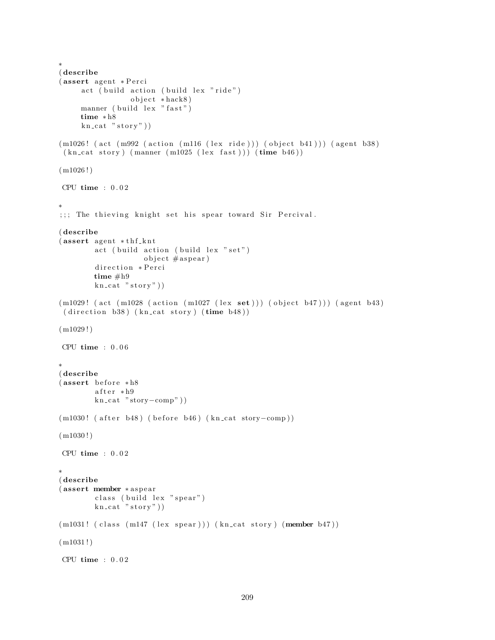```
∗
( describe
(assert agent *Perci
     act (build action (build lex "ride")
                 object *hack8)
     manner ( build lex " fast")
     time ∗ h8
     kn\_cat "story")
(m1026! (act (m992 (action (m116 (lex ride))) (object b41))) (agent b38)
 (kn_{\text{cat story}})(manner (m1025 (lex fast))) (time b46))(m1026!)CPU time : 0 . 0 2
∗
;;; The thieving knight set his spear toward Sir Percival.
( describe
(assert agent * thf_knt)act ( build action ( build lex "set")object \#aspect)direction *Perci
        time #h9
        kn cat "story")
(m1029! (act (m1028 (action (m1027 (lex set))) (object b47))) (agent b43)
 (direction b38) (kncat story) (time b48))(m1029!)CPU time : 0 . 0 6
∗
( describe
(assert before * h8)after * h9kn\_cat "story-comp"))
(m1030! ( after b48) ( before b46) (kn_cat story-comp))
(m1030!)CPU time : 0.02∗
( describe
(assert member ∗aspear
        class (build lex "spear")
        kn\_cat "stor y"))
(m1031! (class (m147 (lex <i>spec</i>))) (kn<sub>cat</sub> story) (member <math>b47</math>))(m1031!)CPU time : 0.02
```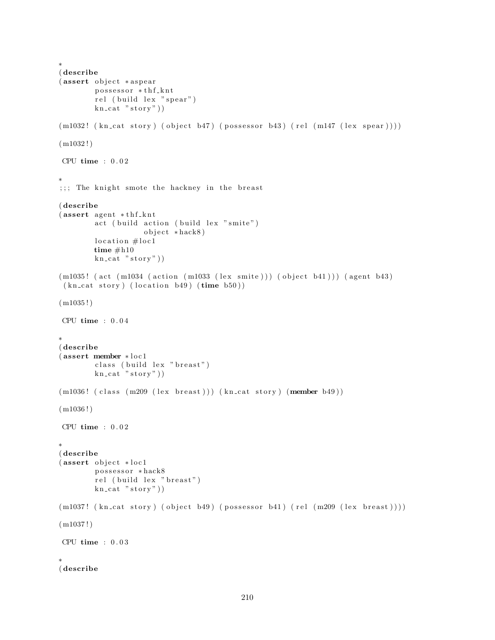```
∗
( describe
(assert object *aspear
        possessor *thf_knt
        rel (build lex "spear")
        kn cat "stor y")
(m1032! \ (kn\_cat\_ story) \ (object\_b47) \ (possessor\_b43) \ (rel \ (ml47 \ (lex\_spear))))(m1032!)CPU time : 0.02∗
;;; The knight smote the hackney in the breast
( describe
(assert agent * thf_knt)act ( build action ( build lex " smite")
                    object * \hbox{hack8}location \# loc1time #h10kn\_cat "story"))
(m1035! (act (m1034 (action (m1033 (lex smite))) (object b41))) (agent b43)
 (kn cat story) (location b49) (time b50))
(m1035!)CPU time : 0.04∗
( describe
(assert member * loc1
        class ( build lex " breast")
        kn\_cat "story"))
(m1036! (class (m209 (lex breast))) (kn_cat story) (member b49))
(m1036!)CPU time : 0.02∗
( describe
(assert object *loc1
        possessor * hack8
        rel (build lex "breast")
        kn\_cat "stor y"))
(m1037! (kn_cat story) (object b49) (possessor b41) (rel (m209 (lex breast))))
(m1037!)CPU time : 0.03∗
( describe
```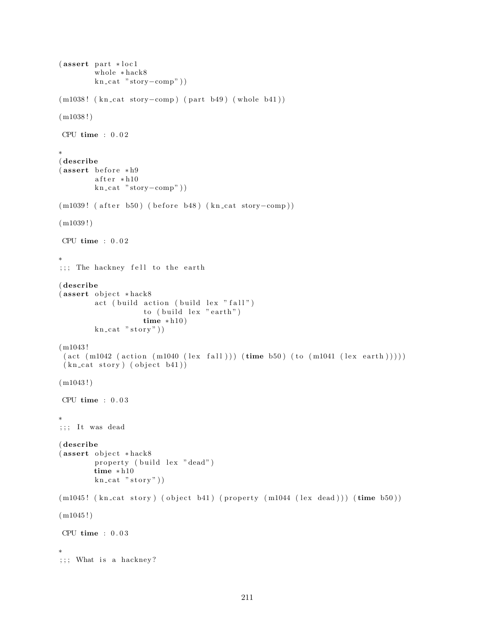```
(assert part * loc1)whole ∗ hack8
        kn\_cat "story-comp"))
(m1038! (kn_cat story-comp) (part b49) (whole b41))
(m1038!)CPU time : 0 . 0 2
∗
( describe
(assert before * h9)after * h10kn_cat "story-comp"))
(m1039! ( after b50) ( before b48) (kn_cat story-comp))
(m1039!)CPU time : 0 . 0 2
∗
;;; The hackney fell to the earth
( describe
(assert object *hack8)
        act (build action (build lex "fall")
                     to ( build lex " earth")
                     time * h10)kn\_cat "story"))
(m1043 !
 (\text{act } (m1042 \text{ (action } (m1040 \text{ (lex } fall))) (\text{time } b50) (\text{to } (m1041 \text{ (lex } earth))))))(kn_{\text{cat story}}) (object b41))
(m1043!)CPU time : 0.03∗
; ; It was dead
( describe
(assert object *hack8
        property (build lex "dead")
        time ∗ h10
        kn\_cat "story")
(m1045! (kn_cat story) (object b41) (property (m1044 (lex dead))) (time b50))
(m1045!)CPU time : 0 . 0 3
∗
;;; What is a hackney?
```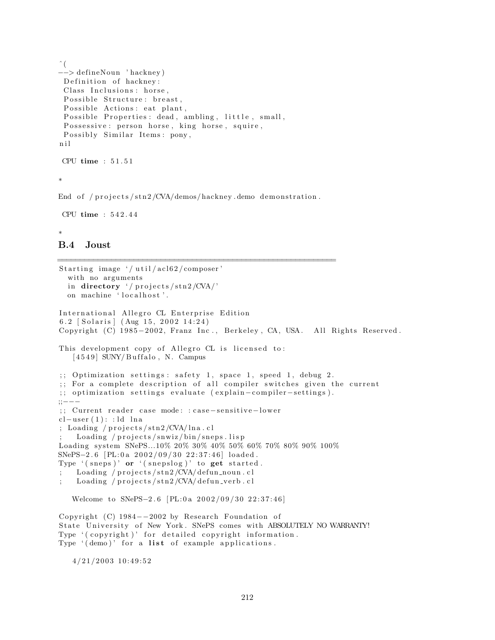```
\hat{\ } (
−−> de fineNoun ' hackney )
 Definition of hackney:
 Class Inclusions: horse,
 Possible Structure: breast,
 Possible Actions: eat plant,
 Possible Properties: dead, ambling, little, small,
 Possessive: person horse, king horse, squire,
 Possibly Similar Items: pony,
n i l
```
∗

End of /projects/stn2/CVA/demos/hackney.demo demonstration.

```
CPU time : 5 4 2 . 4 4
```
CPU time : 5 1 . 5 1

## ∗

## B.4 Joust

```
==============================================================
Starting image \frac{1}{4} util / acl 62 / composer '
  with no arguments
  in directory '/ projects/stn2/CVA/'
  on machine 'localhost'.
International Allegro CL Enterprise Edition
6.2 \lceil Solaris \rceil (Aug 15, 2002 14:24)
Copyright (C) 1985-2002, Franz Inc., Berkeley, CA, USA. All Rights Reserved.
This development copy of Allegro CL is licensed to:
   [4549] SUNY/Buffalo, N. Campus
;; Optimization settings: safety 1, space 1, speed 1, debug 2.
;; For a complete description of all compiler switches given the current
;; optimization settings evaluate (explain-compiler-settings).
;;−−−
;; Current reader case mode: : case-sensitive-lower
cl-user(1):: ld lna
; Loading / projects /str2/CVA/lna.cl
    Loading / projects/snwiz/bin/sneps. lispLoading system SNePS...10% 20% 30% 40% 50% 60% 70% 80% 90% 100%
SNePS−2.6 [PL:0a 2002/09/30 22:37:46] loaded.
Type '(s_{n+1})' or '(s_{n+1})' to get started.
    Loading / projects / str2 /CVA/ defun noun. cl
; Loading / projects/stn2/CVA/defun_verb.cl
   Welcome to SNePS-2.6 [PL:0a 2002/09/30 22:37:46]
Copyright (C) 1984-2002 by Research Foundation of
```
State University of New York. SNePS comes with ABSOLUTELY NO WARRANTY! Type '(copyright)' for detailed copyright information. Type  $'(dom)$  for a list of example applications.

 $4/21/2003$  10:49:52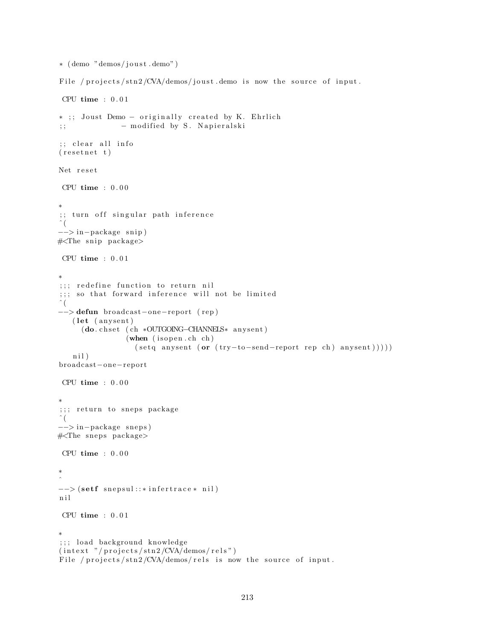```
∗ ( demo "demos/ j o u s t . demo" )
File / projects/\frac{\sin 2}{\cos 4} / \frac{\cos 2}{\cos 4} in \frac{\sin 2}{\cos 4} in \frac{\sin 2}{\cos 4} in \frac{\sin 2}{\cos 4} in \frac{\sin 2}{\cos 4} in \frac{\sin 2}{\cos 4} in \frac{\sin 2}{\cos 4} in \frac{\sin 2}{\cos 4} in \frac{\sin 2}{\cos 4} in \frac{\sin 2}{\cos 4} in \frac{\sin 2}{CPU time : 0 . 0 1
∗ ;; Joust Demo – originally created by K. Ehrlich
;;                                 modified by S. Napieralski
;; clear all info
(r \, \text{esetnet } t)Net reset
 CPU time : 0 . 0 0
∗
 ;; turn off singular path inference
 \hat{\ } (
−−> in−package s ni p )
#<The snip package>
 CPU time : 0.01∗
;;; redefine function to return nil
; ; ; so that forward inference will not be limited
\hat{\ } (
−−> defun broadcas t−one−repor t ( rep )
    (let (anysent)
       (\textbf{do}.\ \texttt{chset}\ (\texttt{ch} *\texttt{OUTGOING--CHANNELS}* \ \texttt{anysent})(\text{when } (is open.ch ch)(\text{setq answer (or (try-to-send-report rep ch) answer})))nil)
broadcas t−one−repor t
 CPU time : 0.00∗
;;; return to sneps package
\hat{a} (
−−> in−package snep s )
#<The sneps package>
 CPU time : 0.00∗
\hat{a}--> (setf snepsul::*infertrace* nil)
n i l
 CPU time : 0.01∗
;;; load background knowledge
(intext "/projects/stn2/CVA/demos/rels")
File / projects/stn2/CVA/demos/rels is now the source of input.
```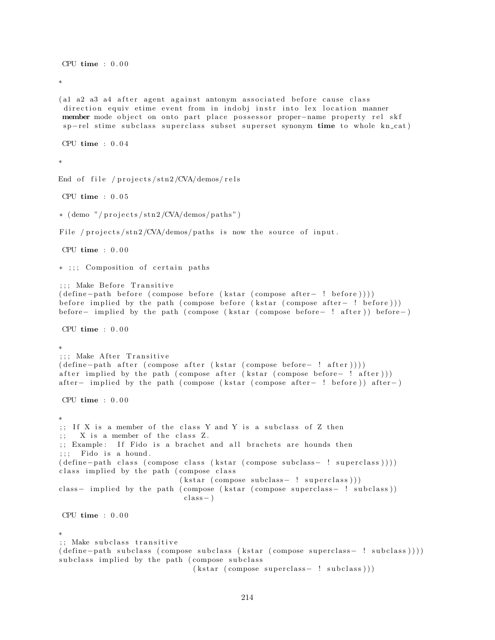CPU time  $: 0.00$ ∗ (al a2 a3 a4 after agent against antonym associated before cause class direction equiv etime event from in indobj instr into lex location manner member mode object on onto part place possessor proper-name property rel skf sp-rel stime subclass superclass subset superset synonym time to whole kn\_cat) CPU time : 0 . 0 4 ∗ End of file /  $projects$ / $str2$ /CVA/demos/rels CPU time : 0 . 0 5  $*(\text{ demo } " / \text{ projects} / \text{stn2} / \text{CVA} / \text{demos} / \text{paths}")$ File / projects/stn2/CVA/demos/paths is now the source of input. CPU time : 0 . 0 0 \* ;;; Composition of certain paths ;;; Make Before Transitive ( define – path before ( compose before ( kstar ( compose after – ! before ) ) ) ) before implied by the path ( compose before (kstar ( compose after – ! before) )) before− implied by the path ( compose ( k star ( compose before− ! after ) ) before− ) CPU  $time : 0.00$ ∗ ;;; Make After Transitive ( define - path after ( compose after ( kstar ( compose before - ! after ) ) ) ) after implied by the path ( compose after ( k star ( compose before− ! after ) ) ) after – implied by the path ( compose ( k star ( compose after – ! before ) ) after – ) CPU time : 0 . 0 0 ∗ ;; If X is a member of the class Y and Y is a subclass of Z then  $;$   $X$  is a member of the class  $Z$ . ;; Example: If Fido is a brachet and all brachets are hounds then  $;$ ;; Fido is a hound. ( define - path class ( compose class ( k star ( compose subclass - ! superclass ) ) ) ) class implied by the path (compose class  $(kstar (composite subclass - ! superclass)))$ class- implied by the path ( compose ( kstar ( compose superclass- ! subclass ) )  $class - )$ CPU time  $: 0.00$ ∗ ;; Make subclass transitive ( define - path subclass ( compose subclass ( k star ( compose superclass - ! subclass ) ) ) ) subclass implied by the path (compose subclass  $(kstar (composite superclass - ! subclass)))$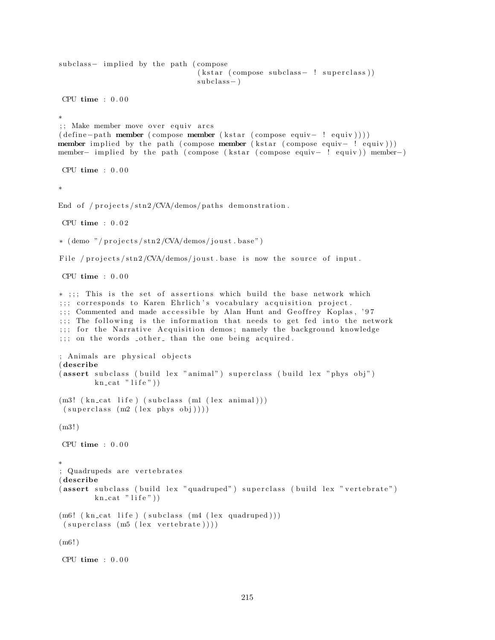```
subclass - implied by the path (compose
                                 (kstar (composite subclass - ! superclass))subclass - )CPU time : 0.00∗
;; Make member move over equiv arcs
(define-path member (compose member (kstar (compose equiv-! equiv)))member implied by the path ( compose member ( kstar ( compose equiv – ! equiv)))
member– implied by the path ( compose ( k star ( compose equiv− ! equiv ) ) member–)
CPU time : 0.00∗
End of /projects/stn2/CVA/demos/paths demonstration.
CPU time : 0.02∗ ( demo "/ p r o j e c t s / s t n 2 /CVA/demos/ j o u s t . b a se " )
File / projects/stn2/CVA/demos/joust base is now the source of input.
CPU time : 0 . 0 0
* ;;; This is the set of assertions which build the base network which
;;; corresponds to Karen Ehrlich's vocabulary acquisition project.
;;; Commented and made accessible by Alan Hunt and Geoffrey Koplas, '97
;;; The following is the information that needs to get fed into the network
;;; for the Narrative Acquisition demos; namely the background knowledge
\gamma;; on the words other than the one being acquired.
; Animals are physical objects
( describe
(assert subclass (build lex "animal") superclass (build lex "phys obj")
        kn\_cat "life"))
(m3! (kn_cat life) (subclass (m1 (lex animal)))
 (superclass (m2 (lex phys obj)))(m3! )
CPU time : 0 . 0 0
∗
; Quadrupeds are vertebrates
( describe
(assert subclass (build lex "quadruped") superclass (build lex "vertebrate")
        kn\_cat "life"))
(m6! (kn_cat life) (subclass (m4 (lex quadruped)))
 (superclass (m5 (lex vertebrate))))(m6! )
CPU time : 0 . 0 0
```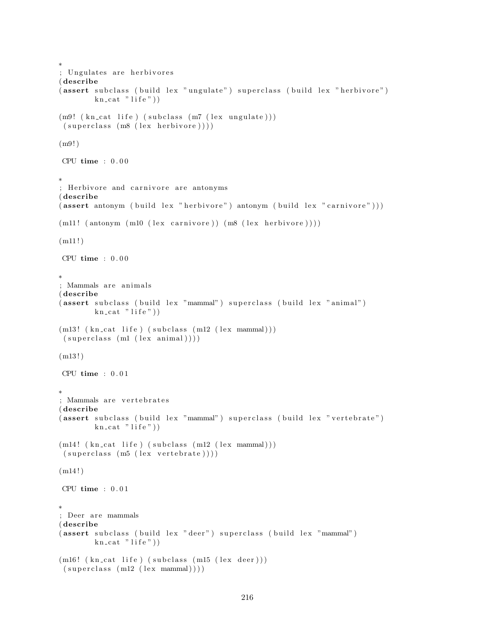```
∗
; Ungulates are herbivores
( describe
(assert subclass (build lex "ungulate") superclass (build lex "herbivore")
        kn\_cat "life")
(m9! (kncat life) (subclass(m7 (lex unguide)))(superclass (m8 (lex herbivore))))(m9!)CPU time : 0 . 0 0
∗
 Herbivore and carnivore are antonyms
( describe
( assert antonym ( build lex " herbivore" ) antonym ( build lex " carnivore" ) ) )
(m11! (antonym (m10 (lex carnivore)) (m8 (lex herbivore))))
(m11!)CPU time : 0 . 0 0
∗
; Mammals are animals
( describe
(assert subclass (build lex "mammal") superclass (build lex "animal")
        kn\_cat "life"))
(m13! (kn\_cat\_life) (subclass~(m12~(lex~mannal)))(superclass (ml (lex animal))))(m13!)CPU time : 0 . 0 1
∗
; Mammals are vertebrates
( describe
(assert subclass (build lex "mammal") superclass (build lex "vertebrate")
        kn\_cat "life"))
(m14! (kn_cat life) (subclass (m12 (lex mammal)))
(superclass (m5 (lex vertebrate))))(m14!)CPU time : 0.01∗
; Deer are mammals
( describe
(assert subclass (build lex "deer") superclass (build lex "mammal")
        kn\_cat "life"))
(m16! (kn_cat life) (subclass (m15 (lex deer)))
(superclass (m12 (lex mammal))))
```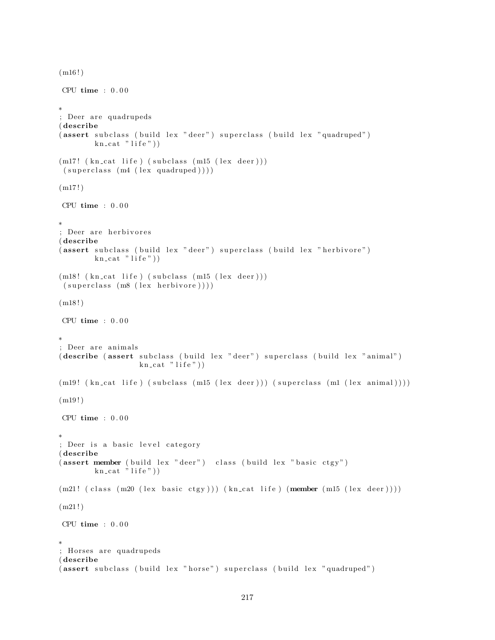```
(m16!)CPU time : 0 . 0 0
∗
; Deer are quadrupeds
( describe
(assert subclass (build lex "deer") superclass (build lex "quadruped")
        kn\_cat "life"))
(m17! (kn_cat life) (subclass (m15 (lex deer)))
(superclass (m4 (lex quadruped))))(m17!)CPU time : 0.00∗
; Deer are herbivores
( describe
(assert subclass (build lex "deer") superclass (build lex "herbivore")
        kn cat " life"))
(m18! (kn_cat life) (subclass (m15 (lex deer)))
(superclass (m8 (lex herbivore))))(m18!)CPU time : 0.00∗
; Deer are animals
( describe ( assert subclass ( build lex " deer") superclass ( build lex " animal")
                  kn\_cat "life"))
(m19! (kn_cat life) (subclass (m15 (lex deer))) (superclass (m1 (lex animal))))
(m19!)CPU time : 0.00∗
; Deer is a basic level category
( describe
(assert member ( build lex "deer") class ( build lex " basic ctgy")
        kn\_cat "life")
(m21! ( class (m20 (lex basic ctgy))) ( kn\_cat life) (member (m15 (lex deer))))(m21!)CPU time : 0.00∗
; Horses are quadrupeds
( describe
(assert subclass (build lex "horse") superclass (build lex "quadruped")
```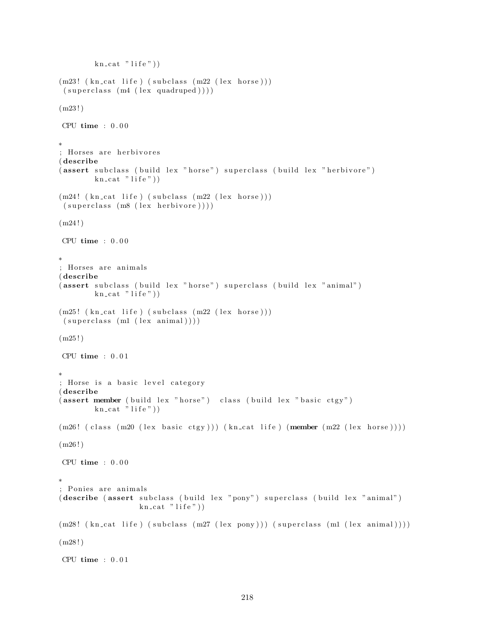```
kn\_cat "life")
(m23! (kn\_cat life) (subclass (m22 (lex horse)))(superclass (m4 (lex quadruped))))(m23!)CPU time : 0.00∗
; Horses are herbivores
( describe
(assert subclass (build lex "horse") superclass (build lex "herbivore")
        kn\_cat "life")
(m24! (kn_cat life) (subclass (m22 (lex horse)))
(superclass (m8 (lex herbivore))))(m24!)CPU time : 0 . 0 0
∗
; Horses are animals
( describe
(assert subclass (build lex "horse") superclass (build lex "animal")
        kn\_cat "life"))
(m25! (kn\_cat life) (subclass (m22 (lex horse)))(superclass (ml (lex animal))))(m25!)CPU time : 0.01∗
; Horse is a basic level category
( describe
(assert member (build lex "horse") class (build lex "basic ctgy")
        kn\_cat \rightarrow life"))
(m26! (class (m20 (lex basic ctgy))) (kn_cat life) (member (m22 (lex horse))))
(m26!)CPU time : 0 . 0 0
∗
; Ponies are animals
( describe ( assert subclass ( build lex "pony") superclass ( build lex " animal")
                  kn\_cat "life"))
(m28! (kn_cat life) (subclass (m27 (lex pony))) (superclass (m1 (lex animal))))
(m28!)CPU time : 0.01
```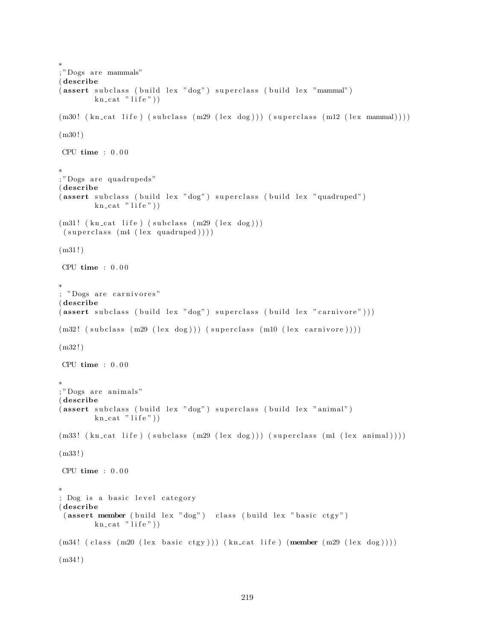```
; "Dogs are mammals"
( describe
(assert subclass (build lex "dog") superclass (build lex "mammal")
         kn\_cat "life"))
(m30! (kn_cat life) (subclass (m29 (lex dog))) (superclass (m12 (lex mammal))))
(m30!)CPU time : 0.00∗
;"Dogs are quadrupeds"
( describe
(assert subclass (build lex "dog") superclass (build lex "quadruped")
        kn\_cat "life"))
(m31! (kn_cat life) (subclass (m29 (lex dog)))
 (superclass (m4 (lex quadruped)))(m31!)CPU time : 0.00∗
; "Dogs are carnivores"
( describe
( assert subclass (build lex "dog") superclass (build lex "carnivore")))
(m32! \ (subclass \ (m29 \ (lex \ dog))) \ (superclass \ (m10 \ (lex \ carnivore))))(m32!)CPU time : 0 . 0 0
∗
; "Dogs are animals"
( describe
(assert subclass (build lex "dog") superclass (build lex "animal")
         kn\_cat "life"))
(m33! \thinspace (kn\_cat \thinspace life) (subclass \thinspace (m29 \thinspace (lex \thinspace dog))) (superclass \thinspace (ml \thinspace (lex \thinspace animal))))(m33 ! )
CPU time : 0.00∗
; Dog is a basic level category
( describe
 (assert member (build lex "dog") class (build lex "basic ctgy")kn\_cat "life"))
(m34! ( class (m20 (lex basic ctgy))) (kn_cat life) (member (m29 (lex dog))))
(m34!)
```
∗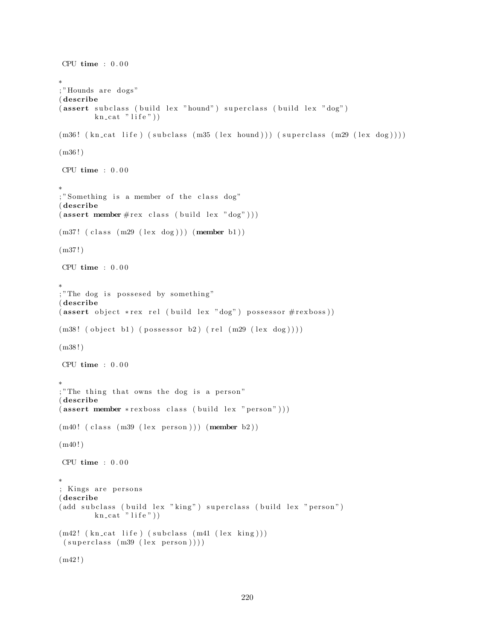```
CPU time : 0.00∗
; "Hounds are dogs"
( describe
(assert\,subclass\, (build\, lex\, "hound")\,superclass\, (build\, lex\, "dog")kn\_cat "life")
(m36! (kn_cat life) (subclass (m35 (lex hound))) (superclass (m29 (lex dog))))
(m36!)CPU time : 0 . 0 0
∗
; "Something is a member of the class dog"
( describe
(\text{assert member} \# \text{rex class} (\text{build lex "dog"))})(m37! ( class (m29 (lex dog ))) (member b1))
(m37!)CPU time : 0.00∗
; "The dog is possesed by something"
( describe
(assert\ object\ }{rex\ rel\ (build\ lex\ "dog")\ possess\ #rexboss))(m38! (object b1) (possessor b2) (rel (m29 (lex dog))))
(m38 ! )
CPU time : 0 . 0 0
∗
; "The thing that owns the dog is a person"
( describe
(assert member *rexboss class (build lex "person"))(m40! (class (m39 (lex person))) (member b2))(m40!)CPU time : 0.00∗
; Kings are persons
( describe
(add subclass (build lex "king") superclass (build lex "person")
        kn\_cat "life"))
(m42! (kn_cat life) (subclass (m41 (lex king)))
(superclass (m39 (lex person))))(m42!)
```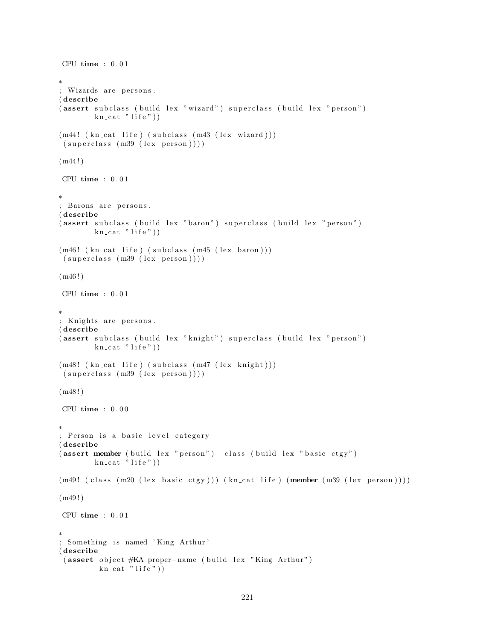```
CPU time : 0.01∗
; Wizards are persons.
( describe
(assert subclass (build lex "wizard") superclass (build lex "person")
        kn\_cat "life")
(m44! (kn_cat life) (subclass (m43 (lex wizard)))
(superclass (m39 (lex person))))(m44!)CPU time : 0 . 0 1
∗
; Barons are persons.
( describe
(assert subclass (build lex "baron") superclass (build lex "person")
        kn cat "life")
(m46! (kn_cat life) (subclass (m45 (lex baron)))
(superclass (m39 (lex person))))(m46!)CPU time : 0.01∗
; Knights are persons.
( describe
(assert subclass ( build lex " knight") superclass ( build lex " person")
        kn\_cat "life"))
(m48! (kn_cat life) (subclass (m47 (lex knight)))
(superclass (m39 (lex person))))(m48!)CPU time : 0.00∗
; Person is a basic level category
( describe
(assert member ( build lex " person" ) class ( build lex " basic ctgy" )
        kn\_cat "life"))
(m49! (class (m20 (lex basic ctgy))) (kn_cat life) (member (m39 (lex person))))
(m49!)CPU time : 0.01∗
; Something is named 'King Arthur'
( describe
 ( assert object #KA proper-name ( build lex "King Arthur")
         kn\_cat "life"))
```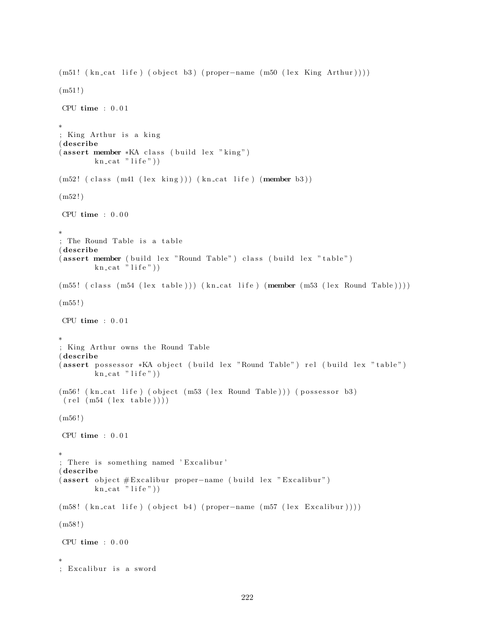```
(m51! (kn_{cat} 1ife) (object b3) (proper-name (m50 (lex King Arthur))))(m51!)CPU time : 0.01∗
; King Arthur is a king
( describe
(assert member *KA class (build lex "king")
        kn\_cat "life"))
(m52! (class (m41 (lex king))) (kncat life) (member b3))(m52!)CPU time : 0 . 0 0
∗
; The Round Table is a table
( describe
(assert member ( build lex "Round Table") class ( build lex "table")
        kn\_cat "life"))
(m55! (class (m54 (lex table))) (kn_cat life) (member (m53 (lex Round Table))))
(m55!)CPU time : 0.01∗
; King Arthur owns the Round Table
( describe
( assert possessor *KA object ( build lex "Round Table") rel ( build lex " table")
        kn\_cat "life"))
(m56! (kn_cat life) (object (m53 (lex Round Table))) (possessor b3)
 (\text{rel} (\text{m54} (\text{lex table}))))(m56!)CPU time : 0.01∗
; There is something named 'Excalibur'
( describe
( assert object #Excalibur proper-name ( build lex "Excalibur")
        kn\_cat "life"))
(m58! (kn_cat life) (object b4) (proper-name (m57 (lex Excalibur))))
(m58!)CPU time : 0.00∗
; Excalibur is a sword
```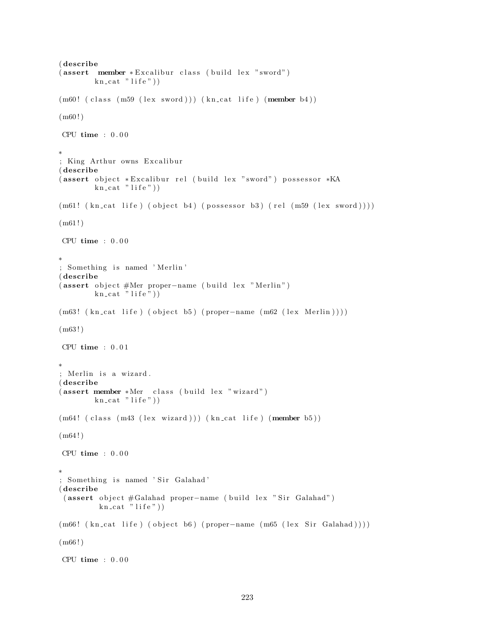```
( describe
( assert member * Excalibur class ( build lex " sword")
        kn\_cat "life"))
(m60! (class (m59 (lex sword))) (kn_cat life) (member b4))
(m60!)CPU time : 0 . 0 0
∗
; King Arthur owns Excalibur
( describe
(assert object * Excalibur rel (build lex "sword") possessor * KA
        kn\_cat "life"))
(m61! \ (kn\_cat \ life) \ (object \ b4) \ (possessor \ b3) \ (rel \ (ms9 \ (lex \ sword))))(m61!)CPU time : 0 . 0 0
∗
; Something is named 'Merlin'
( describe
( assert object #Mer proper-name ( build lex "Merlin")
        \text{kn\_cat} " life"))
(m63! (kn_{cat} life) (object b5) (proper-name (m62 (lex Merlin))))
(m63 ! )
CPU time : 0.01∗
; Merlin is a wizard.
( describe
(assert member *Mer class (build lex "wizard")
        kn\_cat "life"))
(m64! (class (m43 (lex wizard))) (kn_cat life) (member b5))
(m64!)CPU time : 0.00∗
; Something is named 'Sir Galahad'
( describe
 (assert object #Galahad proper-name ( build lex "Sir Galahad")
         kn\_cat "life"))
(m66! (kn_cat life) (object b6) (proper-name (m65 (lex Sir Galahad))))
(m66!)CPU time : 0.00
```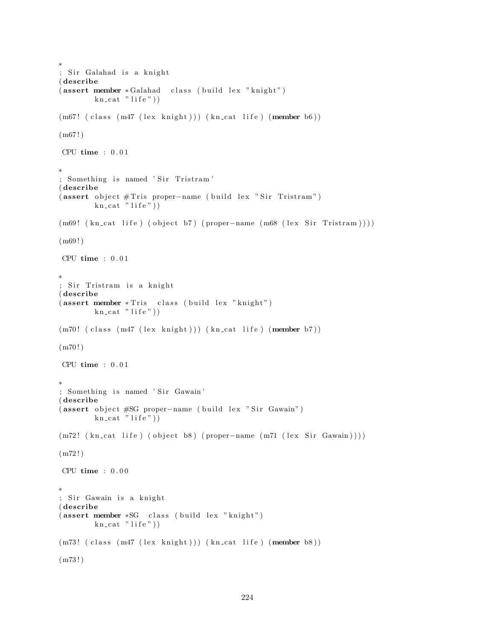```
∗
; Sir Galahad is a knight
( describe
( assert member * Galahad class ( build lex "knight")
        kn\_cat "life"))
(m67! (class (m47 (lex knight))) (kn_cat life) (member b6))
(m67!)CPU time : 0.01∗
; Something is named 'Sir Tristram'
( describe
( assert object # Tris proper-name ( build lex " Sir Tristram")
        kn\_cat "life"))
(m69! (kn_cat life) (object b7) (proper-name (m68 (lex Sir Tristram))))
(m69!)CPU time : 0 . 0 1
∗
; Sir Tristram is a knight
( describe
(assert member * Tris - class (build lex "knight")kn\_cat "life"))
(m70! (class (m47 (lex knight))) (kn cat life) (member b7))
(m70!)CPU time : 0.01∗
; Something is named 'Sir Gawain'
( describe
(assert object #SG proper-name (build lex "Sir Gawain")
        kn\_cat "life"))
(m72! \ (kn\_cat \ life) \ (object \ b8) \ (proper-name \ (m71 \ (lex \ Sir \ Gawain))))(m72!)CPU time : 0.00∗
; Sir Gawain is a knight
( describe
(assert member *SG class (build lex "knight")
        kn\_cat "life"))
(m73! ( class (m47 (lex knight))) (kn_cat life) (member b8))
(m73 ! )
```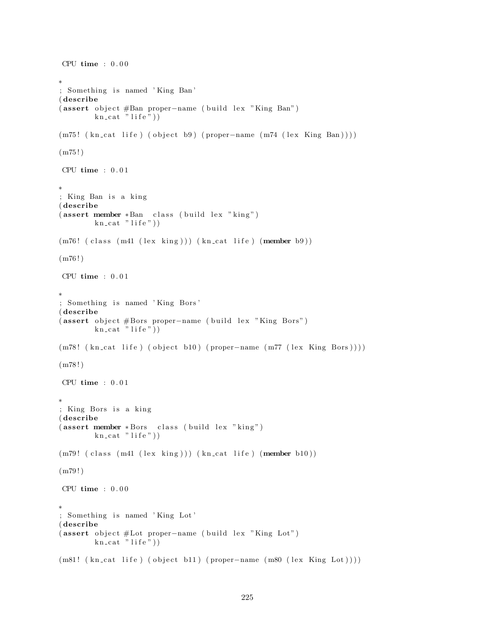```
CPU time : 0.00∗
; Something is named 'King Ban'
( describe
(assert object #Ban proper-name (build lex "King Ban")
        kn\_cat "life")
(m75! ( kn_cat life ) ( object b9) ( proper-name (m74 ( lex King Ban ) ) )
(m75!)CPU time : 0 . 0 1
∗
; King Ban is a king
( describe
(assert member *Ban class (build lex "king")
        kn\_cat "life"))
(m76! (class (m41 (lex king))) (kn_cat life) (member b9))
(m76!)CPU time : 0.01∗
; Something is named 'King Bors'
( describe
( assert object #Bors proper-name ( build lex "King Bors")
        kn\_cat "life"))
(m78! \text{ (kncat life)} (object b10) (proper-name (m77 (lex King Bors))))(m78!)CPU time : 0.01∗
; King Bors is a king
( describe
(assert member *Bors class (build lex "king")
        kn\_cat "life"))
(m79! (class (m41 (lex king))) (kncat life) (member b10))(m79 ! )
CPU time : 0.00∗
; Something is named 'King Lot'
( describe
( assert object #Lot proper-name ( build lex "King Lot")
        kn\_cat "life"))
(m81! ( kn_cat life ) ( object b11) ( proper-name (m80 ( lex King Lot ) ) ) )
```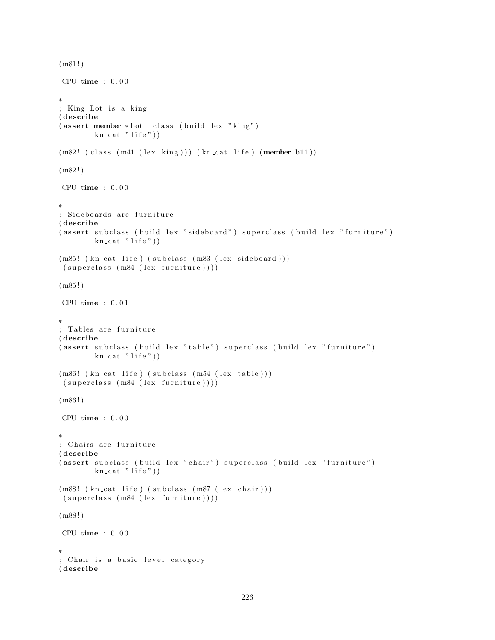```
(m81!)CPU time : 0.00∗
; King Lot is a king
( describe
(assert member * Lot class (build lex "king")
        kn\_cat "life"))
(m82! (class (m41 (lex king))) (kn_cat life) (member b11))
(m82!)CPU time : 0 . 0 0
∗
; Sideboards are furniture
( describe
(assert subclass (build lex "sideboard") superclass (build lex "furniture")
        kn\_cat "life")
(m85! (kn_cat life) (subclass (m83 (lex sideboard)))
(superclass (m84 (lex familiar e))))(m85!)CPU time : 0 . 0 1
∗
; Tables are furniture
( describe
(assert subclass (build lex "table") superclass (build lex "furniture")
        kn\_cat "life"))
(m86! (kn_cat life) (subclass (m54 (lex table)))
(superclass (m84 (lex familiar e))))(m86!)CPU time : 0.00∗
; Chairs are furniture
( describe
(assert subclass (build lex "chair") superclass (build lex "furniture")
        kn\_cat "life"))
(m88! (kn_cat life) (subclass (m87 (lex chair)))
(superclass (m84 (lex familiar e))))(m88!)CPU time : 0 . 0 0
∗
; Chair is a basic level category
( describe
```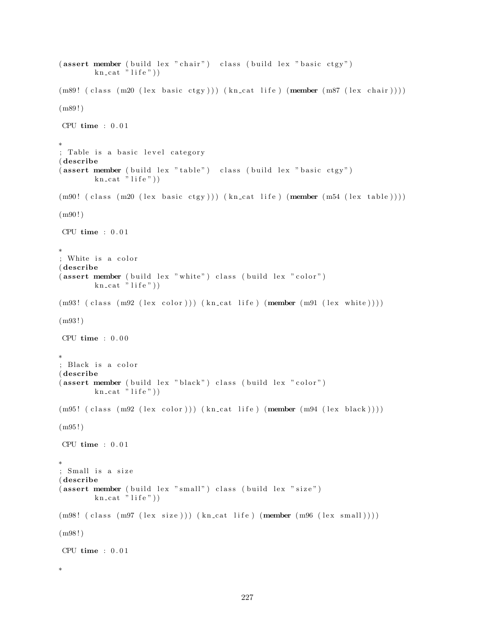```
(assert member (build lex "chair") class (build lex "basic ctgy")kn\_cat "life")
(m89! ( class (m20 (lex basic ctgy))) (kn_cat life) (member (m87 (lex chair))))
(m89!)CPU time : 0 . 0 1
∗
; Table is a basic level category
( describe
(assert member (build lex "table") class (build lex "basic ctgy")
        kn\_cat \rightarrow life")
(m90! (class (m20 (lex basic ctgy))) (kn_cat life) (member (m54 (lex table))))
(m90!)CPU time : 0 . 0 1
∗
; White is a color
( describe
(assert member (build lex "white") class (build lex "color")
        kn cat "life"))
(m93! ( class (m92 (lex color))) (kn_cat life) (member (m91 (lex white))))
(m93 ! )
CPU time : 0.00∗
; Black is a color
( describe
(assert member (b uild lex "black") class (b uild lex "color")kn\_cat "life"))
(m95! (class (m92 (lex color))) (kn_cat life) (member (m94 (lex black))))
(m95 ! )
CPU time : 0.01∗
; Small is a size
( describe
(assert member (build lex "small") class (build lex "size")
        kn\_cat "life"))
(m98! (class (m97 (lex size))) (kn_cat life) (member (m96 (lex small))))
(m98 ! )
CPU time : 0.01∗
```

```
227
```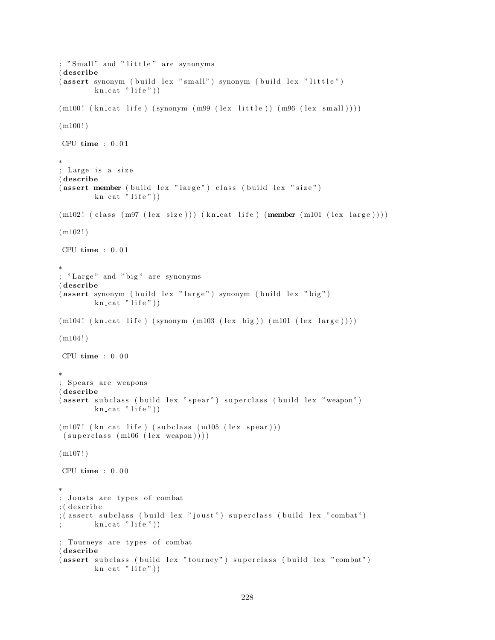```
; "Small" and "little" are synonyms
( describe
(assert synonym (build lex "small") synonym (build lex "little")
        kn cat " life"))
(m100! (kn\text{-}cat\text{-}life) (synonym\text{-}(m99 \text{-} (lex\text{-}little)) (m96 \text{-} (lex\text{-}small)))(m100!)CPU time : 0.01∗
; Large is a size
( describe
(assert member (build lex "large") class (build lex "size")kn\_cat "life"))
(m102! (class (m97 (lex size))) (kncat life) (member (m101 (lex large))))(m102!)CPU time : 0 . 0 1
∗
; "Large" and "big" are synonyms
( describe
(assert synonym ( build lex "large") synonym ( build lex " big")
        kn\_cat "life"))
(m104! (kn_cat life) (synonym (m103 (lex big)) (m101 (lex large))))
(m104!)CPU time : 0 . 0 0
∗
; Spears are weapons
( describe
(assert subclass (build lex "spear") superclass (build lex "weapon")
        kn\_cat "life"))
(m107! (kn_cat life) (subclass (m105 (lex spear)))
(superclass (m106 (lex weapon))))(m107!)CPU time : 0 . 0 0
∗
; Jousts are types of combat
; (describe
; (assert subclass (build lex "joust") superclass (build lex "combat")
        kn\_cat "life"))
; Tourneys are types of combat
( describe
(assert subclass (build lex "tourney") superclass (build lex "combat")
        kn\_cat "life"))
```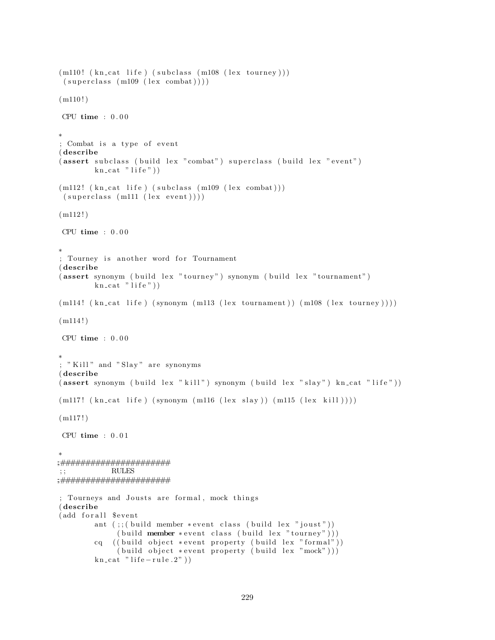```
(m110! (kn\_cat life) (subclass (m108 (lex tourney)))(superclass (m109 (lex combat))))(m110!)CPU time : 0 . 0 0
∗
; Combat is a type of event
( describe
(assert subclass (build lex "combat") superclass (build lex "event")
         kn\_cat "life")
(m112! (kn\_cat life) (subclass (m109 (lex combat)))(superclass (m111 (lex event))))(m112!)CPU time : 0 . 0 0
∗
; Tourney is another word for Tournament
( describe
(assert synonym (build lex "tourney") synonym (build lex "tournament")
         kn\_cat "life")
(m114! \ (kn\_cat \; life \;) \; (synonym \; (m113 \; (lex \; tournament \;)) \; (m108 \; (lex \; tourney))))(m114!)CPU time : 0.00∗
; "Kill" and "Slay" are synonyms
( describe
( assert synonym ( build lex "\text{kill}" ) synonym ( build lex "\text{slay}" ) \text{kn\_cat} "life" ) )
(m117! \ (kn\_cat \ life) (synonym \ (m116 \ (lex \ slag)) \ (m115 \ (lex \ kill))))(m117!)CPU time : 0.01∗
;;######################
; ; RULES
;;######################
; Tourneys and Jousts are formal, mock things
( describe
(add for all $event
         ant (;; (build member * event class (build lex "joust"))
               (buid member * event class (build lex "tourney"))cq ( ( build object * event property ( build lex "formal" ) )
              (\text{build object } * \text{event property } (\text{build lex } "mock"))kn\_cat " life -rule.2"))
```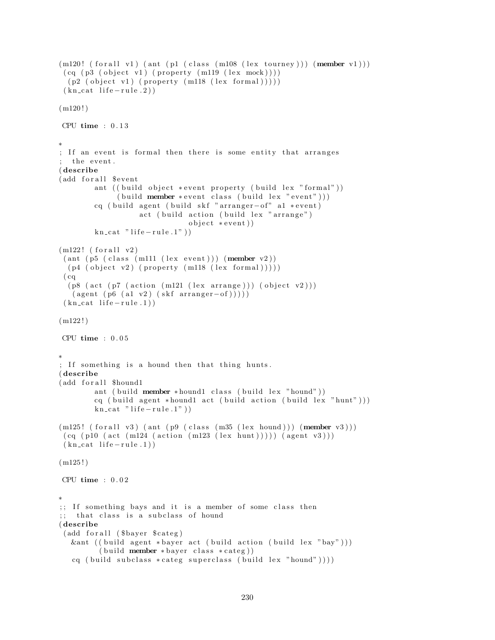```
(m120! (for all v1) (ant (p1 (class (m108 (lex tourney))) (member v1)))
 (cq (p3 (object v1) (property (m119 (lex mock))))(p2 (object v1) (property (m118 (lex formal))))(kn_{\text{cat}}\text{life}-rule.2))
(m120!)CPU time : 0 . 1 3
∗
; If an event is formal then there is some entity that arranges
  the event.
( describe
(add for all $event
        ant (( build object * event property ( build lex "formal"))(\text{build member} * \text{event class} (\text{build lex} "event"))cq ( build agent ( build skf "arranger-of" a1 ∗ event)
                   act (build action (build lex "arrange")
                               object * event)kn\_cat " life -rule.1")
(m122! (for all v2)(ant (p5 (class (m111 (lex event))) (member v2))(p4 (object v2) (property (m118 (lex formal))))(cq)(p8 (act (p7 (action (m121 (lex arrange)))) (object v2)))(\text{agent } (p6 (a1 v2) (skf arrangement - of))))(kn_{\text{cat}}\text{life}-rule.1)(m122!)CPU time : 0 . 0 5
∗
; If something is a hound then that thing hunts.
( describe
(add for all $hound1
        ant ( build member * hound1 class ( build lex " hound"))
        cq ( build agent *hound1 act ( build action ( build lex " hunt")))
        kn\_cat " life -rule.1")
(m125! (for all v3) (ant (p9 (class (m35 (lex hound))) (member v3)))(cq (p10 (act (m124 (action (m123 (lex hunt)))) (agent v3)))(kn_{\text{cat}}\text{life}-rule.1)(m125!)CPU time : 0 . 0 2
∗
;; If something bays and it is a member of some class then
;; that class is a subclass of hound
( describe
 (add for all ($bayer $ categ)
  &ant ((build agent *bayer act (build action (build lex "bay")))
         (b uild member * bayer class * categ))
   cq ( build subclass * categ superclass ( build lex "hound") ) ) )
```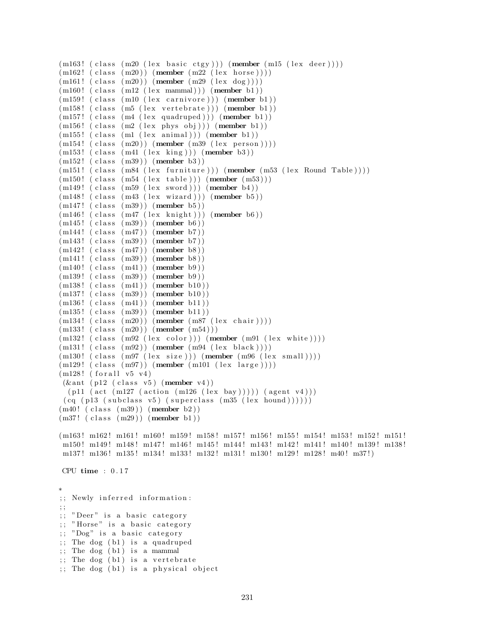```
(m163! (class (m20 (lex basic ctgy))) (member (m15 (lex deer))))
(m162! (class (m20)) (member (m22 (lex horse))))(m161!~(class~(m20))~(member~(m29~(lex~dog))))(m160! (class (m12 (lex mammal))) (member b1))
(m159! (class (m10 (lex carnivore))) (member b1))
(m158! (class (m5 (lex vertebrate))) (member b1))
(m157! (class (m4 (lex quadruped))) (member b1))
(m156! (class (m2 (lex phys obj))) (member b1))
(m155! (class (m1 (lex animal))) (member b1))
(m154!~(class~(m20))~(member~(m39~(lex~person))))(m153! (class (m41 (lex king))) (member b3))
(m152! (class (m39)) (member b3))(m151! (class (m84 (lex furniture))) (member (m53 (lex Round Table))))
(m150! (class (m54 (lex table))) (member (m53)))
(m149! (class (m59 (lex sword))) (member b4))
(m148! (class (m43 (lex wizard))) (member b5))
(m147!~(class~(m39))~(member~b5))(m146! (class (m47 (lex knight))) (member b6))
(m145! (class (m39)) (member b6))
(m144! (class (m47)) (member b7))
(m143! (class (m39)) (member b7))
(m142! (class (m47)) (member b8))
(m141! (class (m39)) (member b8))(m140! (class (m41)) (member b9))(m139! (class (m39)) (member b9))(m138! (class (m41)) (member b10))
(m137! \text{ (class } (m39)) \text{ (member } b10))(m136! (class (m41)) (member b11))(m135! (class (m39)) (member b11))(m134! (class (m20)) (member (m87 (lex chair))))(m133! \text{ (class } (m20)) \text{ (member } (m54)))(m132! \text{ (class } (m92 \text{ (lex color)})) (\text{member } (m91 \text{ (lex white)})))(m131! (class (m92)) (member (m94 (lex black))))(m130! (class (m97 (lex size))) (member (m96 (lex small))))(m129! (class (m97)) (member (m101 (lex large))))(m128! (for all v5 v4))(\& ant (p12 (class v5) (member v4))
  (pl1 (act (m127 (action (m126 (lex bay)))) (agent v4)))(cq (p13 (subclass v5) (superclass (m35 (lex hound))))))(m40! (class (m39)) (member b2))
(m37! \text{ (class } (m29)) \text{ (member } b1))(m163! m162! m161! m160! m159! m158! m157! m156! m155! m154! m153! m152! m151!
m150! m149! m148! m147! m146! m145! m144! m143! m142! m141! m140! m139! m138!
m137! m136! m135! m134! m133! m132! m131! m130! m129! m128! m40! m37!)
CPU time : 0.17∗
;; Newly inferred information:
; ;
;; "Deer" is a basic category
;; "Horse" is a basic category
;; "Dog" is a basic category
;; The dog (b1) is a quadruped
;; The dog (b1) is a mammal
; The dog (b1) is a vertebrate
; The dog (b1) is a physical object
```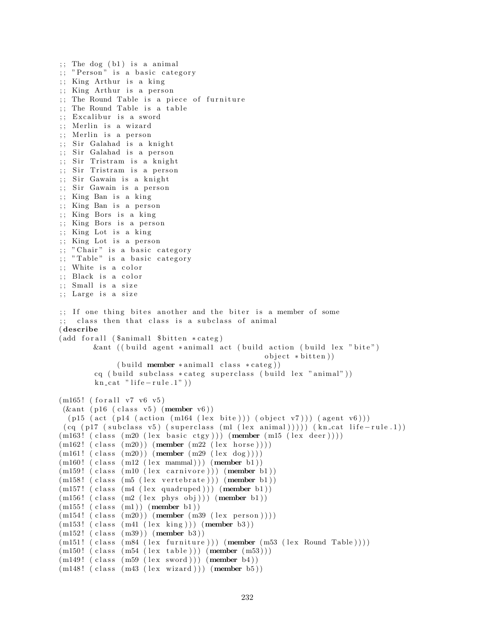```
;; The dog (b1) is a animal
; "Person" is a basic category
;; King Arthur is a king
;; King Arthur is a person
;; The Round Table is a piece of furniture
\therefore The Round Table is a table
;; Excalibur is a sword
;; Merlin is a wizard
;; Merlin is a person
;; Sir Galahad is a knight
;; Sir Galahad is a person
;; Sir Tristram is a knight
;; Sir Tristram is a person
;; Sir Gawain is a knight
;; Sir Gawain is a person
;; King Ban is a king
;; King Ban is a person
;; King Bors is a king
;; King Bors is a person
; King Lot is a king
;; King Lot is a person
;; " Chair" is a basic category
;; "Table" is a basic category
;; White is a color
;; Black is a color
;; Small is a size
;; Large is a size
;; If one thing bites another and the biter is a member of some
;; class then that class is a subclass of animal
( describe
(add for all (Samimal1 8bitten *category)&ant ((build agent *animal1 act (build action (build lex "bite")
                                                object * bitten)(b uild member * animal1 class * categ))
        cq ( build subclass * categ superclass ( build lex "animal"))
        kn\_cat " life - rule .1" )(m165! (for all v7 v6 v5)
 (\& ant (p16 (class v5) (member v6))
  (p15 (act (p14 (action (m164 (lex bite))) (object v7))) (agent v6)))
 (cq (p17 (subclass v5) (superclass (ml (lex animal))))) (kncat life-rule.1))(m163! (class (m20 (lex basic ctgy))) (member (m15 (lex deer))))
(m162!~(class~(m20))~(member~(m22~(lex ~horse))))(m161!~(class~(m20))~(member~(m29~(lex~dog))))(m160! (class (m12 (lex mammal))) (member b1))
(m159! (class (m10 (lex carnivore))) (member b1))
(m158! (class (m5 (lex vertebrate))) (member b1))
(m157! (class (m4 (lex quadruped))) (member b1))
(m156! (class (m2 (lex phys obj))) (member b1))
(m155! (class (m1)) (member b1))(m154! (class (m20)) (member (m39 (lex person))))(m153! \text{ (class } (m41 \text{ (lex } king))) \text{ (member } b3))(m152! \text{ (class } (m39)) \text{ (member } b3))(m151! (class (m84 (lex farniture))) (member (m53 (lex Round Table))))(m150! (class (m54 (lex table))) (member (m53)))
(m149! (class (m59 (lex sword))) (member b4))
(m148! (class (m43 (lex wizard))) (member b5))
```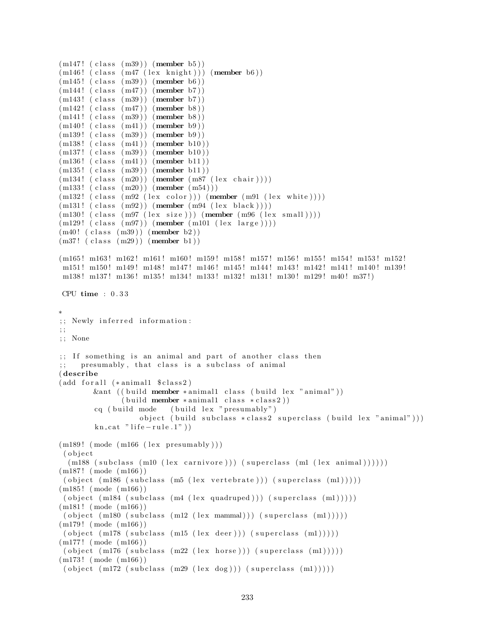```
(m147! (class (m39)) (member b5))
(m146! (class (m47 (lex knight))) (member b6))
(m145! (class (m39)) (member b6))(m144! (class (m47)) (member b7))
(m143! (class (m39)) (member b7))
(m142! (class (m47)) (member b8))
(m141!~(class~(m39))~(member~b8))(m140! (class (m41)) (member b9))
(m139! (class (m39)) (member b9)(m138! (class (m41)) (member b10))(m137! (class (m39)) (member b10))
(m136! (class (m41)) (member b11))
(m135! (class (m39)) (member b11))
(m134!~(class~(m20))~(member~(m87~(lex~chair))))(m133! \ ( \text{class } (m20)) \ ( \text{member } (m54) ) )(m132! \text{ (class } (m92 \text{ (lex color)})) (\text{member } (m91 \text{ (lex white)})))(m131! (class (m92)) (member (m94 (lex black))))(m130! (class (m97 (lex size))) (member (m96 (lex small))))
(m129! (class (m97)) (member (m101 (lex large))))(m40! (class (m39)) (member b2))
(m37! (class (m29)) (member b1))
(m165! m163! m162! m161! m160! m159! m158! m157! m156! m155! m154! m153! m152!
m151! m150! m149! m148! m147! m146! m145! m144! m143! m142! m141! m140! m139!
m138 ! m137 ! m136 ! m135 ! m134 ! m133 ! m132 ! m131 ! m130 ! m129 ! m40 ! m37 ! )
CPU time : 0 . 3 3
∗
;; Newly inferred information:
; ;
; ; None
;; If something is an animal and part of another class then
     presumably, that class is a subclass of animal
( describe
(add for all (*animal1 %class 2))&ant ((build member ∗ animal1 class (build lex "animal"))
               (\text{build member } * \text{animal1 class } * \text{class2}))cq ( build mode ( build lex " presumably")
                   object ( build subclass * class2 superclass ( build lex "animal")))
        kn\_cat " life - rule .1" )(m189! \pmod{m166} (lex presumably))
 ( o b j e c t
  (m188 \text{ (subclass (ml0 (lex canivore))) (superclass (ml (lex animal))))))(m187! (mode (m166))
 ( object (m186 (subclass (m5 (lex vertebrate))) (superclass (m1))))
(m185 ! ( mode ( m166 ) )
 ( object (m184 (subclass (m4 (lex quadruped))) (superclass (m1))))
(m181! \pmod{m166})( object (m180 (subclass (m12 (lex mammal))) (superclass (m1)))))(m179! (mode (m166))
 ( object (m178 (subclass (ml5 (lex deer))) (superclass (ml))))(m177 ! ( mode ( m166 ) )
 ( object (m176 (subclass (m22 (lex horse))) (superclass (m1))))(m173 ! ( mode ( m166 ) )
 ( object (m172 (subclass (m29 (lex dog))) (superclass (m1))))
```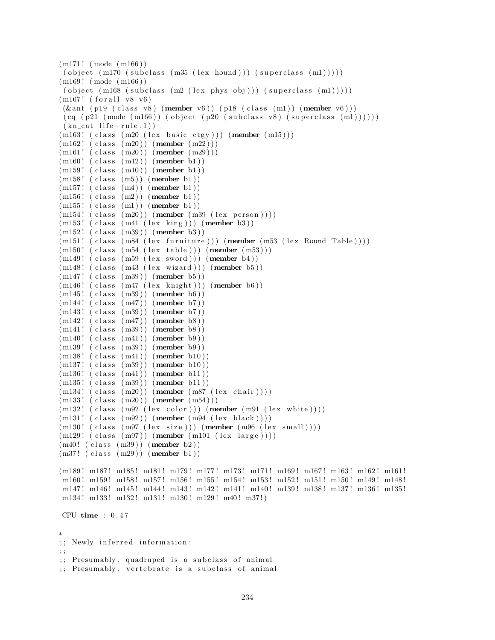```
(m171! \pmod{m166})( object (m170 (subclass (m35 (lex hourd))) (superclass (m1))))(m169 ! ( mode ( m166 ) )
( object (m168 (subclass (m2 (lex phys obj))) (superclass (m1))))
(m167! (for all v8 v6)
(\& ant (p19 (class v8) (member v6)) (p18 (class (m1)) (member v6)))
(cq (p21 (mode (m166)) (object (p20 (subclass v8) (superclass (m1))))))(kn_{cat} life -rule.1)(m163! (class (m20 (lex basic ctgy))) (member (m15)))
(m162! (class (m20)) (member (m22)))(m161! (class (m20)) (member (m29)))
(m160! (class (m12)) (member b1))
(m159! (class (m10)) (member b1))
(m158' (class (m5)) (member b1))(m157!~(class~(m4))~(member~b1))(m156! (class (m2)) (member b1))
(m155! (class (m1)) (member b1))(m154!~(class~(m20))~(member~(m39~(lex~person))))(m153! (class (m41 (lex king))) (member b3))
(m152! (class (m39)) (member b3))
(m151! (class (m84 (lex farniture))) (member (m53 (lex Round Table))))(m150! (class (m54 (lex table))) (member (m53)))
(m149! (class (m59 (lex sword))) (member b4))
(m148! (class (m43 (lex wizard))) (member b5))
(m147!~(class~(m39))~(member~b5))(m146! (class (m47 (lex knight))) (member b6))
(m145! (class (m39)) (member b6))
(m144!~(class~(m47))~(member~b7))(m143! (class (m39)) (member b7))
(m142! (class (m47)) (member b8))(m141! (class (m39)) (member b8))(m140! (class (m41)) (member b9)(m139! (class (m39)) (member b9))(m138! (class (m41)) (member b10))
(m137!~(class~(m39))~(member~b10))(m136! (class (m41)) (member b11))(m135! (class (m39)) (member b11))(m134! (class (m20)) (member (m87 (lex chair))))(m133! \ (class \ (m20)) \ (member \ (m54) ) )(m132! \text{ (class } (m92 \text{ (lex color)})) (\text{member } (m91 \text{ (lex white)})))(m131! (class (m92)) (member (m94 (lex black))))(m130! (class (m97 (lex size))) (member (m96 (lex small))))(m129! (class (m97)) (member (m101 (lex large))))(m40!~(class~(m39))~(member~b2))(m37! \text{ (class } (m29)) \text{ (member } b1))(m189! m187! m185! m181! m179! m177! m173! m171! m169! m167! m163! m162! m161!
m160! m159! m158! m157! m156! m155! m154! m153! m152! m151! m150! m149! m148!
m147! m146! m145! m144! m143! m142! m141! m140! m139! m138! m137! m136! m135!
m134! m133! m132! m131! m130! m129! m40! m37!)
CPU time : 0 . 4 7
∗
;; Newly inferred information:
; ;
;; Presumably, quadruped is a subclass of animal
;; Presumably, vertebrate is a subclass of animal
```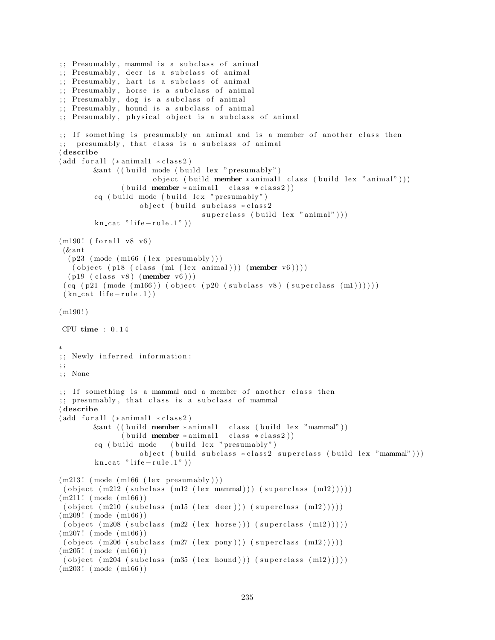```
\ldots Presumably, mammal is a subclass of animal
;; Presumably, deer is a subclass of animal
;; Presumably, hart is a subclass of animal
;; Presumably, horse is a subclass of animal
;; Presumably, dog is a subclass of animal
;; Presumably, hound is a subclass of animal
;; Presumably, physical object is a subclass of animal
\gamma;; If something is presumably an animal and is a member of another class then
;; presumably, that class is a subclass of animal
( describe
(add for all (* animal1 * class 2))\&ant (( build mode ( build lex " presumably")
                      object ( build member * animal1 class ( build lex " animal" ) )
               (buid member * animal1 class * class 2))cq ( build mode ( build lex " presumably")
                   object ( build subclass * class2
                                 superclass ( build lex "animal" ) )
        kn\_cat " life - rule .1" )(m190! (for all v8 v6)
 (\& ant
  (p23 \pmod{m166} (lex presumably))
   ( object ( p18 ( class (m1 (lex animal))) (member v6)))(p19 (class v8) (member v6) ))(cq (p21 (mode (m166)) (object (p20 (subclass v8) (superclass (m1))))))(kn \text{ cat } life-rule.1))(m190!)CPU time : 0.14∗
;; Newly inferred information:
; ;
; ; None
;; If something is a mammal and a member of another class then
;; presumably, that class is a subclass of mammal
( describe
(add for all (* animal1 * class 2))&ant ((build member *animal1 class (build lex "mammal"))
              (buid member * animal1 class * class 2))cq ( build mode ( build lex " presumably" )
                   object ( build subclass * class2 superclass ( build lex "mammal")))
        kn\_cat " life -rule.1")
(m213! \pmod{m166} (lex presumably)))
 ( object (m212 (subclass (m12 (lex mammal))) (superclass (m12)))))(m211! \pmod{m166})( object (m210 (subclass (ml5 (lex deer))) (superclass (ml2))))(m209 ! ( mode ( m166 ) )
 ( object (m208 \text{ (subclass (m22 (lex horse))) (superclass (m12)))))(m207! \pmod{m166})( object (m206 (subclass (m27 (lex pony))) (superclass (m12))))(m205 ! ( mode ( m166 ) )
 ( object (m204 (subclass (m35 (lex bound))) (superclass (m12)))))(m203 ! ( mode ( m166 ) )
```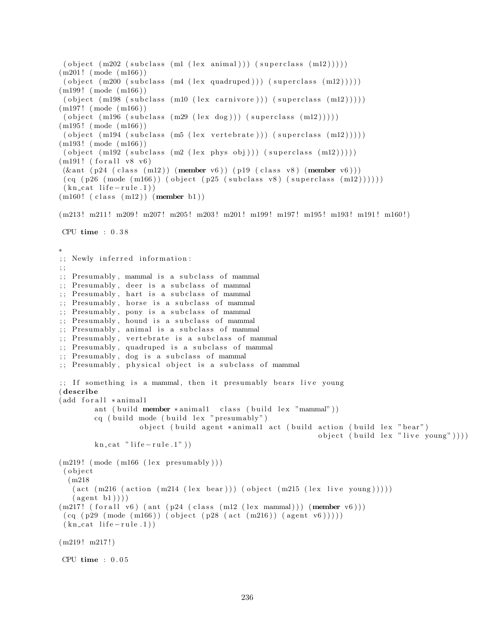```
( object (m202 (subclass (m1 (lex animal))) (superclass (m12))))(m201! \pmod{m166})( object (m200 (subclass (m4 (lex quadruped))) (superclass (m12)))))(m199! (mode (m166))
 ( object (m198 (subclass \ (m10 \ (lex \ canv) )) (superclass \ (m12))))(m197! \pmod{m166})( object (m196 (subclass (m29 (lex dog))) (superclass (m12)))))
(m195! \pmod{m166})( object (m194 (subclass (m5 (lex vertebrate))) (superclass (m12))))(m193! \pmod{m166})( object (m192 (subclass (m2 (lex phys obj))) (superclass (m12)))))(m191! (for all v8 v6)(\& ant (p24 \text{ (class (m12)) (member v6) } (p19 \text{ (class v8) (member v6) )})(cq (p26 (mode (m166)) (object (p25 (subclass v8) (superclass (m12))))))(kn_{cat} life -rule.1))
(m160! (class (m12)) (member b1))
(m213! m211! m209! m207! m205! m203! m201! m199! m197! m195! m193! m191! m160!)
CPU time : 0 . 3 8
∗
;; Newly inferred information:
; ;
;; Presumably, mammal is a subclass of mammal
;; Presumably, deer is a subclass of mammal
;; Presumably, hart is a subclass of mammal
;; Presumably, horse is a subclass of mammal
;; Presumably, pony is a subclass of mammal
;; Presumably, hound is a subclass of mammal
;; Presumably, animal is a subclass of mammal
;; Presumably, vertebrate is a subclass of mammal
;; Presumably, quadruped is a subclass of mammal
; Presumably, dog is a subclass of mammal
;; Presumably, physical object is a subclass of mammal
;; If something is a mammal, then it presumably bears live young
( describe
(add for all ∗animal1
        ant ( build member * animal1 class ( build lex "mammal"))
        cq ( build mode ( build lex " presumably")
                   object (build agent *animal1 act (build action (build lex "bear")
                                                             object ( build lex "live young" )))
        kn\_cat " life -rule.1")
(m219! \pmod{m166} (lex presumably))
( o b j e c t
  (m218
   (\text{act } (m216 \text{ (action } (m214 \text{ (lex } bear))) (\text{object } (m215 \text{ (lex } live young))))))(\text{agent } b1)))(m217! (for all v6) (ant (p24 (class (m12 (lex mammal))) (member v6)))(cq (p29 (mode (m166)) (object (p28 (act (m216)) (agent v6))))(kn \text{ cat } life-rule.1))(m219! m217!)CPU time : 0.05
```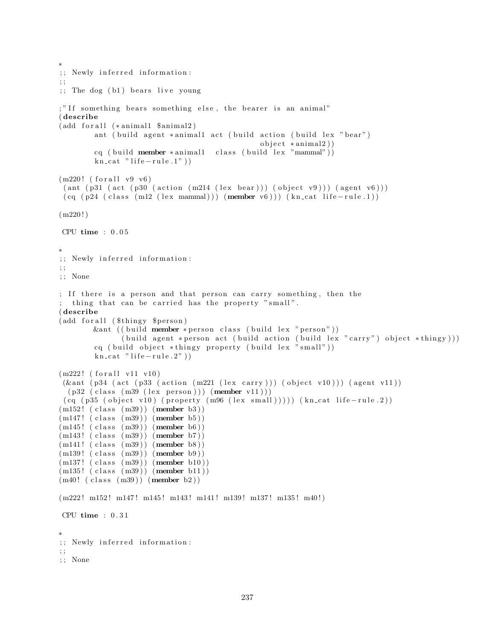```
∗
;; Newly inferred information:
; ;
;; The dog (b1) bears live young
;" If something bears something else, the bearer is an animal"
( describe
(add for all <math>*</math> animal1 <math>$animal2)</math>)ant ( build agent *animall act ( build action ( build lex " bear")
                                                  object * animal2)cq ( build member * animal1 class ( build lex "mammal"))
        kn cat " life - rule.1")(m220! (for all v9 v6)
 (\text{ant } (p31 \text{ (act } (p30 \text{ (action } (m214 \text{ (lex } bear))) \text{ (object } v9))) (\text{agent } v6)))(cq (p24 (class (m12 (lex mammal))) (member v6))) (kncat life-rule.1))(m220!)CPU time : 0 . 0 5
∗
;; Newly inferred information:
; ;
; ; None
; If there is a person and that person can carry something, then the
 thing that can be carried has the property "small".
( describe
(add for all ($thingy $person)
        &ant ((build member *person class (build lex "person"))
               ( build agent * person act ( build action ( build lex " carry" ) object * thingy ) ) )
        cq ( build object *thingy property ( build lex "small"))
        kn cat " life -rule .2")
(m222! (for all v11 v10)(\& ant (p34 (act (p33 (action (m221 (lex carry))) (object v10))) (agent v11))
  (p32 \text{ (class } (m39 \text{ (lex } person))) \text{ (member } v11)))(cq (p35 (object v10) (property (m96 (lex small)))))(kncat life-rule.2))(m152! \text{ (class } (m39)) \text{ (member } b3))(m147!~(class~(m39))~(member~b5))(m145! (class (m39)) (member b6))(m143! (class (m39)) (member b7))
(m141! (class (m39)) (member b8))(m139! (class (m39)) (member b9))(m137! (class (m39)) (member b10))
(m135! (class (m39)) (member b11))(m40! (class (m39)) (member b2))
(m222! m152! m147! m145! m143! m141! m139! m137! m135! m40!)
CPU time : 0 . 3 1
∗
;; Newly inferred information:
; ;
; ; None
```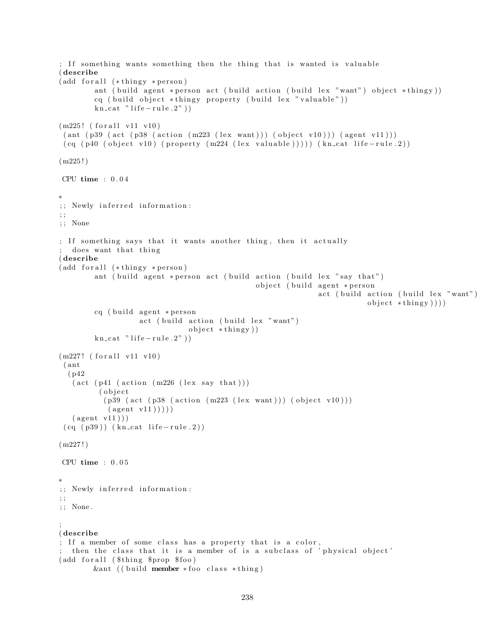```
; If something wants something then the thing that is wanted is valuable
( describe
(add for all <math>(*thingy * person)ant ( build agent * person act ( build action ( build lex "want") object * thingy))
        cq ( build object *thingy property ( build lex " valuable"))
        kn\_cat " life - rule . 2" )(m225! (for all v11 v10)( ant (p39 (act (p38 (action (m223 (lex want))) (object v10))) (agent v11)))(cq (p40 (object v10) (property (m224 (lex valuable)))) (kncat life-rule.2))(m225!)CPU time : 0 . 0 4
∗
;; Newly inferred information:
; ;
; ; None
; If something says that it wants another thing, then it actually
  does want that thing
( describe
(add for all (*thingy * person))ant ( build agent * person act ( build action ( build lex " say that")
                                                object ( build agent * person
                                                               act (build action (build lex "want")
                                                                           object * thing y ))cq ( build agent * person
                   act ( build action ( build lex "want")
                               object * thing y )kn\_cat " life -rule.2"))
(m227! (for all v11 v10)( ant
  ( p42
   (\text{act } (p41 \ (\text{action } (m226 \ (\text{lex say that})))( object
           (p39 (act (p38 (action (m223 (lex want))) (object v10)))(\text{agent v11})))(\text{agent v11} ))(cq (p39)) (kncat life-rule.2))(m227!)CPU time : 0 . 0 5
∗
;; Newly inferred information:
; ;
; ; None .
;
( describe
; If a member of some class has a property that is a color,
 then the class that it is a member of is a subclass of 'physical object'
(add for all ($thing $prop $ foo)
        &ant (( build member *foo class *thing)
```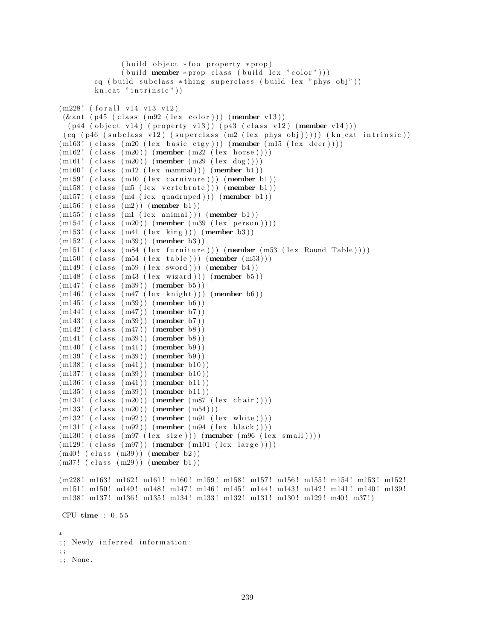```
(buid object * foo property * prop)(\text{build member } * \text{prop class } (\text{build lex } " \text{ color }"))cq ( build subclass *thing superclass ( build lex " phys obj"))
        kn\_cat " intrinsic")
(m228! (for all v14 v13 v12))(\& ant ( p45 ( class (m92 (lex color))) (member v13))
  (p44 (object v14) (property v13)) (p43 (class v12) (member v14)))(cq (p46 (subclass v12) (superclass (m2 (lex phys obj)))))(kn_cat intrinsic))(m163! (class (m20 (lex basic ctgy))) (member (m15 (lex deer))))
(m162! (class (m20)) (member (m22 (lex horse))))(m161!~(class~(m20))~(member~(m29~(lex~dog))))(m160! (class (m12 (lex mammal))) (member b1))
(m159! (class (m10 (lex carnivore))) (member b1))
(m158! (class (m5 (lex vertebrate))) (member b1))
(m157! (class (m4 (lex quadruped))) (member b1))
(m156! (class (m2)) (member b1))(m155! (class (ml (lex animal))) (member b1))(m154!~(class~(m20))~(member~(m39~(lex~person))))(m153! (class (m41 (lex king))) (member b3))
(m152! (class (m39)) (member b3))(m151! (class (m84 (lex fourniture))) (member (m53 (lex Round Table))))(m150! (class (m54 (lex table))) (member (m53)))
(m149! (class (m59 (lex word))) (member b4))(m148! (class (m43 (lex wizard))) (member b5))
(m147!~(class~(m39))~(member~b5))(m146! (class (m47 (lex knight))) (member b6))
(m145! (class (m39)) (member b6))
(m144! (class (m47)) (member b7))
(m143! (class (m39)) (member b7))(m142! (class (m47)) (member b8))(m141! (class (m39)) (member b8))(m140! (class (m41)) (member b9)(m139! (class (m39)) (member b9)(m138! (class (m41)) (member b10))
(m137!~(class~(m39))~(member~b10))(m136! (class (m41)) (member b11))
(m135! (class (m39)) (member b11))(m134! (class (m20)) (member (m87 (lex chair))))(m133! \ (class \ (m20)) \ (member \ (m54) ) )(m132! (class (m92)) (member (m91 (lex white))))(m131! (class (m92)) (member (m94 (lex black))))(m130! (class (m97 (lex size))) (member (m96 (lex small))))(m129! (class (m97)) (member (m101 (lex large))))(m40!~(class~(m39))~(member~b2))(m37! \text{ (class } (m29)) \text{ (member } b1))(m228! m163! m162! m161! m160! m159! m158! m157! m156! m155! m154! m153! m152!
m151! m150! m149! m148! m147! m146! m145! m144! m143! m142! m141! m140! m139!
m138 ! m137 ! m136 ! m135 ! m134 ! m133 ! m132 ! m131 ! m130 ! m129 ! m40 ! m37 ! )
CPU time : 0 . 5 5
∗
;; Newly inferred information:
; ;
; ; None .
```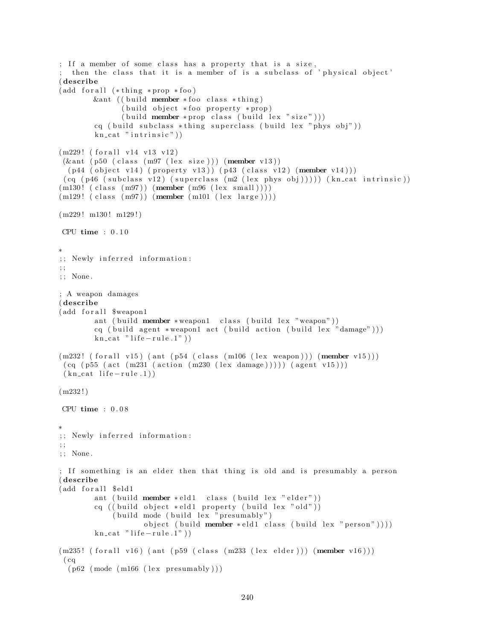```
; If a member of some class has a property that is a size,
 then the class that it is a member of is a subclass of 'physical object'
( describe
(add for all (*thing * prop * foo))&ant (( build member * foo class * thing)
               (buid object * foo property * prop)(\text{build member * prop class } (\text{build lex " size"))})cq ( build subclass *thing superclass ( build lex " phys obj"))
        kn\_cat " in trinsic")
(m229! (for all v14 v13 v12)(\& ant (p50 (class (m97 (lex size))) (member v13))
  (p44 (object v14) (property v13)) (p43 (class v12) (member v14)))(cq (p46 (subclass v12) (superclass (m2 (lex phys obj)))))(kn_cat intrinsic))(m130! (class (m97)) (member (m96 (lex small))))
(m129! (class (m97)) (member (m101 (lex large))))(m229! m130! m129!)CPU time : 0.10∗
;; Newly inferred information:
; ;
; ; None .
; A weapon damages
( describe
(add for all $weapon1
        ant ( build member * weapon1 class ( build lex "weapon"))
        cq ( build agent *weapon1 act ( build action ( build lex "damage") ) )
        kn cat " life - rule.1")(m232! \text{ (for all v15) (ant (p54 (class (m106 (lex weapon)))) (member v15)))}(cq (p55 (act (m231 (action (m230 (lex damage)))) (agent v15)))(kn_{\text{cat}}\text{life}-rule.1)(m232!)CPU time : 0 . 0 8
∗
;; Newly inferred information:
; ;
; ; None .
; If something is an elder then that thing is old and is presumably a person
( describe
(add for all $ eld 1
        ant ( build member * eld1 class ( build lex " elder"))
        cq ( ( build object *eld1 property ( build lex "old"))
             ( build mode ( build lex " presumably")
                    object ( build member * eld1 class ( build lex " person" )))
        kn\_cat " life -rule.1")
(m235! \text{ (for all v16) (ant (p59 (class (m233 (lexelder))) (member v16)))}( cq
  (p62 \pmod{m166} \text{ (lex presumably)} )
```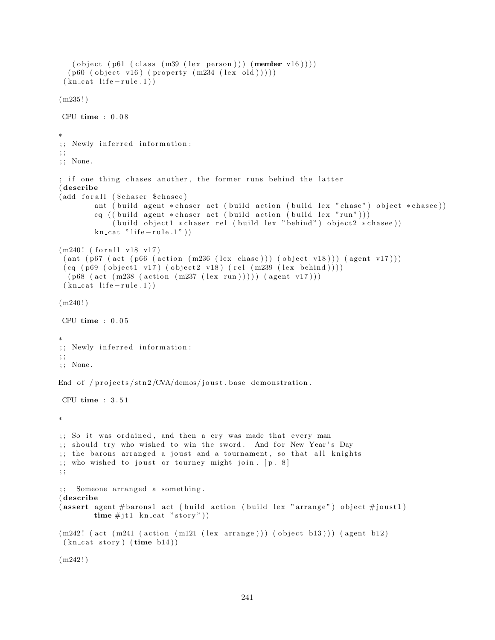```
( object (p61 (class (m39 (lex person))) (member v16))))(p60 (object v16) (property (m234 (lex old))))(kn cat life - rule.1)(m235!)CPU time : 0 . 0 8
∗
;; Newly inferred information:
; ;
; ; None .
; if one thing chases another, the former runs behind the latter
( describe
(add for all ($chaser $ chasee)
        ant ( build agent * chaser act ( build action ( build lex " chase") object * chasee))
        cq ( ( build agent * chaser act ( build action ( build lex " run" ) ) )
             (\text{build object1 * } \text{chaser rel } (\text{build lex " behind" }) \text{ object2 * } \text{chase}))kn\_cat " life -rule.1")
(m240! (for all v18 v17))(ant (p67 (act (p66 (action (m236 (lex chose)))) (object v18)))) (agent v17)))(cq (p69 (object1 v17) (object2 v18) (rel (m239 (lex behind))))(p68 (act (m238 (action (m237 (lex run)))) (agent v17)))(kn_{cat} life -rule.1))
(m240!)CPU time : 0 . 0 5
∗
;; Newly inferred information:
; ;
; ; None .
End of /projects/stn2/CVA/demos/joust.base demonstration.
CPU time : 3 . 5 1
∗
;; So it was ordained, and then a cry was made that every man
;; should try who wished to win the sword. And for New Year's Day
;; the barons arranged a joust and a tournament, so that all knights
; who wished to joust or tourney might join. [p. 8]; ;
;; Someone arranged a something.
( describe
(assert agent #barons1 act (build action (build lex "arrange") object #joust1)
        time \# j \text{t1} kn_cat "story"))
(m242! (act (m241 (action (m121 (lex arrange))) (object b13))) (agent b12)
 (kn\_cat~ story) (time~b14))(m242!)
```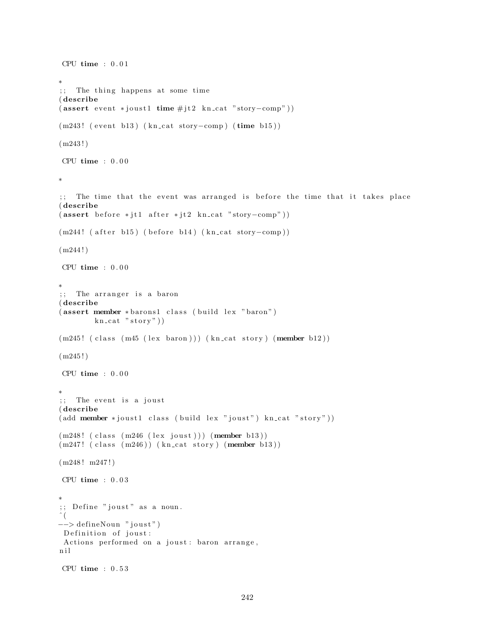```
CPU time : 0 . 0 1
∗
;; The thing happens at some time
( describe
(assert event *joust1 time #jt2 kn_cat "story-comp"))(m243! (event b13) (kn_cat story-comp) (time b15))
(m243!)CPU time : 0.00∗
;; The time that the event was arranged is before the time that it takes place
( describe
(assert\ before *jtl\ after *jt2\ kn\ cat\ "story–comp")(m244! ( after b15) ( before b14) (kn_cat story-comp))
(m244!)CPU time : 0.00∗
;; The arranger is a baron
( describe
( assert member * barons1 class (build lex "baron")
        kn cat "stop"))
(m245! (class (m45 (lex baron))) (kn_cat story) (member b12))
(m245!)CPU time : 0.00∗
;; The event is a joust
( describe
(\text{add member *} j \text{oust1 class } (\text{build lex "} j \text{oust"}) \text{ kncat "story"))})(m248! (class (m246 (lex joust))) (member b13))
(m247!~(class~(m246))~(kn\_cat~ story)~(member~b13))(m248! m247!)CPU time : 0 . 0 3
∗
;; Define "joust" as a noun.
\hat{\ } (
−−> defineNoun "joust")
 Definition of joust:
Actions performed on a joust : baron arrange,
n i l
CPU time : 0 . 5 3
```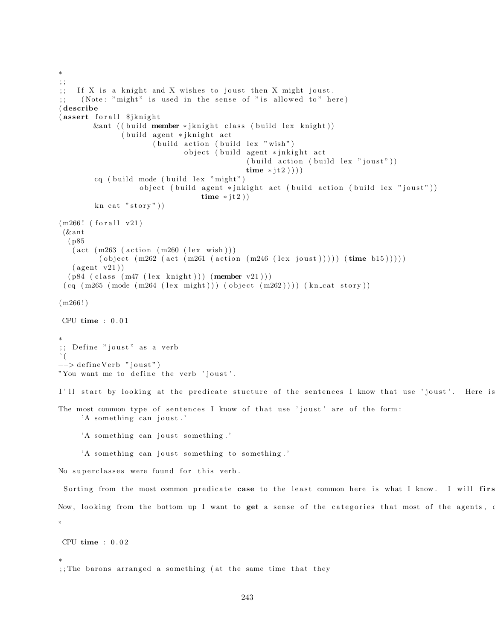```
; ;
;; If X is a knight and X wishes to joust then X might joust.
;; (Note: "might" is used in the sense of "is allowed to" here)
( describe
(assert for all <math>\frac{1}{3}</math>&ant ((build member *jknight class (build lex knight))
               ( build agent * jknight act
                       ( build action ( build lex " wish")
                              object ( build agent * jnkight act
                                              (\text{build action (build lex "joust"))})time * jt2 )))
        cq ( build mode ( build lex "might")
                   object ( build agent * jnkight act ( build action ( build lex " joust" ) )
                                  time * jt2))
        kn cat "stop"))
(m266! (for all v21)
 (& ant
  ( p85
   (\text{act } (m263 \text{ (action } (m260 \text{ (lex } wish))))( object (m262 (act (m261 (action (m246 (lex joust))))) (time b15)))))
   (\text{agent v21})(p84 (class (m47 (lex knight))) (member v21)))(cq \ (m265 \ (mode \ (m264 \ (lex \ might))) \ (object \ (m262))))) (kn\_cat \ story))(m266!)CPU time : 0 . 0 1
∗
;; Define "joust" as a verb
\hat{\ } (
−−> defineVerb "joust")
"You want me to define the verb 'joust'.
I'll start by looking at the predicate stucture of the sentences I know that use 'joust'. Here is
The most common type of sentences I know of that use 'joust' are of the form:
     'A something can joust.'
     'A something can joust something.'
     'A something can joust something to something.'
No superclasses were found for this verb.
 Sorting from the most common predicate case to the least common here is what I know. I will firs
Now, looking from the bottom up I want to get a sense of the categories that most of the agents, o
"
CPU time : 0 . 0 2
∗
;; The barons arranged a something (at the same time that they
```
∗

```
243
```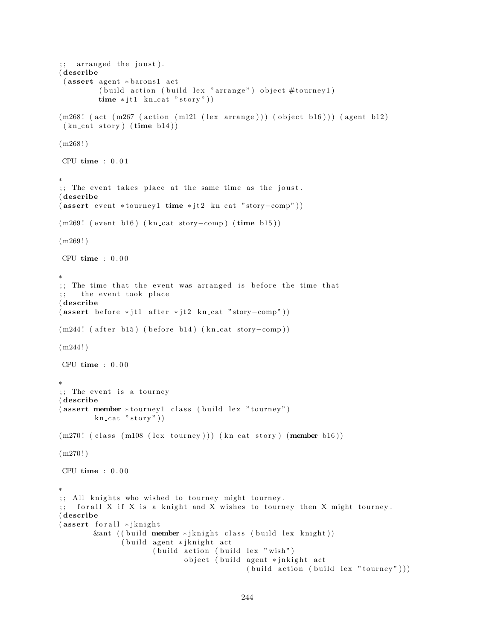```
; arranged the joust).
( describe
 (assert agent *barons1 act
         ( build action ( build lex " arrange" ) object \# tourney 1 )
         time * j t 1 kn_cat "story"))
(m268! (act (m267 (action (m121 (lex arrange))) (object b16))) (agent b12)
 (kn_{\text{cat story}})(time b14))(m268!)CPU time : 0 . 0 1
∗
;; The event takes place at the same time as the joust.
( describe
(assert event *tourney1 time * jt2 kn_cat "story–comp"))(m269! (event b16) (kn_cat story-comp) (time b15))
(m269!)CPU time : 0.00∗
\gamma;; The time that the event was arranged is before the time that
;; the event took place
( describe
(assert\ before * it1\ after * it2\ kn\_cat " story–comp"))(m244! ( after b15) ( before b14) (kn_cat story-comp))
(m244!)CPU time : 0 . 0 0
∗
;; The event is a tourney
( describe
( assert member * tourney 1 class (build lex "tourney")
        kn cat "stop"))
(m270! (class (m108 (lex tourney))) (kn_cat story) (member b16))
(m270!)CPU time : 0.00∗
;; All knights who wished to tourney might tourney.
;; for all X if X is a knight and X wishes to tourney then X might tourney.
( describe
(assert forall ∗jknight
        &ant (( build member * jknight class ( build lex knight))
               ( build agent * jknight act
                      ( build action ( build lex " wish")
                             object ( build agent * jnkight act
                                            (buid action (build lex "tourney"))
```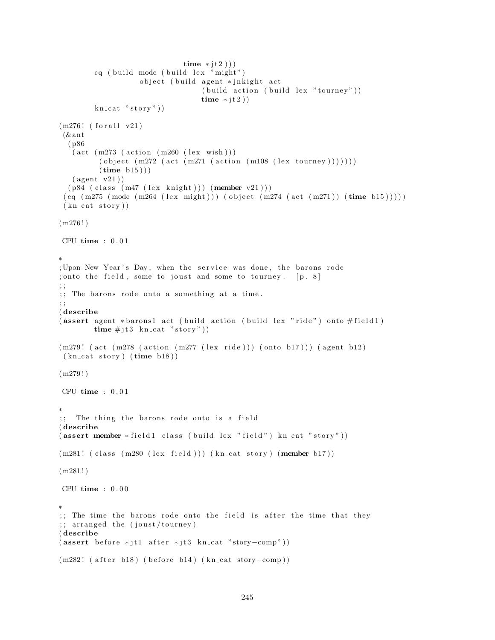```
time * it 2))
         cq ( build mode ( build lex "might")
                    object ( build agent * jnkight act
                                    (build action (build lex "tourney"))time * jt2))
         kn\_cat "stor y")
(m276! (for all v21)
 (\& ant
  ( p86
   (\text{act } (m273 \text{ (action } (m260 \text{ (lex } wish))))( object (m272 (act (m271 (action (m108 (lex tourney)))))))(\text{time } b15))
   (\text{agent v21}))(p84 \text{ (class } (m47 \text{ (lex } knight))) (member v21)))
 (cq \ (m275 \ (mode \ (m264 \ (lex \ might))) \ (object \ (m274 \ (act \ (m271)) \ (time \ b15))))(kn cat story))
(m276!)CPU time : 0 . 0 1
∗
; Upon New Year's Day, when the service was done, the barons rode
; onto the field, some to joust and some to tourney. [p, 8]; ;
;; The barons rode onto a something at a time.
; ;
( describe
(assert agent *barons1 act (build action (build lex "ride") onto #field1)
        time \# j \, t \, 3 \, kn_cat "story"))
(m279! (act (m278 (action (m277 (lex ride))) (onto b17))) (agent b12)
 (kn<sub>cat story</sub> (time b18))(m279!)CPU time : 0 . 0 1
∗
;; The thing the barons rode onto is a field
( describe
(assert member *field1 class (build lex "field") kn_cat "story"))
(m281! (class (m280 (lex field))) (kn_cat story) (member b17))
(m281!)CPU time : 0 . 0 0
∗
;; The time the barons rode onto the field is after the time that they
;; arranged the (joust/tourney)
( describe
(assert\ before * it1\ after * it3\ kn\_cat "story–comp"))(m282! ( after b18) ( before b14) ( kn_cat story-comp))
```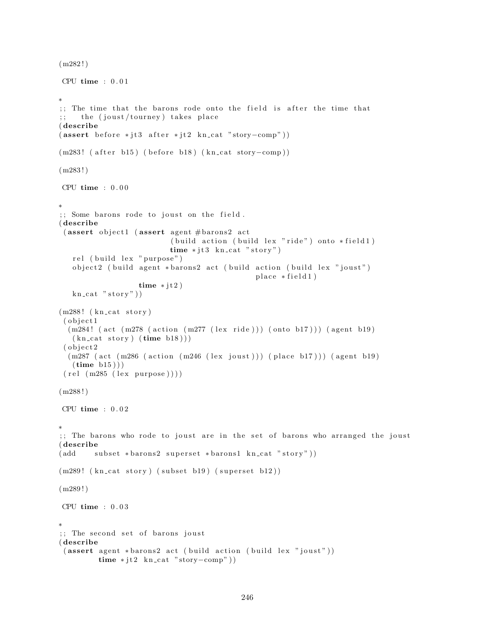```
(m282!)CPU time : 0.01∗
;; The time that the barons rode onto the field is after the time that
;; the (joust/tourney) takes place
( describe
(assert\ before * it3 after * it2 kn_cat "story-comp"))(m283! ( after b15) ( before b18) (kn_cat story-comp))
(m283!)CPU time : 0 . 0 0
∗
;; Some barons rode to joust on the field.
( describe
 (assert object1 (assert agent # \text{barons2 act}( build action ( build lex "ride") onto *field1)
                           time * jt3 kn_cat "story")rel (build lex "purpose")
   object2 (build agent *barons2 act (build action (build lex "joust")
                                                 place * field 1)time * jt2)
   kn\_cat "stor y")
(m288! (kn_cat story)
 (object1(m284! (act (m278 (action (m277 (lex ride))) (onto b17))) (agent b19)
   (kn-cat story) (\text{time } b18))
 (object2(m287 \text{ (act } (m286 \text{ (action } (m246 \text{ (lex } joust)))) \text{ (place } b17))) (agent b19)
   (\text{time } b15))(\text{rel} (\text{m285} (\text{lex} \text{purpose}))))(m288!)CPU time : 0 . 0 2
∗
;; The barons who rode to joust are in the set of barons who arranged the joust
( describe
(\text{add} \text{ subset *barons2 superset *barons1 } kn\_cat "story"))(m289! (kn_cat story) (subset b19) (superset b12))
(m289!)CPU time : 0 . 0 3
∗
;; The second set of barons joust
( describe
 (assert agent *barons2 act (build action (build lex "joust"))time * jt2 \ kn\_cat "story–comp")
```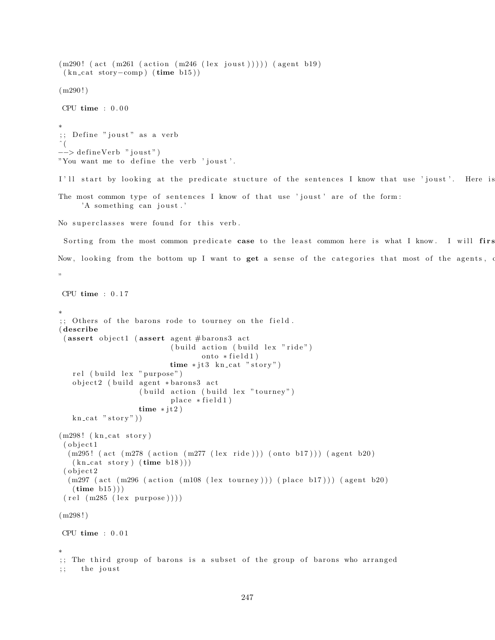```
(m290! (act (m261 (action (m246 (lex joust))))) (agent b19)
 (kn_{\text{cat story}-comp}) (time b15))
(m290!)CPU time : 0.00∗
;; Define "joust" as a verb
\hat{\ } (
−−> defineVerb "joust")
"You want me to define the verb 'joust'.
I'll start by looking at the predicate stucture of the sentences I know that use 'joust'. Here is
The most common type of sentences I know of that use 'joust' are of the form:
     'A something can joust.'
No superclasses were found for this verb.
 Sorting from the most common predicate case to the least common here is what I know. I will firs
Now, looking from the bottom up I want to get a sense of the categories that most of the agents, o
"
CPU time : 0 . 1 7
∗
;; Others of the barons rode to tourney on the field.
( describe
 (assert object1 (assert agent #barons3 act
                            ( build action ( build lex "ride")
                                    onto * field 1)time * jt3 \; kn\_cat "story")rel (build lex "purpose")
   object2 (build agent *barons3 act
                    ( build action ( build lex " tourney")
                            place * field1)time * jt2)
   kn\_cat "stor y")
(m298! (kn_cat story)
 ( object1
  (m295! (\text{act } (m278 \text{ (action } (m277 \text{ (lex ride)}))) (\text{onto } b17))) (\text{agent } b20)(kn-cat story) (\text{time } b18))( object2
  (m297 \text{ (act } (m296 \text{ (action } (m108 \text{ (lex tourney)}))) (place b17))) (agent b20)(\text{time } b15))(\text{rel} (\text{m285} (\text{lex} \text{purpose}))))(m298!)
CPU time : 0 . 0 1
∗
;; The third group of barons is a subset of the group of barons who arranged
;; the joust
```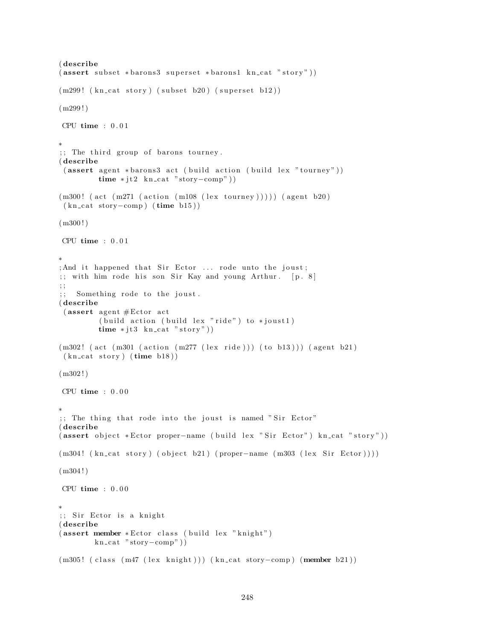```
( describe
(assert subset *barons3 superset *barons1 kncat "stor")(m299! (kn_cat story) (subset b20) (superset b12))
(m299!)CPU time : 0.01∗
; The third group of barons tourney.
( describe
( assert agent *barons3 act ( build action ( build lex "tourney"))
         time * jt2 \text{ kn} cat "story–comp")(m300! (act (m271 (action (m108 (lex tourney))))) (agent b20)
(kn\_cat~story–comp) (time b15))
(m300!)CPU time : 0 . 0 1
∗
; And it happened that Sir Ector ... rode unto the joust;
;; with him rode his son Sir Kay and young Arthur. [p. 8]; ;
;; Something rode to the joust.
( describe
 (assert agent #Etor act
         ( build action ( build lex "ride") to *joust1)
         time * jt3 \text{ kn} cat "story"))(m302! (act (m301 (action (m277 (lex ride))) (to b13))) (agent b21)
(kn\_cat~ story) (time~b18)(m302!)CPU time : 0 . 0 0
∗
;; The thing that rode into the joust is named "Sir Ector"
( describe
( assert object *Ector proper-name (build lex "Sir Ector") kn_cat "story"))
(m304! (kn\_cat story) (object b21) (proper-name (m303 (lex Sir Ector))))
(m304!)CPU time : 0.00∗
;; Sir Ector is a knight
( describe
(assert member *Etor class (build lex "knight")
        kn_cat "story-comp"))
(m305! ( class (m47 (lex knight))) (kn_cat story-comp) (member b21))
```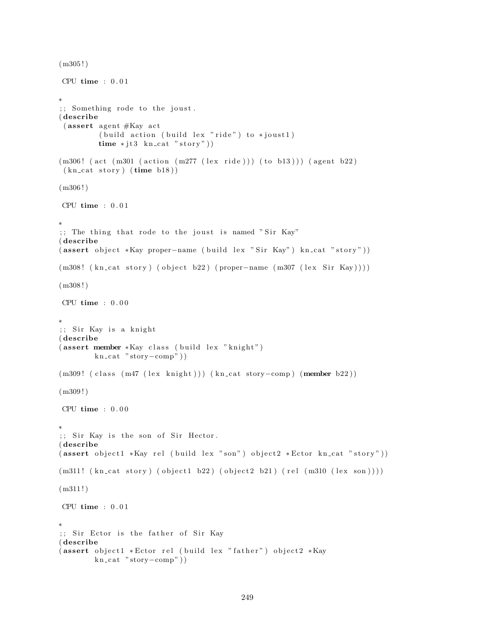```
(m305!)CPU time : 0 . 0 1
∗
;; Something rode to the joust.
( describe
 ( assert agent #Kay act
         (b uild action ( build lex "ride") to *joust1)
         time * jt3 \text{ kn} cat "story"))(m306! (act (m301 (action (m277 (lex ride))) (to b13))) (agent b22)
 (kn\_cat\_story) (time b18)(m306!)CPU time : 0.01∗
;; The thing that rode to the joust is named "Sir Kay"
( describe
( assert object *Kay proper-name ( build lex "Sir Kay") kn_cat "story"))
(m308! (kn_cat story) (object b22) (proper−name (m307 (lex Sir Kay))))
(m308!)CPU time : 0 . 0 0
∗
;; Sir Kay is a knight
( describe
( assert member *Kay class ( build lex "knight")
        kn\_cat "story-comp"))
(m309! ( class (m47 (lex knight))) (kn_cat story-comp) (member b22))
(m309!)CPU time : 0 . 0 0
∗
;; Sir Kay is the son of Sir Hector.
( describe
(assert\;object1*Kay\;rel\;(build\;lex\;"son")\;object2*Etor\;kn\_cat\;"story"))(m311! \ (kn\_cat \ story) \ (object1 \ b22) \ (object2 \ b21) \ (rel \ (m310 \ (lex \ son))))(m311!)CPU time : 0.01∗
;; Sir Ector is the father of Sir Kay
( describe
(assert object1 *Ector rel (build lex "father") object2 *Kay
        kn_cat "story-comp"))
```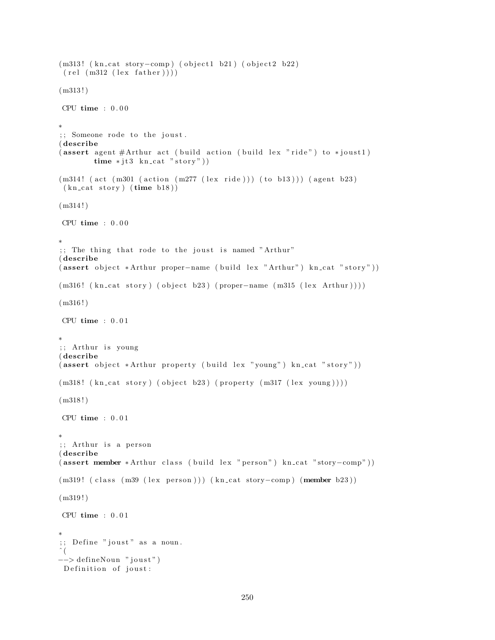```
(m313! (kn_cat story-comp) (object1 b21) (object2 b22)
 (\text{rel} (\text{m312} (\text{lex} \text{father})))(m313!)CPU time : 0 . 0 0
∗
;; Someone rode to the joust.
( describe
(assert agent #Arthur act (build action (build lex "ride") to *joust1)
        time * jt3 \ kncat "story"))(m314! (act (m301 (action (m277 \text{ (lex ride)})) (to b13))) (agent b23)
 (kn\_cat~ story) (time~b18))(m314!)CPU time : 0.00∗
;; The thing that rode to the joust is named "Arthur"
( describe
( assert object *Arthur proper-name ( build lex " Arthur") kn_cat " story"))
(m316! (kn_cat story) (object b23) (proper-name (m315 (lex Arthur))))
(m316!)CPU time : 0.01∗
;; Arthur is young
( describe
( assert object *Arthur property ( build lex "young") kn_cat "story"))
(m318! \text{ (kncat story)} (object b23) (property (m317 (lex young))))(m318!)CPU time : 0 . 0 1
∗
;; Arthur is a person
( describe
( assert member * Arthur class ( build lex " person") kn_cat "story-comp"))
(m319! ( class (m39 (lex person))) (kn_cat story-comp) (member b23))
(m319!)CPU time : 0.01∗
;; Define "joust" as a noun.
\hat{\ } (
−−> de fineNoun " j o u s t " )
 Definition of joust:
```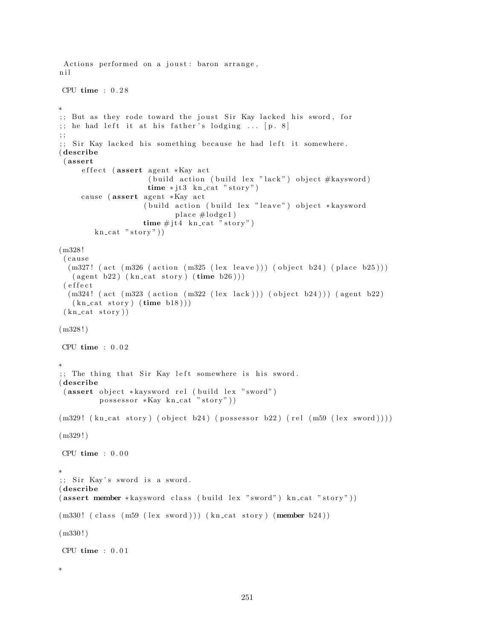```
Actions performed on a joust: baron arrange,
n i l
CPU time : 0 . 2 8
∗
;; But as they rode toward the joust Sir Kay lacked his sword, for
;; he had left it at his father's lodging ... [p. 8]; ;
;; Sir Kay lacked his something because he had left it somewhere.
( describe
 ( assert
     effect (assert agent *Kay act
                      ( build action ( build lex "lack") object #kaysword)
                     time * jt3 kncat "story")cause (assert agent *Kay act
                    ( build action ( build lex " leave") object * kaysword
                            place #lodge1)time \# j t 4 \text{ kncat "story")}kn\_cat "stor y")
(m328 !
 ( c au se
  (m327! (act (m326 (action (m325 (lex leave))) (object b24) (place b25)))
   (\text{agent } b22) (\text{kn\_cat story}) (\text{time } b26)))( e f f e c t
  (m324! (act (m323 (action (m322 (lex lack))) (object b24))) (agent b22)
   (kn\_cat~ story) (time~b18))(kn\_cat~story))(m328!)CPU time : 0.02∗
;; The thing that Sir Kay left somewhere is his sword.
( describe
 (assert object *kaysword rel (build lex "sword")
         possessor *Kay kncat "story"))(m329! \ (kn\_cat \ story) \ (object \ b24) \ (possessor \ b22) \ (rel \ (ms9 \ (lex \ sword))))(m329!)
CPU time : 0.00∗
;; Sir Kay's sword is a sword.
( describe
( assert member * kaysword class ( build lex " sword") kn_cat " story"))
(m330! (class (m59 (lex word))) (kncat story) (member b24))(m330 ! )
CPU time : 0 . 0 1
```
∗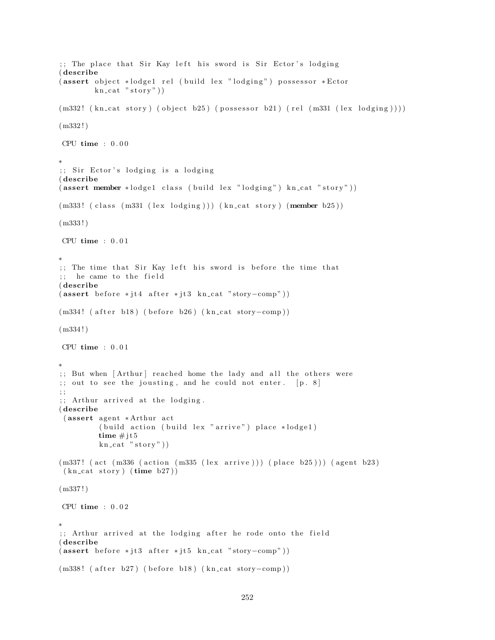```
;; The place that Sir Kay left his sword is Sir Ector's lodging
( describe
(assert object *lodge1 rel (build lex "lodging") possessor *Ector
        kn\_cat "stor y")
(m332! \ (kn\_cat story) \ (object b25) \ (possessor b21) \ (rel (m331 (lex lodging))))(m332!)CPU time : 0 . 0 0
∗
;; Sir Ector's lodging is a lodging
( describe
(assert member *lodge1 class (build lex "lodging") kn_cat "story"))
(m333! (class (m331 (lex lodging))) (kn_cat story) (member b25))
(m333 ! )
CPU time : 0 . 0 1
∗
;; The time that Sir Kay left his sword is before the time that
;; he came to the field
( describe
(assert\ before *jt4\ after *jt3\ kn\ cat "story-comp"))(m334! ( after b18) ( before b26) (kn_cat story-comp))
(m334!)CPU time : 0 . 0 1
∗
;; But when [Arthur] reached home the lady and all the others were
;; out to see the jousting, and he could not enter. [p. 8]; ;
;; Arthur arrived at the lodging.
( describe
 (assert agent *Arthur act
         ( build action ( build lex " arrive") place *lodge1)
         time \# j t 5kn\_cat "story")
(m337! (act (m336 (action (m335 (lex arrive))) (place b25))) (agent b23)
 (kn_{\text{cat story}})(time b27))(m337 ! )
CPU time : 0.02∗
;; Arthur arrived at the lodging after he rode onto the field
( describe
(assert\ before *jt3\ after *jt5\ kn\_cat "story–comp"))(m338! ( after b27) ( before b18) (kn_cat story-comp))
```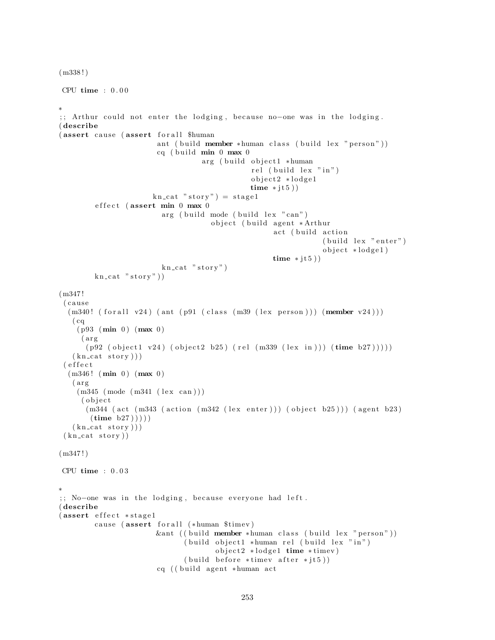```
(m338 ! )
CPU time : 0.00∗
;; Arthur could not enter the lodging, because no-one was in the lodging.
( describe
(assert cause (assert for all $human
                       ant ( build member *human class ( build lex " person" ))
                       cq ( build min 0 max 0
                                  arg ( build object1 *human
                                              rel (build lex "in")
                                              object2 *lodge1
                                              time * jt5))
                      kn\_cat "story") = stage1effect (assert min 0 max 0
                        arg ( build mode ( build lex "can")
                                    object ( build agent *Arthur
                                                   act (build action
                                                               (buid lex "enter")object *lodge1)
                                                   time * jt5))
                        kn\_cat "story")
        kn\_cat "stor y")
(m347 !
 ( c au se
  (m340! (for all v24) (ant (p91 (class (m39 (lex person)))) (member v24)))(cq)(p93 (min 0) (max 0)(arg)(p92 (object1 v24) (object2 b25) (rel (m339 (lex in))) (time b27))))(kn cat story ))( e f f e c t
  (m346! (min 0) (max 0)
   (arg)(m345 \ (mode \ (m341 \ (lex \ can)))( object(m344 (act (m343 (action (m342 (lex enter))) (object b25))) (agent b23)
       (\text{time } b27)))
   (kn\_cat~stor y))(kn cat story))
(m347!)CPU time : 0 . 0 3
∗
;; No-one was in the lodging, because everyone had left.
( describe
(assert effect *stage1)
        cause (assert for all (*human $timev)
                       &ant (( build member *human class ( build lex " person"))
                              ( build object1 *human rel ( build lex "in")
                                     object2 ∗lodge1 time *timev)
                             (build before * timev after * jts))cq ((build agent *human act
```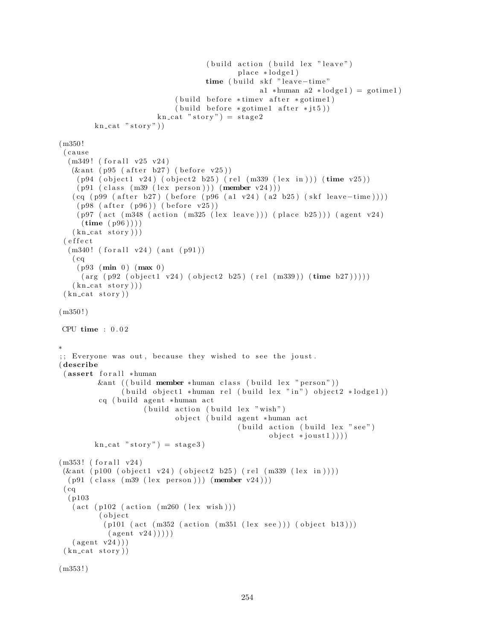```
(b uild action (b uild lex " leave" )
                                              place * lodge1)time ( build skf "leave-time"
                                                   a1 ∗human a2 ∗\text{lodeg}1 = gotime1)
                             ( build before *timev after *gotime1)
                             (buid before * gotten 1 after * j t 5))kn\_cat "stor y" = stage 2kn cat "story")
(m350 !
 ( c au se
  (m349! (for all v25 v24)(kant (p95 (after b27) (before v25))(p94 (object1 y24) (object2 b25) (rel (m339 (lex in))) (time y25))(p91 \text{ (class } (m39 \text{ (lex } person))) (member v24)))
   (cq (p99 (after b27) (before (p96 (a1 v24) (a2 b25) (skf leave-time))))(p98 (after (p96)) (before v25))(p97 (act (m348 (action (m325 (lex leave))) (place b25))) (agent v24)(\text{time } (p96) ))(kn<sub>cat story</sub>)))
 ( e f f e c t
  (m340! (for all v24) (ant (p91))( cq
    (p93 \ (min \ 0) \ (max \ 0)(\text{arg} (\text{p92} (\text{object1 v24}) (\text{object2 b25}) (\text{rel} (\text{m339})) (\text{time b27}))))(kn_{\text{cat }story} ))
 (kn<sub>cat story</sub>))
(m350!)CPU time : 0 . 0 2
∗
;; Everyone was out, because they wished to see the joust.
( describe
 (assert for all *human
         &ant ((build member *human class (build lex "person"))
                (build object1 *human rel (build lex "in") object2 * lodge1))cq ( build agent *human act
                     (buid action (build lex " wish")object (build agent *human act
                                              ( build action ( build lex " see")
                                                      object * joust1))kn\_cat "story" = stage3)(m353! (for all v24))
 (kant (p100 (object1 v24) (object2 b25) (rel (m339 (lex in))))(p91 (class (m39 (lex person))) (member v24)))(cq)( p103
   (\text{act } (p102 \text{ (action } (m260 \text{ (lex } wish))))( object
           (p101 (act (m352 (action (m351 (lex see)))) (object b13)))(\text{agent v24})))(\text{agent v24}))(kn\_cat~story))(m353 ! )
```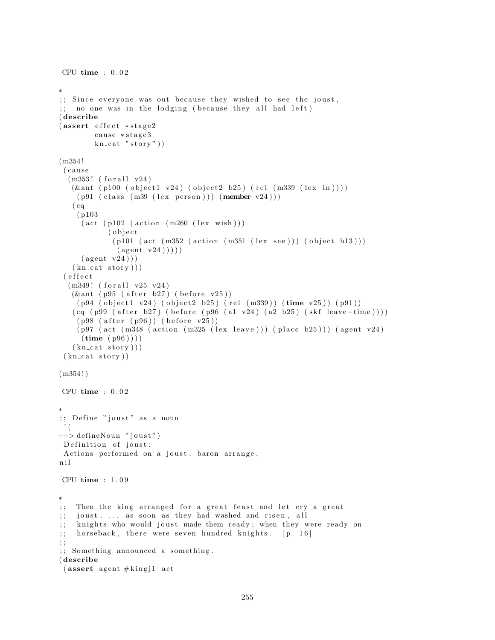```
CPU time : 0.02∗
;; Since everyone was out because they wished to see the joust,
\gamma; no one was in the lodging (because they all had left)
( describe
(assert effect *stage2)
        cause ∗stage3
        kn\_cat "stor y")
(m354 !
 ( c au se
  (m353! (for all v24)
   (kant (p100 (object1 v24) (object2 b25) (rel (m339 (lex in))))(p91 \text{ (class } (m39 \text{ (lex } person))) (member v24))))
   (cq)( p103
     (\text{act } (p102 \text{ (action } (m260 \text{ (lex } wish)))( o b j e c t
             (p101 (act (m352 (action (m351 (lex see))) (object b13)))
              (\text{agent v24})))(\text{agent v24}))(kn\_cat~stor y))( e f f e c t
  (m349! (for all v25 v24))(kant (p95 (after b27) (before v25))(p94 (object1 v24) (object2 b25) (rel (m339)) (time v25)) (p91))(cq (p99 (after b27) (before (p96 (a1 v24) (a2 b25) (skf leave-time))))(p98 (after (p96)) (before v25))(p97 \text{ (act } (m348 \text{ (action } (m325 \text{ (lex } leave))) (place b25))) (agent v24)(\text{time } (p96))(kn<sub>cat story</sub>)))
 (kn cat story))
(m354!)CPU time : 0.02∗
;; Define "joust" as a noun
 ˆ (
−−> defineNoun "joust")
Definition of joust:
Actions performed on a joust : baron arrange,
n i l
CPU time : 1 . 0 9
∗
;; Then the king arranged for a great feast and let cry a great
;; joust . ... as soon as they had washed and risen, all
;; knights who would joust made them ready; when they were ready on
; horseback, there were seven hundred knights. [p. 16]; ;
; ; Something announced a something .
( describe
 (assert agent \#kingj1 act
```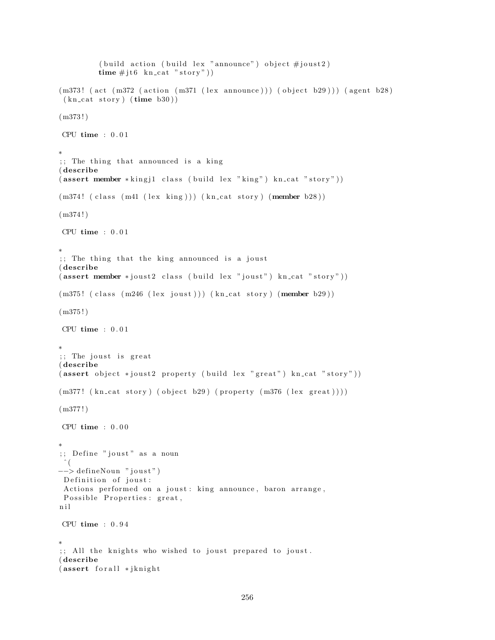```
( build action ( build lex "announce" ) object \#joust 2)
          time \# j \text{t} 6 kn_cat "story"))
(m373! (act (m372 (action (m371 (lex announce))) (object b29))) (agent b28)
 (kn\_cat\_story) (time b30)(m373!)CPU time : 0 . 0 1
∗
;; The thing that announced is a king
( describe
(\text{assert member} * \text{king} \text{ i } \text{class} \text{ (build lex "king") kn\_cat " story"))})(m374! ( class (m41 (lex king))) (kn_cat story) (member b28))
(m374!)CPU time : 0 . 0 1
∗
;; The thing that the king announced is a joust
( describe
(assert member *joust2 class (build lex "joust") kn_cat "story"))
(m375! (class (m246 (lex joust))) (kn_cat story) (member b29))
(m375!)CPU time : 0.01∗
;; The joust is great
( describe
(assert\ object *joust2 property (build lex "great") kn_cat " story"))(m377! \ (kn\_cat \ story) \ (object \ b29) \ (property \ (m376 \ (lex \ great)))(m377 ! )
CPU time : 0.00∗
;; Define "joust" as a noun
 \hat{\ } (
−−> defineNoun "joust")
Definition of joust:
 Actions performed on a joust: king announce, baron arrange,
Possible Properties: great,
n i l
CPU time : 0 . 9 4
∗
;; All the knights who wished to joust prepared to joust.
( describe
(assert for all *jknight
```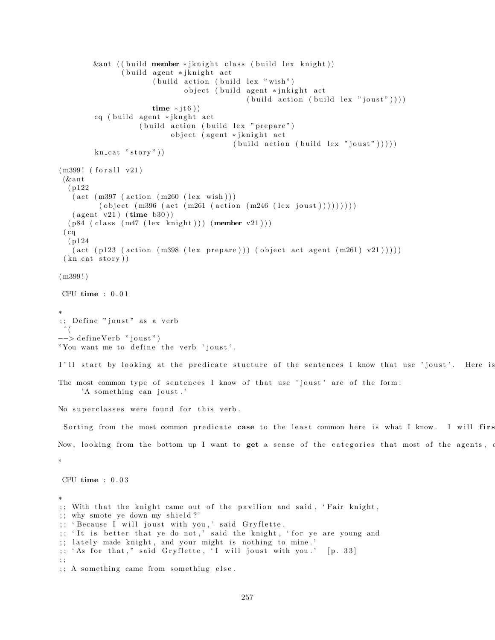```
\&ant (( build member * jknight class ( build lex knight))
                ( build agent * jknight act
                       (b uild action (b uild lex "wish")
                               object ( build agent * jnkight act
                                               (\text{build action } (build \, lex \, "joust"))))time * it 6)
         cq ( build agent * jknght act
                    ( build action ( build lex " prepare")
                            object (agent * jknight act
                                            (\text{build action } (build \text{ lex "joust"))}))kn\_cat "stor y")
(m399! (for all v21)(\& ant
  ( p122
   (\text{act } (m397 \text{ (action } (m260 \text{ (lex } wish)))( object (m396 (act (m261 (action (m246 (lex joust ))))))))
   (\text{agent v21}) (\text{time b30})(p84 \text{ (class } (m47 \text{ (lex } knight))) (member \text{ v21})))(cq)( p124
   (\text{act } (p123 \text{ (action } (m398 \text{ (lex } prepare))) (\text{object } act } agent \text{ (m261) v21))))))(kn\_cat~story))(m399!)CPU time : 0.01∗
;; Define "joust" as a verb
 ˆ (
\rightarrow define Verb "joust")
"You want me to define the verb 'joust'.
I'll start by looking at the predicate stucture of the sentences I know that use 'joust'. Here is
The most common type of sentences I know of that use 'joust' are of the form:
     'A something can joust.'
No superclasses were found for this verb.
 Sorting from the most common predicate case to the least common here is what I know. I will firs
Now, looking from the bottom up I want to get a sense of the categories that most of the agents, o
"
CPU time : 0 . 0 3
∗
;; With that the knight came out of the pavilion and said, 'Fair knight,
;; why smote ye down my shield ?'
;; 'Because I will joust with you,' said Gryflette.
;; 'It is better that ye do not,' said the knight, 'for ye are young and
;; lately made knight, and your might is nothing to mine.'
;; 'As for that," said Gryflette, 'I will joust with you.' [p. 33]
; ;
;; A something came from something else.
```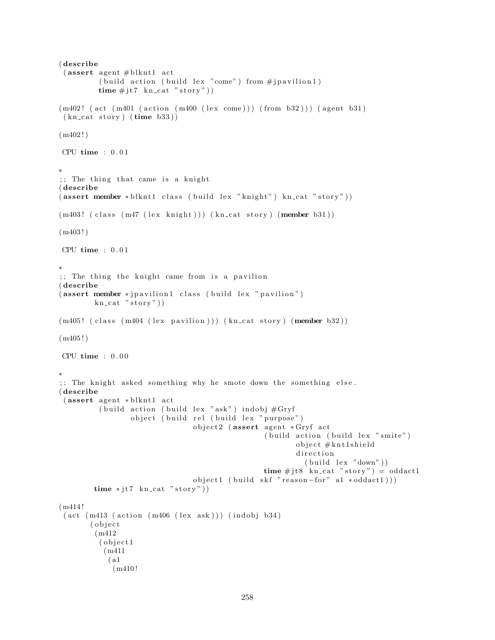```
( describe
 (assert agent # blknt1 act
          ( build action ( build lex "come" ) from \#j pavilion 1 )
          time \# j\text{t7} kn_cat "story"))
(m402! (act (m401 (action (m400 (lex come))) (from b32))) (agent b31)
 (kn_{\text{cat story}})(time b33))(m402!)CPU time : 0.01∗
;; The thing that came is a knight
( describe
(assert member *blknt1 class (build lex "knight") kn_cat "story"))
(m403! (class (m47 (lex knight))) (kn_cat story) (member b31))
(m403!)CPU time : 0 . 0 1
∗
;; The thing the knight came from is a pavilion
( describe
(assert member * jpavilion1 class (build lex "pavilion")
         kn\_cat "stor y")
(m405! (class (m404 (lex pavilion))) (kn_cat story) (member b32))
(m405!)CPU time : 0.00∗
;; The knight asked something why he smote down the something else.
( describe
 (assert agent * blknt1 act
          ( build action ( build lex "ask") indobj \#\mathrm{Gryf}object ( build rel ( build lex " purpose")
                                 object2 (assert agent *Gryf act
                                                    ( build action ( build lex " smite")
                                                            object #knt1shield
                                                            d i r e c t i o n
                                                              (b uild lex "down")time # jt8 kn_cat " story" ) = \text{oddact1}object1 ( build skf " reason-for" a1 *oddact1)))
        time * jt7 \ kn\_cat " story")(m414 !
 (\text{act } (m413 \text{ (action } (m406 \text{ (lex } ask))) (\text{indobj } b34))( o b j e c t
         (m412
          ( object1
           (m411
            ( a1
             (m410 !
```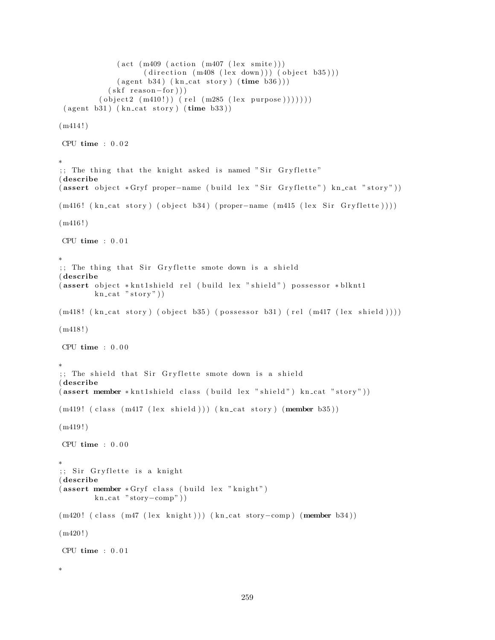```
(\text{act } (m409 \text{ (action } (m407 \text{ (lex suite)})))(direction (m408 (lex down))) (object b35)))(\text{agent } b34) (\text{kn\_cat story}) (\text{time } b36)))(skf reason-for))
         ( object2 (m410!) (rel (m285 (lex purpose))))( agent b31) ( kn-cut story) ( time b33) )(m414!)CPU time : 0.02∗
;; The thing that the knight asked is named "Sir Gryflette"
( describe
( assert object *Gryf proper-name ( build lex " Sir Gryflette") kn_cat "story"))
(m416! (kn\_cat story) (object b34) (proper-name (m415 (lex Sir Gryflette))))
(m416!)CPU time : 0 . 0 1
∗
;; The thing that Sir Gryflette smote down is a shield
( describe
(assert object *knt1shield rel (build lex "shield") possessor *blknt1
        \text{kn\_cat} " story")
(m418! \ (kn\_cat story) (object b35) (possessor b31) (rel (m417 (lex shield))))(m418!)CPU time : 0 . 0 0
∗
;; The shield that Sir Gryflette smote down is a shield
( describe
( assert member * kntlshield class ( build lex " shield") kn_cat " story"))
(m419! (class (m417 (lex shield))) (kn_cat story) (member b35))(m419!)CPU time : 0.00∗
;; Sir Gryflette is a knight
( describe
( assert member * Gryf class (build lex "knight")
        kn\_cat "story-comp"))
(m420! ( class (m47 (lex knight))) (kn_cat story-comp) (member b34))
(m420!)CPU time : 0 . 0 1
∗
```

```
259
```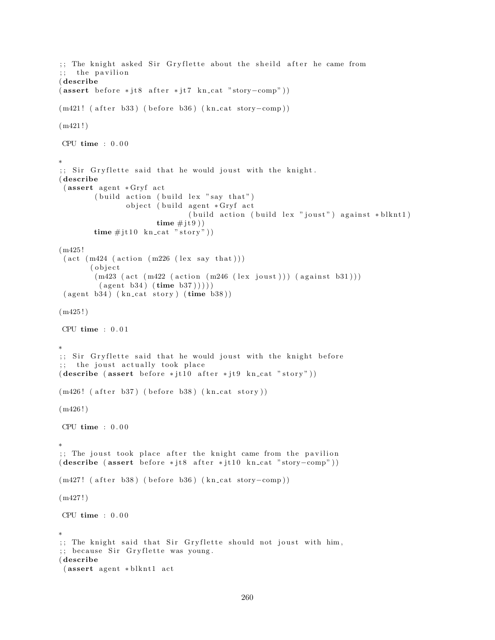```
;; The knight asked Sir Gryflette about the sheild after he came from
;; the pavilion
( describe
(assert\ before *jt8\ after *jt7\ kn\ cat "story-comp"))(m421! ( after b33) ( before b36) (kn_cat story-comp))
(m421!)CPU time : 0 . 0 0
∗
;; Sir Gryflette said that he would joust with the knight.
( describe
 (assert agent *Gryf act
        (buid action (build lex "say that")object (build agent *Gryf act
                              ( build action ( build lex "joust") against * blknt1)
                       time \# j \t0)time \#jt10 kn_cat "story"))
(m425 !
 (\text{act } (m424 \ (\text{action } (m226 \ (lex say that)))( o b j e c t
        (m423 (act (m422 (action (m246 (lex joust))) (against b31)))(\text{agent } b34) (\text{time } b37)))
 ( agent b34) ( kn\_cat story) ( time b38) )(m425!)CPU time : 0.01∗
;; Sir Gryflette said that he would joust with the knight before
;; the joust actually took place
(describe (assert before *jt10 after *jt9 kn_cat "story"))(m426! (after b37) (before b38) (kn_cat story))
(m426!)CPU time : 0.00∗
;; The joust took place after the knight came from the pavilion
(describe (assert before *jt8 after *jt10 kn_cat "story-comp"))(m427! ( after b38) ( before b36) (kn_cat story-comp))
(m427!)CPU time : 0.00∗
;; The knight said that Sir Gryflette should not joust with him,
;; because Sir Gryflette was young.
( describe
 (assert agent * blknt1 act
```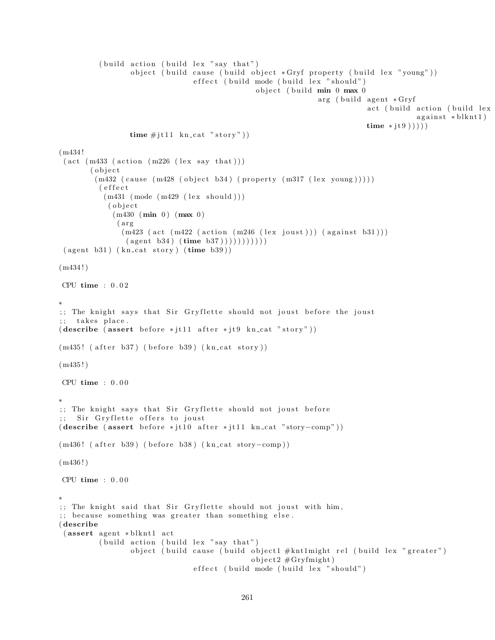```
(b uild action ( build lex "say that")
                  object (build cause (build object *Gryf property (build lex "young"))
                                 effect (build mode (build lex "should")
                                                 object (build min 0 max 0
                                                                arg ( build agent * Gryf
                                                                            act ( build action ( build lex
                                                                                         against * blknt1)time * jt9 )))
                 time \# jt11 kn_cat "story"))
(m434 !
 (\text{act } (m433 \text{ (action } (m226 \text{ (lex say that })))( o b j e c t
        (m432 \text{ (cause } (m428 \text{ (object } b34) \text{ (property } (m317 \text{ (lex young))))}))( e f f e c t
           (m431 \ (mode \ (m429 \ (lex \ should)))( o b j e c t
             (m430 (min 0) (max 0)(arg)(m423 (act (m422 (action (m246 (lex joust))) (against b31)))
                (\text{agent } b34) (\text{time } b37))))) )) ))( agent b31) ( kn\_cat story) ( time b39) )(m434!)CPU time : 0 . 0 2
∗
;; The knight says that Sir Gryflette should not joust before the joust
;; takes place.
(describe (assert before *jtl1 after *jt9 kn_cat "story"))(m435! ( after b37) ( before b39) (kn_cat story ))
(m435!)CPU time : 0.00∗
;; The knight says that Sir Gryflette should not joust before
;; Sir Gryflette offers to joust
(describe (assert before * it10 after * it11 kncat "story–comp"))(m436! ( after b39) ( before b38) (kn_cat story-comp))
(m436!)CPU time : 0 . 0 0
∗
;; The knight said that Sir Gryflette should not joust with him,
;; because something was greater than something else.
( describe
 (assert agent * blknt1 act
          (b uild action ( build lex "say that")
                 object (build cause (build object1 #knt1might rel (build lex "greater")
                                                object2 \#Gryfmight)effect (build mode (build lex "should")
```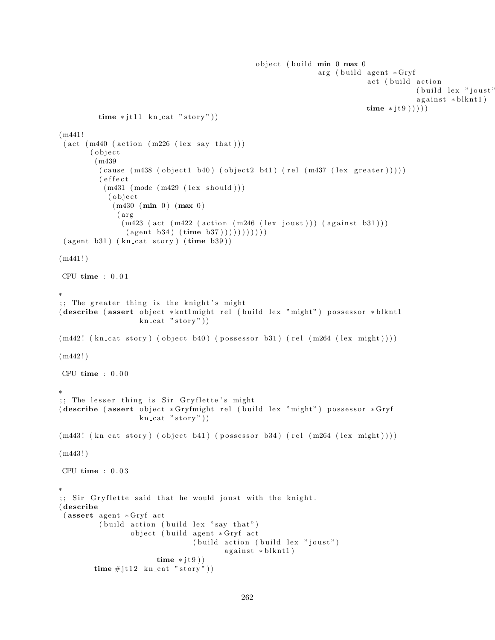```
object (build \min 0 max 0
                                                                 arg ( build agent *Gryf
                                                                              act (build action
                                                                                          (b uild lex "joust"
                                                                                          agains t * blknt1)time * jt9)))time * jt11 kn_cat "story"))
(m441 !
 (\text{act } (m440 \ (action } (m226 \ (lex say that)))(object)
         (m439
          (\text{cause } (m438 (\text{object1 } b40) (\text{object2 } b41) ( rel } (m437 (\text{lex greater}))) ))( e f f e c t
           (m431 \ (mode \ (m429 \ (lex \ should)))( o b j e c t
             (m430 (min 0) (max 0)(arg)(m423 (act (m422 (action (m246 (lex joust))) (against b31)))
                (\text{agent } b34) (\text{time } b37))))) ))( agent b31) ( kn_cat story) ( time b39) )(m441!)CPU time : 0.01∗
;; The greater thing is the knight's might
( describe ( assert object * knt1might rel ( build lex "might") possessor * blknt1
                    kn cat "stop"))
(m442! (kn\text{-cat story}) (object b40) (possessor b31) (rel (m264 (lex might)))(m442!)CPU time : 0.00∗
;; The lesser thing is Sir Gryflette's might
( describe ( assert object * Gryfmight rel ( build lex "might") possessor * Gryf
                    kn cat "stop"))
(m443! \ (kn\_cat story) (object b41) (possessor b34) (rel (m264 (lex might))))(m443!)CPU time : 0 . 0 3
∗
;; Sir Gryflette said that he would joust with the knight.
( describe
 (assert agent * Gryf act
          (b uild action ( build lex " say that")
                  object (build agent *Gryf act
                                  (build action (build lex "joust")against * blknt1)
                        time * j t 9 ))time \# j \text{t} 12 \text{ kn\_cat "story"))}
```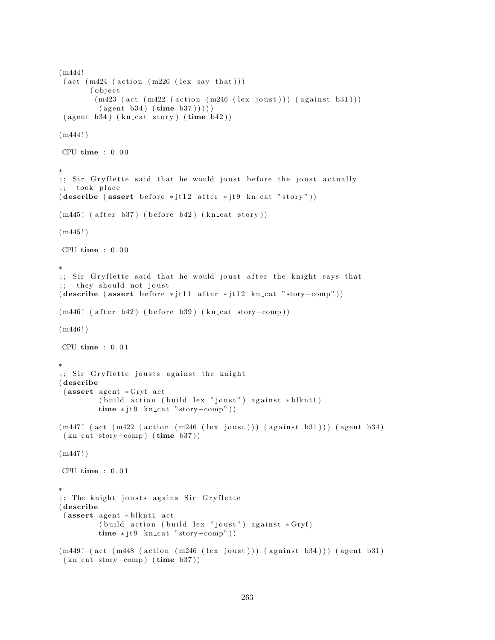```
(m444 !
 (\text{act } (m424 \ (\text{action } (m226 \ (lex say that)))( o b j e c t
        (m423 (act (m422 (action (m246 (lex joust))) (against b31)))(\text{agent } b34) (\text{time } b37))))
 ( agent b34) ( kncat story) ( time b42) )(m444!)CPU time : 0.00∗
;; Sir Gryflette said that he would joust before the joust actually
;; took place
(describe (assert before * it12 after * it9 kn_cat "story"))(m445! (after b37) (before b42) (kn\_cat~story))
(m445!)CPU time : 0 . 0 0
∗
;; Sir Gryflette said that he would joust after the knight says that
;; they should not joust
(describe (assert before *jtl1 after *jtl2 kn_cat "story-comp"))(m446! ( after b42) ( before b39) (kn_cat story-comp))
(m446!)CPU time : 0 . 0 1
∗
;; Sir Gryflette jousts against the knight
( describe
 (assert agent * Gryf act)( build action ( build lex "joust") against * blknt1)
         time * jt9 \ kn\_cat "story-comp")(m447! (act (m422 (action (m246 (lex joust))) (against b31))) (agent b34)
 (kn\_cat~story–comp) (time b37))
(m447!)CPU time : 0.01∗
;; The knight jousts agains Sir Gryflette
( describe
 (assert agent * blknt1 act
         (b uild action ( build lex " joust") against *Gryftime * jt9 \ kn\_cat "story–comp")(m449! (act (m448 (action (m246 (lex joust))) (against b34))) (agent b31)
 (kn\_cat~ story-comp) (time b37))
```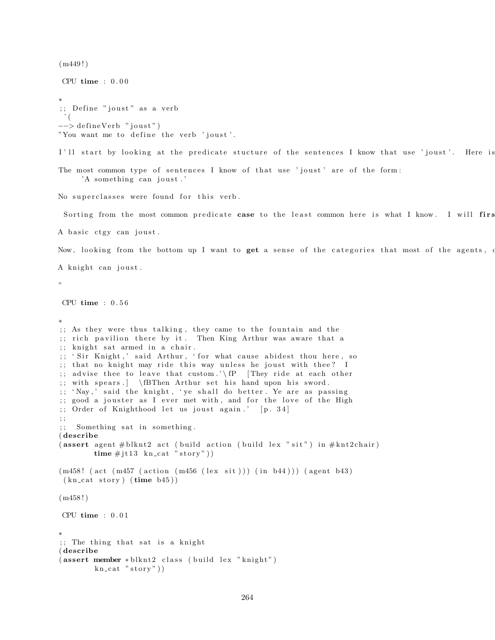```
(m449!)CPU time : 0.00∗
;; Define "joust" as a verb
 ˆ (
−−> defineVerb "joust")
"You want me to define the verb 'joust'.
I'll start by looking at the predicate stucture of the sentences I know that use 'joust'. Here is
The most common type of sentences I know of that use 'joust' are of the form:
     'A something can joust.'
No superclasses were found for this verb.
 Sorting from the most common predicate case to the least common here is what I know. I will first
A basic ctgy can joust.
Now, looking from the bottom up I want to get a sense of the categories that most of the agents, o
A knight can joust.
"
CPU time : 0 . 5 6
∗
;; As they were thus talking, they came to the fountain and the
;; rich pavilion there by it. Then King Arthur was aware that a
; knight sat armed in a chair.
;; 'Sir Knight,' said Arthur, 'for what cause abidest thou here, so
;; that no knight may ride this way unless he joust with thee? I
;; advise thee to leave that custom.'\fP [They ride at each other
;; with spears . | \fBThen Arthur set his hand upon his sword.
;; 'Nay,' said the knight, 'ye shall do better. Ye are as passing
;; good a jouster as I ever met with, and for the love of the High
;; Order of Knighthood let us joust again.' [p. 34]
; ;
;; Something sat in something.
( describe
(assert agent # blknt2 act (build action (build lex "sit") in # knt2chair)
        time \# j t 13 \text{ kn\_cat "story"))}(m458! ( act (m457 ( action (m456 (lex sit))) (in b44))) (agent b43)
 (kn_{\text{cat story}})(time_{\text{b45}}))(m458!)CPU time : 0.01∗
;; The thing that sat is a knight
( describe
(assert member * blknt2 class (build lex "knight")kn cat "story")
```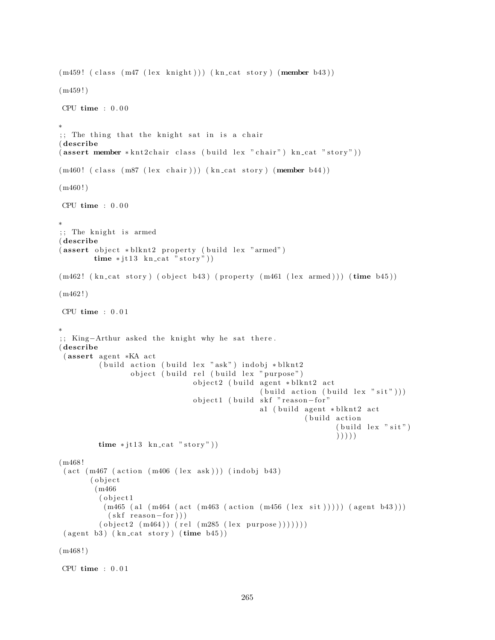```
(m459! (class (m47 (lex knight))) (kn_cat story) (member b43))
(m459!)CPU time : 0.00∗
;; The thing that the knight sat in is a chair
( describe
(assert member *knt2chain class (build lex "chair") kn_cat "story"))
(m460! (class (m87 (lex chair))) (kn_cat story) (member b44))
(m460!)CPU time : 0.00∗
;; The knight is armed
( describe
( assert object * blknt2 property ( build lex "armed")
        time * j t 13 kn cat "story"))
(m462! (kn\text{-cat story}) (object b43) (property (m461 (lex armed))) (time b45)(m462!)CPU time : 0.01∗
;; King-Arthur asked the knight why he sat there.
( describe
 (assert agent *KA act
         ( build action ( build lex "ask") indobj * blknt2
                 object ( build rel ( build lex " purpose")
                                object2 (build agent * blknt2 act
                                                 (buid action (build lex "sit"))object1 (build skf "reason-for"
                                                 a1 ( build agent * blknt2 act
                                                            (build action
                                                                   (b uild lex "\sin")
                                                                   ) ) ) ) )
         time * j t 13 kn_cat "story"))
(m468 !
 (\text{act } (m467 \text{ (action } (m406 \text{ (lex } ask))) (\text{indobj } b43))( o b j e c t
        (m466
         (object1
          (m465 (a1 (m464 (act (m463 (action (m456 (lex sit)))))) (agent b43)))(skf reason-for))
         ( object 2 (m464) (rel (m285 (lex purpose ))))( agent b3 ) ( kn\_cat story) ( time b45) )(m468!)CPU time : 0.01
```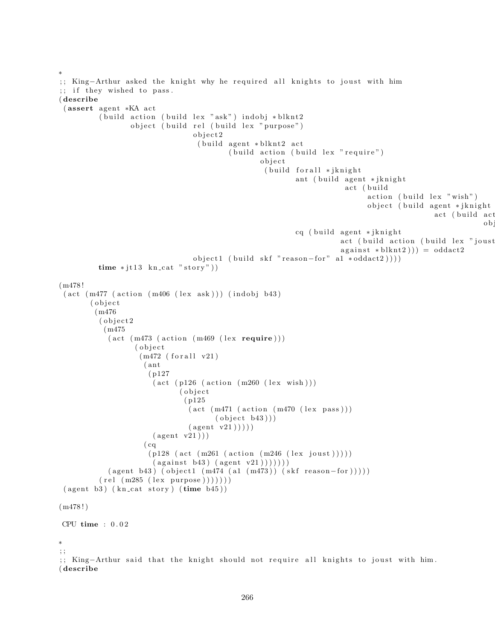```
∗
;; King-Arthur asked the knight why he required all knights to joust with him
;; if they wished to pass.
( describe
 (assert agent *KA act
           (b uild action ( build lex "ask") indobj *blknt2
                   object ( build rel ( build lex " purpose")
                                    o b j e c t 2
                                     ( build agent * blknt2 act
                                              ( build action ( build lex " require")
                                                      o b j e c t
                                                        ( build for all ∗ jknight
                                                                ant ( build agent * jknight
                                                                              act (build
                                                                                    action (build lex " wish")object ( build agent * jknight
                                                                                                      act (build act
                                                                                                                   o bcq ( build agent * jknight
                                                                            act ( build action ( build lex " joust
                                                                            against * blknt2)) = oddact2object1 (build skf "reason-for" al *oddact2))))time * jt13 kn_cat "story"))
(m478 !
 (\text{act } (m477 \ (\text{action } (m406 \ (lex ask))) \ (indobj b43))( object
         (m476
           (object2)
            (m475
             (\text{act } (m473 \text{ (action } (m469 \text{ (lex } <b>require</b>)))( o b j e c t
                     (m472 (for all v21)( ant
                        ( p127
                         (\text{act } (p126 \text{ (action } (m260 \text{ (lex } wish))))( o b j e c t
                                  ( p125
                                   (\text{act } (m471 \ (\text{action } (m470 \ (lex \ pass)))( object b43))
                                   (\text{agent v21}))))
                         (\text{agent v21}))
                       (cq)(p128 (act (m261 (action (m246 (lex joust))))( against b43 ) ( agent v21 )) ) )(\text{agent } b43) (\text{object1 } (m474 (a1 (m473)) (skf reason-for))))(\text{rel} (\text{m285} (\text{lex} \text{purpose}))))))( agent b3 ) ( kn\_cat story) ( time b45) )(m478!)CPU time : 0 . 0 2
∗
; ;
;; King-Arthur said that the knight should not require all knights to joust with him.
( describe
```

```
266
```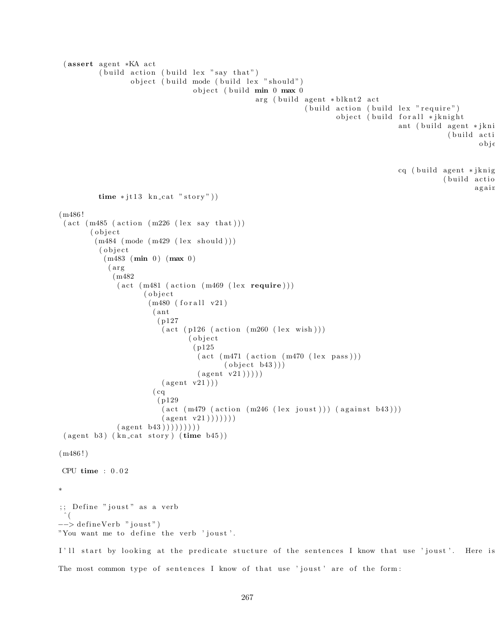```
(assert agent *KA act
           ( build action ( build lex " say that")
                   object ( build mode ( build lex " should")
                                    object (build min 0 max 0
                                                     arg ( build agent * blknt2 act
                                                                   (buid action (build lex "require")object ( build for all * jknight
                                                                                             ant ( build agent * jkni
                                                                                                          ( build acti
                                                                                                                   obj \incq ( build agent * jknig
                                                                                                         ( build actio
                                                                                                                  again
          time * jt13 kn_cat "story"))
(m486 !
 (\text{act } (m485 \text{ (action } (m226 \text{ (lex say that })))( o b j e c t
         (m484 \ (mode \ (m429 \ (lex \ should)))( object
            (m483 (min 0) (max 0)(arg)(m482
                (\text{act } (m481 \text{ (action } (m469 \text{ (lex require})))( o b j e c t
                        (m480 (for all v21)( ant
                           ( p127
                            (\text{act } (p126 \text{ (action } (m260 \text{ (lex } wish))))( o b j e c t
                                    ( p125
                                      (\text{act } (m471 \ (\text{action } (m470 \ (lex \ pass))))( object b43))
                                      (\text{agent v21})))(\text{agent v21}))
                         (cq)( p129
                            (\text{act } (m479 \text{ (action } (m246 \text{ (lex } joust))) (\text{against } b43)))(\text{agent v21}))) ))(\text{agent } b43) )) )) ))( agent b3) ( kn\_cat story) ( time b45) )(m486!)CPU time : 0 . 0 2
∗
;; Define "joust" as a verb
 \hat{\ } (
−−> defineVerb "joust")
"You want me to define the verb 'joust'.
I'll start by looking at the predicate stucture of the sentences I know that use 'joust'. Here is
```

```
267
```
The most common type of sentences I know of that use 'joust' are of the form: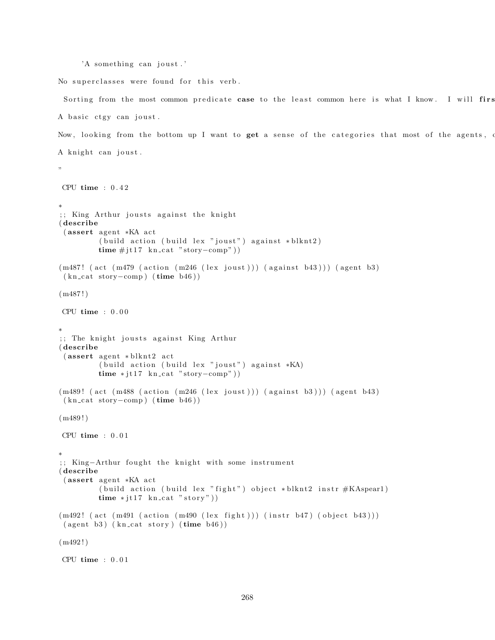```
'A something can joust.'
```
"

No superclasses were found for this verb.

Sorting from the most common predicate case to the least common here is what I know. I will first A basic ctgy can joust.

Now, looking from the bottom up I want to get a sense of the categories that most of the agents, A knight can joust.

```
CPU time : 0 . 4 2
∗
;; King Arthur jousts against the knight
( describe
 (assert agent *KA act
          ( build action ( build lex "joust") against * blknt2)
          time \# j t 17 \text{ kn\_cat "story–comp" } )(m487! (act (m479 (action (m246 (lex joust))) (against b43))) (agent b3)
 (kn\_cat~story–comp) (time b46))
(m487!)CPU time : 0.00∗
;; The knight jousts against King Arthur
( describe
 (assert agent * blknt2 act
          ( build action ( build lex " joust") against *KA)
          time * j t 17 kn_c at "story–comp")(m489! (\text{act } (m488 \text{ (action } (m246 \text{ (lex } joust))) (\text{against } b3))) (\text{agent } b43)(kn_{\text{cat story}-comp}) (time b46))
(m489!)CPU time : 0 . 0 1
∗
;; King-Arthur fought the knight with some instrument
( describe
 (assert agent *KA act
          ( build action ( build lex " fight") object * blknt2 instr #KAspear1)
          time * j t 17 kn_cat "story"))
(m492! (act (m491 (action (m490 (lex fight))) (instr b47) (object b43)))
 ( agent b3) ( kn\_cat story) ( time b46) )(m492 ! )
CPU time : 0.01
```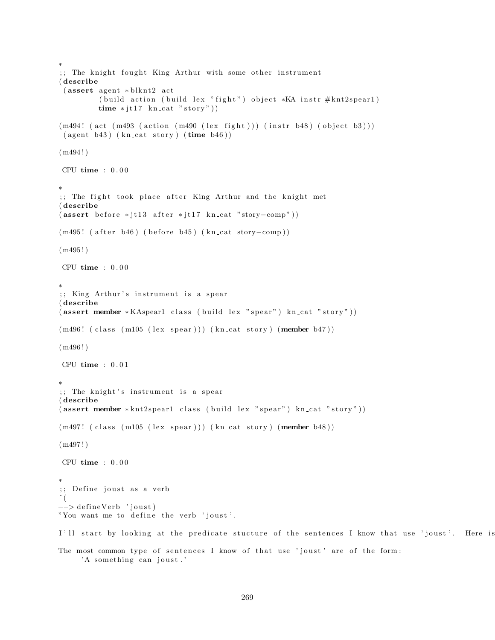```
∗
;; The knight fought King Arthur with some other instrument
( describe
 (assert agent * blknt2 act
         ( build action ( build lex " fight") object *KA instr \#\text{knt2spear1})
         time * jt17 kn_cat "story"))
(m494! (act (m493 (action (m490 (lex fight))) (instr b48) (object b3)))
 ( agent b43) ( kn\_cat story) ( time b46) )(m494!)CPU time : 0 . 0 0
∗
;; The fight took place after King Arthur and the knight met
( describe
(assert\ before * j t 13 after * j t 17 kn_c at "story-comp"))(m495! ( after b46) ( before b45) (kn_cat story-comp))
(m495!)CPU time : 0.00∗
;; King Arthur's instrument is a spear
( describe
(assert member *KAspear1 class (build lex "spear") kn_cat "story"))
(m496! (class (m105 (lex spear))) (kn_cat story) (member b47))
(m496!)CPU time : 0 . 0 1
∗
;; The knight's instrument is a spear
( describe
(assert member *knt2spear1 class (build lex "spear") kn\_cat "story"))
(m497! (class (m105 (lex spear))) (kn_cat story) (member b48))
(m497!)CPU time : 0 . 0 0
∗
;; Define joust as a verb
\hat{\ } (
−−> defineVerb 'joust)
"You want me to define the verb 'joust'.
I'll start by looking at the predicate stucture of the sentences I know that use 'joust'. Here is
The most common type of sentences I know of that use 'joust' are of the form:
     'A something can joust.'
```

```
269
```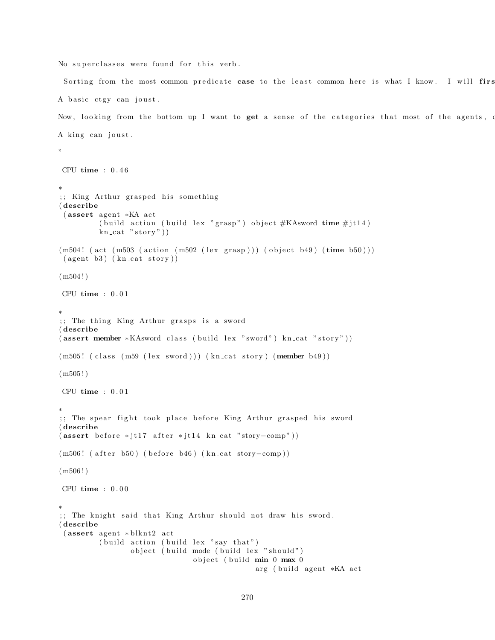No superclasses were found for this verb.

Sorting from the most common predicate case to the least common here is what I know. I will firs A basic ctgy can joust. Now, looking from the bottom up I want to get a sense of the categories that most of the agents, A king can joust. " CPU time :  $0.46$ 

```
∗
;; King Arthur grasped his something
( describe
 (assert agent *KA act
         ( build action ( build lex " grasp") object #KAsword time \#jt14)
         kn\_cat "stor y")
(m504! (act (m503 (action (m502 (lex grasp))) (object b49) (time b50)))
 ( agent b3) ( kn\_cat story ) )(m504!)CPU time : 0.01∗
;; The thing King Arthur grasps is a sword
( describe
( assert member *KAsword class ( build lex " sword") kn_cat " story"))
(m505! (class (m59 (lex sword))) (kn_cat story) (member b49))
(m505!)CPU time : 0 . 0 1
∗
;; The spear fight took place before King Arthur grasped his sword
( describe
(assert\ before * j t 17\ after * j t 14\ kn\_cat " story–comp")(m506! ( after b50) ( before b46) (kn_cat story-comp))
(m506!)CPU time : 0.00∗
;; The knight said that King Arthur should not draw his sword.
( describe
 (assert agent * blknt2 act
         (b uild action ( build lex "say that")
                 object ( build mode ( build lex " should")
                                object (build min 0 max 0
                                              arg ( build agent *KA act
```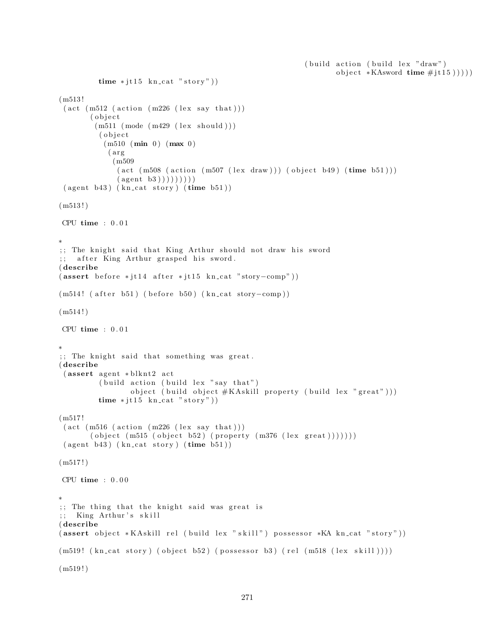```
(b uild action ( build lex "draw")
                                                                        object *KAsword time \#jt15))))
          time * j t 15 kn_cat "story"))
(m513 !
 (\text{act } (m512 \text{ (action } (m226 \text{ (lex say that })))( o b j e c t
         (m511 \ (mode \ (m429 \ (lex \ should)))( o b j e c t
           (m510 (min 0) (max 0)(arg)(m509
               (\text{act } (m508 \text{ (action } (m507 \text{ (lex } draw))) (\text{object } b49) (\text{time } b51)))(\text{agent } b3) )) ))( agent b43) ( kn\_cat story) ( time b51) )(m513!)CPU time : 0.01∗
;; The knight said that King Arthur should not draw his sword
;; after King Arthur grasped his sword.
( describe
(assert\ before * j t 14\ after * j t 15\ kn\_cat "story–comp"))(m514! ( after b51) ( before b50) (kn_cat story-comp))
(m514!)CPU time : 0 . 0 1
∗
;; The knight said that something was great.
( describe
 (assert agent * blknt2 act
          ( build action ( build lex "say that")
                  object ( build object #KAskill property ( build lex " great" ) ) )
          time * j t 15 kn cat "story"))
(m517 !
 (\text{act } (m516 \text{ (action } (m226 \text{ (lex say that })))( object (m515 (object b52) (property (m376 (lex great)))))))( agent b43) ( kn\_cat story) ( time b51) )(m517!)CPU time : 0 . 0 0
∗
;; The thing that the knight said was great is
;; King Arthur's skill
( describe
( assert object * KA skill rel ( build lex " skill") possessor * KA kn_cat " story"))
(m519! (kn_cat story) (object b52) (possessor b3) (rel (m518 (lex skill )))))
(m519!)
```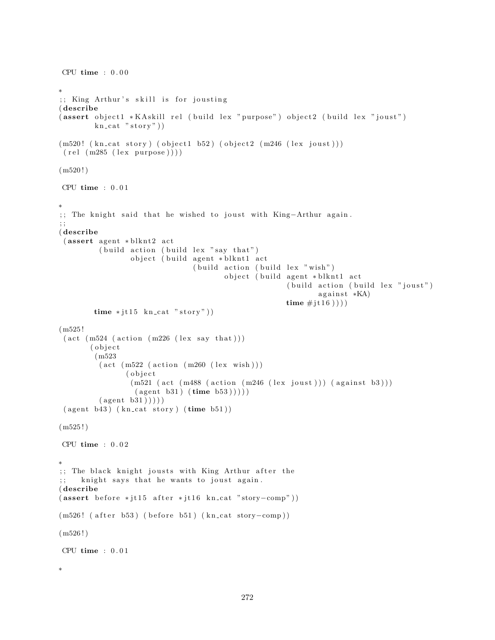```
CPU time : 0.00∗
;; King Arthur's skill is for jousting
( describe
( assert object 1 * KA skill rel ( build lex " purpose") object 2 ( build lex " joust")
         kn cat "story")
(m520! (kn_cat story) (object1 b52) (object2 (m246 (lex joust)))
(\text{rel} (\text{m285} (\text{lex} \text{purpose})))(m520!)CPU time : 0 . 0 1
∗
;; The knight said that he wished to joust with King-Arthur again.
; ;
( describe
 (assert agent * blknt2 act
          (b uild action ( build lex "say that")
                  object (build agent * blknt1 act
                                   (buid action (build lex "wish")object ( build agent * blknt1 act
                                                           (b uild action (b uild lex "joust")
                                                                   a g a in st *<b>KA</b>time \# j \text{t} 16)))
         time * jt15 kn_cat "story"))
(m525 !
 (\text{act } (m524 \text{ (action } (m226 \text{ (lex say that})))( o b j e c t
         (m523
          (\text{act } (m522 \text{ (action } (m260 \text{ (lex } wish))))( object(m521 (act (m488 (action (m246 (lex joust))) (against b3)))(\text{agent } b31) (\text{time } b53))))
          (\text{agent } b31)))
 ( agent b43) ( kn\_cat story) ( time b51) )(m525!)CPU time : 0.02∗
;; The black knight jousts with King Arthur after the
;; knight says that he wants to joust again.
( describe
(assert\ before * j t 15 after * j t 16 kn_c at "story-comp"))(m526! ( after b53) ( before b51) (kn_cat story-comp))
(m526!)CPU time : 0.01∗
```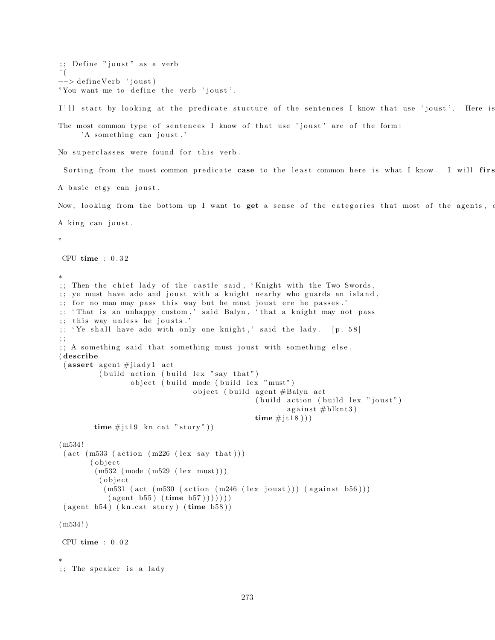```
;; Define "joust" as a verb
\hat{a}−−> defineVerb 'joust)
"You want me to define the verb 'joust'.
I'll start by looking at the predicate stucture of the sentences I know that use 'joust'. Here is
The most common type of sentences I know of that use 'joust' are of the form:
     'A something can joust.'
No superclasses were found for this verb.
```
Sorting from the most common predicate case to the least common here is what I know. I will firs

A basic ctgy can joust.

Now, looking from the bottom up I want to get a sense of the categories that most of the agents, of

A king can joust.

"

```
CPU time : 0 . 3 2
```
∗

```
;; Then the chief lady of the castle said, 'Knight with the Two Swords,
;; ye must have ado and joust with a knight nearby who guards an island,
;; for no man may pass this way but he must joust ere he passes.'
;; 'That is an unhappy custom,' said Balyn, 'that a knight may not pass
;; this way unless he jousts.'
;; 'Ye shall have ado with only one knight,' said the lady. [p. 58]; ;
;; A something said that something must joust with something else.
( describe
 (assert agent \#jlady1 act
          (b uild action (b uild lex "say that")
                  object ( build mode ( build lex "must")
                                  object (build agent #Balyn act
                                                  (buid action (build lex "joust")a gainst # blknt3)
                                                 time \# j \text{t} 18))
        time \# j \text{t} 19 \text{ kn} \text{-cat "story"))(m534 !
 (\text{act } (m533 \text{ (action } (m226 \text{ (lex say that })))( o b j e c t
         (m532 \ (mode \ (m529 \ (lex \ must)))( o b j e c t
           (m531 (act (m530 (action (m246 (lex joust))) (against b56)))(\text{agent } b55) (\text{time } b57)))))( agent b54) ( kn\_cat story) ( time b58) )(m534!)CPU time : 0 . 0 2
∗
;; The speaker is a lady
```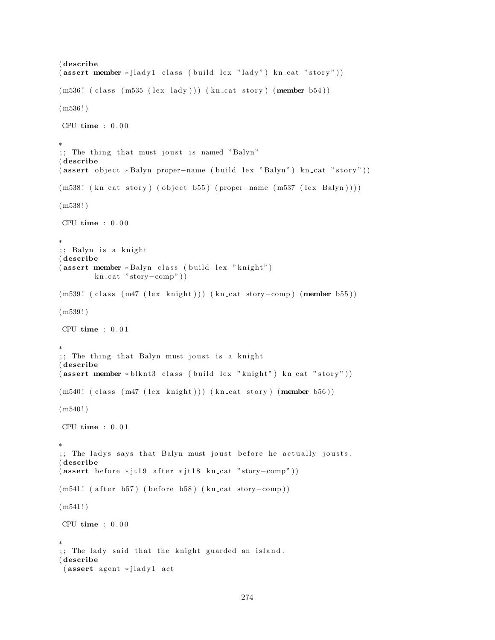```
( describe
(\text{assert member } * \text{jladyl class } (\text{build } \text{lex } " \text{lady" }) \text{ kncat } " \text{ story" }))(m536! (class (m535 (lex lady))) (kn_cat story) (member b54))
(m536!)CPU time : 0.00∗
;; The thing that must joust is named "Balyn"
( describe
( assert object *Balyn proper-name ( build lex "Balyn") kn_cat "story"))
(m538! (kn_cat story) (object b55) (proper-name (m537 (lex Balyn))))
(m538!)CPU time : 0.00∗
;; Balyn is a knight
( describe
(assert member * Balyn class (build lex "knight")
        kn_cat "story-comp"))
(m539! ( class (m47 (lex knight))) (kn_cat story-comp) (member b55))
(m539!)CPU time : 0.01∗
;; The thing that Balyn must joust is a knight
( describe
(assert member * blknt3 class (build lex "knight") kn_cat "story"))
(m540! (class (m47 (lex knight))) (kn_cat story) (member b56))
(m540!)CPU time : 0 . 0 1
∗
;; The ladys says that Balyn must joust before he actually jousts.
( describe
(assert\ before * j t 19 after * j t 18 kn_c at "story-comp"))(m541! ( after b57) ( before b58) (kn\_cat story-comp))
(m541!)CPU time : 0.00∗
;; The lady said that the knight guarded an island.
( describe
 (assert agent * jlady1 act
```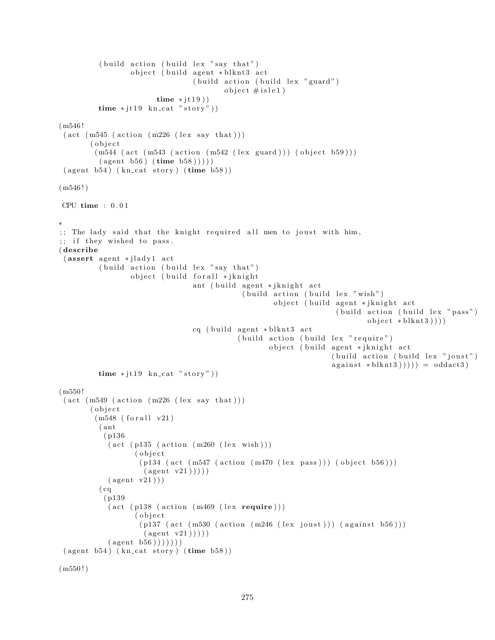```
(build action (build lex "say that")object ( build agent * blknt3 act
                                   ( build action ( build lex "guard")
                                            object \#isle1)time * jt19)time * jt19 kn cat "story"))
(m546 !
 (\text{act } (m545 \text{ (action } (m226 \text{ (lex say that })))( o b j e c t
         (m544 (act (m543 (action (m542 (lex guard))) (object b59)))(\text{agent } b56) (\text{time } b58))))
 ( agent b54) ( kn cat story) ( time b58) )(m546!)CPU time : 0 . 0 1
∗
;; The lady said that the knight required all men to joust with him,
;; if they wished to pass.
( describe
 (assert agent * jlady1 act
          (b uild action ( build lex "say that")
                   object ( build for all * jknight
                                   ant ( build agent * jknight act
                                                 (buid action (build lex " wish")object ( build agent * jknight act
                                                                          ( build action ( build lex " pass")
                                                                                  object * blknt3)))cq ( build agent * blknt3 act
                                               ( build action ( build lex " require" )
                                                        object ( build agent * jknight act
                                                                         (build action (build lex "joust")against * blknt3)))) = oddat3)time * j t 19 kn_cat "story"))
(m550 !
 (\text{act } (m549 \text{ (action } (m226 \text{ (lex say that })))( o b j e c t
         (m548 (for all v21)( ant
            ( p136
             (\text{act } (p135 \text{ (action } (m260 \text{ (lex } wish))))( o b j e c t
                     (p134 \text{ (act (m547 (action (m470 (lex pass))) (object b56)))}(\text{agent v21})))(\text{agent v21}))(cq)( p139
             (\text{act } (p138 \text{ (action } (m469 \text{ (lex } <b>require</b>)))( o b j e c t
                     (p137 (act (m530 (action (m246 (lex joust))) (against b56)))(\text{agent v21})))(\text{agent } b56) )) ))( agent b54) ( kn\_cat story) ( time b58) )
```

```
(m550 ! )
```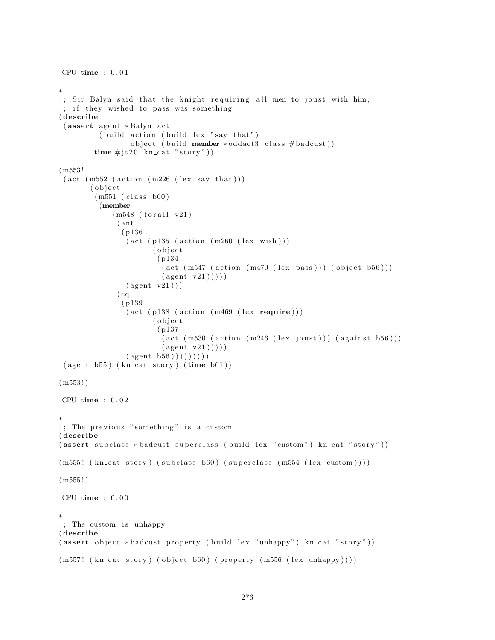```
CPU time : 0.01∗
;; Sir Balyn said that the knight requiring all men to joust with him,
;; if they wished to pass was something
( describe
 (assert agent *Balyn act
           (b uild action ( build lex "say that")
                    object ( build member * oddact3 class # badcust))
         time \# j \text{t} 20 \ \text{kn} \text{-cat} \text{ "story" })(m553 !
 (\text{act } (m552 \text{ (action } (m226 \text{ (lex say that })))( o b j e c t
          (m551 (class b60)(member
               (m548 (for all v21)( ant
                 ( p136
                  (\text{act } (p135 \text{ (action } (m260 \text{ (lex } wish)))( o b j e c t
                           ( p134
                            (\text{act } (m547 \text{ (action } (m470 \text{ (lex pass)}))) (\text{object } b56)))(\text{agent v21})))(\text{agent v21}))(cq)( p139
                   (\text{act } (p138 \text{ (action } (m469 \text{ (lex } <b>require</b>)))( object( p137
                            (\text{act } (m530 \text{ (action } (m246 \text{ (lex } joust))) (\text{ against } b56)))(\text{agent v21})))(\text{agent } b56) )) )) ))( agent b55) ( kn\_cat story) ( time b61) )(m553!)CPU time : 0.02∗
;; The previous "something" is a custom
( describe
( assert subclass *badcust superclass ( build lex " custom") kn_cat " story"))
(m555! (kn_cat story) (subclass b60) (superclass (m554 (lex custom))))
(m555!)CPU time : 0.00∗
;; The custom is unhappy
( describe
(assert \; object * badcut \; property \; (build \; lex "unhappy") \; kn\_cat " story"))(m557! (kn_cat story) (object b60) (property (m556 (lex unhappy))))
```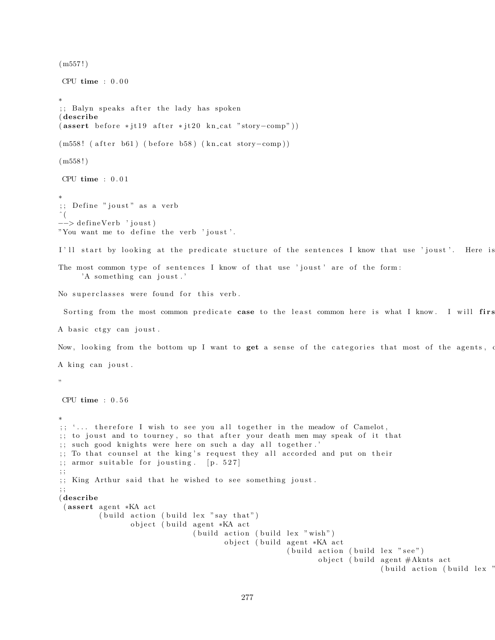```
(m557!)CPU time : 0.00∗
;; Balyn speaks after the lady has spoken
( describe
(assert\ before * j t 19 after * j t 20 kn_c at "story-comp"))(m558! ( after b61) ( before b58) (kn_cat story-comp))
(m558!)CPU time : 0 . 0 1
∗
;; Define "joust" as a verb
ˆ (
−−> defineVerb 'joust)
"You want me to define the verb 'joust'.
I'll start by looking at the predicate stucture of the sentences I know that use 'joust'. Here is
The most common type of sentences I know of that use 'joust' are of the form:
     'A something can joust.'
No superclasses were found for this verb.
 Sorting from the most common predicate case to the least common here is what I know. I will firs
A basic ctgy can joust.
Now, looking from the bottom up I want to get a sense of the categories that most of the agents, of
A king can joust.
"
CPU time : 0 . 5 6
∗
;; '... therefore I wish to see you all together in the meadow of Camelot,
;; to joust and to tourney, so that after your death men may speak of it that
;; such good knights were here on such a day all together.'
;; To that counsel at the king's request they all accorded and put on their
; armor suitable for jousting. [p. 527]; ;
;; King Arthur said that he wished to see something joust.
; ;
( describe
 (assert agent *KA act
         (b uild action (b uild lex "say that")
                 object ( build agent *KA act
                               ( build action ( build lex " wish")
                                       object (build agent *KA act
                                                     ( build action ( build lex " see")
                                                            object (build agent #Aknts act
                                                                           ( build action ( build lex "
```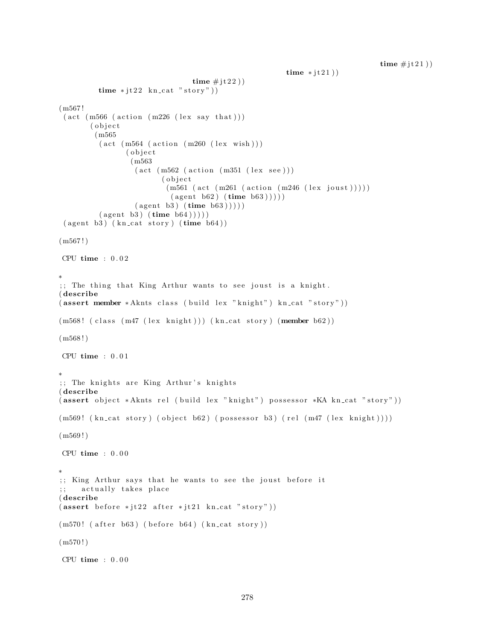```
time \# it 21)
```

```
time * jt 2 1)
                                  time \# j \t1 2 2)
          time * jt22 kn_cat "story"))
(m567 !
 (\text{act } (m566 \text{ (action } (m226 \text{ (lex say that })))( object
         (m565
          (\text{act } (m564 \text{ (action } (m260 \text{ (lex } wish))))( object
                  (m563
                    (\text{act } (m562 \text{ (action } (m351 \text{ (lex } see)))( object
                            (m561 (act (m261 (action (m246 (lex joust))))(\text{agent } b62) (\text{time } b63)))
                   (\text{agent } b3) (\text{time } b63)))
          (\text{agent } b3) (\text{time } b64)))))( agent b3 ) ( kncat story) ( time b64) )(m567!)CPU time : 0.02∗
;; The thing that King Arthur wants to see joust is a knight.
( describe
( assert member * Aknts class ( build lex "knight") kn_cat "story"))
(m568! (class (m47 (lex knight))) (kn_cat story) (member b62))
(m568!)CPU time : 0.01∗
;; The knights are King Arthur's knights
( describe
( assert object * Aknts rel ( build lex " knight") possessor * KA kn_cat " story"))
(m569! \ (kn\_cat story) (object b62) (possessor b3) (rel (m47 (lex knight))))(m569!)CPU time : 0.00∗
;; King Arthur says that he wants to see the joust before it
     actually takes place
( describe
(assert\ before *jt22\ after *jt21\ kn\_cat "story"))(m570! ( after b63) ( before b64) (kn_cat story))
(m570!)CPU time : 0.00
```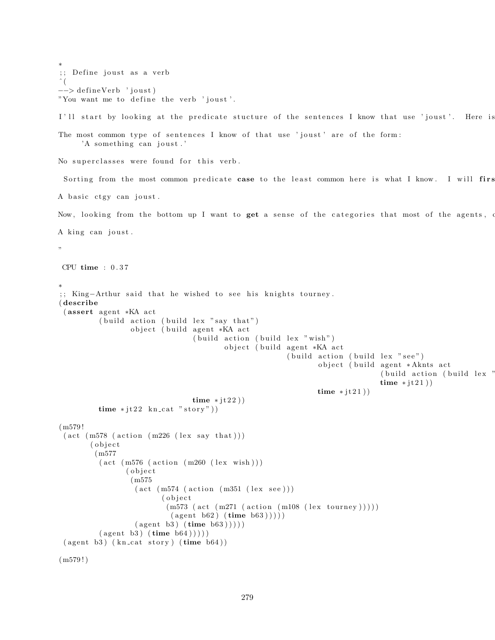```
∗
;; Define joust as a verb
\hat{\ } (
−−> defineVerb 'joust)
"You want me to define the verb 'joust'.
I'll start by looking at the predicate stucture of the sentences I know that use 'joust'. Here is
The most common type of sentences I know of that use 'joust' are of the form:
      'A something can joust.'
No superclasses were found for this verb.
 Sorting from the most common predicate case to the least common here is what I know. I will first
A basic ctgy can joust.
Now, looking from the bottom up I want to get a sense of the categories that most of the agents, o
A king can joust.
"
CPU time : 0 . 3 7
∗
;; King-Arthur said that he wished to see his knights tourney.
( describe
 (assert agent *KA act
          (b uild action ( build lex "say that")
                  object (build agent *KA act
                                   (b uild action (b uild lex "wish")
                                           object ( build agent *KA act
                                                           (b uild action ( build lex "see")
                                                                   object ( build agent * Aknts act
                                                                                   ( build action ( build lex "
                                                                                   time * jt 21)
                                                                   time * jt21))
                                  time * jt22))
          time * jt22 kn_cat "story"))
(m579 !
 (\text{act } (m578 \text{ (action } (m226 \text{ (lex say that })))(object)
         (m577
          (\text{act } (m576 \text{ (action } (m260 \text{ (lex } wish))))( o b j e c t
                  (m575
                   (\text{act } (m574 \text{ (action } (m351 \text{ (lex } see)))( o b j e c t
                            (m573 (act (m271 (action (m108 (lex tourney))))))(\text{agent } b62) (\text{time } b63)))))(\text{agent } b3) (\text{time } b63)))
          (\text{agent } b3) (\text{time } b64)))))( agent b3) ( kn\_cat story) ( time b64) )(m579!)
```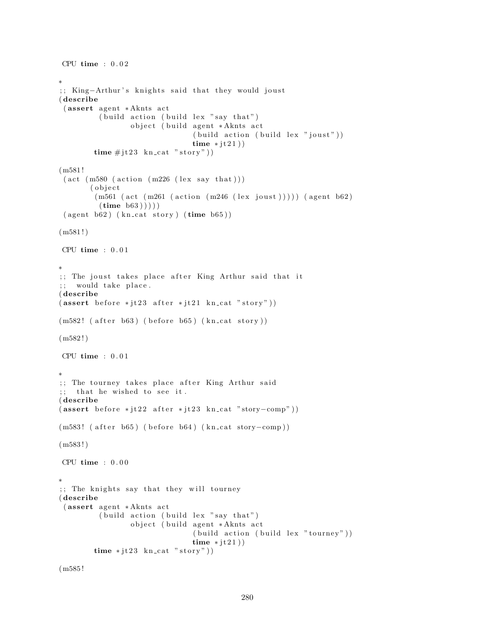```
CPU time : 0 . 0 2
∗
;; King-Arthur's knights said that they would joust
( describe
 (assert agent *Aknts act
         (b uild action ( build lex "say that")
                 object ( build agent * Aknts act
                                 (buid action (build lex "joust"))time * jt 2 1)
        time \# j \text{t} 23 kn_cat "story"))
(m581 !
 (\text{act } (m580 \text{ (action } (m226 \text{ (lex say that })))( o b j e c t
        (m561 (act (m261 (action (m246 (lex joust)))))(agent b62))(\text{time } b63)))))
 ( agent b62) ( kn\_cat story) ( time b65) )(m581!)CPU time : 0 . 0 1
∗
;; The joust takes place after King Arthur said that it
;; would take place.
( describe
(assert\ before *jt23\ after *jt21\ kn\_cat "story"))(m582! (after b63) (before b65) (kn_cat story))
(m582!)CPU time : 0.01∗
;; The tourney takes place after King Arthur said
;; that he wished to see it.
( describe
(assert\ before * j t 22\ after * j t 23 kn_c at "story-comp"))(m583! ( after b65) ( before b64) (kn_cat story-comp))
(m583 ! )
CPU time : 0 . 0 0
∗
;; The knights say that they will tourney
( describe
 (assert agent *Aknts act
         (b uild action (b uild lex "say that")
                 object (build agent *Aknts act
                                 (build action (build lex "tourney"))time * j t 2 1 )time * jt23 kn_cat "story")
```
(m585 !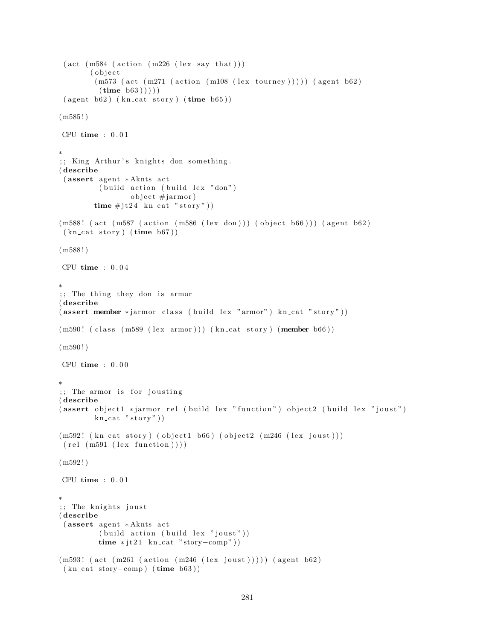```
(\text{act } (m584 \text{ (action } (m226 \text{ (lex say that })))(object)
         (m573 (act (m271 (action (m108 (lex tourney)))))) (agent b62)(\text{time } b63) )))
 ( agent b62) ( kn\_cat story) ( time b65) )(m585!)CPU time : 0 . 0 1
∗
;; King Arthur's knights don something.
( describe
 (assert agent *Aknts act
          ( build action ( build lex "don")
                  object \#jarmor)time \# j \text{t} 24 kn_cat "story"))
(m588! (act (m587 (action (m586 (lex don))) (object b66))) (agent b62)
 (kn_{\text{cat story}})(time_{\text{b67}})(m588 ! )
CPU time : 0.04∗
;; The thing they don is armor
( describe
(assert member *jarmor class (build lex "armor") kn_cat "story"))
(m590! (class (m589 (lex armor))) (kn_cat story) (member b66))
(m590!)CPU time : 0 . 0 0
∗
;; The armor is for jousting
( describe
( assert object 1 * jarmor rel ( build lex " function") object 2 ( build lex " joust")
         kn\_cat "story")
(m592! (kn_cat story) (object1 b66) (object2 (m246 (lex joust)))
 (\text{rel} (\text{m591} (\text{lex} \text{ function})))(m592 ! )
CPU time : 0 . 0 1
∗
;; The knights joust
( describe
 (assert agent * Aknts act
          (build action (build lex "joust"))time * j t 21 kn_cat "story-comp"))
(m593! (act (m261 (action (m246 (lex joust))))) (agent b62)
 (kn\_cat~ story-comp) (time b63))
```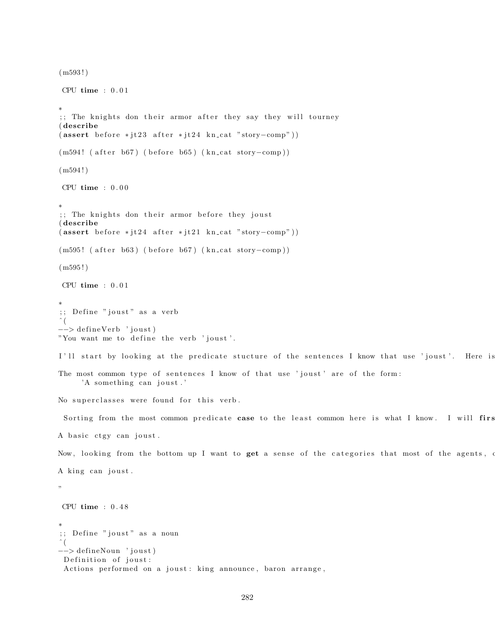```
(m593 ! )
CPU time : 0 . 0 1
∗
\gamma; The knights don their armor after they say they will tourney
( describe
(assert\ before *jt23\ after *jt24\ kn\_cat "story–comp"))(m594! ( after b67) ( before b65) (kn_cat story-comp))
(m594!)CPU time : 0 . 0 0
∗
;; The knights don their armor before they joust
( describe
(assert\ before * it24\ after * it21\ kn\_cat "story–comp"))(m595! ( after b63) ( before b67) (kn_cat story-comp))
(m595!)CPU time : 0 . 0 1
∗
;; Define "joust" as a verb
\hat{\ } (
−−> defineVerb 'joust)
"You want me to define the verb 'joust'.
I'll start by looking at the predicate stucture of the sentences I know that use 'joust'. Here is
The most common type of sentences I know of that use 'joust' are of the form:
     'A something can joust.'
No superclasses were found for this verb.
 Sorting from the most common predicate case to the least common here is what I know. I will first
A basic ctgy can joust.
Now, looking from the bottom up I want to get a sense of the categories that most of the agents, o
A king can joust.
"
CPU time : 0 . 4 8
∗
;; Define "joust" as a noun
\hat{\ } (
−−> de fineNoun ' j o u s t )
 Definition of joust:
 Actions performed on a joust: king announce, baron arrange,
```